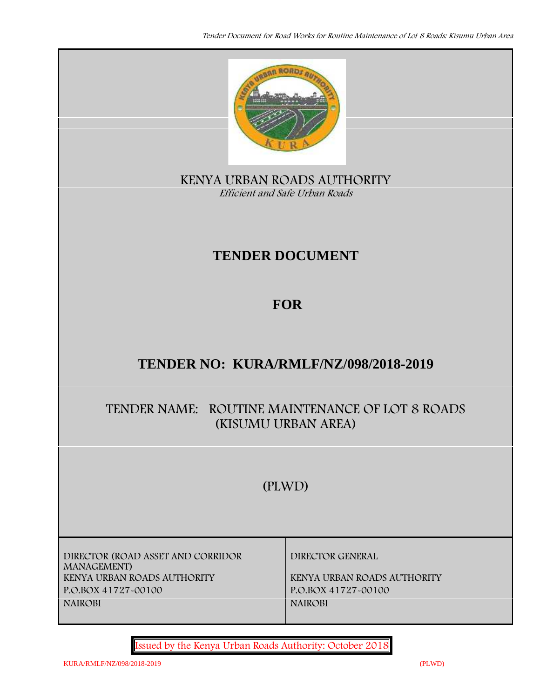

**KENYA URBAN ROADS AUTHORITY** *Efficient and Safe Urban Roads*

# **TENDER DOCUMENT**

# **FOR**

# **TENDER NO: KURA/RMLF/NZ/098/2018-2019**

## **TENDER NAME: ROUTINE MAINTENANCE OF LOT 8 ROADS (KISUMU URBAN AREA)**

# **(PLWD)**

**DIRECTOR (ROAD ASSET AND CORRIDOR MANAGEMENT) KENYA URBAN ROADS AUTHORITY KENYA URBAN ROADS AUTHORITY P.O.BOX 41727-00100 P.O.BOX 41727-00100 NAIROBI NAIROBI**

**DIRECTOR GENERAL**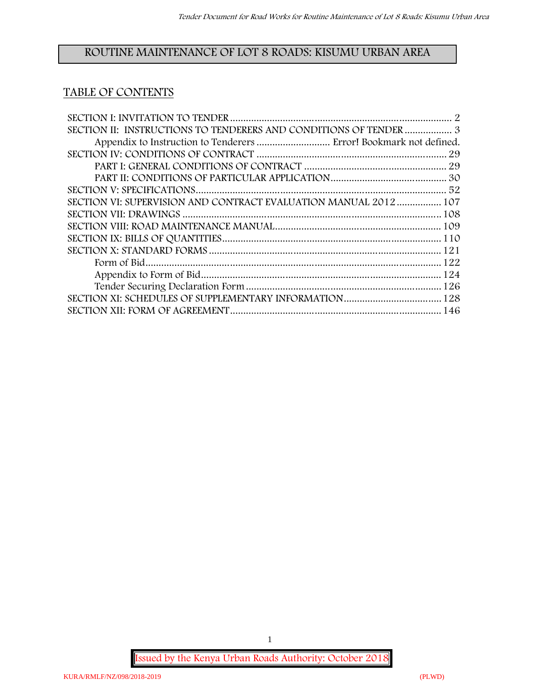## **ROUTINE MAINTENANCE OF LOT 8 ROADS: KISUMU URBAN AREA**

## **TABLE OF CONTENTS**

| Appendix to Instruction to Tenderers  Error! Bookmark not defined. |  |
|--------------------------------------------------------------------|--|
|                                                                    |  |
|                                                                    |  |
|                                                                    |  |
|                                                                    |  |
| SECTION VI: SUPERVISION AND CONTRACT EVALUATION MANUAL 2012  107   |  |
|                                                                    |  |
|                                                                    |  |
|                                                                    |  |
|                                                                    |  |
|                                                                    |  |
|                                                                    |  |
|                                                                    |  |
|                                                                    |  |
|                                                                    |  |

**Issued by the Kenya Urban Roads Authority: October 2018**

1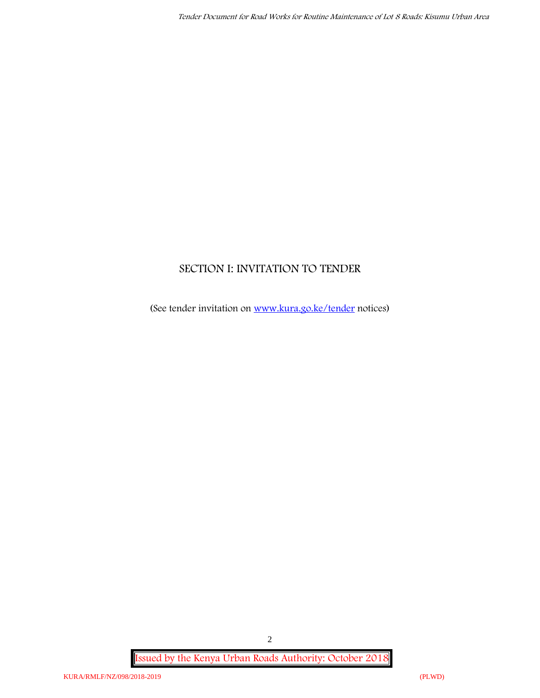## **SECTION I: INVITATION TO TENDER**

(See tender invitation on www.kura.go.ke/tender notices)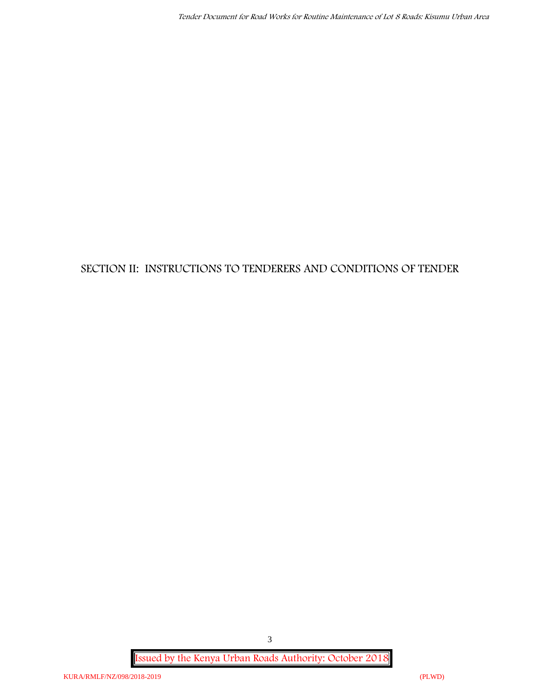## **SECTION II: INSTRUCTIONS TO TENDERERS AND CONDITIONS OF TENDER**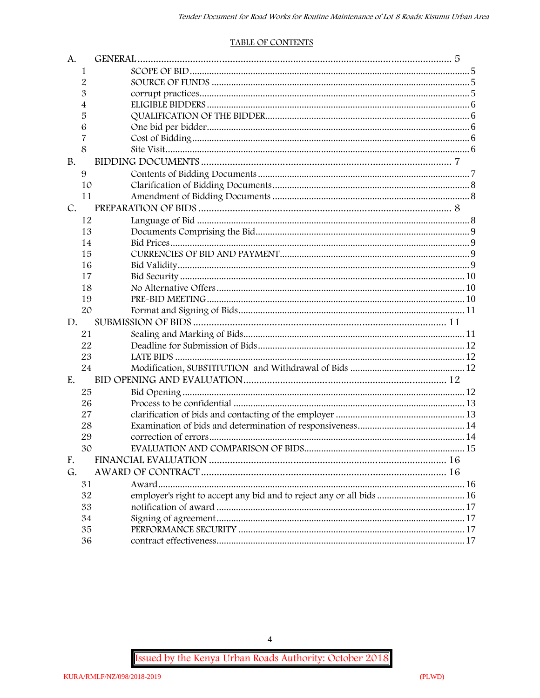#### **TABLE OF CONTENTS**

| A.          |    |                                                                      |  |
|-------------|----|----------------------------------------------------------------------|--|
|             | 1  |                                                                      |  |
|             | 2  |                                                                      |  |
|             | 3  |                                                                      |  |
|             | 4  |                                                                      |  |
|             | 5  |                                                                      |  |
|             | 6  |                                                                      |  |
|             | 7  |                                                                      |  |
|             | 8  |                                                                      |  |
| <b>B.</b>   |    |                                                                      |  |
|             | 9  |                                                                      |  |
|             | 10 |                                                                      |  |
|             | 11 |                                                                      |  |
| $C_{\cdot}$ |    |                                                                      |  |
|             | 12 |                                                                      |  |
|             | 13 |                                                                      |  |
|             | 14 |                                                                      |  |
|             | 15 |                                                                      |  |
|             | 16 |                                                                      |  |
|             | 17 |                                                                      |  |
|             | 18 |                                                                      |  |
|             | 19 |                                                                      |  |
|             | 20 |                                                                      |  |
| D.          |    |                                                                      |  |
|             | 21 |                                                                      |  |
|             | 22 |                                                                      |  |
|             | 23 |                                                                      |  |
|             | 24 |                                                                      |  |
| E.          |    |                                                                      |  |
|             | 25 |                                                                      |  |
|             | 26 |                                                                      |  |
|             | 27 |                                                                      |  |
|             | 28 |                                                                      |  |
|             | 29 |                                                                      |  |
|             | 30 |                                                                      |  |
| F.          |    |                                                                      |  |
| G.          |    |                                                                      |  |
|             | 31 |                                                                      |  |
|             | 32 | employer's right to accept any bid and to reject any or all bids  16 |  |
|             | 33 |                                                                      |  |
|             | 34 |                                                                      |  |
|             | 35 |                                                                      |  |
|             | 36 |                                                                      |  |

Issued by the Kenya Urban Roads Authority: October 2018

 $\overline{4}$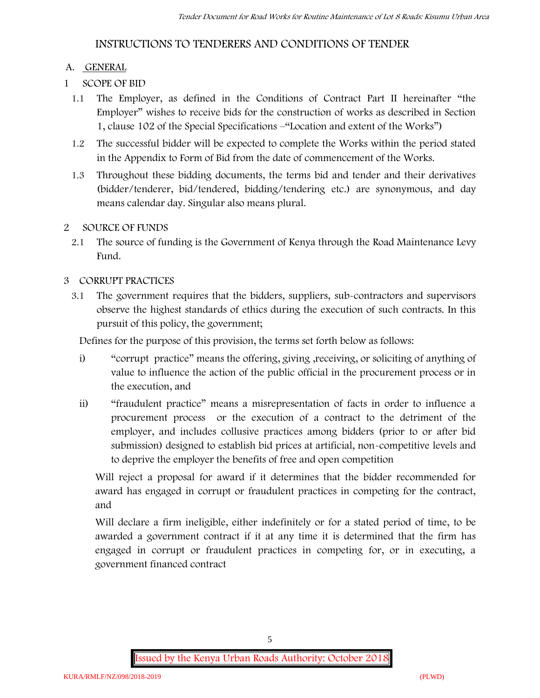## **INSTRUCTIONS TO TENDERERS AND CONDITIONS OF TENDER**

### **A. GENERAL**

- **1 SCOPE OF BID**
	- 1.1 The Employer, as defined in the Conditions of Contract Part II hereinafter "the Employer" wishes to receive bids for the construction of works as described in Section 1, clause 102 of the Special Specifications –"Location and extent of the Works")
	- 1.2 The successful bidder will be expected to complete the Works within the period stated in the Appendix to Form of Bid from the date of commencement of the Works.
	- 1.3 Throughout these bidding documents, the terms bid and tender and their derivatives (bidder/tenderer, bid/tendered, bidding/tendering etc.) are synonymous, and day means calendar day. Singular also means plural.

### **2 SOURCE OF FUNDS**

2.1 The source of funding is the Government of Kenya through the Road Maintenance Levy Fund.

### **3 CORRUPT PRACTICES**

3.1 The government requires that the bidders, suppliers, sub-contractors and supervisors observe the highest standards of ethics during the execution of such contracts. In this pursuit of this policy, the government;

Defines for the purpose of this provision, the terms set forth below as follows:

- i) "corrupt practice" means the offering, giving ,receiving, or soliciting of anything of value to influence the action of the public official in the procurement process or in the execution, and
- ii) "fraudulent practice" means a misrepresentation of facts in order to influence a procurement process or the execution of a contract to the detriment of the employer, and includes collusive practices among bidders (prior to or after bid submission) designed to establish bid prices at artificial, non-competitive levels and to deprive the employer the benefits of free and open competition

Will reject a proposal for award if it determines that the bidder recommended for award has engaged in corrupt or fraudulent practices in competing for the contract, and

Will declare a firm ineligible, either indefinitely or for a stated period of time, to be awarded a government contract if it at any time it is determined that the firm has engaged in corrupt or fraudulent practices in competing for, or in executing, a government financed contract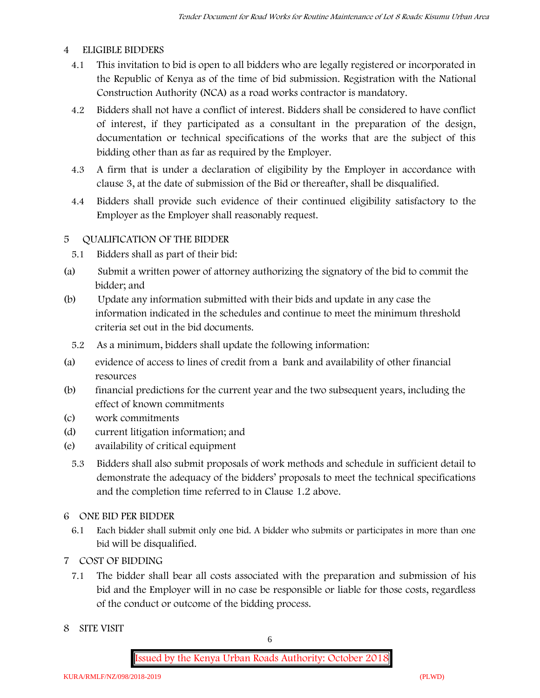#### **4 ELIGIBLE BIDDERS**

- 4.1 This invitation to bid is open to all bidders who are legally registered or incorporated in the Republic of Kenya as of the time of bid submission. Registration with the National Construction Authority (NCA) as a road works contractor is mandatory.
- 4.2 Bidders shall not have a conflict of interest. Bidders shall be considered to have conflict of interest, if they participated as a consultant in the preparation of the design, documentation or technical specifications of the works that are the subject of this bidding other than as far as required by the Employer.
- 4.3 A firm that is under a declaration of eligibility by the Employer in accordance with clause 3, at the date of submission of the Bid or thereafter, shall be disqualified.
- 4.4 Bidders shall provide such evidence of their continued eligibility satisfactory to the Employer as the Employer shall reasonably request.

#### **5 QUALIFICATION OF THE BIDDER**

- 5.1 Bidders shall as part of their bid:
- (a) Submit a written power of attorney authorizing the signatory of the bid to commit the bidder; and
- (b) Update any information submitted with their bids and update in any case the information indicated in the schedules and continue to meet the minimum threshold criteria set out in the bid documents.
	- 5.2 As a minimum, bidders shall update the following information:
- (a) evidence of access to lines of credit from a bank and availability of other financial resources
- (b) financial predictions for the current year and the two subsequent years, including the effect of known commitments
- (c) work commitments
- (d) current litigation information; and
- (e) availability of critical equipment
	- 5.3 Bidders shall also submit proposals of work methods and schedule in sufficient detail to demonstrate the adequacy of the bidders' proposals to meet the technical specifications and the completion time referred to in Clause 1.2 above.
- **6 ONE BID PER BIDDER**
	- 6.1 Each bidder shall submit only one bid. A bidder who submits or participates in more than one bid will be disqualified.
- **7 COST OF BIDDING**
	- 7.1 The bidder shall bear all costs associated with the preparation and submission of his bid and the Employer will in no case be responsible or liable for those costs, regardless of the conduct or outcome of the bidding process.
- **8 SITE VISIT**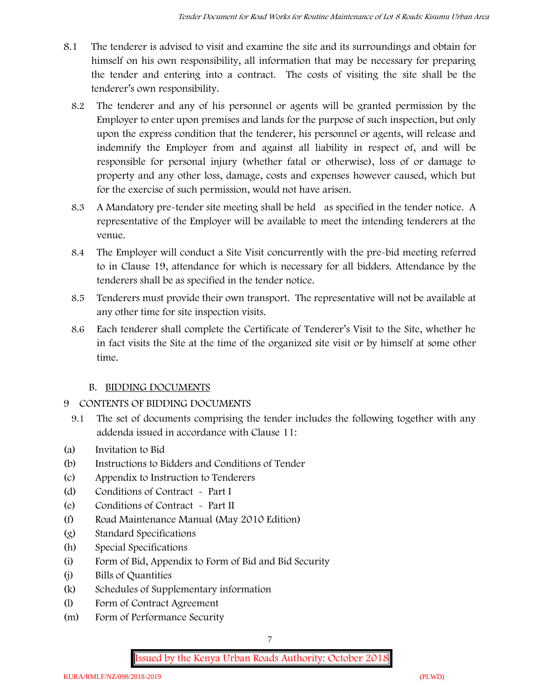- 8.1 The tenderer is advised to visit and examine the site and its surroundings and obtain for himself on his own responsibility, all information that may be necessary for preparing the tender and entering into a contract. The costs of visiting the site shall be the tenderer's own responsibility.
	- 8.2 The tenderer and any of his personnel or agents will be granted permission by the Employer to enter upon premises and lands for the purpose of such inspection, but only upon the express condition that the tenderer, his personnel or agents, will release and indemnify the Employer from and against all liability in respect of, and will be responsible for personal injury (whether fatal or otherwise), loss of or damage to property and any other loss, damage, costs and expenses however caused, which but for the exercise of such permission, would not have arisen.
	- 8.3 A Mandatory pre-tender site meeting shall be held as specified in the tender notice. A representative of the Employer will be available to meet the intending tenderers at the venue.
	- 8.4 The Employer will conduct a Site Visit concurrently with the pre-bid meeting referred to in Clause 19, attendance for which is necessary for all bidders. Attendance by the tenderers shall be as specified in the tender notice.
	- 8.5 Tenderers must provide their own transport. The representative will not be available at any other time for site inspection visits.
	- 8.6 Each tenderer shall complete the Certificate of Tenderer's Visit to the Site, whether he in fact visits the Site at the time of the organized site visit or by himself at some other time.

## **B. BIDDING DOCUMENTS**

- 9 CONTENTS OF BIDDING DOCUMENTS
	- 9.1 The set of documents comprising the tender includes the following together with any addenda issued in accordance with Clause 11:
- (a) Invitation to Bid
- (b) Instructions to Bidders and Conditions of Tender
- (c) Appendix to Instruction to Tenderers
- (d) Conditions of Contract Part I
- (e) Conditions of Contract Part II
- (f) Road Maintenance Manual (May 2010 Edition)
- (g) Standard Specifications
- (h) Special Specifications
- (i) Form of Bid, Appendix to Form of Bid and Bid Security
- (j) Bills of Quantities
- (k) Schedules of Supplementary information
- (l) Form of Contract Agreement
- (m) Form of Performance Security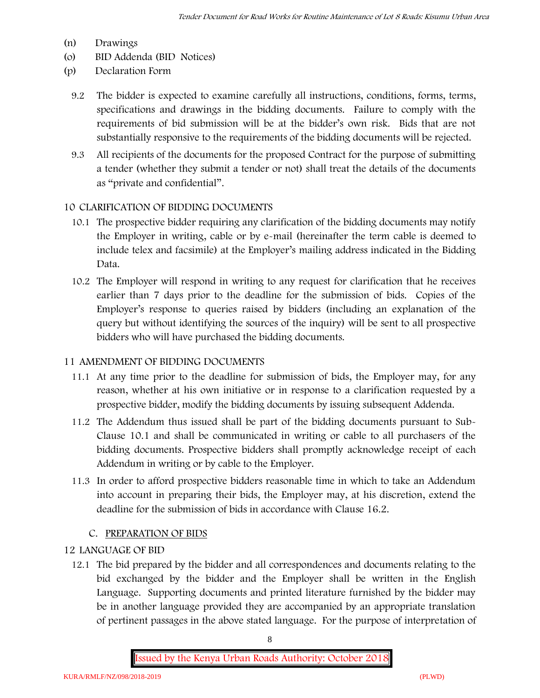- (n) Drawings
- (o) BID Addenda (BID Notices)
- (p) Declaration Form
	- 9.2 The bidder is expected to examine carefully all instructions, conditions, forms, terms, specifications and drawings in the bidding documents. Failure to comply with the requirements of bid submission will be at the bidder's own risk. Bids that are not substantially responsive to the requirements of the bidding documents will be rejected.
	- 9.3 All recipients of the documents for the proposed Contract for the purpose of submitting a tender (whether they submit a tender or not) shall treat the details of the documents as "private and confidential".

#### **10 CLARIFICATION OF BIDDING DOCUMENTS**

- 10.1 The prospective bidder requiring any clarification of the bidding documents may notify the Employer in writing, cable or by e-mail (hereinafter the term cable is deemed to include telex and facsimile) at the Employer's mailing address indicated in the Bidding Data.
- 10.2 The Employer will respond in writing to any request for clarification that he receives earlier than 7 days prior to the deadline for the submission of bids. Copies of the Employer's response to queries raised by bidders (including an explanation of the query but without identifying the sources of the inquiry) will be sent to all prospective bidders who will have purchased the bidding documents.

#### **11 AMENDMENT OF BIDDING DOCUMENTS**

- 11.1 At any time prior to the deadline for submission of bids, the Employer may, for any reason, whether at his own initiative or in response to a clarification requested by a prospective bidder, modify the bidding documents by issuing subsequent Addenda.
- 11.2 The Addendum thus issued shall be part of the bidding documents pursuant to Sub- Clause 10.1 and shall be communicated in writing or cable to all purchasers of the bidding documents. Prospective bidders shall promptly acknowledge receipt of each Addendum in writing or by cable to the Employer.
- 11.3 In order to afford prospective bidders reasonable time in which to take an Addendum into account in preparing their bids, the Employer may, at his discretion, extend the deadline for the submission of bids in accordance with Clause 16.2.

## **C. PREPARATION OF BIDS**

#### **12 LANGUAGE OF BID**

12.1 The bid prepared by the bidder and all correspondences and documents relating to the bid exchanged by the bidder and the Employer shall be written in the English Language. Supporting documents and printed literature furnished by the bidder may be in another language provided they are accompanied by an appropriate translation of pertinent passages in the above stated language. For the purpose of interpretation of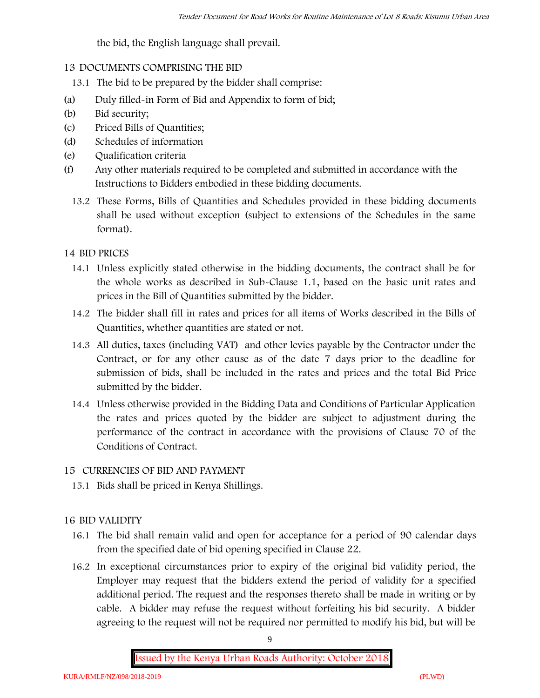the bid, the English language shall prevail.

### **13 DOCUMENTS COMPRISING THE BID**

- 13.1 The bid to be prepared by the bidder shall comprise:
- (a) Duly filled-in Form of Bid and Appendix to form of bid;
- (b) Bid security;
- (c) Priced Bills of Quantities;
- (d) Schedules of information
- (e) Qualification criteria
- (f) Any other materials required to be completed and submitted in accordance with the Instructions to Bidders embodied in these bidding documents.
	- 13.2 These Forms, Bills of Quantities and Schedules provided in these bidding documents shall be used without exception (subject to extensions of the Schedules in the same format).

### **14 BID PRICES**

- 14.1 Unless explicitly stated otherwise in the bidding documents, the contract shall be for the whole works as described in Sub-Clause 1.1, based on the basic unit rates and prices in the Bill of Quantities submitted by the bidder.
- 14.2 The bidder shall fill in rates and prices for all items of Works described in the Bills of Quantities, whether quantities are stated or not.
- 14.3 All duties, taxes (including VAT) and other levies payable by the Contractor under the Contract, or for any other cause as of the date 7 days prior to the deadline for submission of bids, shall be included in the rates and prices and the total Bid Price submitted by the bidder.
- 14.4 Unless otherwise provided in the Bidding Data and Conditions of Particular Application the rates and prices quoted by the bidder are subject to adjustment during the performance of the contract in accordance with the provisions of Clause 70 of the Conditions of Contract.

## **15 CURRENCIES OF BID AND PAYMENT**

15.1 Bids shall be priced in Kenya Shillings.

## **16 BID VALIDITY**

- 16.1 The bid shall remain valid and open for acceptance for a period of 90 calendar days from the specified date of bid opening specified in Clause 22.
- 16.2 In exceptional circumstances prior to expiry of the original bid validity period, the Employer may request that the bidders extend the period of validity for a specified additional period. The request and the responses thereto shall be made in writing or by cable. A bidder may refuse the request without forfeiting his bid security. A bidder agreeing to the request will not be required nor permitted to modify his bid, but will be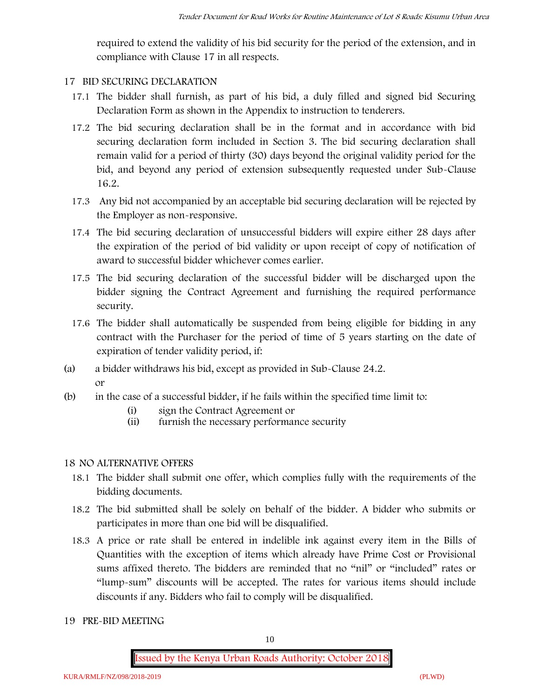required to extend the validity of his bid security for the period of the extension, and in compliance with Clause 17 in all respects.

### **17 BID SECURING DECLARATION**

- 17.1 The bidder shall furnish, as part of his bid, a duly filled and signed bid Securing Declaration Form as shown in the Appendix to instruction to tenderers.
- 17.2 The bid securing declaration shall be in the format and in accordance with bid securing declaration form included in Section 3. The bid securing declaration shall remain valid for a period of thirty (30) days beyond the original validity period for the bid, and beyond any period of extension subsequently requested under Sub-Clause 16.2.
- 17.3 Any bid not accompanied by an acceptable bid securing declaration will be rejected by the Employer as non-responsive.
- 17.4 The bid securing declaration of unsuccessful bidders will expire either 28 days after the expiration of the period of bid validity or upon receipt of copy of notification of award to successful bidder whichever comes earlier.
- 17.5 The bid securing declaration of the successful bidder will be discharged upon the bidder signing the Contract Agreement and furnishing the required performance security.
- 17.6 The bidder shall automatically be suspended from being eligible for bidding in any contract with the Purchaser for the period of time of 5 years starting on the date of expiration of tender validity period, if:
- (a) a bidder withdraws his bid, except as provided in Sub-Clause 24.2. or
- (b) in the case of a successful bidder, if he fails within the specified time limit to:
	- (i) sign the Contract Agreement or
	- (ii) furnish the necessary performance security

## **18 NO ALTERNATIVE OFFERS**

- 18.1 The bidder shall submit one offer, which complies fully with the requirements of the bidding documents.
- 18.2 The bid submitted shall be solely on behalf of the bidder. A bidder who submits or participates in more than one bid will be disqualified.
- 18.3 A price or rate shall be entered in indelible ink against every item in the Bills of Quantities with the exception of items which already have Prime Cost or Provisional sums affixed thereto. The bidders are reminded that no "nil" or "included" rates or "lump-sum" discounts will be accepted. The rates for various items should include discounts if any. Bidders who fail to comply will be disqualified.
- **19 PRE-BID MEETING**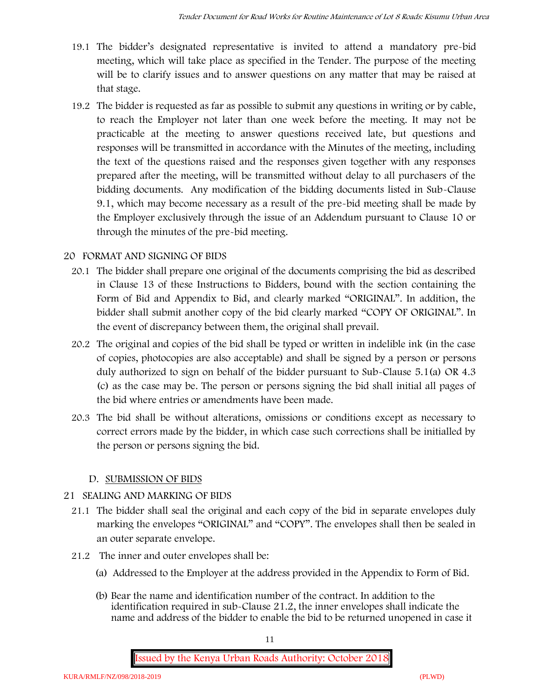- 19.1 The bidder's designated representative is invited to attend a mandatory pre-bid meeting, which will take place as specified in the Tender. The purpose of the meeting will be to clarify issues and to answer questions on any matter that may be raised at that stage.
- 19.2 The bidder is requested as far as possible to submit any questions in writing or by cable, to reach the Employer not later than one week before the meeting. It may not be practicable at the meeting to answer questions received late, but questions and responses will be transmitted in accordance with the Minutes of the meeting, including the text of the questions raised and the responses given together with any responses prepared after the meeting, will be transmitted without delay to all purchasers of the bidding documents. Any modification of the bidding documents listed in Sub-Clause 9.1, which may become necessary as a result of the pre-bid meeting shall be made by the Employer exclusively through the issue of an Addendum pursuant to Clause 10 or through the minutes of the pre-bid meeting.

## **20 FORMAT AND SIGNING OF BIDS**

- 20.1 The bidder shall prepare one original of the documents comprising the bid as described in Clause 13 of these Instructions to Bidders, bound with the section containing the Form of Bid and Appendix to Bid, and clearly marked "ORIGINAL". In addition, the bidder shall submit another copy of the bid clearly marked "COPY OF ORIGINAL". In the event of discrepancy between them, the original shall prevail.
- 20.2 The original and copies of the bid shall be typed or written in indelible ink (in the case of copies, photocopies are also acceptable) and shall be signed by a person or persons duly authorized to sign on behalf of the bidder pursuant to Sub-Clause 5.1(a) OR 4.3 (c) as the case may be. The person or persons signing the bid shall initial all pages of the bid where entries or amendments have been made.
- 20.3 The bid shall be without alterations, omissions or conditions except as necessary to correct errors made by the bidder, in which case such corrections shall be initialled by the person or persons signing the bid.

#### **D. SUBMISSION OF BIDS**

#### **21 SEALING AND MARKING OF BIDS**

- 21.1 The bidder shall seal the original and each copy of the bid in separate envelopes duly marking the envelopes "ORIGINAL" and "COPY". The envelopes shall then be sealed in an outer separate envelope.
- 21.2 The inner and outer envelopes shall be:
	- (a) Addressed to the Employer at the address provided in the Appendix to Form of Bid.
	- (b) Bear the name and identification number of the contract. In addition to the identification required in sub-Clause 21.2, the inner envelopes shall indicate the name and address of the bidder to enable the bid to be returned unopened in case it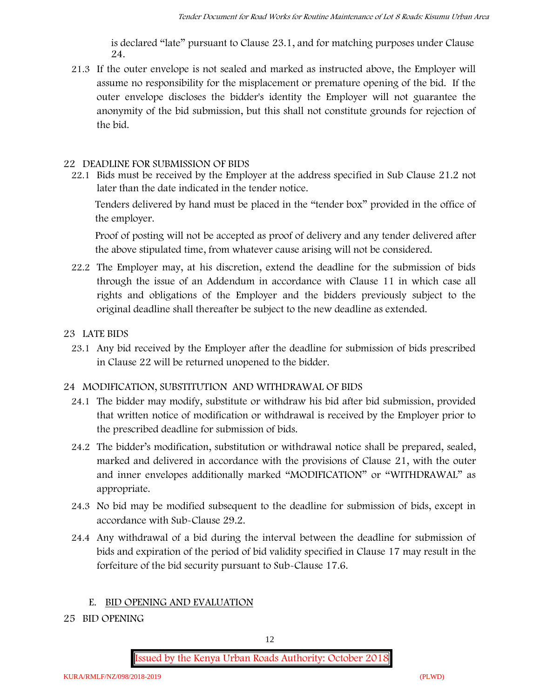is declared "late" pursuant to Clause 23.1, and for matching purposes under Clause 24.

21.3 If the outer envelope is not sealed and marked as instructed above, the Employer will assume no responsibility for the misplacement or premature opening of the bid. If the outer envelope discloses the bidder's identity the Employer will not guarantee the anonymity of the bid submission, but this shall not constitute grounds for rejection of the bid.

#### **22 DEADLINE FOR SUBMISSION OF BIDS**

22.1 Bids must be received by the Employer at the address specified in Sub Clause 21.2 not later than **the date indicated in the tender notice.**

Tenders delivered by hand must be placed in the "tender box" provided in the office of the employer.

Proof of posting will not be accepted as proof of delivery and any tender delivered after the above stipulated time, from whatever cause arising will not be considered.

- 22.2 The Employer may, at his discretion, extend the deadline for the submission of bids through the issue of an Addendum in accordance with Clause 11 in which case all rights and obligations of the Employer and the bidders previously subject to the original deadline shall thereafter be subject to the new deadline as extended.
- **23 LATE BIDS**
	- 23.1 Any bid received by the Employer after the deadline for submission of bids prescribed in Clause 22 will be returned unopened to the bidder.

## **24 MODIFICATION, SUBSTITUTION AND WITHDRAWAL OF BIDS**

- 24.1 The bidder may modify, substitute or withdraw his bid after bid submission, provided that written notice of modification or withdrawal is received by the Employer prior to the prescribed deadline for submission of bids.
- 24.2 The bidder's modification, substitution or withdrawal notice shall be prepared, sealed, marked and delivered in accordance with the provisions of Clause 21, with the outer and inner envelopes additionally marked "MODIFICATION" or "WITHDRAWAL" as appropriate.
- 24.3 No bid may be modified subsequent to the deadline for submission of bids, except in accordance with Sub-Clause 29.2.
- 24.4 Any withdrawal of a bid during the interval between the deadline for submission of bids and expiration of the period of bid validity specified in Clause 17 may result in the forfeiture of the bid security pursuant to Sub-Clause 17.6.

#### **E. BID OPENING AND EVALUATION**

**25 BID OPENING**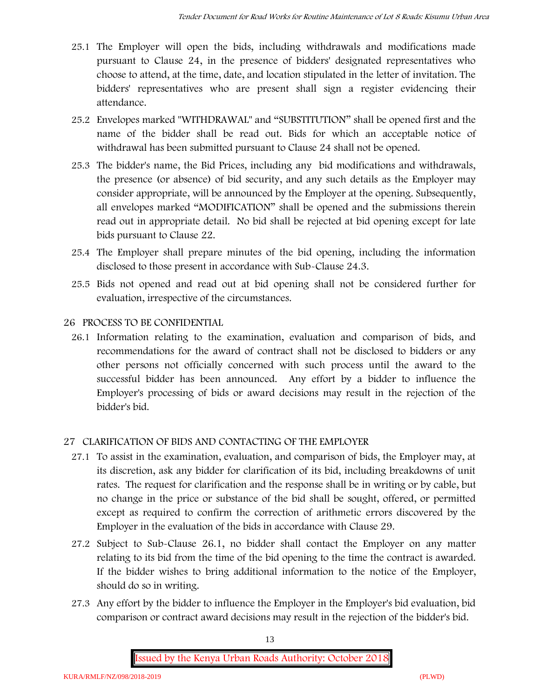- 25.1 The Employer will open the bids, including withdrawals and modifications made pursuant to Clause 24, in the presence of bidders' designated representatives who choose to attend, at the time, date, and location stipulated in the letter of invitation. The bidders' representatives who are present shall sign a register evidencing their attendance.
- 25.2 Envelopes marked "WITHDRAWAL" and "SUBSTITUTION" shall be opened first and the name of the bidder shall be read out. Bids for which an acceptable notice of withdrawal has been submitted pursuant to Clause 24 shall not be opened.
- 25.3 The bidder's name, the Bid Prices, including any bid modifications and withdrawals, the presence (or absence) of bid security, and any such details as the Employer may consider appropriate, will be announced by the Employer at the opening. Subsequently, all envelopes marked "MODIFICATION" shall be opened and the submissions therein read out in appropriate detail. No bid shall be rejected at bid opening except for late bids pursuant to Clause 22.
- 25.4 The Employer shall prepare minutes of the bid opening, including the information disclosed to those present in accordance with Sub-Clause 24.3.
- 25.5 Bids not opened and read out at bid opening shall not be considered further for evaluation, irrespective of the circumstances.

## **26 PROCESS TO BE CONFIDENTIAL**

26.1 Information relating to the examination, evaluation and comparison of bids, and recommendations for the award of contract shall not be disclosed to bidders or any other persons not officially concerned with such process until the award to the successful bidder has been announced. Any effort by a bidder to influence the Employer's processing of bids or award decisions may result in the rejection of the bidder's bid.

## **27 CLARIFICATION OF BIDS AND CONTACTING OF THE EMPLOYER**

- 27.1 To assist in the examination, evaluation, and comparison of bids, the Employer may, at its discretion, ask any bidder for clarification of its bid, including breakdowns of unit rates. The request for clarification and the response shall be in writing or by cable, but no change in the price or substance of the bid shall be sought, offered, or permitted except as required to confirm the correction of arithmetic errors discovered by the Employer in the evaluation of the bids in accordance with Clause 29.
- 27.2 Subject to Sub-Clause 26.1, no bidder shall contact the Employer on any matter relating to its bid from the time of the bid opening to the time the contract is awarded. If the bidder wishes to bring additional information to the notice of the Employer, should do so in writing.
- 27.3 Any effort by the bidder to influence the Employer in the Employer's bid evaluation, bid comparison or contract award decisions may result in the rejection of the bidder's bid.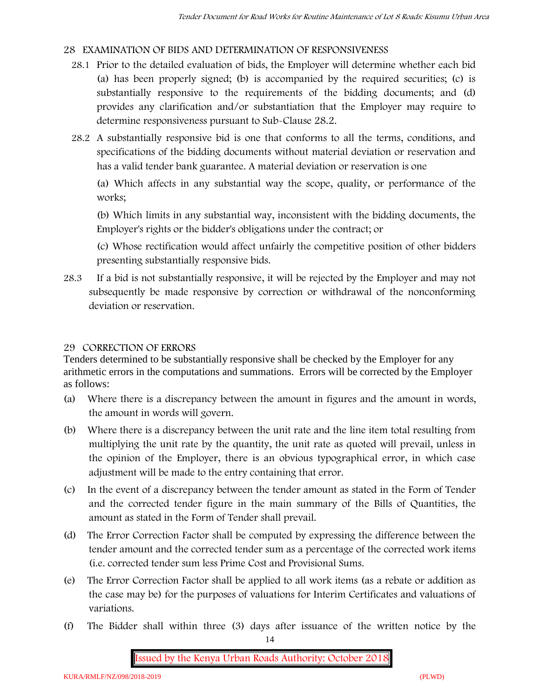### **28 EXAMINATION OF BIDS AND DETERMINATION OF RESPONSIVENESS**

- 28.1 Prior to the detailed evaluation of bids, the Employer will determine whether each bid (a) has been properly signed; (b) is accompanied by the required securities; (c) is substantially responsive to the requirements of the bidding documents; and (d) provides any clarification and/or substantiation that the Employer may require to determine responsiveness pursuant to Sub-Clause 28.2.
- 28.2 A substantially responsive bid is one that conforms to all the terms, conditions, and specifications of the bidding documents without material deviation or reservation and has a valid tender bank guarantee. A material deviation or reservation is one

(a) Which affects in any substantial way the scope, quality, or performance of the works;

(b) Which limits in any substantial way, inconsistent with the bidding documents, the Employer's rights or the bidder's obligations under the contract; or

(c) Whose rectification would affect unfairly the competitive position of other bidders presenting substantially responsive bids.

28.3 If a bid is not substantially responsive, it will be rejected by the Employer and may not subsequently be made responsive by correction or withdrawal of the nonconforming deviation or reservation.

#### **29 CORRECTION OF ERRORS**

Tenders determined to be substantially responsive shall be checked by the Employer for any arithmetic errors in the computations and summations. Errors will be corrected by the Employer as follows:

- (a) Where there is a discrepancy between the amount in figures and the amount in words, the amount in words will govern.
- (b) Where there is a discrepancy between the unit rate and the line item total resulting from multiplying the unit rate by the quantity, the unit rate as quoted will prevail, unless in the opinion of the Employer, there is an obvious typographical error, in which case adjustment will be made to the entry containing that error.
- (c) In the event of a discrepancy between the tender amount as stated in the Form of Tender and the corrected tender figure in the main summary of the Bills of Quantities, the amount as stated in the Form of Tender shall prevail.
- (d) The Error Correction Factor shall be computed by expressing the difference between the tender amount and the corrected tender sum as a percentage of the corrected work items (i.e. corrected tender sum less Prime Cost and Provisional Sums.
- (e) The Error Correction Factor shall be applied to all work items (as a rebate or addition as the case may be) for the purposes of valuations for Interim Certificates and valuations of variations.
- (f) The Bidder shall within three (3) days after issuance of the written notice by the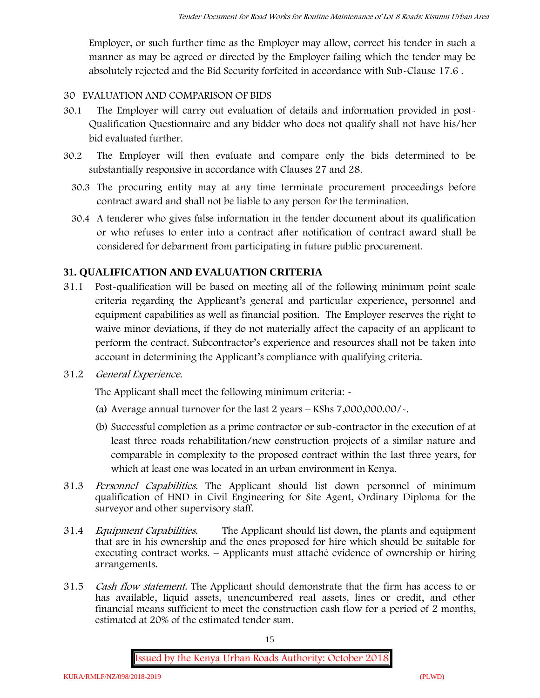Employer, or such further time as the Employer may allow, correct his tender in such a manner as may be agreed or directed by the Employer failing which the tender may be absolutely rejected and the Bid Security forfeited in accordance with Sub-Clause 17.6 .

### **30 EVALUATION AND COMPARISON OF BIDS**

- 30.1 The Employer will carry out evaluation of details and information provided in post- Qualification Questionnaire and any bidder who does not qualify shall not have his/her bid evaluated further.
- 30.2 The Employer will then evaluate and compare only the bids determined to be substantially responsive in accordance with Clauses 27 and 28.
	- 30.3 The procuring entity may at any time terminate procurement proceedings before contract award and shall not be liable to any person for the termination.
	- 30.4 A tenderer who gives false information in the tender document about its qualification or who refuses to enter into a contract after notification of contract award shall be considered for debarment from participating in future public procurement.

## **31. QUALIFICATION AND EVALUATION CRITERIA**

- 31.1 Post-qualification will be based on meeting all of the following minimum point scale criteria regarding the Applicant's general and particular experience, personnel and equipment capabilities as well as financial position. The Employer reserves the right to waive minor deviations, if they do not materially affect the capacity of an applicant to perform the contract. Subcontractor's experience and resources shall not be taken into account in determining the Applicant's compliance with qualifying criteria.
- **31.2** *General Experience***.**

The Applicant shall meet the following minimum criteria: -

- (a) Average annual turnover for the last 2 years **KShs 7,000,000.00/-.**
- (b) Successful completion as a prime contractor or sub-contractor in the execution of at least three roads rehabilitation/new construction projects of a similar nature and comparable in complexity to the proposed contract within the last three years, for which at least one was located in an urban environment in Kenya.
- 31.3 *Personnel Capabilities***.** The Applicant should list down personnel of minimum qualification of HND in Civil Engineering for Site Agent, Ordinary Diploma for the surveyor and other supervisory staff.
- 31.4 *Equipment Capabilities.* The Applicant should list down, the plants and equipment that are in his ownership and the ones proposed for hire which should be suitable for executing contract works. – Applicants must attaché evidence of ownership or hiring arrangements.
- 31.5 *Cash flow statement.* The Applicant should demonstrate that the firm has access to or has available, liquid assets, unencumbered real assets, lines or credit, and other financial means sufficient to meet the construction cash flow for a period of 2 months, estimated at 20% of the estimated tender sum.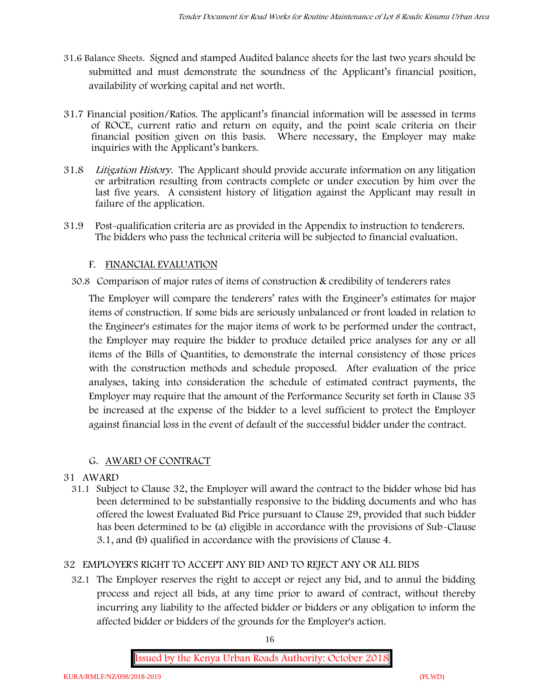- **31.6 Balance Sheets***.* Signed and stamped Audited balance sheets for the last two years should be submitted and must demonstrate the soundness of the Applicant's financial position, availability of working capital and net worth.
- **31.7 Financial position/Ratios.** The applicant's financial information will be assessed in terms of ROCE, current ratio and return on equity, and the point scale criteria on their financial position given on this basis. Where necessary, the Employer may make inquiries with the Applicant's bankers.
- 31.8 *Litigation History.* The Applicant should provide accurate information on any litigation or arbitration resulting from contracts complete or under execution by him over the last five years. A consistent history of litigation against the Applicant may result in failure of the application.
- 31.9 Post-qualification criteria are as provided in the Appendix to instruction to tenderers. The bidders who pass the technical criteria will be subjected to financial evaluation.

## **F. FINANCIAL EVALUATION**

30.8 Comparison of major rates of items of construction & credibility of tenderers rates

The Employer will compare the tenderers' rates with the Engineer's estimates for major items of construction. If some bids are seriously unbalanced or front loaded in relation to the Engineer's estimates for the major items of work to be performed under the contract, the Employer may require the bidder to produce detailed price analyses for any or all items of the Bills of Quantities, to demonstrate the internal consistency of those prices with the construction methods and schedule proposed. After evaluation of the price analyses, taking into consideration the schedule of estimated contract payments, the Employer may require that the amount of the Performance Security set forth in Clause 35 be increased at the expense of the bidder to a level sufficient to protect the Employer against financial loss in the event of default of the successful bidder under the contract.

## **G. AWARD OF CONTRACT**

## **31 AWARD**

31.1 Subject to Clause 32, the Employer will award the contract to the bidder whose bid has been determined to be substantially responsive to the bidding documents and who has offered the lowest Evaluated Bid Price pursuant to Clause 29, provided that such bidder has been determined to be (a) eligible in accordance with the provisions of Sub-Clause 3.1, and (b) qualified in accordance with the provisions of Clause 4.

## **32 EMPLOYER'S RIGHT TO ACCEPT ANY BID AND TO REJECT ANY OR ALL BIDS**

32.1 The Employer reserves the right to accept or reject any bid, and to annul the bidding process and reject all bids, at any time prior to award of contract, without thereby incurring any liability to the affected bidder or bidders or any obligation to inform the affected bidder or bidders of the grounds for the Employer's action.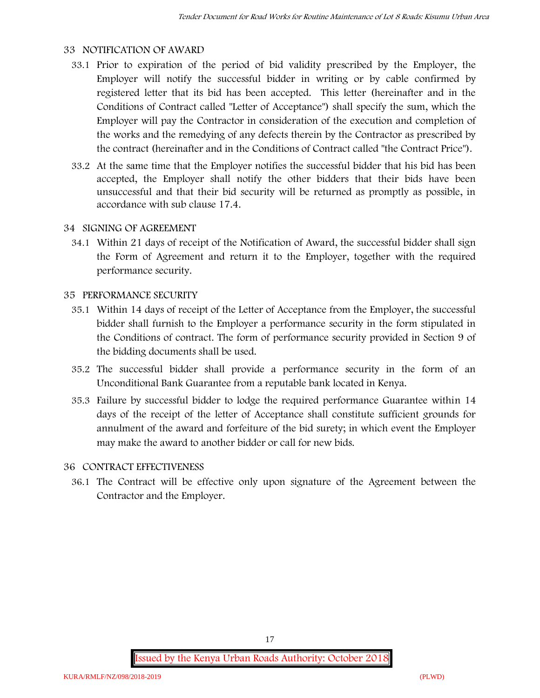### **33 NOTIFICATION OF AWARD**

- 33.1 Prior to expiration of the period of bid validity prescribed by the Employer, the Employer will notify the successful bidder in writing or by cable confirmed by registered letter that its bid has been accepted. This letter (hereinafter and in the Conditions of Contract called "Letter of Acceptance") shall specify the sum, which the Employer will pay the Contractor in consideration of the execution and completion of the works and the remedying of any defects therein by the Contractor as prescribed by the contract (hereinafter and in the Conditions of Contract called "the Contract Price").
- 33.2 At the same time that the Employer notifies the successful bidder that his bid has been accepted, the Employer shall notify the other bidders that their bids have been unsuccessful and that their bid security will be returned as promptly as possible, in accordance with sub clause 17.4.

### **34 SIGNING OF AGREEMENT**

34.1 Within 21 days of receipt of the Notification of Award, the successful bidder shall sign the Form of Agreement and return it to the Employer, together with the required performance security.

### **35 PERFORMANCE SECURITY**

- 35.1 Within 14 days of receipt of the Letter of Acceptance from the Employer, the successful bidder shall furnish to the Employer a performance security in the form stipulated in the Conditions of contract. The form of performance security provided in Section 9 of the bidding documents shall be used.
- 35.2 The successful bidder shall provide a performance security in the form of an Unconditional Bank Guarantee from a reputable bank located in Kenya.
- 35.3 Failure by successful bidder to lodge the required performance Guarantee within 14 days of the receipt of the letter of Acceptance shall constitute sufficient grounds for annulment of the award and forfeiture of the bid surety; in which event the Employer may make the award to another bidder or call for new bids.

#### **36 CONTRACT EFFECTIVENESS**

36.1 The Contract will be effective only upon signature of the Agreement between the Contractor and the Employer.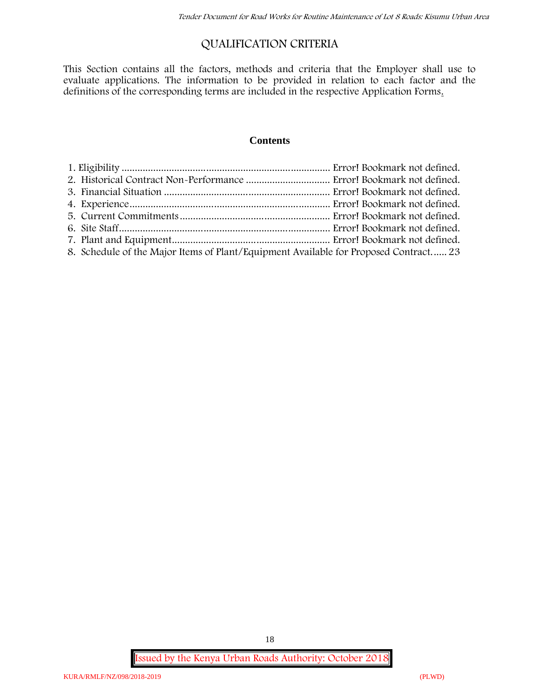## **QUALIFICATION CRITERIA**

This Section contains all the factors, methods and criteria that the Employer shall use to evaluate applications. The information to be provided in relation to each factor and the definitions of the corresponding terms are included in the respective Application Forms.

### **Contents**

| 8. Schedule of the Major Items of Plant/Equipment Available for Proposed Contract 23 |  |
|--------------------------------------------------------------------------------------|--|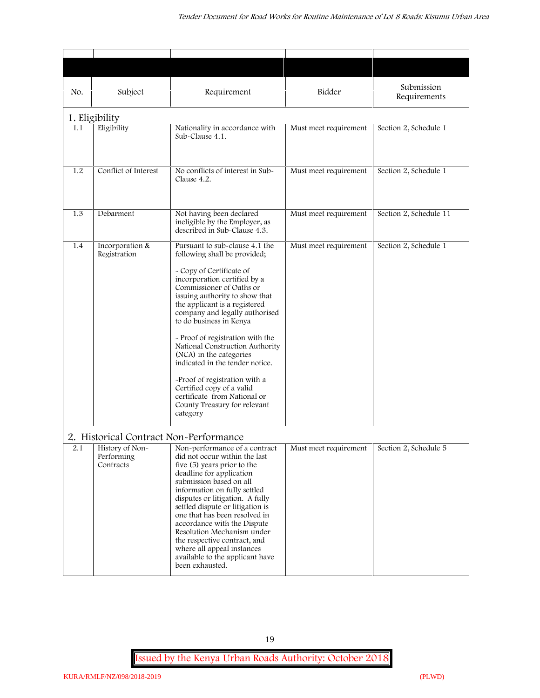| No. | Subject                                                                              | Requirement                                                                                                                                                                                                                                                                                                                                                                                                                                                                                                                                                           | Bidder                | Submission<br>Requirements |
|-----|--------------------------------------------------------------------------------------|-----------------------------------------------------------------------------------------------------------------------------------------------------------------------------------------------------------------------------------------------------------------------------------------------------------------------------------------------------------------------------------------------------------------------------------------------------------------------------------------------------------------------------------------------------------------------|-----------------------|----------------------------|
|     | 1. Eligibility                                                                       |                                                                                                                                                                                                                                                                                                                                                                                                                                                                                                                                                                       |                       |                            |
| 1.1 | Eligibility                                                                          | Nationality in accordance with<br>Sub-Clause 4.1.                                                                                                                                                                                                                                                                                                                                                                                                                                                                                                                     | Must meet requirement | Section 2, Schedule 1      |
| 1.2 | Conflict of Interest                                                                 | No conflicts of interest in Sub-<br>Clause 4.2.                                                                                                                                                                                                                                                                                                                                                                                                                                                                                                                       | Must meet requirement | Section 2, Schedule 1      |
| 1.3 | Debarment                                                                            | Not having been declared<br>ineligible by the Employer, as<br>described in Sub-Clause 4.3.                                                                                                                                                                                                                                                                                                                                                                                                                                                                            | Must meet requirement | Section 2, Schedule 11     |
| 1.4 | Incorporation &<br>Registration                                                      | Pursuant to sub-clause 4.1 the<br>following shall be provided;<br>- Copy of Certificate of<br>incorporation certified by a<br>Commissioner of Oaths or<br>issuing authority to show that<br>the applicant is a registered<br>company and legally authorised<br>to do business in Kenya<br>- Proof of registration with the<br>National Construction Authority<br>(NCA) in the categories<br>indicated in the tender notice.<br>-Proof of registration with a<br>Certified copy of a valid<br>certificate from National or<br>County Treasury for relevant<br>category | Must meet requirement | Section 2, Schedule 1      |
| 2.1 | 2. Historical Contract Non-Performance<br>History of Non-<br>Performing<br>Contracts | Non-performance of a contract<br>did not occur within the last<br>five (5) years prior to the<br>deadline for application<br>submission based on all<br>information on fully settled<br>disputes or litigation. A fully<br>settled dispute or litigation is<br>one that has been resolved in<br>accordance with the Dispute<br>Resolution Mechanism under<br>the respective contract, and<br>where all appeal instances<br>available to the applicant have<br>been exhausted.                                                                                         | Must meet requirement | Section 2, Schedule 5      |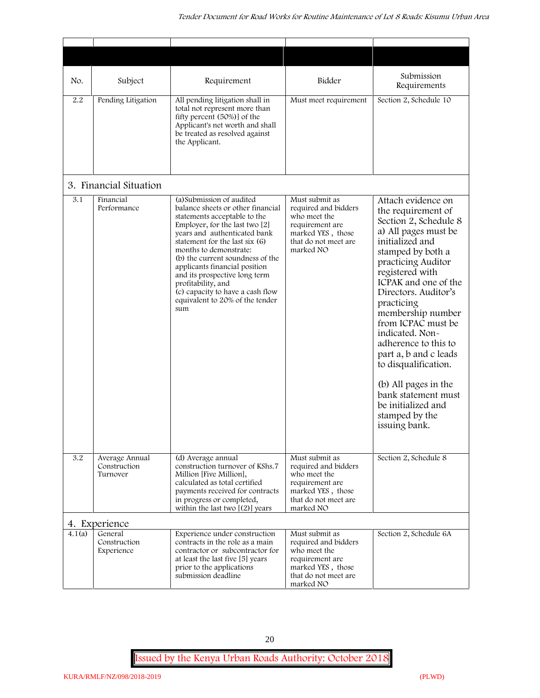| No.    | Subject                                    | Requirement                                                                                                                                                                                                                                                                                                                                                                                                                            | Bidder                                                                                                                              | Submission<br>Requirements                                                                                                                                                                                                                                                                                                                                                                                                                                                              |
|--------|--------------------------------------------|----------------------------------------------------------------------------------------------------------------------------------------------------------------------------------------------------------------------------------------------------------------------------------------------------------------------------------------------------------------------------------------------------------------------------------------|-------------------------------------------------------------------------------------------------------------------------------------|-----------------------------------------------------------------------------------------------------------------------------------------------------------------------------------------------------------------------------------------------------------------------------------------------------------------------------------------------------------------------------------------------------------------------------------------------------------------------------------------|
| 2.2    | Pending Litigation                         | All pending litigation shall in<br>total not represent more than<br>fifty percent (50%)] of the<br>Applicant's net worth and shall<br>be treated as resolved against<br>the Applicant.                                                                                                                                                                                                                                                 | Must meet requirement                                                                                                               | Section 2, Schedule 10                                                                                                                                                                                                                                                                                                                                                                                                                                                                  |
|        | 3. Financial Situation                     |                                                                                                                                                                                                                                                                                                                                                                                                                                        |                                                                                                                                     |                                                                                                                                                                                                                                                                                                                                                                                                                                                                                         |
| 3.1    | Financial<br>Performance                   | (a) Submission of audited<br>balance sheets or other financial<br>statements acceptable to the<br>Employer, for the last two [2]<br>years and authenticated bank<br>statement for the last six (6)<br>months to demonstrate:<br>(b) the current soundness of the<br>applicants financial position<br>and its prospective long term<br>profitability, and<br>(c) capacity to have a cash flow<br>equivalent to 20% of the tender<br>sum | Must submit as<br>required and bidders<br>who meet the<br>requirement are<br>marked YES, those<br>that do not meet are<br>marked NO | Attach evidence on<br>the requirement of<br>Section 2, Schedule 8<br>a) All pages must be<br>initialized and<br>stamped by both a<br>practicing Auditor<br>registered with<br>ICPAK and one of the<br>Directors. Auditor's<br>practicing<br>membership number<br>from ICPAC must be<br>indicated. Non-<br>adherence to this to<br>part a, b and c leads<br>to disqualification.<br>(b) All pages in the<br>bank statement must<br>be initialized and<br>stamped by the<br>issuing bank. |
| 3.2    | Average Annual<br>Construction<br>Turnover | (d) Average annual<br>construction turnover of KShs.7<br>Million [Five Million],<br>calculated as total certified<br>payments received for contracts<br>in progress or completed,<br>within the last two $[(2)]$ years                                                                                                                                                                                                                 | Must submit as<br>required and bidders<br>who meet the<br>requirement are<br>marked YES, those<br>that do not meet are<br>marked NO | Section 2, Schedule 8                                                                                                                                                                                                                                                                                                                                                                                                                                                                   |
|        | 4. Experience                              |                                                                                                                                                                                                                                                                                                                                                                                                                                        |                                                                                                                                     |                                                                                                                                                                                                                                                                                                                                                                                                                                                                                         |
| 4.1(a) | General<br>Construction<br>Experience      | Experience under construction<br>contracts in the role as a main<br>contractor or subcontractor for<br>at least the last five [5] years<br>prior to the applications<br>submission deadline                                                                                                                                                                                                                                            | Must submit as<br>required and bidders<br>who meet the<br>requirement are<br>marked YES, those<br>that do not meet are<br>marked NO | Section 2, Schedule 6A                                                                                                                                                                                                                                                                                                                                                                                                                                                                  |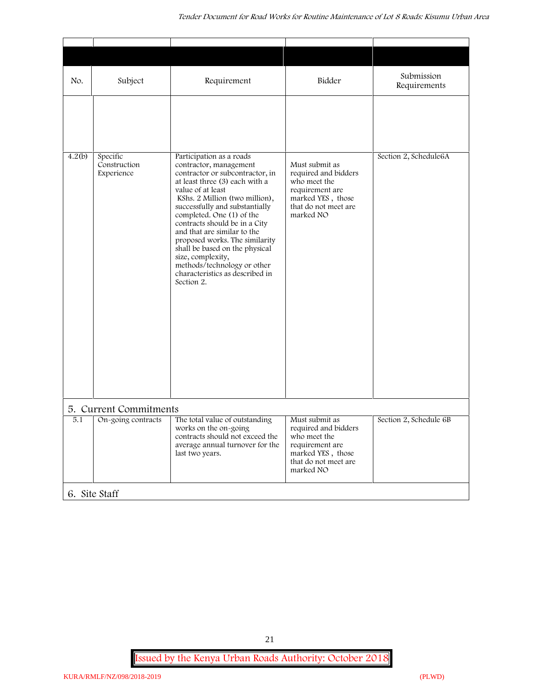| No.    | Subject                                | Requirement                                                                                                                                                                                                                                                                                                                                                                                                                                                                            | Bidder                                                                                                                              | Submission<br>Requirements |
|--------|----------------------------------------|----------------------------------------------------------------------------------------------------------------------------------------------------------------------------------------------------------------------------------------------------------------------------------------------------------------------------------------------------------------------------------------------------------------------------------------------------------------------------------------|-------------------------------------------------------------------------------------------------------------------------------------|----------------------------|
|        |                                        |                                                                                                                                                                                                                                                                                                                                                                                                                                                                                        |                                                                                                                                     |                            |
| 4.2(b) | Specific<br>Construction<br>Experience | Participation as a roads<br>contractor, management<br>contractor or subcontractor, in<br>at least three (3) each with a<br>value of at least<br>KShs. 2 Million (two million),<br>successfully and substantially<br>completed. One (1) of the<br>contracts should be in a City<br>and that are similar to the<br>proposed works. The similarity<br>shall be based on the physical<br>size, complexity,<br>methods/technology or other<br>characteristics as described in<br>Section 2. | Must submit as<br>required and bidders<br>who meet the<br>requirement are<br>marked YES, those<br>that do not meet are<br>marked NO | Section 2, Schedule6A      |
|        | 5. Current Commitments                 |                                                                                                                                                                                                                                                                                                                                                                                                                                                                                        |                                                                                                                                     |                            |
| 5.1    | On-going contracts                     | The total value of outstanding<br>works on the on-going<br>contracts should not exceed the<br>average annual turnover for the<br>last two years.                                                                                                                                                                                                                                                                                                                                       | Must submit as<br>required and bidders<br>who meet the<br>requirement are<br>marked YES, those<br>that do not meet are<br>marked NO | Section 2, Schedule 6B     |
|        | 6. Site Staff                          |                                                                                                                                                                                                                                                                                                                                                                                                                                                                                        |                                                                                                                                     |                            |

21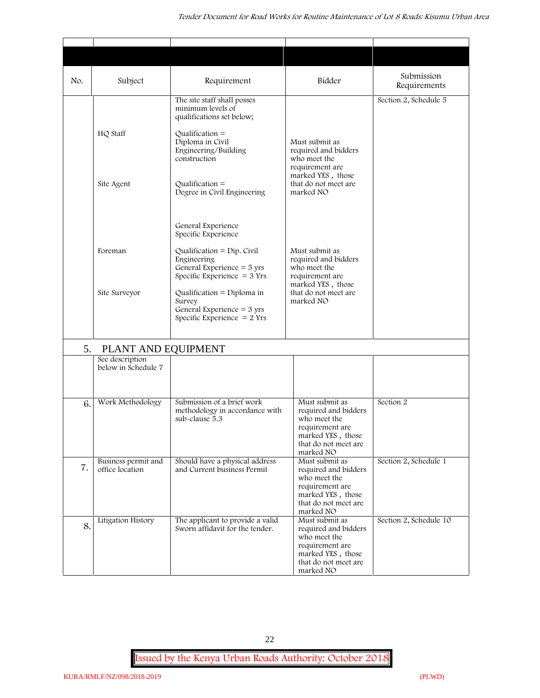| No. | Subject                                | Requirement                                                                                                   | Bidder                                                                                                                              | Submission<br>Requirements |
|-----|----------------------------------------|---------------------------------------------------------------------------------------------------------------|-------------------------------------------------------------------------------------------------------------------------------------|----------------------------|
|     |                                        | The site staff shall posses<br>minimum levels of<br>qualifications set below;                                 |                                                                                                                                     | Section 2, Schedule 5      |
|     | HQ Staff                               | Qualification $=$<br>Diploma in Civil<br>Engineering/Building<br>construction                                 | Must submit as<br>required and bidders<br>who meet the<br>requirement are                                                           |                            |
|     | Site Agent                             | Qualification $=$<br>Degree in Civil Engineering                                                              | marked YES, those<br>that do not meet are<br>marked NO                                                                              |                            |
|     |                                        | General Experience<br>Specific Experience                                                                     |                                                                                                                                     |                            |
|     | Foreman                                | Qualification = $Dip$ . Civil<br>Engineering<br>General Experience $=$ 5 yrs<br>Specific Experience $=$ 3 Yrs | Must submit as<br>required and bidders<br>who meet the<br>requirement are<br>marked YES, those                                      |                            |
|     | Site Surveyor                          | Qualification = Diploma in<br>Survey<br>General Experience = $3 \text{ yrs}$<br>Specific Experience $= 2$ Yrs | that do not meet are<br>marked NO                                                                                                   |                            |
| 5.  | PLANT AND EQUIPMENT                    |                                                                                                               |                                                                                                                                     |                            |
|     | See description<br>below in Schedule 7 |                                                                                                               |                                                                                                                                     |                            |
| 6.  | Work Methodology                       | Submission of a brief work<br>methodology in accordance with<br>sub-clause 5.3                                | Must submit as<br>required and bidders<br>who meet the<br>requirement are<br>marked YES, those<br>that do not meet are<br>marked NO | Section 2                  |
| 7.  | Business permit and<br>office location | Should have a physical address<br>and Current business Permit                                                 | Must submit as<br>required and bidders<br>who meet the<br>requirement are<br>marked YES, those<br>that do not meet are<br>marked NO | Section 2, Schedule 1      |
| 8.  | Litigation History                     | The applicant to provide a valid<br>Sworn affidavit for the tender.                                           | Must submit as<br>required and bidders<br>who meet the<br>requirement are<br>marked YES, those<br>that do not meet are<br>marked NO | Section 2, Schedule 10     |

22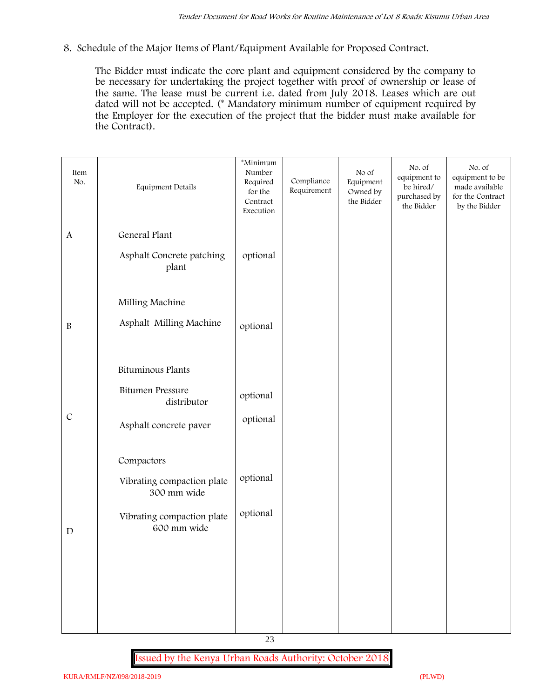**8. Schedule of the Major Items of Plant/Equipment Available for Proposed Contract.**

The Bidder must indicate the core plant and equipment considered by the company to be necessary for undertaking the project together with proof of ownership or lease of the same. The lease must be current i.e. dated from July 2018. Leases which are out dated will not be accepted. (\* Mandatory minimum number of equipment required by the Employer for the execution of the project that the bidder must make available for the Contract).

| Item<br>No.   | Equipment Details                                                                                    | *Minimum<br>Number<br>Required<br>for the<br>Contract<br>Execution | Compliance<br>Requirement | No of<br>Equipment<br>Owned by<br>the Bidder | No. of<br>equipment to<br>be hired/<br>purchased by<br>the Bidder | No. of<br>equipment to be<br>made available<br>for the Contract<br>by the Bidder |
|---------------|------------------------------------------------------------------------------------------------------|--------------------------------------------------------------------|---------------------------|----------------------------------------------|-------------------------------------------------------------------|----------------------------------------------------------------------------------|
| $\mathbf{A}$  | General Plant<br>Asphalt Concrete patching<br>plant                                                  | optional                                                           |                           |                                              |                                                                   |                                                                                  |
| $\, {\bf B}$  | Milling Machine<br>Asphalt Milling Machine                                                           | optional                                                           |                           |                                              |                                                                   |                                                                                  |
| $\mathcal{C}$ | <b>Bituminous Plants</b><br><b>Bitumen Pressure</b><br>distributor<br>Asphalt concrete paver         | optional<br>optional                                               |                           |                                              |                                                                   |                                                                                  |
| $\mathbf D$   | Compactors<br>Vibrating compaction plate<br>300 mm wide<br>Vibrating compaction plate<br>600 mm wide | optional<br>optional                                               |                           |                                              |                                                                   |                                                                                  |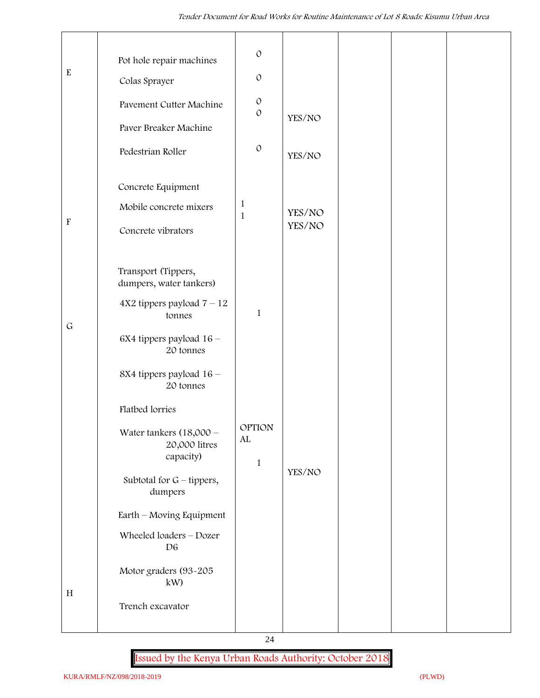|                           | Pot hole repair machines                                | $\mathcal{O}$                               |        |  |  |
|---------------------------|---------------------------------------------------------|---------------------------------------------|--------|--|--|
| ${\bf E}$                 | Colas Sprayer                                           | $\cal O$                                    |        |  |  |
|                           | Pavement Cutter Machine                                 | $\mathcal O$<br>$\mathcal{O}$               |        |  |  |
|                           | Paver Breaker Machine                                   |                                             | YES/NO |  |  |
|                           | Pedestrian Roller                                       | $\mathcal{O}$                               | YES/NO |  |  |
|                           | Concrete Equipment                                      |                                             |        |  |  |
|                           | Mobile concrete mixers                                  | $\mathbf{1}$<br>$\mathbf{1}$                | YES/NO |  |  |
| $\boldsymbol{\mathrm{F}}$ | Concrete vibrators                                      |                                             | YES/NO |  |  |
|                           | Transport (Tippers,<br>dumpers, water tankers)          |                                             |        |  |  |
| $\mathsf G$               | $4X2$ tippers payload $7 - 12$<br>tonnes                | $\mathbf{1}$                                |        |  |  |
|                           | 6X4 tippers payload 16 -<br>20 tonnes                   |                                             |        |  |  |
|                           | 8X4 tippers payload 16 -<br>20 tonnes                   |                                             |        |  |  |
|                           | Flatbed lorries                                         |                                             |        |  |  |
|                           | Water tankers $(18,000 -$<br>20,000 litres<br>capacity) | <b>OPTION</b><br>${\rm AL}$<br>$\mathbf{1}$ |        |  |  |
|                           | Subtotal for $G$ – tippers,<br>dumpers                  | YES/NO                                      |        |  |  |
|                           | Earth - Moving Equipment                                |                                             |        |  |  |
|                           | Wheeled loaders - Dozer<br>D <sub>6</sub>               |                                             |        |  |  |
| H                         | Motor graders (93-205<br>kW                             |                                             |        |  |  |
|                           | Trench excavator                                        |                                             |        |  |  |
|                           |                                                         |                                             |        |  |  |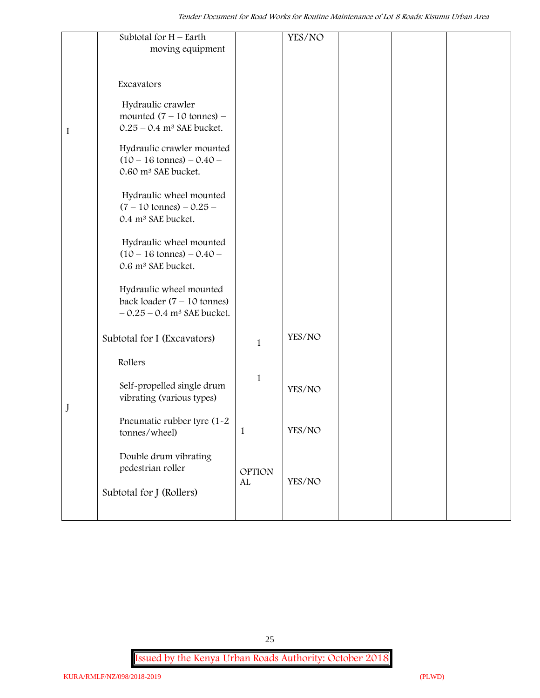|         | Subtotal for $H$ – Earth<br>moving equipment                                                         |                     | YES/NO |  |  |
|---------|------------------------------------------------------------------------------------------------------|---------------------|--------|--|--|
|         |                                                                                                      |                     |        |  |  |
|         | Excavators                                                                                           |                     |        |  |  |
| $\bf I$ | Hydraulic crawler<br>mounted $(7 - 10 \text{ tonnes})$ -<br>$0.25 - 0.4$ m <sup>3</sup> SAE bucket.  |                     |        |  |  |
|         | Hydraulic crawler mounted<br>$(10 - 16 \text{ tonnes}) - 0.40 -$<br>0.60 m <sup>3</sup> SAE bucket.  |                     |        |  |  |
|         | Hydraulic wheel mounted<br>$(7 - 10 \text{ tonnes}) - 0.25 -$<br>0.4 m <sup>3</sup> SAE bucket.      |                     |        |  |  |
|         | Hydraulic wheel mounted<br>$(10 - 16 \text{ tonnes}) - 0.40 -$<br>0.6 m <sup>3</sup> SAE bucket.     |                     |        |  |  |
|         | Hydraulic wheel mounted<br>back loader $(7 - 10$ tonnes)<br>$-0.25 - 0.4$ m <sup>3</sup> SAE bucket. |                     |        |  |  |
|         | Subtotal for I (Excavators)                                                                          | $\mathbf{1}$        | YES/NO |  |  |
|         | Rollers                                                                                              |                     |        |  |  |
| J       | Self-propelled single drum<br>vibrating (various types)                                              | $\mathbf{1}$        | YES/NO |  |  |
|         | Pneumatic rubber tyre (1-2<br>tonnes/wheel)                                                          | 1                   | YES/NO |  |  |
|         | Double drum vibrating<br>pedestrian roller                                                           | <b>OPTION</b><br>AL | YES/NO |  |  |
|         | Subtotal for J (Rollers)                                                                             |                     |        |  |  |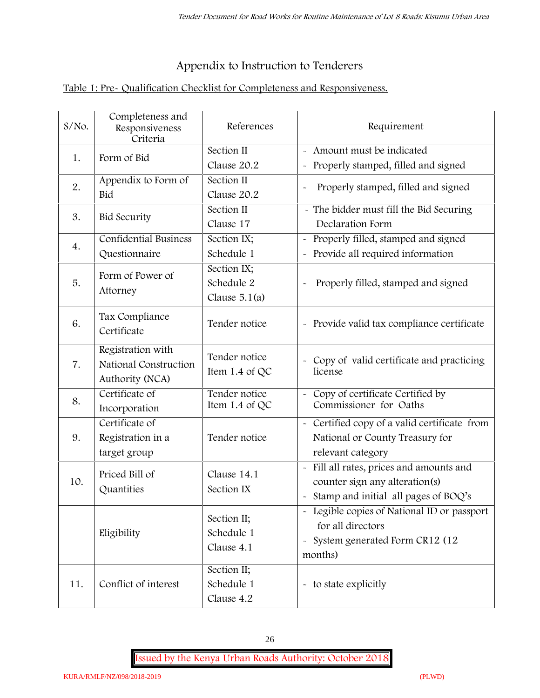# **Appendix to Instruction to Tenderers**

## **Table 1: Pre- Qualification Checklist for Completeness and Responsiveness.**

| S/No. | Completeness and<br>Responsiveness<br>Criteria                | References                                   | Requirement                                                                                                                              |  |
|-------|---------------------------------------------------------------|----------------------------------------------|------------------------------------------------------------------------------------------------------------------------------------------|--|
| 1.    | Form of Bid                                                   | Section II<br>Clause 20.2                    | Amount must be indicated<br>Properly stamped, filled and signed<br>$\ddot{\phantom{1}}$                                                  |  |
| 2.    | Appendix to Form of<br>Bid                                    | Section II<br>Clause 20.2                    | Properly stamped, filled and signed                                                                                                      |  |
| 3.    | <b>Bid Security</b>                                           | Section II<br>Clause 17                      | - The bidder must fill the Bid Securing<br>Declaration Form                                                                              |  |
| 4.    | <b>Confidential Business</b><br>Questionnaire                 | Section IX;<br>Schedule 1                    | Properly filled, stamped and signed<br>Provide all required information                                                                  |  |
| 5.    | Form of Power of<br>Attorney                                  | Section IX;<br>Schedule 2<br>Clause $5.1(a)$ | Properly filled, stamped and signed                                                                                                      |  |
| 6.    | Tax Compliance<br>Certificate                                 | Tender notice                                | - Provide valid tax compliance certificate                                                                                               |  |
| 7.    | Registration with<br>National Construction<br>Authority (NCA) | Tender notice<br>Item 1.4 of QC              | - Copy of valid certificate and practicing<br>license                                                                                    |  |
| 8.    | Certificate of<br>Incorporation                               | Tender notice<br>Item 1.4 of QC              | Copy of certificate Certified by<br>Commissioner for Oaths                                                                               |  |
| 9.    | Certificate of<br>Registration in a<br>target group           | Tender notice                                | - Certified copy of a valid certificate from<br>National or County Treasury for<br>relevant category                                     |  |
| 10.   | Priced Bill of<br>Quantities                                  | Clause 14.1<br>Section IX                    | Fill all rates, prices and amounts and<br>counter sign any alteration(s)<br>Stamp and initial all pages of BOQ's                         |  |
|       | Eligibility                                                   | Section II;<br>Schedule 1<br>Clause 4.1      | Legible copies of National ID or passport<br>for all directors<br>System generated Form CR12 (12<br>$\widetilde{\phantom{m}}$<br>months) |  |
| 11.   | Conflict of interest                                          | Section II;<br>Schedule 1<br>Clause 4.2      | - to state explicitly                                                                                                                    |  |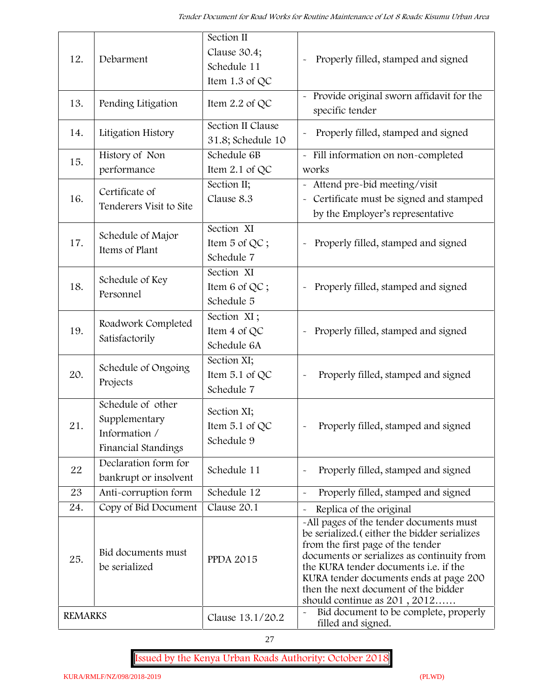| 12.            | Debarment                                                                  | Section II<br>Clause 30.4;<br>Schedule 11<br>Item 1.3 of QC | Properly filled, stamped and signed                                                                                                                                                                                                                                                                                                            |
|----------------|----------------------------------------------------------------------------|-------------------------------------------------------------|------------------------------------------------------------------------------------------------------------------------------------------------------------------------------------------------------------------------------------------------------------------------------------------------------------------------------------------------|
| 13.            | Pending Litigation                                                         | Item $2.2$ of QC                                            | Provide original sworn affidavit for the<br>specific tender                                                                                                                                                                                                                                                                                    |
| 14.            | Litigation History                                                         | Section II Clause<br>31.8; Schedule 10                      | Properly filled, stamped and signed                                                                                                                                                                                                                                                                                                            |
| 15.            | History of Non                                                             | Schedule 6B                                                 | - Fill information on non-completed                                                                                                                                                                                                                                                                                                            |
|                | performance                                                                | Item 2.1 of QC                                              | works                                                                                                                                                                                                                                                                                                                                          |
| 16.            | Certificate of<br>Tenderers Visit to Site                                  | Section II;<br>Clause 8.3                                   | - Attend pre-bid meeting/visit<br>- Certificate must be signed and stamped<br>by the Employer's representative                                                                                                                                                                                                                                 |
| 17.            | Schedule of Major<br>Items of Plant                                        | Section XI<br>Item 5 of QC;<br>Schedule 7                   | Properly filled, stamped and signed                                                                                                                                                                                                                                                                                                            |
| 18.            | Schedule of Key<br>Personnel                                               | Section XI<br>Item 6 of QC;<br>Schedule 5                   | Properly filled, stamped and signed<br>$\tilde{\phantom{a}}$                                                                                                                                                                                                                                                                                   |
| 19.            | Roadwork Completed<br>Satisfactorily                                       | Section XI;<br>Item 4 of QC<br>Schedule 6A                  | Properly filled, stamped and signed                                                                                                                                                                                                                                                                                                            |
| 20.            | Schedule of Ongoing<br>Projects                                            | Section XI;<br>Item 5.1 of QC<br>Schedule 7                 | Properly filled, stamped and signed                                                                                                                                                                                                                                                                                                            |
| 21.            | Schedule of other<br>Supplementary<br>Information /<br>Financial Standings | Section XI;<br>Item $5.1$ of QC<br>Schedule 9               | Properly filled, stamped and signed                                                                                                                                                                                                                                                                                                            |
| 22             | Declaration form for<br>bankrupt or insolvent                              | Schedule 11                                                 | Properly filled, stamped and signed                                                                                                                                                                                                                                                                                                            |
| 23             | Anti-corruption form                                                       | Schedule 12                                                 | Properly filled, stamped and signed<br>$\sim$                                                                                                                                                                                                                                                                                                  |
| 24.            | Copy of Bid Document                                                       | Clause 20.1                                                 | Replica of the original                                                                                                                                                                                                                                                                                                                        |
| 25.            | Bid documents must<br>be serialized                                        | <b>PPDA 2015</b>                                            | -All pages of the tender documents must<br>be serialized. (either the bidder serializes<br>from the first page of the tender<br>documents or serializes as continuity from<br>the KURA tender documents <i>i.e.</i> if the<br>KURA tender documents ends at page 200<br>then the next document of the bidder<br>should continue as $201, 2012$ |
| <b>REMARKS</b> |                                                                            | Clause 13.1/20.2                                            | Bid document to be complete, properly<br>filled and signed.                                                                                                                                                                                                                                                                                    |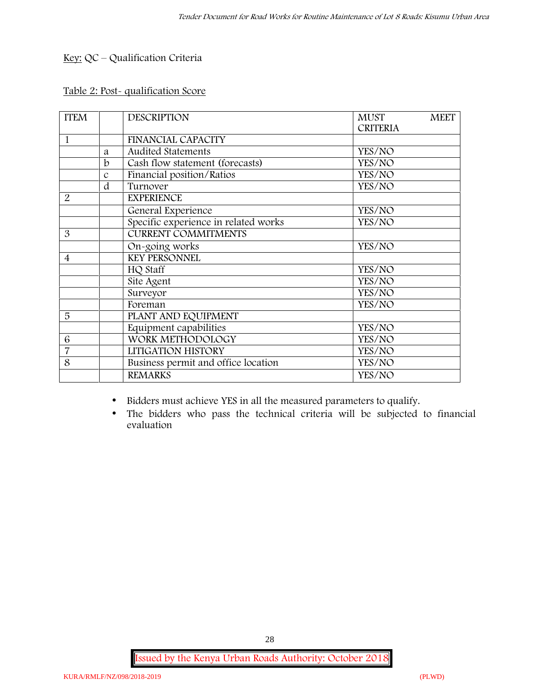## **Key:** QC – Qualification Criteria

#### **Table 2: Post- qualification Score**

| <b>FINANCIAL CAPACITY</b><br><b>Audited Statements</b><br>YES/NO<br>a<br>Cash flow statement (forecasts)<br>$\mathbf b$<br>YES/NO<br>Financial position/Ratios<br>YES/NO<br>$\mathcal{C}$<br>d<br>Turnover<br>YES/NO<br><b>EXPERIENCE</b><br>General Experience<br>YES/NO<br>Specific experience in related works<br>YES/NO<br><b>CURRENT COMMITMENTS</b><br>YES/NO<br>On-going works<br><b>KEY PERSONNEL</b><br>HQ Staff<br>YES/NO<br>Site Agent<br>YES/NO<br>Surveyor<br>YES/NO<br>Foreman<br>YES/NO<br>PLANT AND EQUIPMENT<br>Equipment capabilities<br>YES/NO<br>WORK METHODOLOGY<br>YES/NO<br>LITIGATION HISTORY<br>YES/NO<br>Business permit and office location<br>YES/NO<br><b>REMARKS</b><br>YES/NO | <b>ITEM</b>    | <b>DESCRIPTION</b> | <b>MUST</b><br><b>MEET</b><br><b>CRITERIA</b> |
|--------------------------------------------------------------------------------------------------------------------------------------------------------------------------------------------------------------------------------------------------------------------------------------------------------------------------------------------------------------------------------------------------------------------------------------------------------------------------------------------------------------------------------------------------------------------------------------------------------------------------------------------------------------------------------------------------------------|----------------|--------------------|-----------------------------------------------|
|                                                                                                                                                                                                                                                                                                                                                                                                                                                                                                                                                                                                                                                                                                              | 1              |                    |                                               |
|                                                                                                                                                                                                                                                                                                                                                                                                                                                                                                                                                                                                                                                                                                              |                |                    |                                               |
|                                                                                                                                                                                                                                                                                                                                                                                                                                                                                                                                                                                                                                                                                                              |                |                    |                                               |
|                                                                                                                                                                                                                                                                                                                                                                                                                                                                                                                                                                                                                                                                                                              |                |                    |                                               |
|                                                                                                                                                                                                                                                                                                                                                                                                                                                                                                                                                                                                                                                                                                              |                |                    |                                               |
|                                                                                                                                                                                                                                                                                                                                                                                                                                                                                                                                                                                                                                                                                                              | 2              |                    |                                               |
|                                                                                                                                                                                                                                                                                                                                                                                                                                                                                                                                                                                                                                                                                                              |                |                    |                                               |
|                                                                                                                                                                                                                                                                                                                                                                                                                                                                                                                                                                                                                                                                                                              |                |                    |                                               |
|                                                                                                                                                                                                                                                                                                                                                                                                                                                                                                                                                                                                                                                                                                              | 3              |                    |                                               |
|                                                                                                                                                                                                                                                                                                                                                                                                                                                                                                                                                                                                                                                                                                              |                |                    |                                               |
|                                                                                                                                                                                                                                                                                                                                                                                                                                                                                                                                                                                                                                                                                                              | $\overline{4}$ |                    |                                               |
|                                                                                                                                                                                                                                                                                                                                                                                                                                                                                                                                                                                                                                                                                                              |                |                    |                                               |
|                                                                                                                                                                                                                                                                                                                                                                                                                                                                                                                                                                                                                                                                                                              |                |                    |                                               |
|                                                                                                                                                                                                                                                                                                                                                                                                                                                                                                                                                                                                                                                                                                              |                |                    |                                               |
|                                                                                                                                                                                                                                                                                                                                                                                                                                                                                                                                                                                                                                                                                                              |                |                    |                                               |
|                                                                                                                                                                                                                                                                                                                                                                                                                                                                                                                                                                                                                                                                                                              | 5              |                    |                                               |
|                                                                                                                                                                                                                                                                                                                                                                                                                                                                                                                                                                                                                                                                                                              |                |                    |                                               |
|                                                                                                                                                                                                                                                                                                                                                                                                                                                                                                                                                                                                                                                                                                              | 6              |                    |                                               |
|                                                                                                                                                                                                                                                                                                                                                                                                                                                                                                                                                                                                                                                                                                              | 7              |                    |                                               |
|                                                                                                                                                                                                                                                                                                                                                                                                                                                                                                                                                                                                                                                                                                              | 8              |                    |                                               |
|                                                                                                                                                                                                                                                                                                                                                                                                                                                                                                                                                                                                                                                                                                              |                |                    |                                               |

Bidders must achieve YES in all the measured parameters to qualify.

 The bidders who pass the technical criteria will be subjected to financial evaluation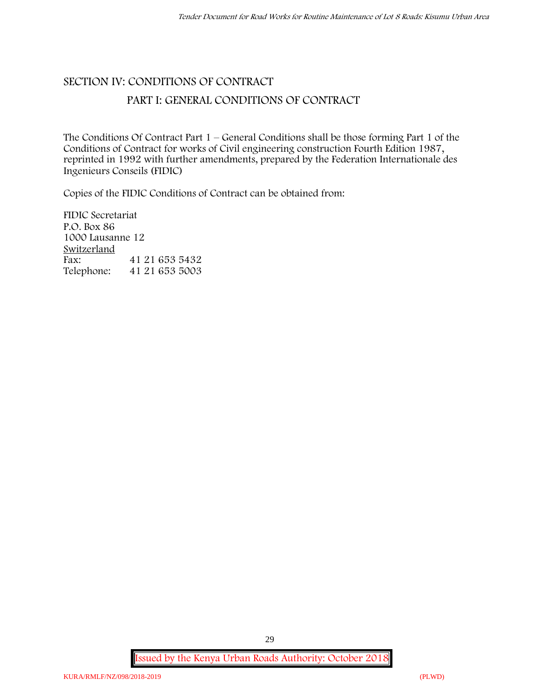# **SECTION IV: CONDITIONS OF CONTRACT PART I: GENERAL CONDITIONS OF CONTRACT**

The Conditions Of Contract Part 1 – General Conditions shall be those forming Part 1 of the Conditions of Contract for works of Civil engineering construction Fourth Edition 1987, reprinted in 1992 with further amendments, prepared by the Federation Internationale des Ingenieurs Conseils (FIDIC)

Copies of the FIDIC Conditions of Contract can be obtained from:

FIDIC Secretariat P.O. Box 86 1000 Lausanne 12 **Switzerland** Fax: 41 21 653 5432 Telephone: 41 21 653 5003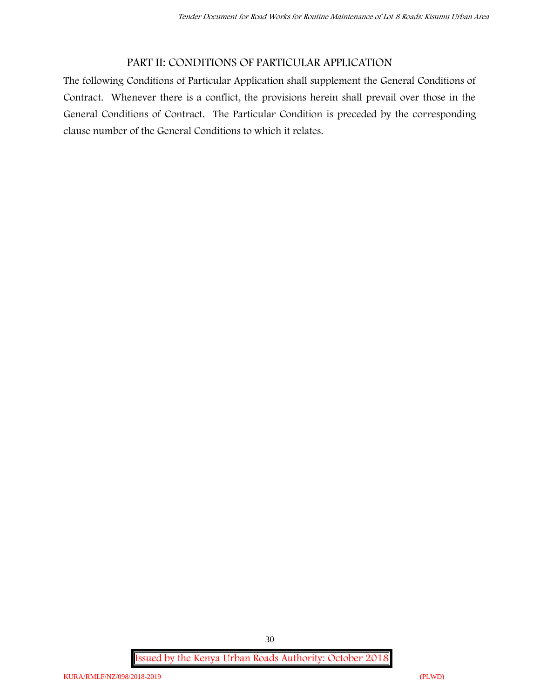## **PART II: CONDITIONS OF PARTICULAR APPLICATION**

The following Conditions of Particular Application shall supplement the General Conditions of Contract. Whenever there is a conflict, the provisions herein shall prevail over those in the General Conditions of Contract. The Particular Condition is preceded by the corresponding clause number of the General Conditions to which it relates.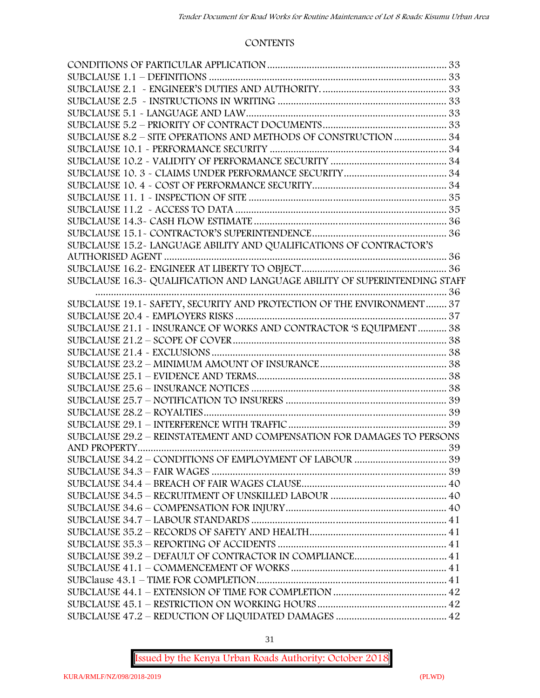#### **CONTENTS**

| SUBCLAUSE 8.2 - SITE OPERATIONS AND METHODS OF CONSTRUCTION  34            |  |
|----------------------------------------------------------------------------|--|
|                                                                            |  |
|                                                                            |  |
|                                                                            |  |
|                                                                            |  |
|                                                                            |  |
|                                                                            |  |
|                                                                            |  |
|                                                                            |  |
| SUBCLAUSE 15.2-LANGUAGE ABILITY AND QUALIFICATIONS OF CONTRACTOR'S         |  |
|                                                                            |  |
|                                                                            |  |
| SUBCLAUSE 16.3- QUALIFICATION AND LANGUAGE ABILITY OF SUPERINTENDING STAFF |  |
|                                                                            |  |
| SUBCLAUSE 19.1 - SAFETY, SECURITY AND PROTECTION OF THE ENVIRONMENT 37     |  |
|                                                                            |  |
| SUBCLAUSE 21.1 - INSURANCE OF WORKS AND CONTRACTOR 'S EQUIPMENT 38         |  |
|                                                                            |  |
|                                                                            |  |
|                                                                            |  |
|                                                                            |  |
|                                                                            |  |
|                                                                            |  |
|                                                                            |  |
|                                                                            |  |
| SUBCLAUSE 29.2 - REINSTATEMENT AND COMPENSATION FOR DAMAGES TO PERSONS     |  |
|                                                                            |  |
|                                                                            |  |
|                                                                            |  |
|                                                                            |  |
|                                                                            |  |
|                                                                            |  |
|                                                                            |  |
|                                                                            |  |
|                                                                            |  |
|                                                                            |  |
|                                                                            |  |
|                                                                            |  |
|                                                                            |  |
|                                                                            |  |
|                                                                            |  |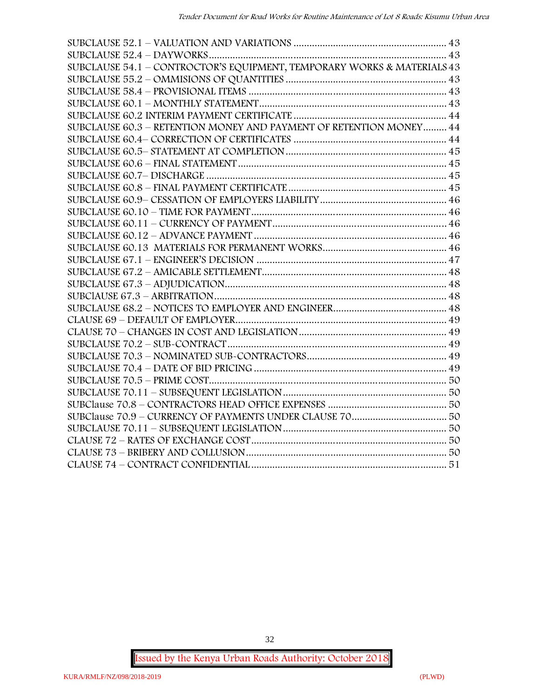| SUBCLAUSE 54.1 - CONTROCTOR'S EQUIPMENT, TEMPORARY WORKS & MATERIALS 43 |  |
|-------------------------------------------------------------------------|--|
|                                                                         |  |
|                                                                         |  |
|                                                                         |  |
|                                                                         |  |
| SUBCLAUSE 60.3 - RETENTION MONEY AND PAYMENT OF RETENTION MONEY 44      |  |
|                                                                         |  |
|                                                                         |  |
|                                                                         |  |
|                                                                         |  |
|                                                                         |  |
|                                                                         |  |
|                                                                         |  |
|                                                                         |  |
|                                                                         |  |
|                                                                         |  |
|                                                                         |  |
|                                                                         |  |
|                                                                         |  |
|                                                                         |  |
|                                                                         |  |
|                                                                         |  |
|                                                                         |  |
|                                                                         |  |
|                                                                         |  |
|                                                                         |  |
|                                                                         |  |
|                                                                         |  |
|                                                                         |  |
|                                                                         |  |
|                                                                         |  |
|                                                                         |  |
|                                                                         |  |
|                                                                         |  |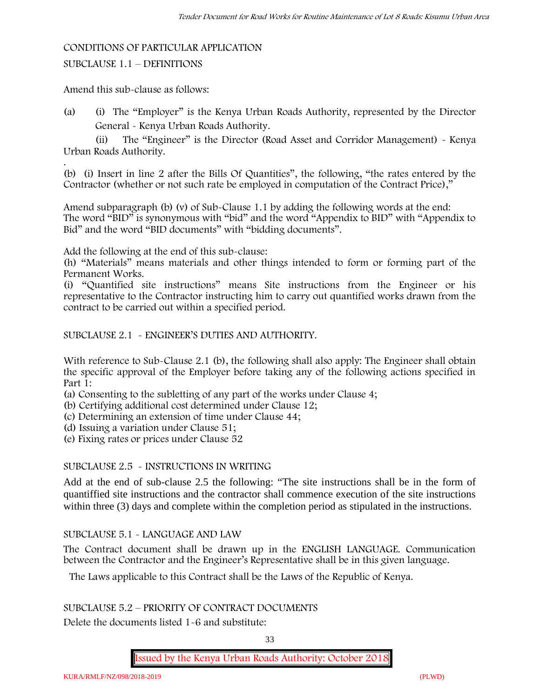#### **CONDITIONS OF PARTICULAR APPLICATION**

#### SUBCLAUSE 1.1 – DEFINITIONS

Amend this sub-clause as follows:

(a) (i) The "Employer" is the Kenya Urban Roads Authority, represented by the Director General - Kenya Urban Roads Authority.

(ii) The "Engineer" is the Director (Road Asset and Corridor Management) - Kenya Urban Roads Authority.

.(b) (i) Insert in line 2 after the Bills Of Quantities", the following, "the rates entered by the Contractor (whether or not such rate be employed in computation of the Contract Price),"

Amend subparagraph (b) (v) of Sub-Clause 1.1 by adding the following words at the end: The word "BID" is synonymous with "bid" and the word "Appendix to BID" with "Appendix to Bid" and the word "BID documents" with "bidding documents".

Add the following at the end of this sub-clause:

(h) "Materials" means materials and other things intended to form or forming part of the Permanent Works.

(i) "Quantified site instructions" means Site instructions from the Engineer or his representative to the Contractor instructing him to carry out quantified works drawn from the contract to be carried out within a specified period.

SUBCLAUSE 2.1 - ENGINEER'S DUTIES AND AUTHORITY.

With reference to Sub-Clause 2.1 (b), the following shall also apply: The Engineer shall obtain the specific approval of the Employer before taking any of the following actions specified in Part 1:

(a) Consenting to the subletting of any part of the works under Clause 4;

(b) Certifying additional cost determined under Clause 12;

(c) Determining an extension of time under Clause 44;

(d) Issuing a variation under Clause 51;

(e) Fixing rates or prices under Clause 52

#### SUBCLAUSE 2.5 - INSTRUCTIONS IN WRITING

Add at the end of sub-clause 2.5 the following: "The site instructions shall be in the form of quantiffied site instructions and the contractor shall commence execution of the site instructions within three (3) days and complete within the completion period as stipulated in the instructions.

#### SUBCLAUSE 5.1 - LANGUAGE AND LAW

The Contract document shall be drawn up in the ENGLISH LANGUAGE. Communication between the Contractor and the Engineer's Representative shall be in this given language.

The Laws applicable to this Contract shall be the Laws of the Republic of Kenya.

SUBCLAUSE 5.2 – PRIORITY OF CONTRACT DOCUMENTS

Delete the documents listed 1-6 and substitute:

33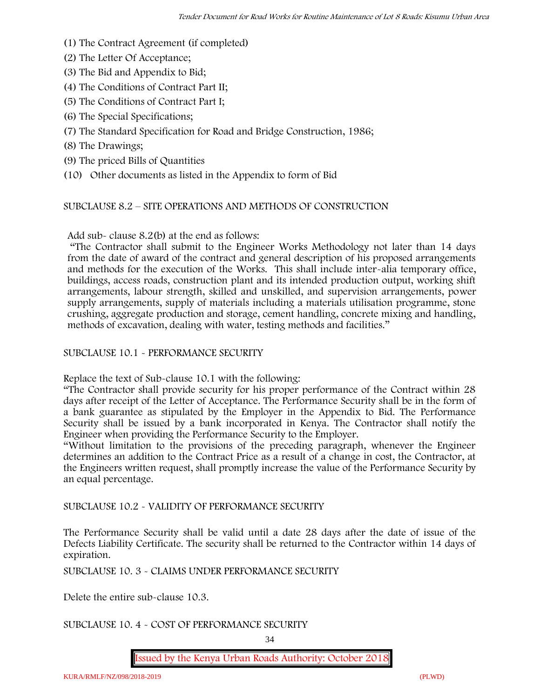- (1) The Contract Agreement (if completed)
- (2) The Letter Of Acceptance;
- (3) The Bid and Appendix to Bid;
- (4) The Conditions of Contract Part II;
- (5) The Conditions of Contract Part I;
- (6) The Special Specifications;
- (7) The Standard Specification for Road and Bridge Construction, 1986;
- (8) The Drawings;
- (9) The priced Bills of Quantities
- (10) Other documents as listed in the Appendix to form of Bid

#### SUBCLAUSE 8.2 – SITE OPERATIONS AND METHODS OF CONSTRUCTION

Add sub- clause 8.2(b) at the end as follows:

"The Contractor shall submit to the Engineer Works Methodology not later than 14 days from the date of award of the contract and general description of his proposed arrangements and methods for the execution of the Works. This shall include inter-alia temporary office, buildings, access roads, construction plant and its intended production output, working shift arrangements, labour strength, skilled and unskilled, and supervision arrangements, power supply arrangements, supply of materials including a materials utilisation programme, stone crushing, aggregate production and storage, cement handling, concrete mixing and handling, methods of excavation, dealing with water, testing methods and facilities."

#### SUBCLAUSE 10.1 - PERFORMANCE SECURITY

Replace the text of Sub-clause 10.1 with the following:

"The Contractor shall provide security for his proper performance of the Contract within 28 days after receipt of the Letter of Acceptance. The Performance Security shall be in the form of a bank guarantee as stipulated by the Employer in the Appendix to Bid. The Performance Security shall be issued by a bank incorporated in Kenya. The Contractor shall notify the Engineer when providing the Performance Security to the Employer.

"Without limitation to the provisions of the preceding paragraph, whenever the Engineer determines an addition to the Contract Price as a result of a change in cost, the Contractor, at the Engineers written request, shall promptly increase the value of the Performance Security by an equal percentage.

SUBCLAUSE 10.2 - VALIDITY OF PERFORMANCE SECURITY

The Performance Security shall be valid until a date 28 days after the date of issue of the Defects Liability Certificate. The security shall be returned to the Contractor within 14 days of expiration.

SUBCLAUSE 10. 3 - CLAIMS UNDER PERFORMANCE SECURITY

Delete the entire sub-clause 10.3.

#### SUBCLAUSE 10. 4 - COST OF PERFORMANCE SECURITY

34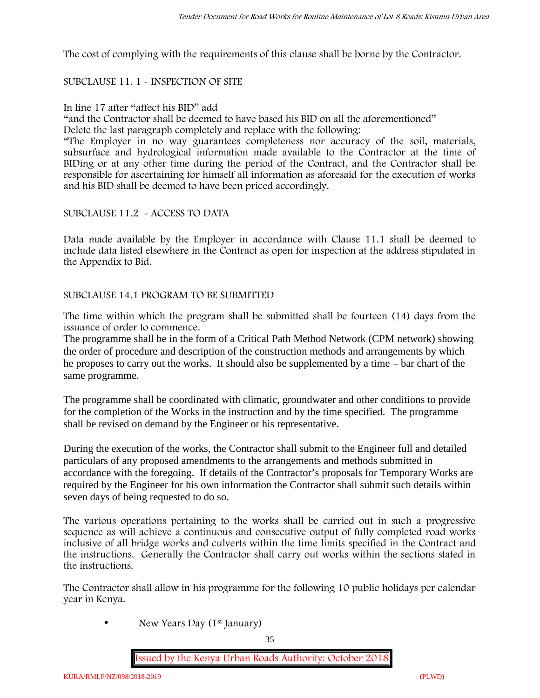The cost of complying with the requirements of this clause shall be borne by the Contractor.

#### SUBCLAUSE 11. 1 - INSPECTION OF SITE

#### In line 17 after "affect his BID" add

"and the Contractor shall be deemed to have based his BID on all the aforementioned"

Delete the last paragraph completely and replace with the following:

"The Employer in no way guarantees completeness nor accuracy of the soil, materials, subsurface and hydrological information made available to the Contractor at the time of BIDing or at any other time during the period of the Contract, and the Contractor shall be responsible for ascertaining for himself all information as aforesaid for the execution of works and his BID shall be deemed to have been priced accordingly.

#### SUBCLAUSE 11.2 - ACCESS TO DATA

Data made available by the Employer in accordance with Clause 11.1 shall be deemed to include data listed elsewhere in the Contract as open for inspection at the address stipulated in the Appendix to Bid.

#### SUBCLAUSE 14.1 PROGRAM TO BE SUBMITTED

The time within which the program shall be submitted shall be fourteen (14) days from the issuance of order to commence**.**

The programme shall be in the form of a Critical Path Method Network (CPM network) showing the order of procedure and description of the construction methods and arrangements by which he proposes to carry out the works. It should also be supplemented by a time – bar chart of the same programme.

The programme shall be coordinated with climatic, groundwater and other conditions to provide for the completion of the Works in the instruction and by the time specified. The programme shall be revised on demand by the Engineer or his representative.

During the execution of the works, the Contractor shall submit to the Engineer full and detailed particulars of any proposed amendments to the arrangements and methods submitted in accordance with the foregoing. If details of the Contractor's proposals for Temporary Works are required by the Engineer for his own information the Contractor shall submit such details within seven days of being requested to do so.

The various operations pertaining to the works shall be carried out in such a progressive sequence as will achieve a continuous and consecutive output of fully completed road works inclusive of all bridge works and culverts within the time limits specified in the Contract and the instructions. Generally the Contractor shall carry out works within the sections stated in the instructions.

The Contractor shall allow in his programme for the following 10 public holidays per calendar year in Kenya.

• New Years Day (1<sup>st</sup> January)

35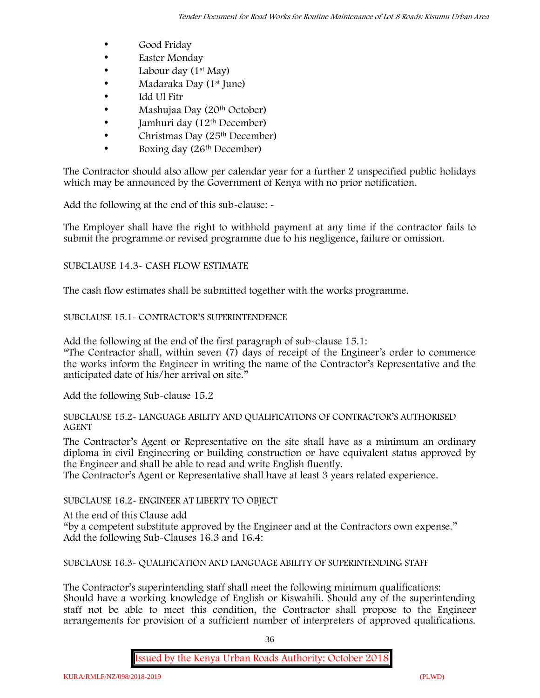- Good Friday
- **Easter Monday**
- Labour day  $(1<sup>st</sup>$  May)
- Madaraka Day (1st June)
- Idd Ul Fitr
- Mashujaa Day (20th October)
- $\bullet$  Jamhuri day (12<sup>th</sup> December)
- $\bullet$  Christmas Day (25<sup>th</sup> December)
- Boxing day (26<sup>th</sup> December)

The Contractor should also allow per calendar year for a further 2 unspecified public holidays which may be announced by the Government of Kenya with no prior notification.

Add the following at the end of this sub-clause: -

The Employer shall have the right to withhold payment at any time if the contractor fails to submit the programme or revised programme due to his negligence, failure or omission.

# SUBCLAUSE 14.3- CASH FLOW ESTIMATE

The cash flow estimates shall be submitted together with the works programme.

# SUBCLAUSE 15.1- CONTRACTOR'S SUPERINTENDENCE

Add the following at the end of the first paragraph of sub-clause 15.1:

"The Contractor shall, within seven (7) days of receipt of the Engineer's order to commence the works inform the Engineer in writing the name of the Contractor's Representative and the anticipated date of his/her arrival on site."

Add the following Sub-clause 15.2

#### SUBCLAUSE 15.2- LANGUAGE ABILITY AND QUALIFICATIONS OF CONTRACTOR'S AUTHORISED AGENT

The Contractor's Agent or Representative on the site shall have as a minimum an ordinary diploma in civil Engineering or building construction or have equivalent status approved by the Engineer and shall be able to read and write English fluently.

The Contractor's Agent or Representative shall have at least 3 years related experience.

# SUBCLAUSE 16.2- ENGINEER AT LIBERTY TO OBJECT

At the end of this Clause add

"by a competent substitute approved by the Engineer and at the Contractors own expense." Add the following Sub-Clauses 16.3 and 16.4:

SUBCLAUSE 16.3- QUALIFICATION AND LANGUAGE ABILITY OF SUPERINTENDING STAFF

The Contractor's superintending staff shall meet the following minimum qualifications: Should have a working knowledge of English or Kiswahili. Should any of the superintending staff not be able to meet this condition, the Contractor shall propose to the Engineer arrangements for provision of a sufficient number of interpreters of approved qualifications.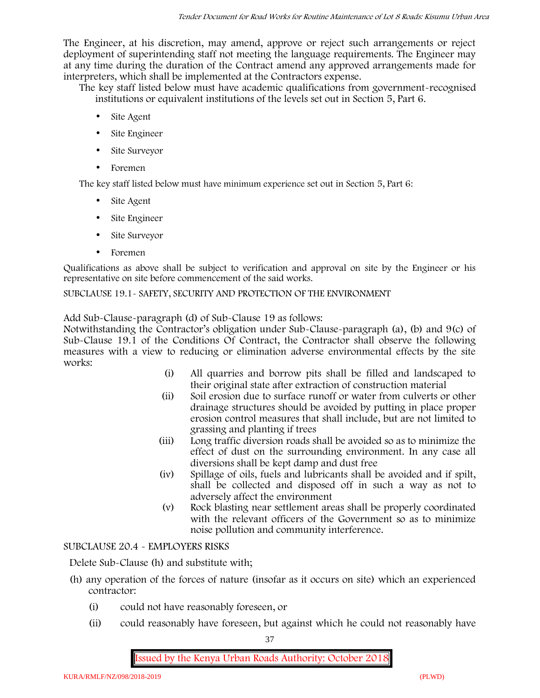The Engineer, at his discretion, may amend, approve or reject such arrangements or reject deployment of superintending staff not meeting the language requirements. The Engineer may at any time during the duration of the Contract amend any approved arrangements made for interpreters, which shall be implemented at the Contractors expense.

The key staff listed below must have academic qualifications from government-recognised institutions or equivalent institutions of the levels set out in Section 5, Part 6.

- Site Agent
- Site Engineer
- Site Surveyor
- Foremen

The key staff listed below must have minimum experience set out in Section 5, Part 6:

- Site Agent
- Site Engineer
- Site Surveyor
- Foremen

Qualifications as above shall be subject to verification and approval on site by the Engineer or his representative on site before commencement of the said works.

SUBCLAUSE 19.1- SAFETY, SECURITY AND PROTECTION OF THE ENVIRONMENT

Add Sub-Clause-paragraph (d) of Sub-Clause 19 as follows:

Notwithstanding the Contractor's obligation under Sub-Clause-paragraph (a), (b) and 9(c) of Sub-Clause 19.1 of the Conditions Of Contract, the Contractor shall observe the following measures with a view to reducing or elimination adverse environmental effects by the site works:

- (i) All quarries and borrow pits shall be filled and landscaped to their original state after extraction of construction material
- (ii) Soil erosion due to surface runoff or water from culverts or other drainage structures should be avoided by putting in place proper erosion control measures that shall include, but are not limited to grassing and planting if trees
- (iii) Long traffic diversion roads shall be avoided so as to minimize the effect of dust on the surrounding environment. In any case all diversions shall be kept damp and dust free
- (iv) Spillage of oils, fuels and lubricants shall be avoided and if spilt, shall be collected and disposed off in such a way as not to adversely affect the environment
- (v) Rock blasting near settlement areas shall be properly coordinated with the relevant officers of the Government so as to minimize noise pollution and community interference.

# SUBCLAUSE 20.4 - EMPLOYERS RISKS

Delete Sub-Clause (h) and substitute with;

- (h) any operation of the forces of nature (insofar as it occurs on site) which an experienced contractor:
	- (i) could not have reasonably foreseen, or
	- (ii) could reasonably have foreseen, but against which he could not reasonably have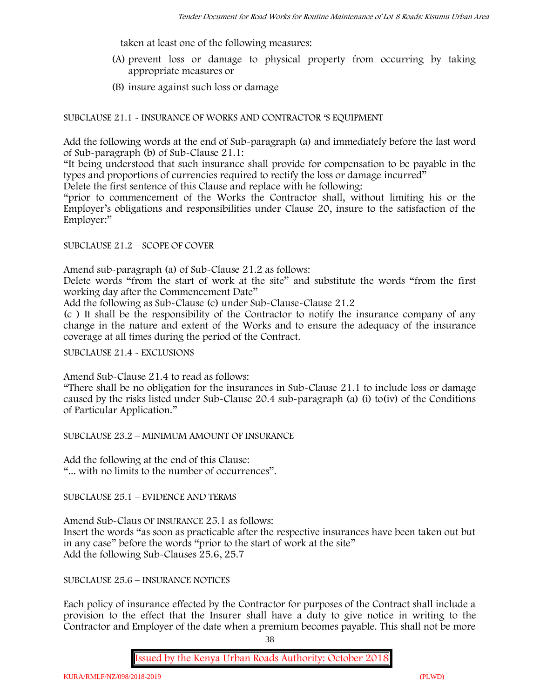taken at least one of the following measures:

- (A) prevent loss or damage to physical property from occurring by taking appropriate measures or
- (B) insure against such loss or damage

SUBCLAUSE 21.1 - INSURANCE OF WORKS AND CONTRACTOR 'S EQUIPMENT

Add the following words at the end of Sub-paragraph (a) and immediately before the last word of Sub-paragraph (b) of Sub-Clause 21.1:

"It being understood that such insurance shall provide for compensation to be payable in the types and proportions of currencies required to rectify the loss or damage incurred"

Delete the first sentence of this Clause and replace with he following:

"prior to commencement of the Works the Contractor shall, without limiting his or the Employer's obligations and responsibilities under Clause 20, insure to the satisfaction of the Employer:"

#### SUBCLAUSE 21.2 – SCOPE OF COVER

Amend sub-paragraph (a) of Sub-Clause 21.2 as follows:

Delete words "from the start of work at the site" and substitute the words "from the first working day after the Commencement Date"

Add the following as Sub-Clause (c) under Sub-Clause-Clause 21.2

(c ) It shall be the responsibility of the Contractor to notify the insurance company of any change in the nature and extent of the Works and to ensure the adequacy of the insurance coverage at all times during the period of the Contract.

SUBCLAUSE 21.4 - EXCLUSIONS

Amend Sub-Clause 21.4 to read as follows:

"There shall be no obligation for the insurances in Sub-Clause 21.1 to include loss or damage caused by the risks listed under Sub-Clause 20.4 sub-paragraph (a) (i) to(iv) of the Conditions of Particular Application."

SUBCLAUSE 23.2 – MINIMUM AMOUNT OF INSURANCE

Add the following at the end of this Clause: "... with no limits to the number of occurrences".

SUBCLAUSE 25.1 – EVIDENCE AND TERMS

Amend Sub-Claus OF INSURANCE 25.1 as follows: Insert the words "as soon as practicable after the respective insurances have been taken out but in any case" before the words "prior to the start of work at the site" Add the following Sub-Clauses 25.6, 25.7

SUBCLAUSE 25.6 – INSURANCE NOTICES

Each policy of insurance effected by the Contractor for purposes of the Contract shall include a provision to the effect that the Insurer shall have a duty to give notice in writing to the Contractor and Employer of the date when a premium becomes payable. This shall not be more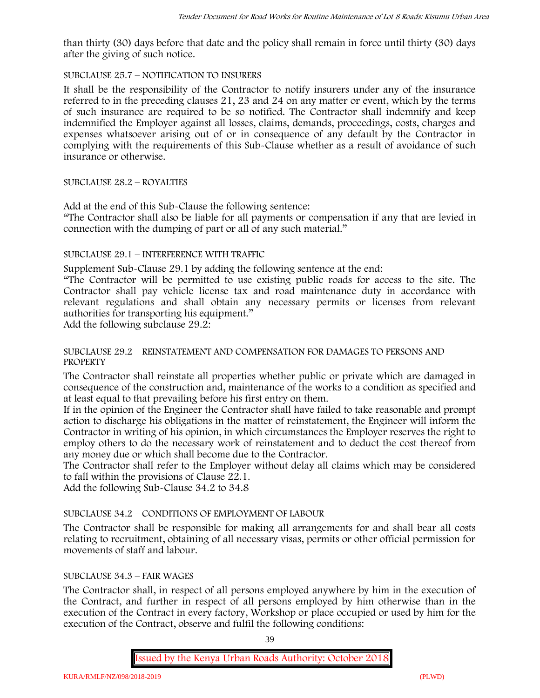than thirty (30) days before that date and the policy shall remain in force until thirty (30) days after the giving of such notice.

# SUBCLAUSE 25.7 – NOTIFICATION TO INSURERS

It shall be the responsibility of the Contractor to notify insurers under any of the insurance referred to in the preceding clauses 21, 23 and 24 on any matter or event, which by the terms of such insurance are required to be so notified. The Contractor shall indemnify and keep indemnified the Employer against all losses, claims, demands, proceedings, costs, charges and expenses whatsoever arising out of or in consequence of any default by the Contractor in complying with the requirements of this Sub-Clause whether as a result of avoidance of such insurance or otherwise.

# SUBCLAUSE 28.2 – ROYALTIES

Add at the end of this Sub-Clause the following sentence:

"The Contractor shall also be liable for all payments or compensation if any that are levied in connection with the dumping of part or all of any such material."

# SUBCLAUSE 29.1 – INTERFERENCE WITH TRAFFIC

Supplement Sub-Clause 29.1 by adding the following sentence at the end:

"The Contractor will be permitted to use existing public roads for access to the site. The Contractor shall pay vehicle license tax and road maintenance duty in accordance with relevant regulations and shall obtain any necessary permits or licenses from relevant authorities for transporting his equipment."

Add the following subclause 29.2:

# SUBCLAUSE 29.2 – REINSTATEMENT AND COMPENSATION FOR DAMAGES TO PERSONS AND **PROPERTY**

The Contractor shall reinstate all properties whether public or private which are damaged in consequence of the construction and, maintenance of the works to a condition as specified and at least equal to that prevailing before his first entry on them.

If in the opinion of the Engineer the Contractor shall have failed to take reasonable and prompt action to discharge his obligations in the matter of reinstatement, the Engineer will inform the Contractor in writing of his opinion, in which circumstances the Employer reserves the right to employ others to do the necessary work of reinstatement and to deduct the cost thereof from any money due or which shall become due to the Contractor.

The Contractor shall refer to the Employer without delay all claims which may be considered to fall within the provisions of Clause 22.1.

Add the following Sub-Clause 34.2 to 34.8

# SUBCLAUSE 34.2 – CONDITIONS OF EMPLOYMENT OF LABOUR

The Contractor shall be responsible for making all arrangements for and shall bear all costs relating to recruitment, obtaining of all necessary visas, permits or other official permission for movements of staff and labour.

# SUBCLAUSE 34.3 – FAIR WAGES

The Contractor shall, in respect of all persons employed anywhere by him in the execution of the Contract, and further in respect of all persons employed by him otherwise than in the execution of the Contract in every factory, Workshop or place occupied or used by him for the execution of the Contract, observe and fulfil the following conditions:

39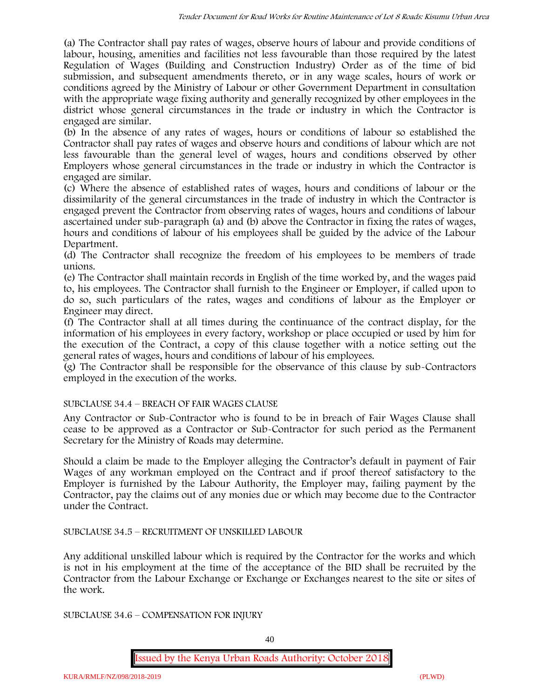(a) The Contractor shall pay rates of wages, observe hours of labour and provide conditions of labour, housing, amenities and facilities not less favourable than those required by the latest Regulation of Wages (Building and Construction Industry) Order as of the time of bid submission, and subsequent amendments thereto, or in any wage scales, hours of work or conditions agreed by the Ministry of Labour or other Government Department in consultation with the appropriate wage fixing authority and generally recognized by other employees in the district whose general circumstances in the trade or industry in which the Contractor is engaged are similar.

(b) In the absence of any rates of wages, hours or conditions of labour so established the Contractor shall pay rates of wages and observe hours and conditions of labour which are not less favourable than the general level of wages, hours and conditions observed by other Employers whose general circumstances in the trade or industry in which the Contractor is engaged are similar.

(c) Where the absence of established rates of wages, hours and conditions of labour or the dissimilarity of the general circumstances in the trade of industry in which the Contractor is engaged prevent the Contractor from observing rates of wages, hours and conditions of labour ascertained under sub-paragraph (a) and (b) above the Contractor in fixing the rates of wages, hours and conditions of labour of his employees shall be guided by the advice of the Labour Department.

(d) The Contractor shall recognize the freedom of his employees to be members of trade unions.

(e) The Contractor shall maintain records in English of the time worked by, and the wages paid to, his employees. The Contractor shall furnish to the Engineer or Employer, if called upon to do so, such particulars of the rates, wages and conditions of labour as the Employer or Engineer may direct.

(f) The Contractor shall at all times during the continuance of the contract display, for the information of his employees in every factory, workshop or place occupied or used by him for the execution of the Contract, a copy of this clause together with a notice setting out the general rates of wages, hours and conditions of labour of his employees.

(g) The Contractor shall be responsible for the observance of this clause by sub-Contractors employed in the execution of the works.

# SUBCLAUSE 34.4 – BREACH OF FAIR WAGES CLAUSE

Any Contractor or Sub-Contractor who is found to be in breach of Fair Wages Clause shall cease to be approved as a Contractor or Sub-Contractor for such period as the Permanent Secretary for the Ministry of Roads may determine.

Should a claim be made to the Employer alleging the Contractor's default in payment of Fair Wages of any workman employed on the Contract and if proof thereof satisfactory to the Employer is furnished by the Labour Authority, the Employer may, failing payment by the Contractor, pay the claims out of any monies due or which may become due to the Contractor under the Contract.

# SUBCLAUSE 34.5 – RECRUITMENT OF UNSKILLED LABOUR

Any additional unskilled labour which is required by the Contractor for the works and which is not in his employment at the time of the acceptance of the BID shall be recruited by the Contractor from the Labour Exchange or Exchange or Exchanges nearest to the site or sites of the work.

SUBCLAUSE 34.6 – COMPENSATION FOR INJURY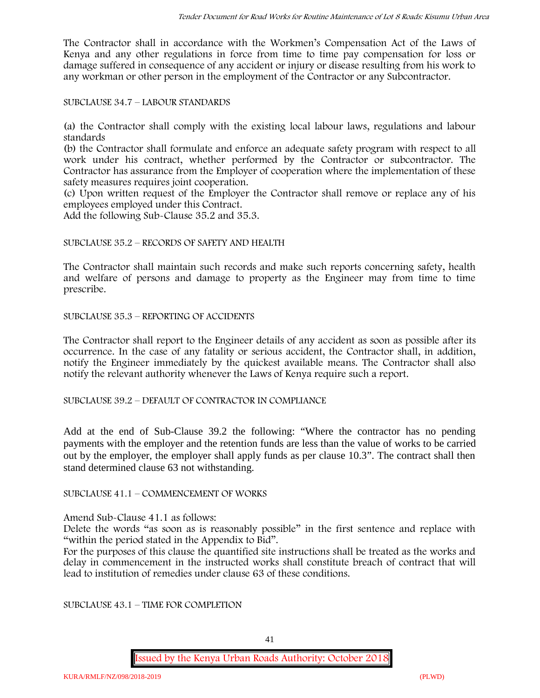The Contractor shall in accordance with the Workmen's Compensation Act of the Laws of Kenya and any other regulations in force from time to time pay compensation for loss or damage suffered in consequence of any accident or injury or disease resulting from his work to any workman or other person in the employment of the Contractor or any Subcontractor.

SUBCLAUSE 34.7 – LABOUR STANDARDS

(a) the Contractor shall comply with the existing local labour laws, regulations and labour standards

(b) the Contractor shall formulate and enforce an adequate safety program with respect to all work under his contract, whether performed by the Contractor or subcontractor. The Contractor has assurance from the Employer of cooperation where the implementation of these safety measures requires joint cooperation.

(c) Upon written request of the Employer the Contractor shall remove or replace any of his employees employed under this Contract.

Add the following Sub-Clause 35.2 and 35.3.

# SUBCLAUSE 35.2 – RECORDS OF SAFETY AND HEALTH

The Contractor shall maintain such records and make such reports concerning safety, health and welfare of persons and damage to property as the Engineer may from time to time prescribe.

SUBCLAUSE 35.3 – REPORTING OF ACCIDENTS

The Contractor shall report to the Engineer details of any accident as soon as possible after its occurrence. In the case of any fatality or serious accident, the Contractor shall, in addition, notify the Engineer immediately by the quickest available means. The Contractor shall also notify the relevant authority whenever the Laws of Kenya require such a report.

SUBCLAUSE 39.2 – DEFAULT OF CONTRACTOR IN COMPLIANCE

Add at the end of Sub-Clause 39.2 the following: "Where the contractor has no pending payments with the employer and the retention funds are less than the value of works to be carried out by the employer, the employer shall apply funds as per clause 10.3". The contract shall then stand determined clause 63 not withstanding.

SUBCLAUSE 41.1 – COMMENCEMENT OF WORKS

Amend Sub-Clause 41.1 as follows:

Delete the words "as soon as is reasonably possible" in the first sentence and replace with "within the period stated in the Appendix to Bid".

For the purposes of this clause the quantified site instructions shall be treated as the works and delay in commencement in the instructed works shall constitute breach of contract that will lead to institution of remedies under clause 63 of these conditions.

SUBCLAUSE 43.1 – TIME FOR COMPLETION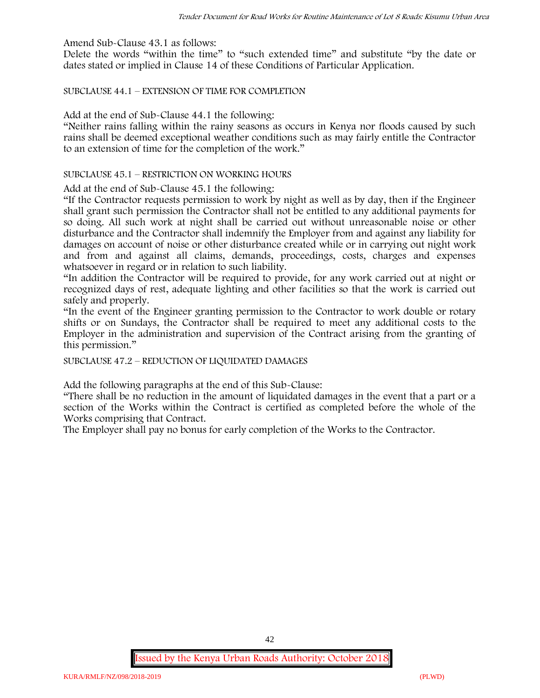Amend Sub-Clause 43.1 as follows:

Delete the words "within the time" to "such extended time" and substitute "by the date or dates stated or implied in Clause 14 of these Conditions of Particular Application.

SUBCLAUSE 44.1 – EXTENSION OF TIME FOR COMPLETION

Add at the end of Sub-Clause 44.1 the following:

"Neither rains falling within the rainy seasons as occurs in Kenya nor floods caused by such rains shall be deemed exceptional weather conditions such as may fairly entitle the Contractor to an extension of time for the completion of the work."

#### SUBCLAUSE 45.1 – RESTRICTION ON WORKING HOURS

Add at the end of Sub-Clause 45.1 the following:

"If the Contractor requests permission to work by night as well as by day, then if the Engineer shall grant such permission the Contractor shall not be entitled to any additional payments for so doing. All such work at night shall be carried out without unreasonable noise or other disturbance and the Contractor shall indemnify the Employer from and against any liability for damages on account of noise or other disturbance created while or in carrying out night work and from and against all claims, demands, proceedings, costs, charges and expenses whatsoever in regard or in relation to such liability.

"In addition the Contractor will be required to provide, for any work carried out at night or recognized days of rest, adequate lighting and other facilities so that the work is carried out safely and properly.

"In the event of the Engineer granting permission to the Contractor to work double or rotary shifts or on Sundays, the Contractor shall be required to meet any additional costs to the Employer in the administration and supervision of the Contract arising from the granting of this permission."

SUBCLAUSE 47.2 – REDUCTION OF LIQUIDATED DAMAGES

Add the following paragraphs at the end of this Sub-Clause:

"There shall be no reduction in the amount of liquidated damages in the event that a part or a section of the Works within the Contract is certified as completed before the whole of the Works comprising that Contract.

The Employer shall pay no bonus for early completion of the Works to the Contractor.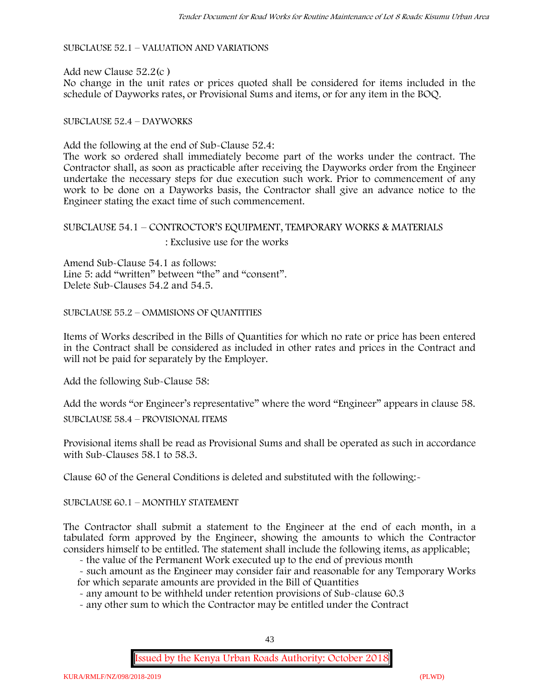SUBCLAUSE 52.1 – VALUATION AND VARIATIONS

Add new Clause 52.2(c ) No change in the unit rates or prices quoted shall be considered for items included in the schedule of Dayworks rates, or Provisional Sums and items, or for any item in the BOQ.

### SUBCLAUSE 52.4 – DAYWORKS

Add the following at the end of Sub-Clause 52.4:

The work so ordered shall immediately become part of the works under the contract. The Contractor shall, as soon as practicable after receiving the Dayworks order from the Engineer undertake the necessary steps for due execution such work. Prior to commencement of any work to be done on a Dayworks basis, the Contractor shall give an advance notice to the Engineer stating the exact time of such commencement.

# SUBCLAUSE 54.1 – CONTROCTOR'S EQUIPMENT, TEMPORARY WORKS & MATERIALS : Exclusive use for the works

Amend Sub-Clause 54.1 as follows: Line 5: add "written" between "the" and "consent". Delete Sub-Clauses 54.2 and 54.5.

SUBCLAUSE 55.2 – OMMISIONS OF QUANTITIES

Items of Works described in the Bills of Quantities for which no rate or price has been entered in the Contract shall be considered as included in other rates and prices in the Contract and will not be paid for separately by the Employer.

Add the following Sub-Clause 58:

Add the words "or Engineer's representative" where the word "Engineer" appears in clause 58.

SUBCLAUSE 58.4 – PROVISIONAL ITEMS

Provisional items shall be read as Provisional Sums and shall be operated as such in accordance with Sub-Clauses 58.1 to 58.3.

Clause 60 of the General Conditions is deleted and substituted with the following:-

SUBCLAUSE 60.1 – MONTHLY STATEMENT

The Contractor shall submit a statement to the Engineer at the end of each month, in a tabulated form approved by the Engineer, showing the amounts to which the Contractor considers himself to be entitled. The statement shall include the following items, as applicable;

- the value of the Permanent Work executed up to the end of previous month

- such amount as the Engineer may consider fair and reasonable for any Temporary Works for which separate amounts are provided in the Bill of Quantities

- any amount to be withheld under retention provisions of Sub-clause 60.3

- any other sum to which the Contractor may be entitled under the Contract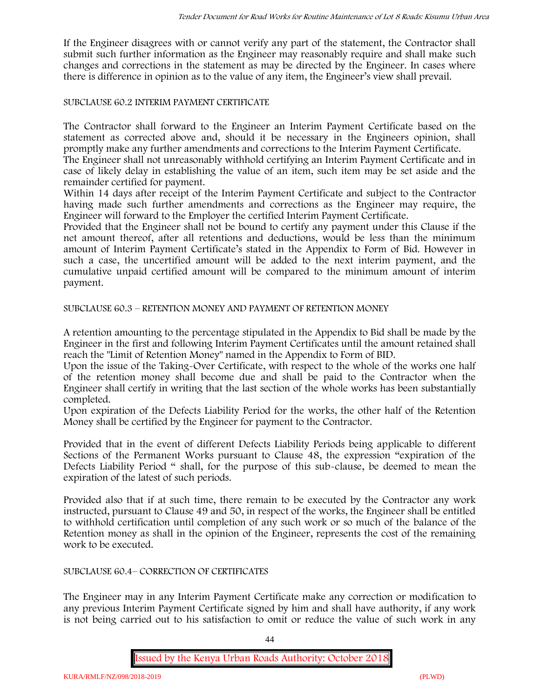If the Engineer disagrees with or cannot verify any part of the statement, the Contractor shall submit such further information as the Engineer may reasonably require and shall make such changes and corrections in the statement as may be directed by the Engineer. In cases where there is difference in opinion as to the value of any item, the Engineer's view shall prevail.

# SUBCLAUSE 60.2 INTERIM PAYMENT CERTIFICATE

The Contractor shall forward to the Engineer an Interim Payment Certificate based on the statement as corrected above and, should it be necessary in the Engineers opinion, shall promptly make any further amendments and corrections to the Interim Payment Certificate.

The Engineer shall not unreasonably withhold certifying an Interim Payment Certificate and in case of likely delay in establishing the value of an item, such item may be set aside and the remainder certified for payment.

Within 14 days after receipt of the Interim Payment Certificate and subject to the Contractor having made such further amendments and corrections as the Engineer may require, the Engineer will forward to the Employer the certified Interim Payment Certificate.

Provided that the Engineer shall not be bound to certify any payment under this Clause if the net amount thereof, after all retentions and deductions, would be less than the minimum amount of Interim Payment Certificate's stated in the Appendix to Form of Bid. However in such a case, the uncertified amount will be added to the next interim payment, and the cumulative unpaid certified amount will be compared to the minimum amount of interim payment.

SUBCLAUSE 60.3 – RETENTION MONEY AND PAYMENT OF RETENTION MONEY

A retention amounting to the percentage stipulated in the Appendix to Bid shall be made by the Engineer in the first and following Interim Payment Certificates until the amount retained shall reach the "Limit of Retention Money" named in the Appendix to Form of BID.

Upon the issue of the Taking-Over Certificate, with respect to the whole of the works one half of the retention money shall become due and shall be paid to the Contractor when the Engineer shall certify in writing that the last section of the whole works has been substantially completed.

Upon expiration of the Defects Liability Period for the works, the other half of the Retention Money shall be certified by the Engineer for payment to the Contractor.

Provided that in the event of different Defects Liability Periods being applicable to different Sections of the Permanent Works pursuant to Clause 48, the expression "expiration of the Defects Liability Period " shall, for the purpose of this sub-clause, be deemed to mean the expiration of the latest of such periods.

Provided also that if at such time, there remain to be executed by the Contractor any work instructed, pursuant to Clause 49 and 50, in respect of the works, the Engineer shall be entitled to withhold certification until completion of any such work or so much of the balance of the Retention money as shall in the opinion of the Engineer, represents the cost of the remaining work to be executed.

# SUBCLAUSE 60.4– CORRECTION OF CERTIFICATES

The Engineer may in any Interim Payment Certificate make any correction or modification to any previous Interim Payment Certificate signed by him and shall have authority, if any work is not being carried out to his satisfaction to omit or reduce the value of such work in any

44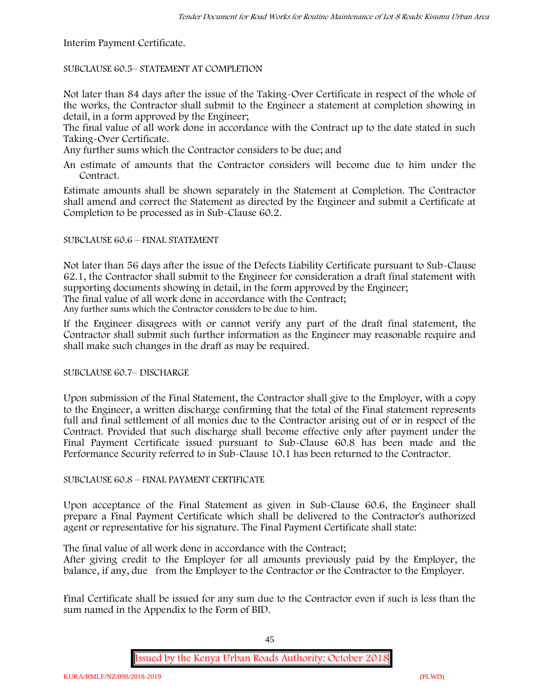Interim Payment Certificate.

SUBCLAUSE 60.5– STATEMENT AT COMPLETION

Not later than 84 days after the issue of the Taking-Over Certificate in respect of the whole of the works, the Contractor shall submit to the Engineer a statement at completion showing in detail, in a form approved by the Engineer;

The final value of all work done in accordance with the Contract up to the date stated in such Taking-Over Certificate.

Any further sums which the Contractor considers to be due; and

An estimate of amounts that the Contractor considers will become due to him under the Contract.

Estimate amounts shall be shown separately in the Statement at Completion. The Contractor shall amend and correct the Statement as directed by the Engineer and submit a Certificate at Completion to be processed as in Sub-Clause 60.2.

# SUBCLAUSE 60.6 – FINAL STATEMENT

Not later than 56 days after the issue of the Defects Liability Certificate pursuant to Sub-Clause 62.1, the Contractor shall submit to the Engineer for consideration a draft final statement with supporting documents showing in detail, in the form approved by the Engineer; The final value of all work done in accordance with the Contract;

Any further sums which the Contractor considers to be due to him.

If the Engineer disagrees with or cannot verify any part of the draft final statement, the Contractor shall submit such further information as the Engineer may reasonable require and shall make such changes in the draft as may be required.

SUBCLAUSE 60.7– DISCHARGE

Upon submission of the Final Statement, the Contractor shall give to the Employer, with a copy to the Engineer, a written discharge confirming that the total of the Final statement represents full and final settlement of all monies due to the Contractor arising out of or in respect of the Contract. Provided that such discharge shall become effective only after payment under the Final Payment Certificate issued pursuant to Sub-Clause 60.8 has been made and the Performance Security referred to in Sub-Clause 10.1 has been returned to the Contractor.

# SUBCLAUSE 60.8 – FINAL PAYMENT CERTIFICATE

Upon acceptance of the Final Statement as given in Sub-Clause 60.6, the Engineer shall prepare a Final Payment Certificate which shall be delivered to the Contractor's authorized agent or representative for his signature. The Final Payment Certificate shall state:

The final value of all work done in accordance with the Contract;

After giving credit to the Employer for all amounts previously paid by the Employer, the balance, if any, due from the Employer to the Contractor or the Contractor to the Employer.

Final Certificate shall be issued for any sum due to the Contractor even if such is less than the sum named in the Appendix to the Form of BID.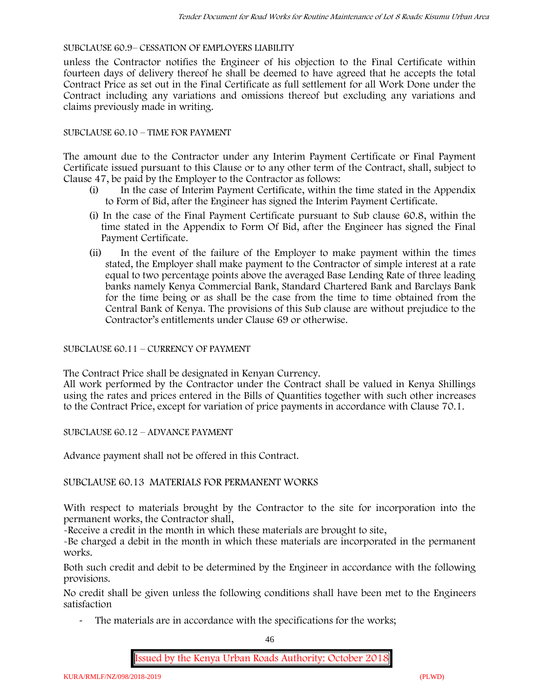# SUBCLAUSE 60.9– CESSATION OF EMPLOYERS LIABILITY

unless the Contractor notifies the Engineer of his objection to the Final Certificate within fourteen days of delivery thereof he shall be deemed to have agreed that he accepts the total Contract Price as set out in the Final Certificate as full settlement for all Work Done under the Contract including any variations and omissions thereof but excluding any variations and claims previously made in writing.

# SUBCLAUSE 60.10 – TIME FOR PAYMENT

The amount due to the Contractor under any Interim Payment Certificate or Final Payment Certificate issued pursuant to this Clause or to any other term of the Contract, shall, subject to Clause 47, be paid by the Employer to the Contractor as follows:

- (i) In the case of Interim Payment Certificate, within the time stated in the Appendix to Form of Bid, after the Engineer has signed the Interim Payment Certificate.
- (i) In the case of the Final Payment Certificate pursuant to Sub clause 60.8, within the time stated in the Appendix to Form Of Bid, after the Engineer has signed the Final Payment Certificate.
- (ii) In the event of the failure of the Employer to make payment within the times stated, the Employer shall make payment to the Contractor of simple interest at a rate equal to two percentage points above the averaged Base Lending Rate of three leading banks namely Kenya Commercial Bank, Standard Chartered Bank and Barclays Bank for the time being or as shall be the case from the time to time obtained from the Central Bank of Kenya. The provisions of this Sub clause are without prejudice to the Contractor's entitlements under Clause 69 or otherwise.

# SUBCLAUSE 60.11 – CURRENCY OF PAYMENT

The Contract Price shall be designated in Kenyan Currency.

All work performed by the Contractor under the Contract shall be valued in Kenya Shillings using the rates and prices entered in the Bills of Quantities together with such other increases to the Contract Price, except for variation of price payments in accordance with Clause 70.1.

SUBCLAUSE 60.12 – ADVANCE PAYMENT

Advance payment shall not be offered in this Contract.

# SUBCLAUSE 60.13 MATERIALS FOR PERMANENT WORKS

With respect to materials brought by the Contractor to the site for incorporation into the permanent works, the Contractor shall,

-Receive a credit in the month in which these materials are brought to site,

-Be charged a debit in the month in which these materials are incorporated in the permanent works.

Both such credit and debit to be determined by the Engineer in accordance with the following provisions.

No credit shall be given unless the following conditions shall have been met to the Engineers satisfaction

The materials are in accordance with the specifications for the works;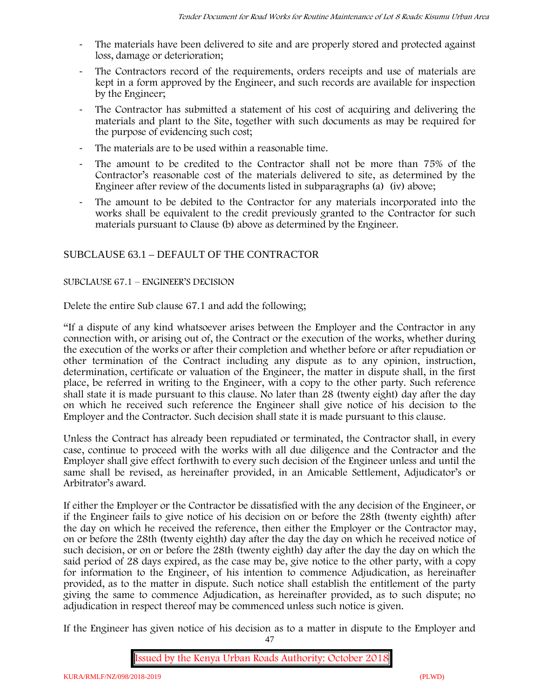- The materials have been delivered to site and are properly stored and protected against loss, damage or deterioration;
- The Contractors record of the requirements, orders receipts and use of materials are kept in a form approved by the Engineer, and such records are available for inspection by the Engineer;
- The Contractor has submitted a statement of his cost of acquiring and delivering the materials and plant to the Site, together with such documents as may be required for the purpose of evidencing such cost;
- The materials are to be used within a reasonable time.
- The amount to be credited to the Contractor shall not be more than 75% of the Contractor's reasonable cost of the materials delivered to site, as determined by the Engineer after review of the documents listed in subparagraphs (a) (iv) above;
- The amount to be debited to the Contractor for any materials incorporated into the works shall be equivalent to the credit previously granted to the Contractor for such materials pursuant to Clause (b) above as determined by the Engineer.

# SUBCLAUSE 63.1 – DEFAULT OF THE CONTRACTOR

# SUBCLAUSE 67.1 – ENGINEER'S DECISION

Delete the entire Sub clause 67.1 and add the following;

"If a dispute of any kind whatsoever arises between the Employer and the Contractor in any connection with, or arising out of, the Contract or the execution of the works, whether during the execution of the works or after their completion and whether before or after repudiation or other termination of the Contract including any dispute as to any opinion, instruction, determination, certificate or valuation of the Engineer, the matter in dispute shall, in the first place, be referred in writing to the Engineer, with a copy to the other party. Such reference shall state it is made pursuant to this clause. No later than 28 (twenty eight) day after the day on which he received such reference the Engineer shall give notice of his decision to the Employer and the Contractor. Such decision shall state it is made pursuant to this clause.

Unless the Contract has already been repudiated or terminated, the Contractor shall, in every case, continue to proceed with the works with all due diligence and the Contractor and the Employer shall give effect forthwith to every such decision of the Engineer unless and until the same shall be revised, as hereinafter provided, in an Amicable Settlement, Adjudicator's or Arbitrator's award.

If either the Employer or the Contractor be dissatisfied with the any decision of the Engineer, or if the Engineer fails to give notice of his decision on or before the 28th (twenty eighth) after the day on which he received the reference, then either the Employer or the Contractor may, on or before the 28th (twenty eighth) day after the day the day on which he received notice of such decision, or on or before the 28th (twenty eighth) day after the day the day on which the said period of 28 days expired, as the case may be, give notice to the other party, with a copy for information to the Engineer, of his intention to commence Adjudication, as hereinafter provided, as to the matter in dispute. Such notice shall establish the entitlement of the party giving the same to commence Adjudication, as hereinafter provided, as to such dispute; no adjudication in respect thereof may be commenced unless such notice is given.

If the Engineer has given notice of his decision as to a matter in dispute to the Employer and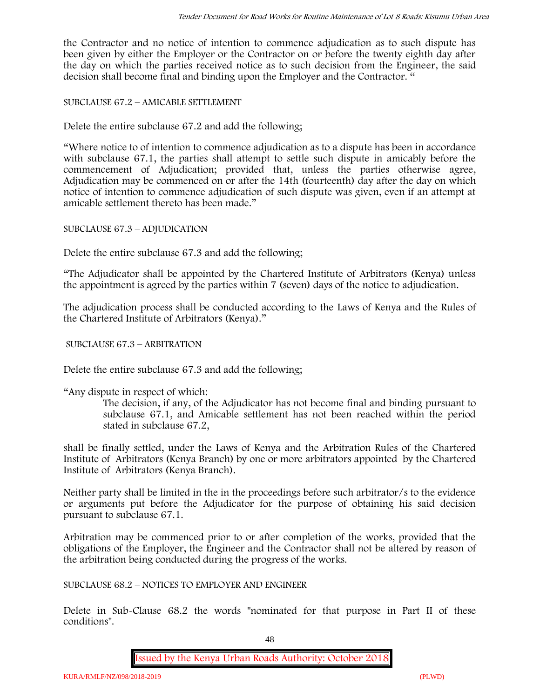the Contractor and no notice of intention to commence adjudication as to such dispute has been given by either the Employer or the Contractor on or before the twenty eighth day after the day on which the parties received notice as to such decision from the Engineer, the said decision shall become final and binding upon the Employer and the Contractor. "

SUBCLAUSE 67.2 – AMICABLE SETTLEMENT

Delete the entire subclause 67.2 and add the following;

"Where notice to of intention to commence adjudication as to a dispute has been in accordance with subclause 67.1, the parties shall attempt to settle such dispute in amicably before the commencement of Adjudication; provided that, unless the parties otherwise agree, Adjudication may be commenced on or after the 14th (fourteenth) day after the day on which notice of intention to commence adjudication of such dispute was given, even if an attempt at amicable settlement thereto has been made."

SUBCLAUSE 67.3 – ADJUDICATION

Delete the entire subclause 67.3 and add the following;

"The Adjudicator shall be appointed by the Chartered Institute of Arbitrators (Kenya) unless the appointment is agreed by the parties within 7 (seven) days of the notice to adjudication.

The adjudication process shall be conducted according to the Laws of Kenya and the Rules of the Chartered Institute of Arbitrators (Kenya)."

SUBCLAUSE 67.3 – ARBITRATION

Delete the entire subclause 67.3 and add the following;

"Any dispute in respect of which:

The decision, if any, of the Adjudicator has not become final and binding pursuant to subclause 67.1, and Amicable settlement has not been reached within the period stated in subclause 67.2,

shall be finally settled, under the Laws of Kenya and the Arbitration Rules of the Chartered Institute of Arbitrators (Kenya Branch) by one or more arbitrators appointed by the Chartered Institute of Arbitrators (Kenya Branch).

Neither party shall be limited in the in the proceedings before such arbitrator/s to the evidence or arguments put before the Adjudicator for the purpose of obtaining his said decision pursuant to subclause 67.1.

Arbitration may be commenced prior to or after completion of the works, provided that the obligations of the Employer, the Engineer and the Contractor shall not be altered by reason of the arbitration being conducted during the progress of the works.

SUBCLAUSE 68.2 – NOTICES TO EMPLOYER AND ENGINEER

Delete in Sub-Clause 68.2 the words "nominated for that purpose in Part II of these conditions".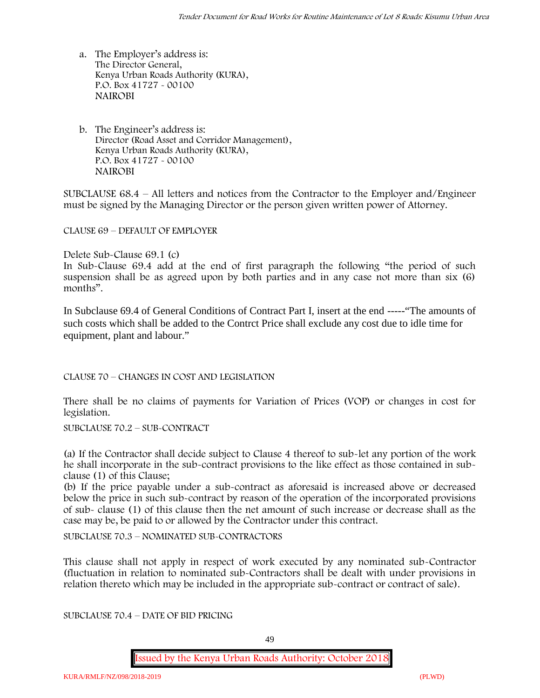- a. The Employer's address is: The Director General, Kenya Urban Roads Authority (KURA), P.O. Box 41727 - 00100 **NAIROBI**
- b. The Engineer's address is: Director (Road Asset and Corridor Management), Kenya Urban Roads Authority (KURA), P.O. Box 41727 - 00100 **NAIROBI**

SUBCLAUSE 68.4 – All letters and notices from the Contractor to the Employer and/Engineer must be signed by the Managing Director or the person given written power of Attorney.

CLAUSE 69 – DEFAULT OF EMPLOYER

Delete Sub-Clause 69.1 (c)

In Sub-Clause 69.4 add at the end of first paragraph the following "the period of such suspension shall be as agreed upon by both parties and in any case not more than six (6) months".

In Subclause 69.4 of General Conditions of Contract Part I, insert at the end -----"The amounts of such costs which shall be added to the Contrct Price shall exclude any cost due to idle time for equipment, plant and labour."

CLAUSE 70 – CHANGES IN COST AND LEGISLATION

There shall be no claims of payments for Variation of Prices (VOP) or changes in cost for legislation.

SUBCLAUSE 70.2 – SUB-CONTRACT

(a) If the Contractor shall decide subject to Clause 4 thereof to sub-let any portion of the work he shall incorporate in the sub-contract provisions to the like effect as those contained in subclause (1) of this Clause;

(b) If the price payable under a sub-contract as aforesaid is increased above or decreased below the price in such sub-contract by reason of the operation of the incorporated provisions of sub- clause (1) of this clause then the net amount of such increase or decrease shall as the case may be, be paid to or allowed by the Contractor under this contract.

SUBCLAUSE 70.3 – NOMINATED SUB-CONTRACTORS

This clause shall not apply in respect of work executed by any nominated sub-Contractor (fluctuation in relation to nominated sub-Contractors shall be dealt with under provisions in relation thereto which may be included in the appropriate sub-contract or contract of sale).

SUBCLAUSE 70.4 – DATE OF BID PRICING

49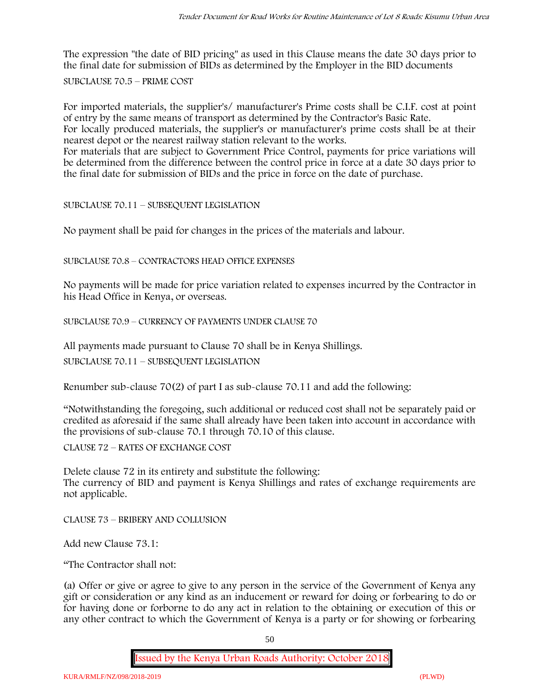The expression "the date of BID pricing" as used in this Clause means the date 30 days prior to the final date for submission of BIDs as determined by the Employer in the BID documents

SUBCLAUSE 70.5 – PRIME COST

For imported materials, the supplier's/ manufacturer's Prime costs shall be C.I.F. cost at point of entry by the same means of transport as determined by the Contractor's Basic Rate.

For locally produced materials, the supplier's or manufacturer's prime costs shall be at their nearest depot or the nearest railway station relevant to the works.

For materials that are subject to Government Price Control, payments for price variations will be determined from the difference between the control price in force at a date 30 days prior to the final date for submission of BIDs and the price in force on the date of purchase.

SUBCLAUSE 70.11 – SUBSEQUENT LEGISLATION

No payment shall be paid for changes in the prices of the materials and labour.

SUBCLAUSE 70.8 – CONTRACTORS HEAD OFFICE EXPENSES

No payments will be made for price variation related to expenses incurred by the Contractor in his Head Office in Kenya, or overseas.

SUBCLAUSE 70.9 – CURRENCY OF PAYMENTS UNDER CLAUSE 70

All payments made pursuant to Clause 70 shall be in Kenya Shillings.

SUBCLAUSE 70.11 – SUBSEQUENT LEGISLATION

Renumber sub-clause 70(2) of part I as sub-clause 70.11 and add the following:

"Notwithstanding the foregoing, such additional or reduced cost shall not be separately paid or credited as aforesaid if the same shall already have been taken into account in accordance with the provisions of sub-clause 70.1 through 70.10 of this clause.

CLAUSE 72 – RATES OF EXCHANGE COST

Delete clause 72 in its entirety and substitute the following: The currency of BID and payment is Kenya Shillings and rates of exchange requirements are not applicable.

CLAUSE 73 – BRIBERY AND COLLUSION

Add new Clause 73.1:

"The Contractor shall not:

(a) Offer or give or agree to give to any person in the service of the Government of Kenya any gift or consideration or any kind as an inducement or reward for doing or forbearing to do or for having done or forborne to do any act in relation to the obtaining or execution of this or any other contract to which the Government of Kenya is a party or for showing or forbearing

50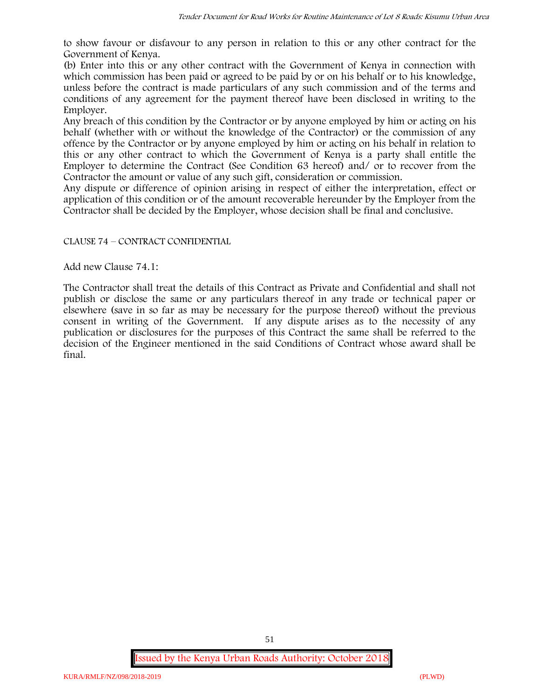to show favour or disfavour to any person in relation to this or any other contract for the Government of Kenya.

(b) Enter into this or any other contract with the Government of Kenya in connection with which commission has been paid or agreed to be paid by or on his behalf or to his knowledge, unless before the contract is made particulars of any such commission and of the terms and conditions of any agreement for the payment thereof have been disclosed in writing to the Employer.

Any breach of this condition by the Contractor or by anyone employed by him or acting on his behalf (whether with or without the knowledge of the Contractor) or the commission of any offence by the Contractor or by anyone employed by him or acting on his behalf in relation to this or any other contract to which the Government of Kenya is a party shall entitle the Employer to determine the Contract (See Condition 63 hereof) and/ or to recover from the Contractor the amount or value of any such gift, consideration or commission.

Any dispute or difference of opinion arising in respect of either the interpretation, effect or application of this condition or of the amount recoverable hereunder by the Employer from the Contractor shall be decided by the Employer, whose decision shall be final and conclusive.

# CLAUSE 74 – CONTRACT CONFIDENTIAL

Add new Clause 74.1:

The Contractor shall treat the details of this Contract as Private and Confidential and shall not publish or disclose the same or any particulars thereof in any trade or technical paper or elsewhere (save in so far as may be necessary for the purpose thereof) without the previous consent in writing of the Government. If any dispute arises as to the necessity of any publication or disclosures for the purposes of this Contract the same shall be referred to the decision of the Engineer mentioned in the said Conditions of Contract whose award shall be final.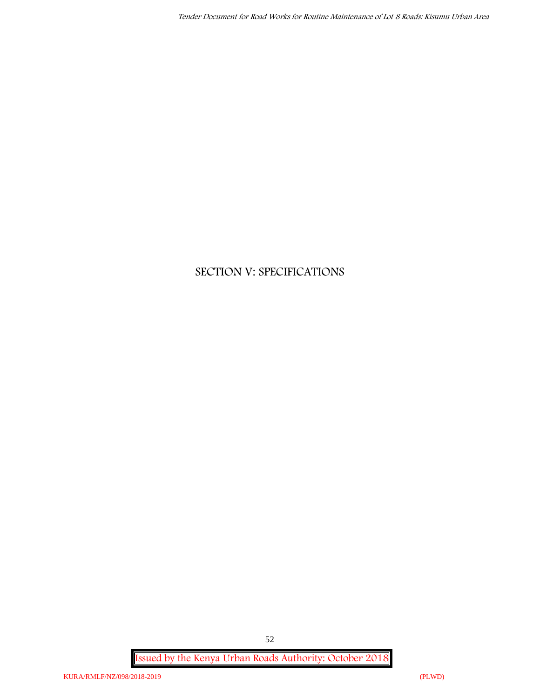# **SECTION V: SPECIFICATIONS**

**Issued by the Kenya Urban Roads Authority: October 2018**

52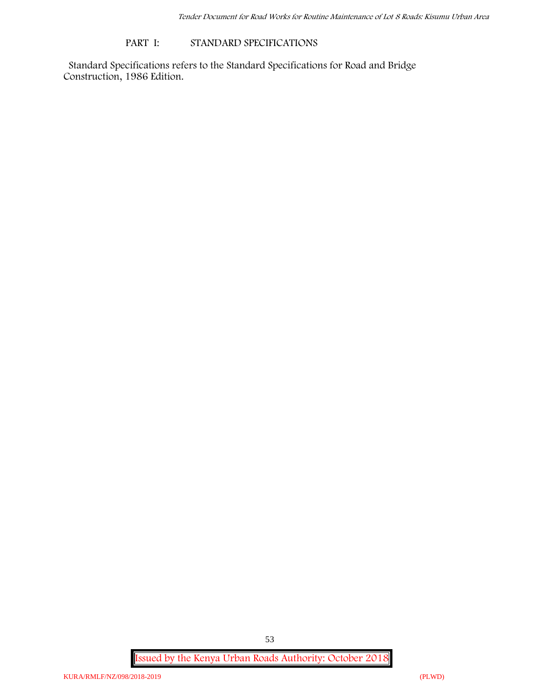# **PART I: STANDARD SPECIFICATIONS**

Standard Specifications refers to the Standard Specifications for Road and Bridge Construction, 1986 Edition.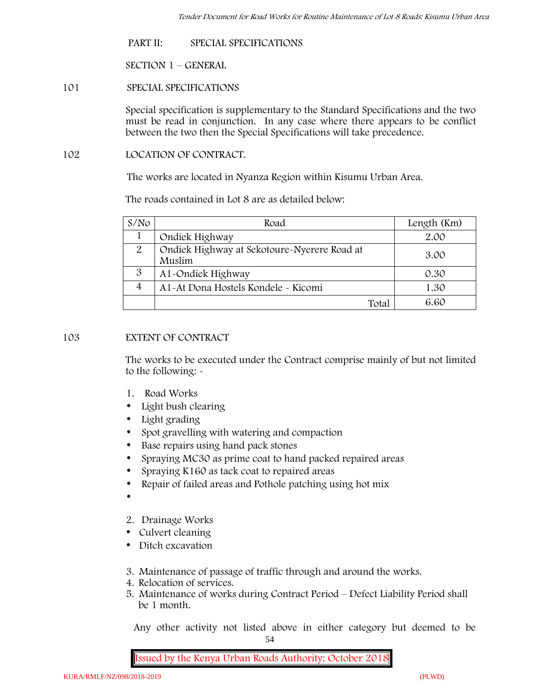**PART II: SPECIAL SPECIFICATIONS**

**SECTION 1 – GENERAL**

**101 SPECIAL SPECIFICATIONS**

Special specification is supplementary to the Standard Specifications and the two must be read in conjunction. In any case where there appears to be conflict between the two then the Special Specifications will take precedence.

**102 LOCATION OF CONTRACT.**

The works are located in Nyanza Region within Kisumu Urban Area.

The roads contained in Lot 8 are as detailed below:

| S/N <sub>O</sub> | Road                                                  | Length (Km) |
|------------------|-------------------------------------------------------|-------------|
|                  | Ondiek Highway                                        | 2.00        |
| 2                | Ondiek Highway at Sekotoure-Nyerere Road at<br>Muslim | 3.00        |
| 3                | A1-Ondiek Highway                                     | 0.30        |
| $\overline{4}$   | A1-At Dona Hostels Kondele - Kicomi                   | 1.30        |
|                  | Total                                                 | 6.60        |

# **103 EXTENT OF CONTRACT**

The works to be executed under the Contract comprise mainly of but not limited to the following: -

- **1. Road Works**
- Light bush clearing
- Light grading
- Spot gravelling with watering and compaction
- Base repairs using hand pack stones
- Spraying MC30 as prime coat to hand packed repaired areas
- Spraying K160 as tack coat to repaired areas
- Repair of failed areas and Pothole patching using hot mix
- $\bullet$
- **2. Drainage Works**
- Culvert cleaning
- Ditch excavation
- **3. Maintenance of passage of traffic through and around the works.**
- **4. Relocation of services.**
- **5. Maintenance of works during Contract Period – Defect Liability Period shall be 1 month.**

54 Any other activity not listed above in either category but deemed to be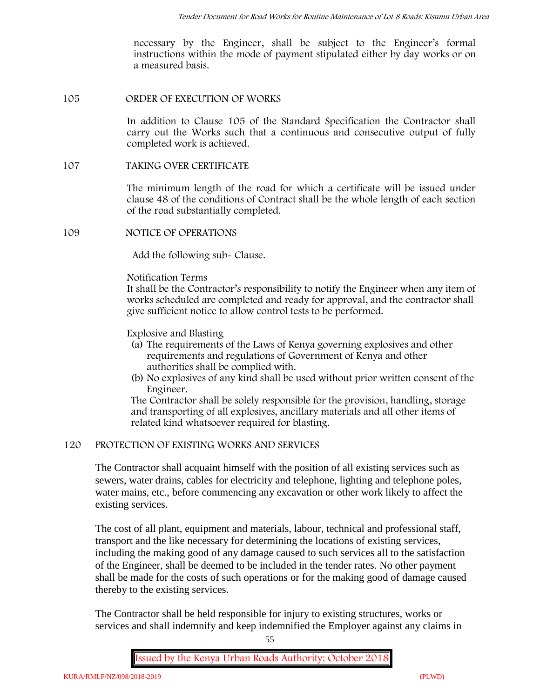necessary by the Engineer, shall be subject to the Engineer's formal instructions within the mode of payment stipulated either by day works or on a measured basis.

# **105 ORDER OF EXECUTION OF WORKS**

In addition to Clause 105 of the Standard Specification the Contractor shall carry out the Works such that a continuous and consecutive output of fully completed work is achieved.

#### **107 TAKING OVER CERTIFICATE**

The minimum length of the road for which a certificate will be issued under clause 48 of the conditions of Contract shall be the whole length of each section of the road substantially completed.

# **109 NOTICE OF OPERATIONS**

Add the following sub- Clause.

#### Notification Terms

It shall be the Contractor's responsibility to notify the Engineer when any item of works scheduled are completed and ready for approval, and the contractor shall give sufficient notice to allow control tests to be performed.

Explosive and Blasting

- (a) The requirements of the Laws of Kenya governing explosives and other requirements and regulations of Government of Kenya and other authorities shall be complied with.
- (b) No explosives of any kind shall be used without prior written consent of the Engineer.

The Contractor shall be solely responsible for the provision, handling, storage and transporting of all explosives, ancillary materials and all other items of related kind whatsoever required for blasting.

# **120 PROTECTION OF EXISTING WORKS AND SERVICES**

The Contractor shall acquaint himself with the position of all existing services such as sewers, water drains, cables for electricity and telephone, lighting and telephone poles, water mains, etc., before commencing any excavation or other work likely to affect the existing services.

The cost of all plant, equipment and materials, labour, technical and professional staff, transport and the like necessary for determining the locations of existing services, including the making good of any damage caused to such services all to the satisfaction of the Engineer, shall be deemed to be included in the tender rates. No other payment shall be made for the costs of such operations or for the making good of damage caused thereby to the existing services.

The Contractor shall be held responsible for injury to existing structures, works or services and shall indemnify and keep indemnified the Employer against any claims in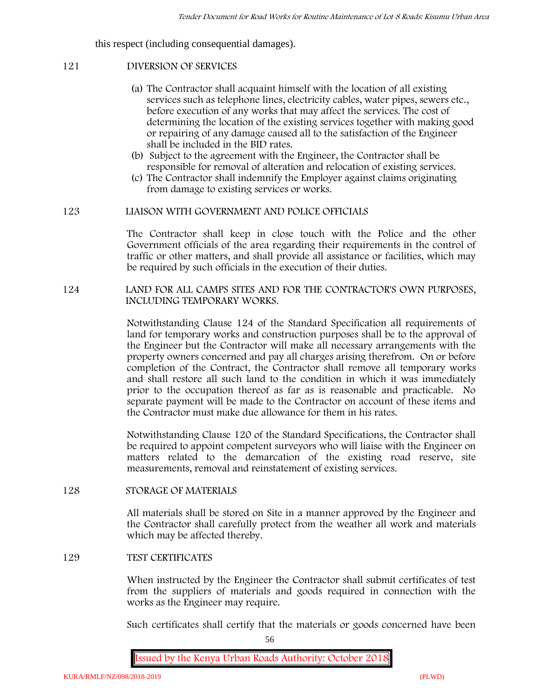this respect (including consequential damages).

# **121 DIVERSION OF SERVICES**

- (a) The Contractor shall acquaint himself with the location of all existing services such as telephone lines, electricity cables, water pipes, sewers etc., before execution of any works that may affect the services. The cost of determining the location of the existing services together with making good or repairing of any damage caused all to the satisfaction of the Engineer shall be included in the BID rates.
- (b) Subject to the agreement with the Engineer, the Contractor shall be responsible for removal of alteration and relocation of existing services.
- (c) The Contractor shall indemnify the Employer against claims originating from damage to existing services or works.

# **123 LIAISON WITH GOVERNMENT AND POLICE OFFICIALS**

The Contractor shall keep in close touch with the Police and the other Government officials of the area regarding their requirements in the control of traffic or other matters, and shall provide all assistance or facilities, which may be required by such officials in the execution of their duties.

# **124 LAND FOR ALL CAMPS SITES AND FOR THE CONTRACTOR'S OWN PURPOSES, INCLUDING TEMPORARY WORKS.**

Notwithstanding Clause 124 of the Standard Specification all requirements of land for temporary works and construction purposes shall be to the approval of the Engineer but the Contractor will make all necessary arrangements with the property owners concerned and pay all charges arising therefrom. On or before completion of the Contract, the Contractor shall remove all temporary works and shall restore all such land to the condition in which it was immediately prior to the occupation thereof as far as is reasonable and practicable. No separate payment will be made to the Contractor on account of these items and the Contractor must make due allowance for them in his rates.

Notwithstanding Clause 120 of the Standard Specifications, the Contractor shall be required to appoint competent surveyors who will liaise with the Engineer on matters related to the demarcation of the existing road reserve, site measurements, removal and reinstatement of existing services.

# **128 STORAGE OF MATERIALS**

All materials shall be stored on Site in a manner approved by the Engineer and the Contractor shall carefully protect from the weather all work and materials which may be affected thereby.

# **129 TEST CERTIFICATES**

When instructed by the Engineer the Contractor shall submit certificates of test from the suppliers of materials and goods required in connection with the works as the Engineer may require.

Such certificates shall certify that the materials or goods concerned have been

56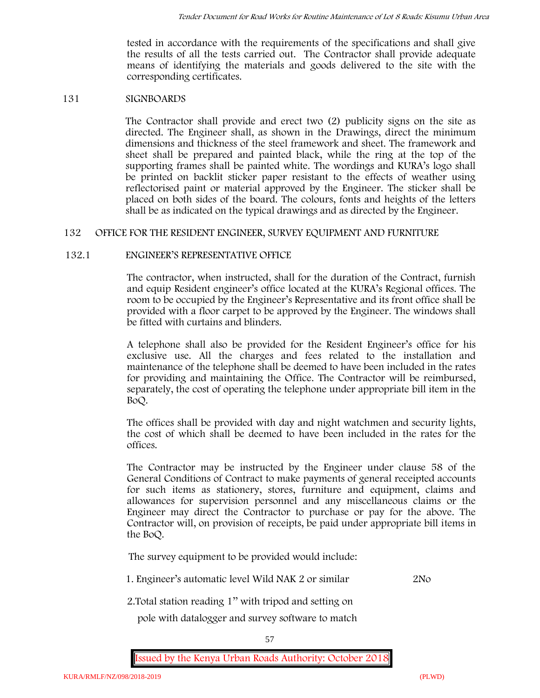tested in accordance with the requirements of the specifications and shall give the results of all the tests carried out. The Contractor shall provide adequate means of identifying the materials and goods delivered to the site with the corresponding certificates.

# **131 SIGNBOARDS**

The Contractor shall provide and erect two (2) publicity signs on the site as directed. The Engineer shall, as shown in the Drawings, direct the minimum dimensions and thickness of the steel framework and sheet. The framework and sheet shall be prepared and painted black, while the ring at the top of the supporting frames shall be painted white. The wordings and KURA's logo shall be printed on backlit sticker paper resistant to the effects of weather using reflectorised paint or material approved by the Engineer. The sticker shall be placed on both sides of the board. The colours, fonts and heights of the letters shall be as indicated on the typical drawings and as directed by the Engineer.

# **132 OFFICE FOR THE RESIDENT ENGINEER, SURVEY EQUIPMENT AND FURNITURE**

# **132.1 ENGINEER'S REPRESENTATIVE OFFICE**

The contractor, when instructed, shall for the duration of the Contract, furnish and equip Resident engineer's office located at the KURA's Regional offices. The room to be occupied by the Engineer's Representative and its front office shall be provided with a floor carpet to be approved by the Engineer. The windows shall be fitted with curtains and blinders.

A telephone shall also be provided for the Resident Engineer's office for his exclusive use. All the charges and fees related to the installation and maintenance of the telephone shall be deemed to have been included in the rates for providing and maintaining the Office. The Contractor will be reimbursed, separately, the cost of operating the telephone under appropriate bill item in the BoQ.

The offices shall be provided with day and night watchmen and security lights, the cost of which shall be deemed to have been included in the rates for the offices.

The Contractor may be instructed by the Engineer under clause 58 of the General Conditions of Contract to make payments of general receipted accounts for such items as stationery, stores, furniture and equipment, claims and allowances for supervision personnel and any miscellaneous claims or the Engineer may direct the Contractor to purchase or pay for the above. The Contractor will, on provision of receipts, be paid under appropriate bill items in the BoQ.

**The survey equipment to be provided would include:**

1. Engineer's automatic level Wild NAK 2 or similar 2No

2.Total station reading 1'' with tripod and setting on

pole with datalogger and survey software to match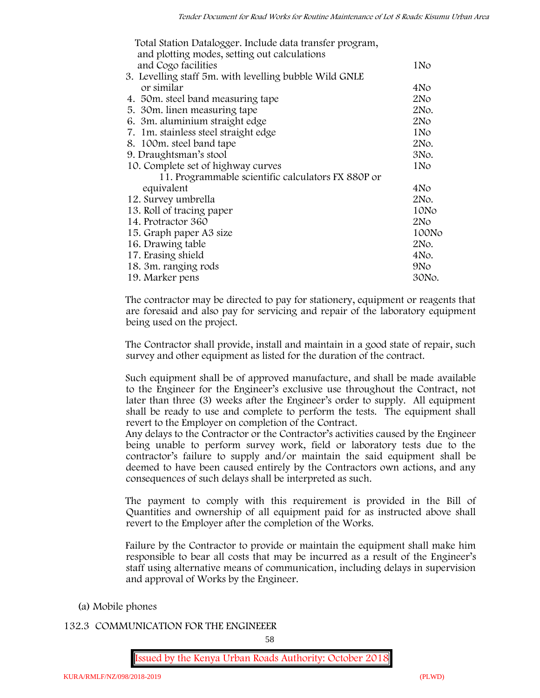| Total Station Datalogger. Include data transfer program,<br>and plotting modes, setting out calculations |                 |
|----------------------------------------------------------------------------------------------------------|-----------------|
| and Cogo facilities                                                                                      | 1No             |
| 3. Levelling staff 5m. with levelling bubble Wild GNLE                                                   |                 |
| or similar                                                                                               | 4No             |
| 4. 50 m. steel band measuring tape                                                                       | 2N <sub>O</sub> |
| 5. 30 m. linen measuring tape                                                                            | 2No.            |
| 6. 3m. aluminium straight edge                                                                           | 2N <sub>O</sub> |
| 7. 1m. stainless steel straight edge                                                                     | 1N <sub>o</sub> |
| 8. 100m. steel band tape                                                                                 | 2No.            |
| 9. Draughtsman's stool                                                                                   | 3No.            |
| 10. Complete set of highway curves                                                                       | 1N <sub>o</sub> |
| 11. Programmable scientific calculators FX 880P or                                                       |                 |
| equivalent                                                                                               | 4No             |
| 12. Survey umbrella                                                                                      | 2No.            |
| 13. Roll of tracing paper                                                                                | 10No            |
| 14. Protractor 360                                                                                       | 2N <sub>O</sub> |
| 15. Graph paper A3 size                                                                                  | 100No           |
| 16. Drawing table                                                                                        | 2No.            |
| 17. Erasing shield                                                                                       | 4No.            |
| 18. 3m. ranging rods                                                                                     | 9N <sub>o</sub> |
| 19. Marker pens                                                                                          | 30No.           |

The contractor may be directed to pay for stationery, equipment or reagents that are foresaid and also pay for servicing and repair of the laboratory equipment being used on the project.

The Contractor shall provide, install and maintain in a good state of repair, such survey and other equipment as listed for the duration of the contract.

Such equipment shall be of approved manufacture, and shall be made available to the Engineer for the Engineer's exclusive use throughout the Contract, not later than three (3) weeks after the Engineer's order to supply. All equipment shall be ready to use and complete to perform the tests. The equipment shall revert to the Employer on completion of the Contract.

Any delays to the Contractor or the Contractor's activities caused by the Engineer being unable to perform survey work, field or laboratory tests due to the contractor's failure to supply and/or maintain the said equipment shall be deemed to have been caused entirely by the Contractors own actions, and any consequences of such delays shall be interpreted as such.

The payment to comply with this requirement is provided in the Bill of Quantities and ownership of all equipment paid for as instructed above shall revert to the Employer after the completion of the Works.

Failure by the Contractor to provide or maintain the equipment shall make him responsible to bear all costs that may be incurred as a result of the Engineer's staff using alternative means of communication, including delays in supervision and approval of Works by the Engineer.

- **(a) Mobile phones**
- **132.3 COMMUNICATION FOR THE ENGINEEER**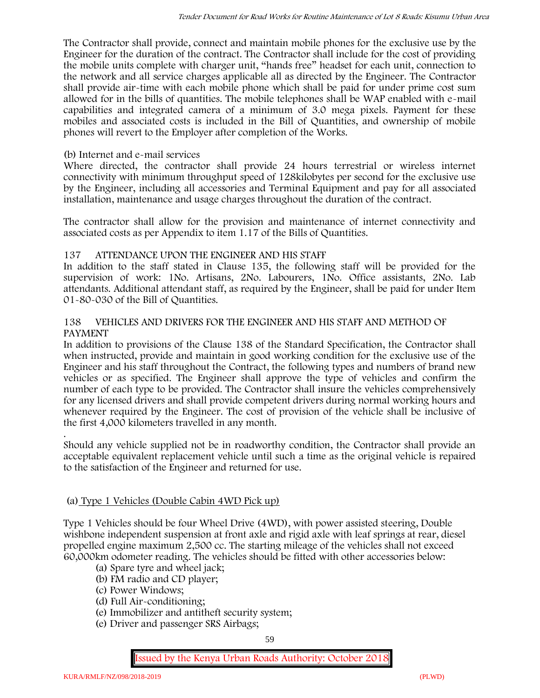The Contractor shall provide, connect and maintain mobile phones for the exclusive use by the Engineer for the duration of the contract. The Contractor shall include for the cost of providing the mobile units complete with charger unit, "hands free" headset for each unit, connection to the network and all service charges applicable all as directed by the Engineer. The Contractor shall provide air-time with each mobile phone which shall be paid for under prime cost sum allowed for in the bills of quantities. The mobile telephones shall be WAP enabled with e-mail capabilities and integrated camera of a minimum of 3.0 mega pixels. Payment for these mobiles and associated costs is included in the Bill of Quantities, and ownership of mobile phones will revert to the Employer after completion of the Works.

# **(b) Internet and e-mail services**

Where directed, the contractor shall provide 24 hours terrestrial or wireless internet connectivity with minimum throughput speed of 128kilobytes per second for the exclusive use by the Engineer, including all accessories and Terminal Equipment and pay for all associated installation, maintenance and usage charges throughout the duration of the contract.

The contractor shall allow for the provision and maintenance of internet connectivity and associated costs as per Appendix to item 1.17 of the Bills of Quantities.

# **137 ATTENDANCE UPON THE ENGINEER AND HIS STAFF**

In addition to the staff stated in Clause 135, the following staff will be provided for the supervision of work: 1No. Artisans, 2No. Labourers, 1No. Office assistants, 2No. Lab attendants. Additional attendant staff, as required by the Engineer, shall be paid for under Item 01-80-030 of the Bill of Quantities.

# **138 VEHICLES AND DRIVERS FOR THE ENGINEER AND HIS STAFF AND METHOD OF PAYMENT**

In addition to provisions of the Clause 138 of the Standard Specification, the Contractor shall when instructed, provide and maintain in good working condition for the exclusive use of the Engineer and his staff throughout the Contract, the following types and numbers of brand new vehicles or as specified. The Engineer shall approve the type of vehicles and confirm the number of each type to be provided. The Contractor shall insure the vehicles comprehensively for any licensed drivers and shall provide competent drivers during normal working hours and whenever required by the Engineer. The cost of provision of the vehicle shall be inclusive of the first 4,000 kilometers travelled in any month.

.Should any vehicle supplied not be in roadworthy condition, the Contractor shall provide an acceptable equivalent replacement vehicle until such a time as the original vehicle is repaired to the satisfaction of the Engineer and returned for use.

# **(a) Type 1 Vehicles (Double Cabin 4WD Pick up)**

Type 1 Vehicles should be four Wheel Drive (4WD), with power assisted steering, Double wishbone independent suspension at front axle and rigid axle with leaf springs at rear, diesel propelled engine maximum 2,500 cc. The starting mileage of the vehicles shall not exceed 60,000km odometer reading. The vehicles should be fitted with other accessories below:

- (a) Spare tyre and wheel jack;
- (b) FM radio and CD player;
- (c) Power Windows;
- (d) Full Air-conditioning;
- (e) Immobilizer and antitheft security system;
- (e) Driver and passenger SRS Airbags;

59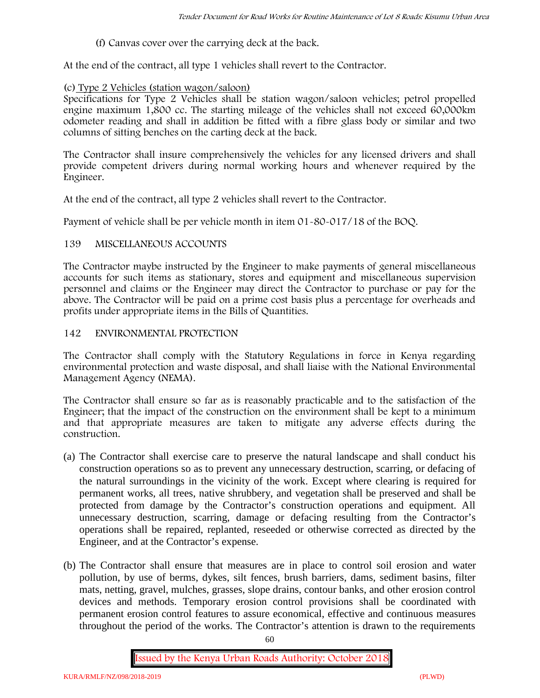(f) Canvas cover over the carrying deck at the back.

At the end of the contract, all type 1 vehicles shall revert to the Contractor.

# **(c) Type 2 Vehicles (station wagon/saloon)**

Specifications for Type 2 Vehicles shall be station wagon/saloon vehicles; petrol propelled engine maximum 1,800 cc. The starting mileage of the vehicles shall not exceed 60,000km odometer reading and shall in addition be fitted with a fibre glass body or similar and two columns of sitting benches on the carting deck at the back.

The Contractor shall insure comprehensively the vehicles for any licensed drivers and shall provide competent drivers during normal working hours and whenever required by the Engineer.

At the end of the contract, all type 2 vehicles shall revert to the Contractor.

Payment of vehicle shall be per vehicle month in item 01-80-017/18 of the BOQ.

# **139 MISCELLANEOUS ACCOUNTS**

The Contractor maybe instructed by the Engineer to make payments of general miscellaneous accounts for such items as stationary, stores and equipment and miscellaneous supervision personnel and claims or the Engineer may direct the Contractor to purchase or pay for the above. The Contractor will be paid on a prime cost basis plus a percentage for overheads and profits under appropriate items in the Bills of Quantities.

# **142 ENVIRONMENTAL PROTECTION**

The Contractor shall comply with the Statutory Regulations in force in Kenya regarding environmental protection and waste disposal, and shall liaise with the National Environmental Management Agency (NEMA).

The Contractor shall ensure so far as is reasonably practicable and to the satisfaction of the Engineer; that the impact of the construction on the environment shall be kept to a minimum and that appropriate measures are taken to mitigate any adverse effects during the construction.

- (a) The Contractor shall exercise care to preserve the natural landscape and shall conduct his construction operations so as to prevent any unnecessary destruction, scarring, or defacing of the natural surroundings in the vicinity of the work. Except where clearing is required for permanent works, all trees, native shrubbery, and vegetation shall be preserved and shall be protected from damage by the Contractor's construction operations and equipment. All unnecessary destruction, scarring, damage or defacing resulting from the Contractor's operations shall be repaired, replanted, reseeded or otherwise corrected as directed by the Engineer, and at the Contractor's expense.
- (b) The Contractor shall ensure that measures are in place to control soil erosion and water pollution, by use of berms, dykes, silt fences, brush barriers, dams, sediment basins, filter mats, netting, gravel, mulches, grasses, slope drains, contour banks, and other erosion control devices and methods. Temporary erosion control provisions shall be coordinated with permanent erosion control features to assure economical, effective and continuous measures throughout the period of the works. The Contractor's attention is drawn to the requirements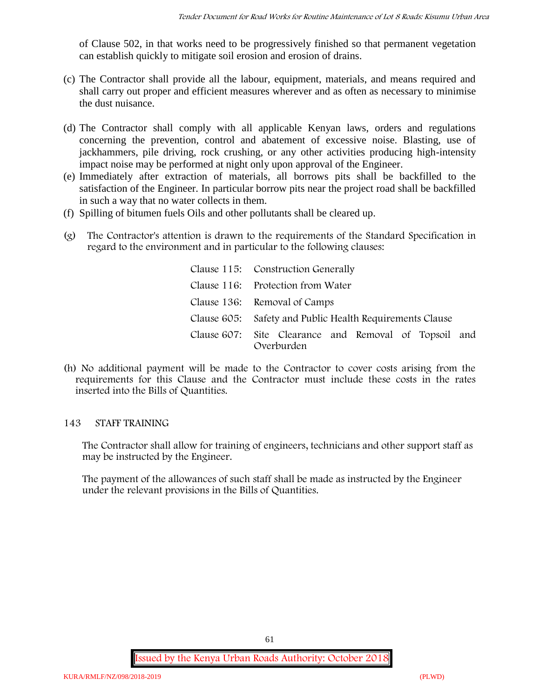of Clause 502, in that works need to be progressively finished so that permanent vegetation can establish quickly to mitigate soil erosion and erosion of drains.

- (c) The Contractor shall provide all the labour, equipment, materials, and means required and shall carry out proper and efficient measures wherever and as often as necessary to minimise the dust nuisance.
- (d) The Contractor shall comply with all applicable Kenyan laws, orders and regulations concerning the prevention, control and abatement of excessive noise. Blasting, use of jackhammers, pile driving, rock crushing, or any other activities producing high-intensity impact noise may be performed at night only upon approval of the Engineer.
- (e) Immediately after extraction of materials, all borrows pits shall be backfilled to the satisfaction of the Engineer. In particular borrow pits near the project road shall be backfilled in such a way that no water collects in them.
- (f) Spilling of bitumen fuels Oils and other pollutants shall be cleared up.
- (g) The Contractor's attention is drawn to the requirements of the Standard Specification in regard to the environment and in particular to the following clauses:

| Clause 115: Construction Generally                                  |
|---------------------------------------------------------------------|
| Clause 116: Protection from Water                                   |
| Clause 136: Removal of Camps                                        |
| Clause 605: Safety and Public Health Requirements Clause            |
| Clause 607: Site Clearance and Removal of Topsoil and<br>Overburden |

(h) No additional payment will be made to the Contractor to cover costs arising from the requirements for this Clause and the Contractor must include these costs in the rates inserted into the Bills of Quantities.

# **143 STAFF TRAINING**

The Contractor shall allow for training of engineers, technicians and other support staff as may be instructed by the Engineer.

The payment of the allowances of such staff shall be made as instructed by the Engineer under the relevant provisions in the Bills of Quantities.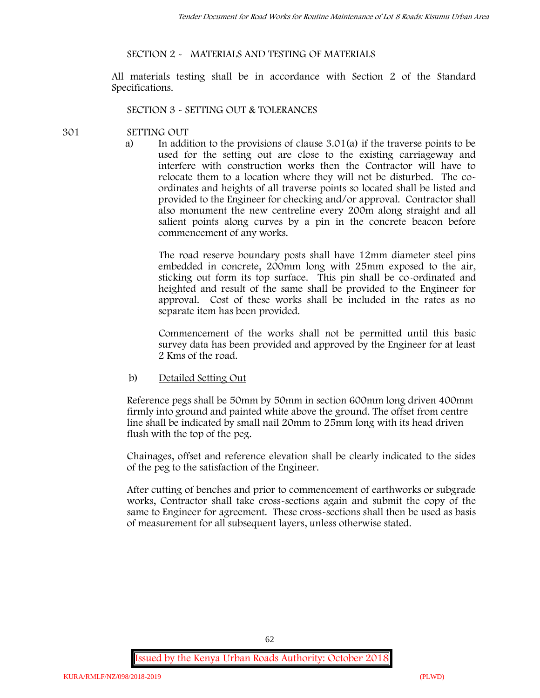# **SECTION 2 - MATERIALS AND TESTING OF MATERIALS**

All materials testing shall be in accordance with Section 2 of the Standard Specifications.

#### **SECTION 3 - SETTING OUT & TOLERANCES**

#### **301 SETTING OUT**

a) In addition to the provisions of clause 3.01(a) if the traverse points to be used for the setting out are close to the existing carriageway and interfere with construction works then the Contractor will have to relocate them to a location where they will not be disturbed. The co ordinates and heights of all traverse points so located shall be listed and provided to the Engineer for checking and/or approval. Contractor shall also monument the new centreline every 200m along straight and all salient points along curves by a pin in the concrete beacon before commencement of any works.

The road reserve boundary posts shall have 12mm diameter steel pins embedded in concrete, 200mm long with 25mm exposed to the air, sticking out form its top surface. This pin shall be co-ordinated and heighted and result of the same shall be provided to the Engineer for approval. Cost of these works shall be included in the rates as no separate item has been provided.

Commencement of the works shall not be permitted until this basic survey data has been provided and approved by the Engineer for at least 2 Kms of the road.

b) Detailed Setting Out

Reference pegs shall be 50mm by 50mm in section 600mm long driven 400mm firmly into ground and painted white above the ground. The offset from centre line shall be indicated by small nail 20mm to 25mm long with its head driven flush with the top of the peg.

Chainages, offset and reference elevation shall be clearly indicated to the sides of the peg to the satisfaction of the Engineer.

After cutting of benches and prior to commencement of earthworks or subgrade works, Contractor shall take cross-sections again and submit the copy of the same to Engineer for agreement. These cross-sections shall then be used as basis of measurement for all subsequent layers, unless otherwise stated.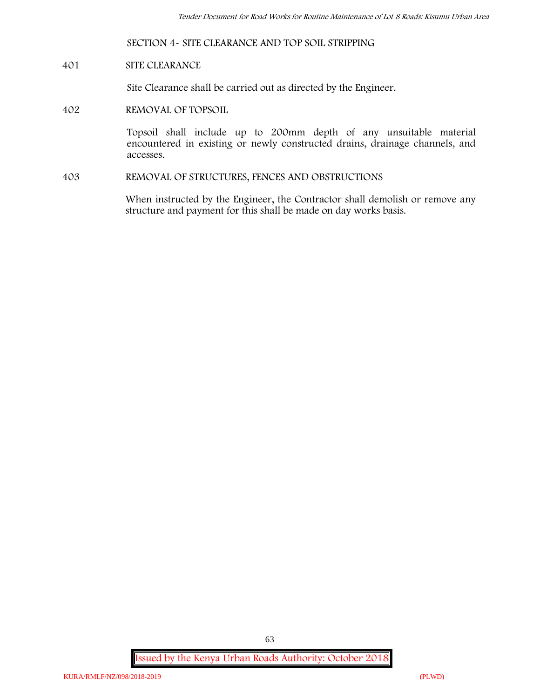### **SECTION 4- SITE CLEARANCE AND TOP SOIL STRIPPING**

#### **401 SITE CLEARANCE**

Site Clearance shall be carried out as directed by the Engineer.

#### **402 REMOVAL OF TOPSOIL**

Topsoil shall include up to 200mm depth of any unsuitable material encountered in existing or newly constructed drains, drainage channels, and accesses.

**403 REMOVAL OF STRUCTURES, FENCES AND OBSTRUCTIONS**

When instructed by the Engineer, the Contractor shall demolish or remove any structure and payment for this shall be made on day works basis.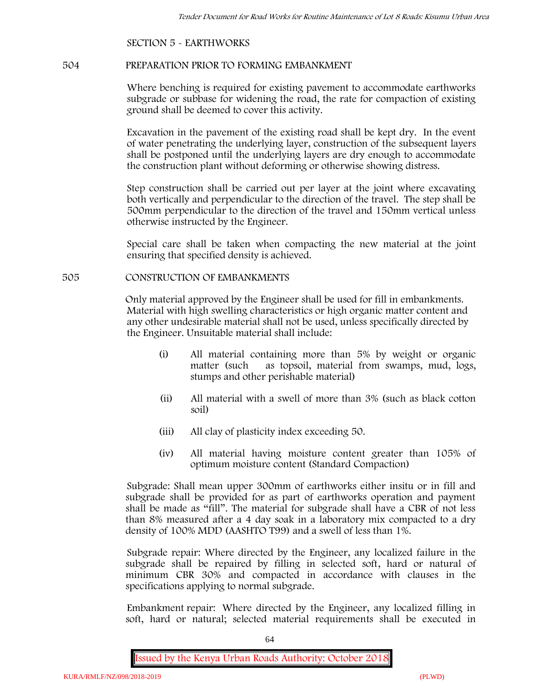# **SECTION 5 - EARTHWORKS**

#### **504 PREPARATION PRIOR TO FORMING EMBANKMENT**

Where benching is required for existing pavement to accommodate earthworks subgrade or subbase for widening the road, the rate for compaction of existing ground shall be deemed to cover this activity.

Excavation in the pavement of the existing road shall be kept dry. In the event of water penetrating the underlying layer, construction of the subsequent layers shall be postponed until the underlying layers are dry enough to accommodate the construction plant without deforming or otherwise showing distress.

Step construction shall be carried out per layer at the joint where excavating both vertically and perpendicular to the direction of the travel. The step shall be 500mm perpendicular to the direction of the travel and 150mm vertical unless otherwise instructed by the Engineer.

Special care shall be taken when compacting the new material at the joint ensuring that specified density is achieved.

#### **505 CONSTRUCTION OF EMBANKMENTS**

Only material approved by the Engineer shall be used for fill in embankments. Material with high swelling characteristics or high organic matter content and any other undesirable material shall not be used, unless specifically directed by the Engineer. Unsuitable material shall include:

- (i) All material containing more than 5% by weight or organic matter (such as topsoil, material from swamps, mud, logs, stumps and other perishable material)
- (ii) All material with a swell of more than 3% (such as black cotton soil)
- (iii) All clay of plasticity index exceeding 50.
- (iv) All material having moisture content greater than 105% of optimum moisture content (Standard Compaction)

Subgrade: Shall mean upper 300mm of earthworks either insitu or in fill and subgrade shall be provided for as part of earthworks operation and payment shall be made as "fill". The material for subgrade shall have a CBR of not less than 8% measured after a 4 day soak in a laboratory mix compacted to a dry density of 100% MDD (AASHTO T99) and a swell of less than 1%.

Subgrade repair: Where directed by the Engineer, any localized failure in the subgrade shall be repaired by filling in selected soft, hard or natural of minimum CBR 30% and compacted in accordance with clauses in the specifications applying to normal subgrade.

Embankment repair: Where directed by the Engineer, any localized filling in soft, hard or natural; selected material requirements shall be executed in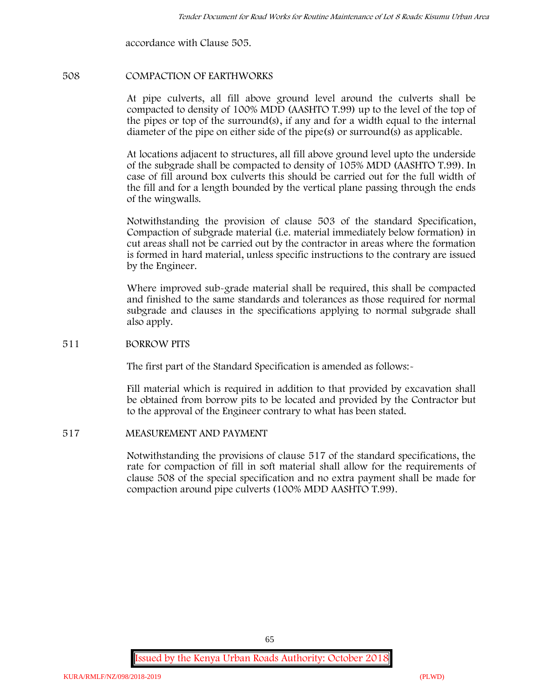accordance with Clause 505.

# **508 COMPACTION OF EARTHWORKS**

At pipe culverts, all fill above ground level around the culverts shall be compacted to density of 100% MDD (AASHTO T.99) up to the level of the top of the pipes or top of the surround(s), if any and for a width equal to the internal diameter of the pipe on either side of the pipe(s) or surround(s) as applicable.

At locations adjacent to structures, all fill above ground level upto the underside of the subgrade shall be compacted to density of 105% MDD (AASHTO T.99). In case of fill around box culverts this should be carried out for the full width of the fill and for a length bounded by the vertical plane passing through the ends of the wingwalls.

Notwithstanding the provision of clause 503 of the standard Specification, Compaction of subgrade material (i.e. material immediately below formation) in cut areas shall not be carried out by the contractor in areas where the formation is formed in hard material, unless specific instructions to the contrary are issued by the Engineer.

Where improved sub-grade material shall be required, this shall be compacted and finished to the same standards and tolerances as those required for normal subgrade and clauses in the specifications applying to normal subgrade shall also apply.

# **511 BORROW PITS**

The first part of the Standard Specification is amended as follows:-

Fill material which is required in addition to that provided by excavation shall be obtained from borrow pits to be located and provided by the Contractor but to the approval of the Engineer contrary to what has been stated.

# **517 MEASUREMENT AND PAYMENT**

Notwithstanding the provisions of clause 517 of the standard specifications, the rate for compaction of fill in soft material shall allow for the requirements of clause 508 of the special specification and no extra payment shall be made for compaction around pipe culverts (100% MDD AASHTO T.99).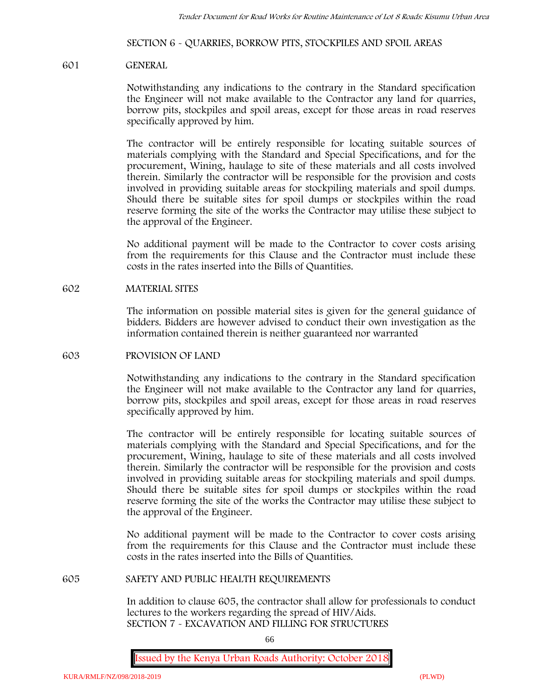# **SECTION 6 - QUARRIES, BORROW PITS, STOCKPILES AND SPOIL AREAS**

#### **601 GENERAL**

Notwithstanding any indications to the contrary in the Standard specification the Engineer will not make available to the Contractor any land for quarries, borrow pits, stockpiles and spoil areas, except for those areas in road reserves specifically approved by him.

The contractor will be entirely responsible for locating suitable sources of materials complying with the Standard and Special Specifications, and for the procurement, Wining, haulage to site of these materials and all costs involved therein. Similarly the contractor will be responsible for the provision and costs involved in providing suitable areas for stockpiling materials and spoil dumps. Should there be suitable sites for spoil dumps or stockpiles within the road reserve forming the site of the works the Contractor may utilise these subject to the approval of the Engineer.

No additional payment will be made to the Contractor to cover costs arising from the requirements for this Clause and the Contractor must include these costs in the rates inserted into the Bills of Quantities.

#### **602 MATERIAL SITES**

The information on possible material sites is given for the general guidance of bidders. Bidders are however advised to conduct their own investigation as the information contained therein is neither guaranteed nor warranted

#### **603 PROVISION OF LAND**

Notwithstanding any indications to the contrary in the Standard specification the Engineer will not make available to the Contractor any land for quarries, borrow pits, stockpiles and spoil areas, except for those areas in road reserves specifically approved by him.

The contractor will be entirely responsible for locating suitable sources of materials complying with the Standard and Special Specifications, and for the procurement, Wining, haulage to site of these materials and all costs involved therein. Similarly the contractor will be responsible for the provision and costs involved in providing suitable areas for stockpiling materials and spoil dumps. Should there be suitable sites for spoil dumps or stockpiles within the road reserve forming the site of the works the Contractor may utilise these subject to the approval of the Engineer.

No additional payment will be made to the Contractor to cover costs arising from the requirements for this Clause and the Contractor must include these costs in the rates inserted into the Bills of Quantities.

#### **605 SAFETY AND PUBLIC HEALTH REQUIREMENTS**

In addition to clause 605, the contractor shall allow for professionals to conduct lectures to the workers regarding the spread of HIV/Aids. **SECTION 7 - EXCAVATION AND FILLING FOR STRUCTURES**

66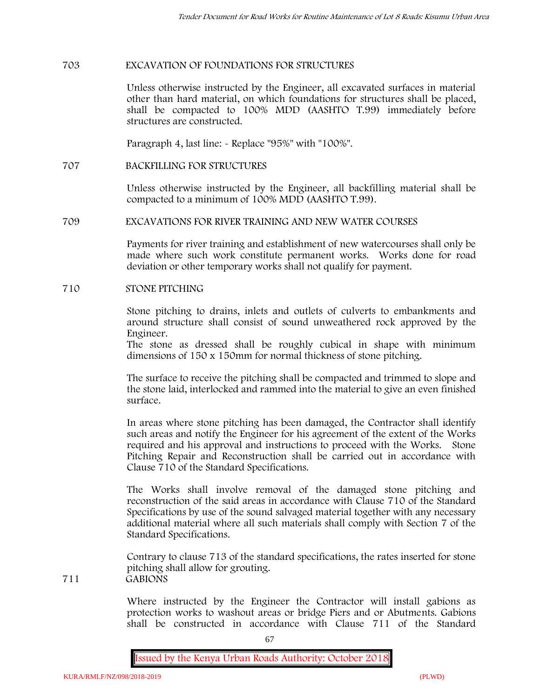# **703 EXCAVATION OF FOUNDATIONS FOR STRUCTURES**

Unless otherwise instructed by the Engineer, all excavated surfaces in material other than hard material, on which foundations for structures shall be placed, shall be compacted to 100% MDD (AASHTO T.99) immediately before structures are constructed.

Paragraph 4, last line: - Replace "95%" with "100%".

**707 BACKFILLING FOR STRUCTURES**

Unless otherwise instructed by the Engineer, all backfilling material shall be compacted to a minimum of 100% MDD (AASHTO T.99).

#### **709 EXCAVATIONS FOR RIVER TRAINING AND NEW WATER COURSES**

Payments for river training and establishment of new watercourses shall only be made where such work constitute permanent works. Works done for road deviation or other temporary works shall not qualify for payment.

#### **710 STONE PITCHING**

Stone pitching to drains, inlets and outlets of culverts to embankments and around structure shall consist of sound unweathered rock approved by the Engineer.

The stone as dressed shall be roughly cubical in shape with minimum dimensions of 150 x 150mm for normal thickness of stone pitching.

The surface to receive the pitching shall be compacted and trimmed to slope and the stone laid, interlocked and rammed into the material to give an even finished surface.

In areas where stone pitching has been damaged, the Contractor shall identify such areas and notify the Engineer for his agreement of the extent of the Works required and his approval and instructions to proceed with the Works. Stone Pitching Repair and Reconstruction shall be carried out in accordance with Clause 710 of the Standard Specifications.

The Works shall involve removal of the damaged stone pitching and reconstruction of the said areas in accordance with Clause 710 of the Standard Specifications by use of the sound salvaged material together with any necessary additional material where all such materials shall comply with Section 7 of the Standard Specifications.

Contrary to clause 713 of the standard specifications, the rates inserted for stone pitching shall allow for grouting. **711 GABIONS**

> Where instructed by the Engineer the Contractor will install gabions as protection works to washout areas or bridge Piers and or Abutments. Gabions shall be constructed in accordance with Clause 711 of the Standard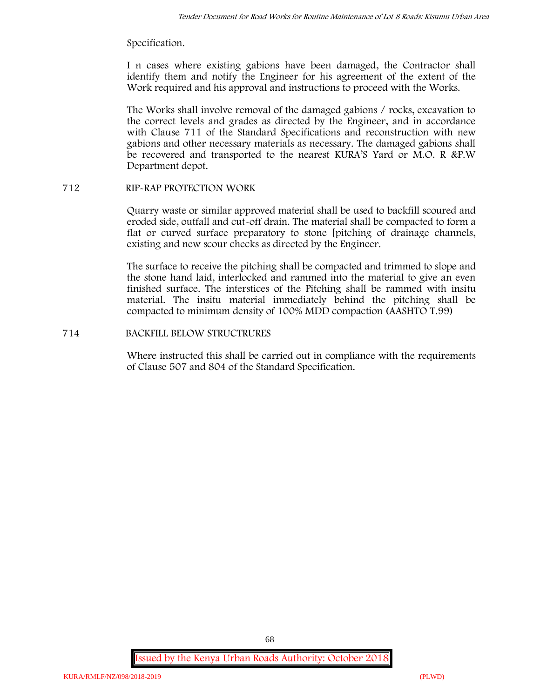# Specification.

I n cases where existing gabions have been damaged, the Contractor shall identify them and notify the Engineer for his agreement of the extent of the Work required and his approval and instructions to proceed with the Works.

The Works shall involve removal of the damaged gabions / rocks, excavation to the correct levels and grades as directed by the Engineer, and in accordance with Clause 711 of the Standard Specifications and reconstruction with new gabions and other necessary materials as necessary. The damaged gabions shall be recovered and transported to the nearest KURA'S Yard or M.O. R &P.W Department depot.

# **712 RIP-RAP PROTECTION WORK**

Quarry waste or similar approved material shall be used to backfill scoured and eroded side, outfall and cut-off drain. The material shall be compacted to form a flat or curved surface preparatory to stone [pitching of drainage channels, existing and new scour checks as directed by the Engineer.

The surface to receive the pitching shall be compacted and trimmed to slope and the stone hand laid, interlocked and rammed into the material to give an even finished surface. The interstices of the Pitching shall be rammed with insitu material. The insitu material immediately behind the pitching shall be compacted to minimum density of 100% MDD compaction (AASHTO T.99)

# **714 BACKFILL BELOW STRUCTRURES**

Where instructed this shall be carried out in compliance with the requirements of Clause 507 and 804 of the Standard Specification.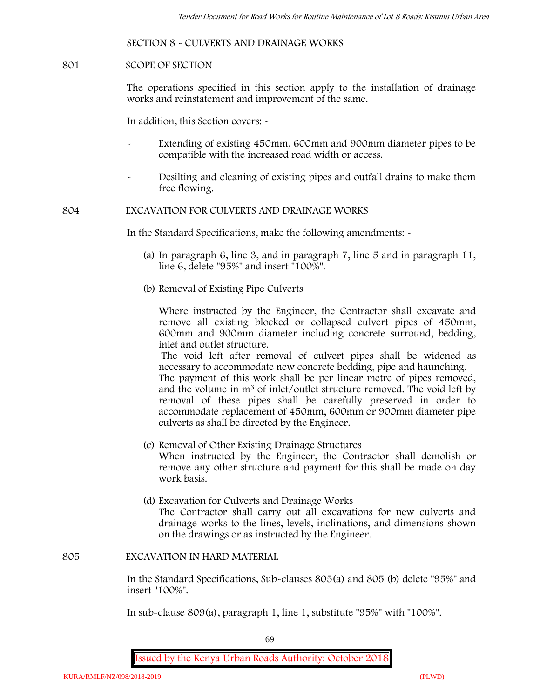# **SECTION 8 - CULVERTS AND DRAINAGE WORKS**

#### **801 SCOPE OF SECTION**

The operations specified in this section apply to the installation of drainage works and reinstatement and improvement of the same.

In addition, this Section covers: -

- Extending of existing 450mm, 600mm and 900mm diameter pipes to be compatible with the increased road width or access.
- Desilting and cleaning of existing pipes and outfall drains to make them free flowing.

**804 EXCAVATION FOR CULVERTS AND DRAINAGE WORKS**

In the Standard Specifications, make the following amendments: -

- (a) In paragraph 6, line 3, and in paragraph 7, line 5 and in paragraph 11, line 6, delete "95%" and insert "100%".
- (b) Removal of Existing Pipe Culverts

Where instructed by the Engineer, the Contractor shall excavate and remove all existing blocked or collapsed culvert pipes of 450mm, 600mm and 900mm diameter including concrete surround, bedding, inlet and outlet structure.

The void left after removal of culvert pipes shall be widened as necessary to accommodate new concrete bedding, pipe and haunching. The payment of this work shall be per linear metre of pipes removed,

and the volume in m<sup>3</sup> of inlet/outlet structure removed. The void left by removal of these pipes shall be carefully preserved in order to accommodate replacement of 450mm, 600mm or 900mm diameter pipe culverts as shall be directed by the Engineer.

- (c) Removal of Other Existing Drainage Structures When instructed by the Engineer, the Contractor shall demolish or remove any other structure and payment for this shall be made on day work basis.
- (d) Excavation for Culverts and Drainage Works The Contractor shall carry out all excavations for new culverts and drainage works to the lines, levels, inclinations, and dimensions shown on the drawings or as instructed by the Engineer.

#### **805 EXCAVATION IN HARD MATERIAL**

In the Standard Specifications, Sub-clauses 805(a) and 805 (b) delete "95%" and insert "100%".

In sub-clause 809(a), paragraph 1, line 1, substitute "95%" with "100%".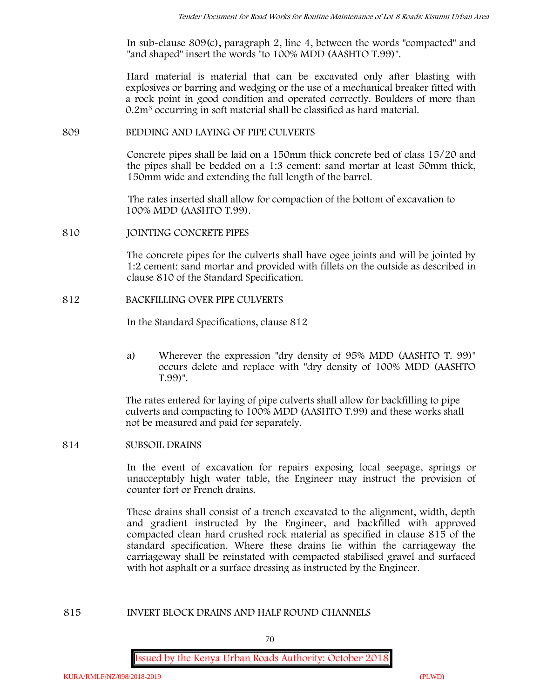In sub-clause 809(c), paragraph 2, line 4, between the words "compacted" and "and shaped" insert the words "to 100% MDD (AASHTO T.99)".

Hard material is material that can be excavated only after blasting with explosives or barring and wedging or the use of a mechanical breaker fitted with a rock point in good condition and operated correctly. Boulders of more than 0.2m<sup>3</sup> occurring in soft material shall be classified as hard material.

### **809 BEDDING AND LAYING OF PIPE CULVERTS**

Concrete pipes shall be laid on a 150mm thick concrete bed of class 15/20 and the pipes shall be bedded on a 1:3 cement: sand mortar at least 50mm thick, 150mm wide and extending the full length of the barrel.

The rates inserted shall allow for compaction of the bottom of excavation to 100% MDD (AASHTO T.99).

**810 JOINTING CONCRETE PIPES**

The concrete pipes for the culverts shall have ogee joints and will be jointed by 1:2 cement: sand mortar and provided with fillets on the outside as described in clause 810 of the Standard Specification.

# **812 BACKFILLING OVER PIPE CULVERTS**

In the Standard Specifications, clause 812

a) Wherever the expression "dry density of 95% MDD (AASHTO T. 99)" occurs delete and replace with "dry density of 100% MDD (AASHTO T.99)".

The rates entered for laying of pipe culverts shall allow for backfilling to pipe culverts and compacting to 100% MDD (AASHTO T.99) and these works shall not be measured and paid for separately.

# **814 SUBSOIL DRAINS**

In the event of excavation for repairs exposing local seepage, springs or unacceptably high water table, the Engineer may instruct the provision of counter fort or French drains.

These drains shall consist of a trench excavated to the alignment, width, depth and gradient instructed by the Engineer, and backfilled with approved compacted clean hard crushed rock material as specified in clause 815 of the standard specification. Where these drains lie within the carriageway the carriageway shall be reinstated with compacted stabilised gravel and surfaced with hot asphalt or a surface dressing as instructed by the Engineer.

# **815 INVERT BLOCK DRAINS AND HALF ROUND CHANNELS**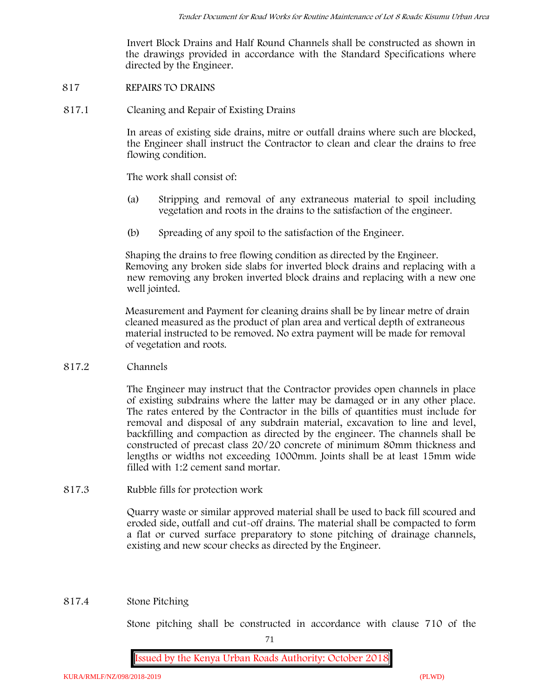Invert Block Drains and Half Round Channels shall be constructed as shown in the drawings provided in accordance with the Standard Specifications where directed by the Engineer.

- **817 REPAIRS TO DRAINS**
- **817.1 Cleaning and Repair of Existing Drains**

In areas of existing side drains, mitre or outfall drains where such are blocked, the Engineer shall instruct the Contractor to clean and clear the drains to free flowing condition.

The work shall consist of:

- (a) Stripping and removal of any extraneous material to spoil including vegetation and roots in the drains to the satisfaction of the engineer.
- (b) Spreading of any spoil to the satisfaction of the Engineer.

Shaping the drains to free flowing condition as directed by the Engineer. Removing any broken side slabs for inverted block drains and replacing with a new removing any broken inverted block drains and replacing with a new one well jointed.

Measurement and Payment for cleaning drains shall be by linear metre of drain cleaned measured as the product of plan area and vertical depth of extraneous material instructed to be removed. No extra payment will be made for removal of vegetation and roots.

**817.2 Channels**

The Engineer may instruct that the Contractor provides open channels in place of existing subdrains where the latter may be damaged or in any other place. The rates entered by the Contractor in the bills of quantities must include for removal and disposal of any subdrain material, excavation to line and level, backfilling and compaction as directed by the engineer. The channels shall be constructed of precast class 20/20 concrete of minimum 80mm thickness and lengths or widths not exceeding 1000mm. Joints shall be at least 15mm wide filled with 1:2 cement sand mortar.

**817.3 Rubble fills for protection work**

Quarry waste or similar approved material shall be used to back fill scoured and eroded side, outfall and cut-off drains. The material shall be compacted to form a flat or curved surface preparatory to stone pitching of drainage channels, existing and new scour checks as directed by the Engineer.

# **817.4 Stone Pitching**

Stone pitching shall be constructed in accordance with clause 710 of the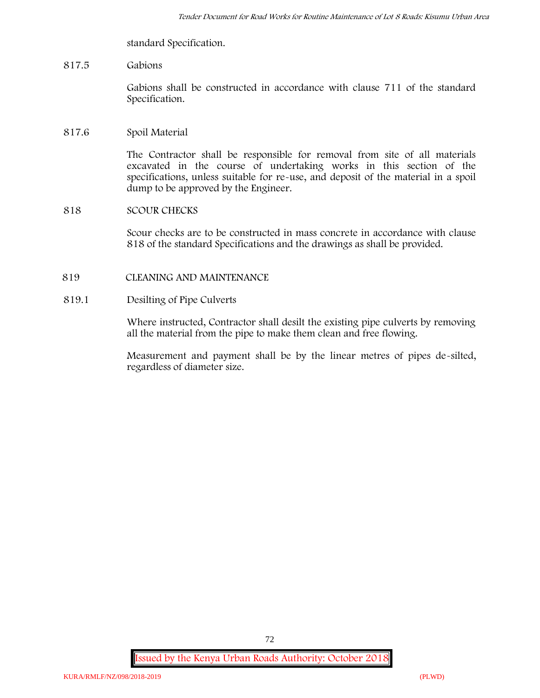standard Specification.

## **817.5 Gabions**

Gabions shall be constructed in accordance with clause 711 of the standard Specification.

## **817.6 Spoil Material**

The Contractor shall be responsible for removal from site of all materials excavated in the course of undertaking works in this section of the specifications, unless suitable for re-use, and deposit of the material in a spoil dump to be approved by the Engineer.

## **818 SCOUR CHECKS**

Scour checks are to be constructed in mass concrete in accordance with clause 818 of the standard Specifications and the drawings as shall be provided.

## **819 CLEANING AND MAINTENANCE**

## **819.1 Desilting of Pipe Culverts**

Where instructed, Contractor shall desilt the existing pipe culverts by removing all the material from the pipe to make them clean and free flowing.

Measurement and payment shall be by the linear metres of pipes de-silted, regardless of diameter size.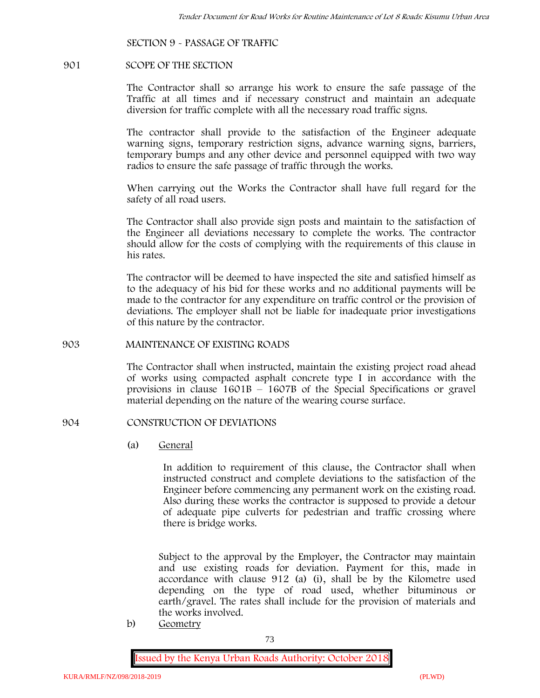## **SECTION 9 - PASSAGE OF TRAFFIC**

#### **901 SCOPE OF THE SECTION**

The Contractor shall so arrange his work to ensure the safe passage of the Traffic at all times and if necessary construct and maintain an adequate diversion for traffic complete with all the necessary road traffic signs.

The contractor shall provide to the satisfaction of the Engineer adequate warning signs, temporary restriction signs, advance warning signs, barriers, temporary bumps and any other device and personnel equipped with two way radios to ensure the safe passage of traffic through the works.

When carrying out the Works the Contractor shall have full regard for the safety of all road users.

The Contractor shall also provide sign posts and maintain to the satisfaction of the Engineer all deviations necessary to complete the works. The contractor should allow for the costs of complying with the requirements of this clause in his rates.

The contractor will be deemed to have inspected the site and satisfied himself as to the adequacy of his bid for these works and no additional payments will be made to the contractor for any expenditure on traffic control or the provision of deviations. The employer shall not be liable for inadequate prior investigations of this nature by the contractor.

### **903 MAINTENANCE OF EXISTING ROADS**

The Contractor shall when instructed, maintain the existing project road ahead of works using compacted asphalt concrete type I in accordance with the provisions in clause 1601B – 1607B of the Special Specifications or gravel material depending on the nature of the wearing course surface.

### **904 CONSTRUCTION OF DEVIATIONS**

(a) **General**

In addition to requirement of this clause, the Contractor shall when instructed construct and complete deviations to the satisfaction of the Engineer before commencing any permanent work on the existing road. Also during these works the contractor is supposed to provide a detour of adequate pipe culverts for pedestrian and traffic crossing where there is bridge works.

Subject to the approval by the Employer, the Contractor may maintain and use existing roads for deviation. Payment for this, made in accordance with clause 912 (a) (i), shall be by the Kilometre used depending on the type of road used, whether bituminous or earth/gravel. The rates shall include for the provision of materials and the works involved.

b) **Geometry**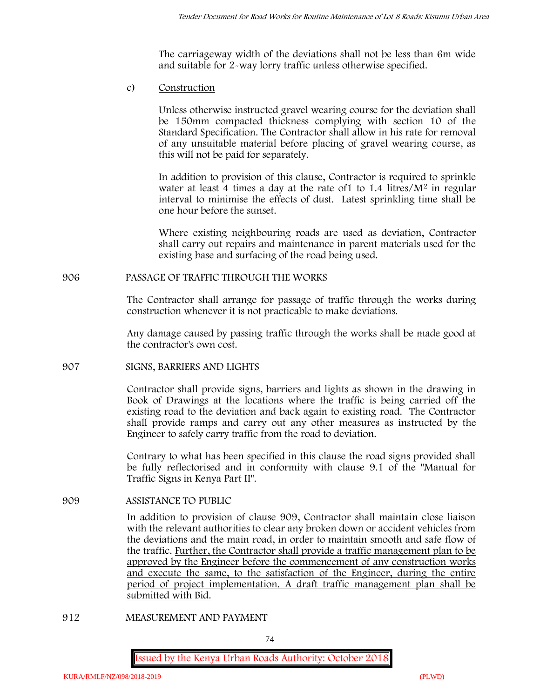The carriageway width of the deviations shall not be less than 6m wide and suitable for 2-way lorry traffic unless otherwise specified.

c) **Construction**

Unless otherwise instructed gravel wearing course for the deviation shall be 150mm compacted thickness complying with section 10 of the Standard Specification. The Contractor shall allow in his rate for removal of any unsuitable material before placing of gravel wearing course, as this will not be paid for separately.

In addition to provision of this clause, Contractor is required to sprinkle water at least 4 times a day at the rate of1 to 1.4 litres/M<sup>2</sup> in regular interval to minimise the effects of dust. Latest sprinkling time shall be one hour before the sunset.

Where existing neighbouring roads are used as deviation, Contractor shall carry out repairs and maintenance in parent materials used for the existing base and surfacing of the road being used.

## **906 PASSAGE OF TRAFFIC THROUGH THE WORKS**

The Contractor shall arrange for passage of traffic through the works during construction whenever it is not practicable to make deviations.

Any damage caused by passing traffic through the works shall be made good at the contractor's own cost.

## **907 SIGNS, BARRIERS AND LIGHTS**

Contractor shall provide signs, barriers and lights as shown in the drawing in Book of Drawings at the locations where the traffic is being carried off the existing road to the deviation and back again to existing road. The Contractor shall provide ramps and carry out any other measures as instructed by the Engineer to safely carry traffic from the road to deviation.

Contrary to what has been specified in this clause the road signs provided shall be fully reflectorised and in conformity with clause 9.1 of the "Manual for Traffic Signs in Kenya Part II".

## **909 ASSISTANCE TO PUBLIC**

In addition to provision of clause 909, Contractor shall maintain close liaison with the relevant authorities to clear any broken down or accident vehicles from the deviations and the main road, in order to maintain smooth and safe flow of the traffic. Further, the Contractor shall provide a traffic management plan to be approved by the Engineer before the commencement of any construction works and execute the same, to the satisfaction of the Engineer, during the entire period of project implementation. A draft traffic management plan shall be submitted with Bid.

**912 MEASUREMENT AND PAYMENT**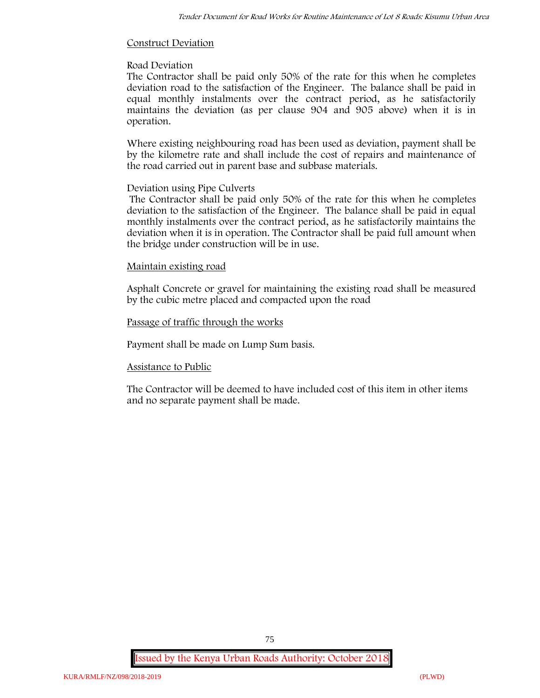## **Construct Deviation**

## **Road Deviation**

The Contractor shall be paid only 50% of the rate for this when he completes deviation road to the satisfaction of the Engineer. The balance shall be paid in equal monthly instalments over the contract period, as he satisfactorily maintains the deviation (as per clause 904 and 905 above) when it is in operation.

Where existing neighbouring road has been used as deviation, payment shall be by the kilometre rate and shall include the cost of repairs and maintenance of the road carried out in parent base and subbase materials.

## **Deviation using Pipe Culverts**

The Contractor shall be paid only 50% of the rate for this when he completes deviation to the satisfaction of the Engineer. The balance shall be paid in equal monthly instalments over the contract period, as he satisfactorily maintains the deviation when it is in operation. The Contractor shall be paid full amount when the bridge under construction will be in use.

## **Maintain existing road**

Asphalt Concrete or gravel for maintaining the existing road shall be measured by the cubic metre placed and compacted upon the road

## **Passage of traffic through the works**

Payment shall be made on Lump Sum basis.

## **Assistance to Public**

The Contractor will be deemed to have included cost of this item in other items and no separate payment shall be made.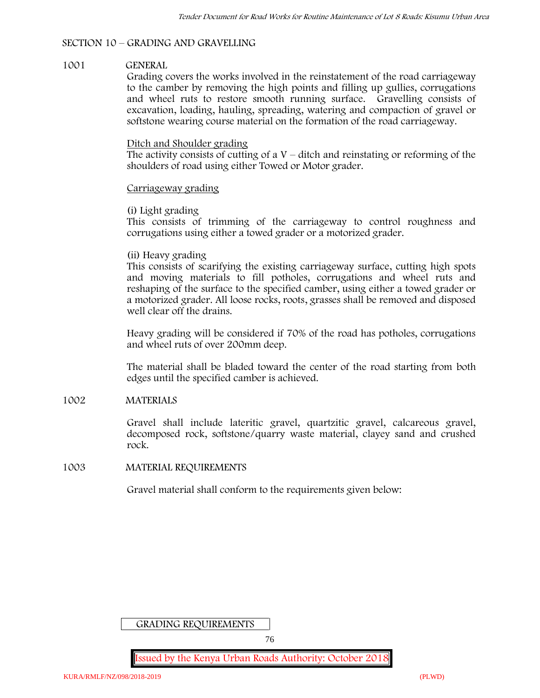## **SECTION 10 – GRADING AND GRAVELLING**

### **1001 GENERAL**

Grading covers the works involved in the reinstatement of the road carriageway to the camber by removing the high points and filling up gullies, corrugations and wheel ruts to restore smooth running surface. Gravelling consists of excavation, loading, hauling, spreading, watering and compaction of gravel or softstone wearing course material on the formation of the road carriageway.

### Ditch and Shoulder grading

The activity consists of cutting of a  $V$  – ditch and reinstating or reforming of the shoulders of road using either Towed or Motor grader.

### Carriageway grading

### **(i) Light grading**

This consists of trimming of the carriageway to control roughness and corrugations using either a towed grader or a motorized grader.

### **(ii) Heavy grading**

This consists of scarifying the existing carriageway surface, cutting high spots and moving materials to fill potholes, corrugations and wheel ruts and reshaping of the surface to the specified camber, using either a towed grader or a motorized grader. All loose rocks, roots, grasses shall be removed and disposed well clear off the drains.

Heavy grading will be considered if 70% of the road has potholes, corrugations and wheel ruts of over 200mm deep.

The material shall be bladed toward the center of the road starting from both edges until the specified camber is achieved.

#### **1002 MATERIALS**

Gravel shall include lateritic gravel, quartzitic gravel, calcareous gravel, decomposed rock, softstone/quarry waste material, clayey sand and crushed rock.

#### **1003 MATERIAL REQUIREMENTS**

Gravel material shall conform to the requirements given below:

GRADING REQUIREMENTS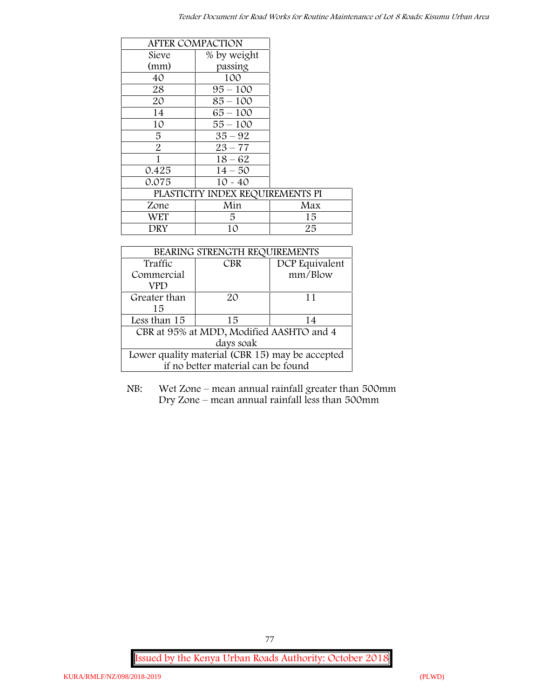|                | <b>AFTER COMPACTION</b>          |     |
|----------------|----------------------------------|-----|
| Sieve          | % by weight                      |     |
| (mm)           | passing                          |     |
| 40             | 100                              |     |
| 28             | $95 - 100$                       |     |
| 20             | $85 - 100$                       |     |
| 14             | $65 - 100$                       |     |
| 10             | $55 - 100$                       |     |
| 5              | $35 - 92$                        |     |
| $\overline{2}$ | $23 - 77$                        |     |
| 1              | $18 - 62$                        |     |
| 0.425          | $14 - 50$                        |     |
| 0.075          | $10 - 40$                        |     |
|                | PLASTICITY INDEX REQUIREMENTS PI |     |
| Zone           | Min                              | Max |
| <b>WET</b>     | 5                                | 15  |
| DRY            | 10                               | 25  |

| BEARING STRENGTH REQUIREMENTS                   |            |                |
|-------------------------------------------------|------------|----------------|
| Traffic                                         | <b>CBR</b> | DCP Equivalent |
| Commercial                                      |            | mm/Blow        |
| VPD                                             |            |                |
| Greater than                                    | $2\Omega$  | 11             |
| 15                                              |            |                |
| Less than 15                                    | 15         | 14             |
| CBR at 95% at MDD, Modified AASHTO and 4        |            |                |
| days soak                                       |            |                |
| Lower quality material (CBR 15) may be accepted |            |                |
| if no better material can be found              |            |                |

NB: Wet Zone – mean annual rainfall greater than 500mm Dry Zone – mean annual rainfall less than 500mm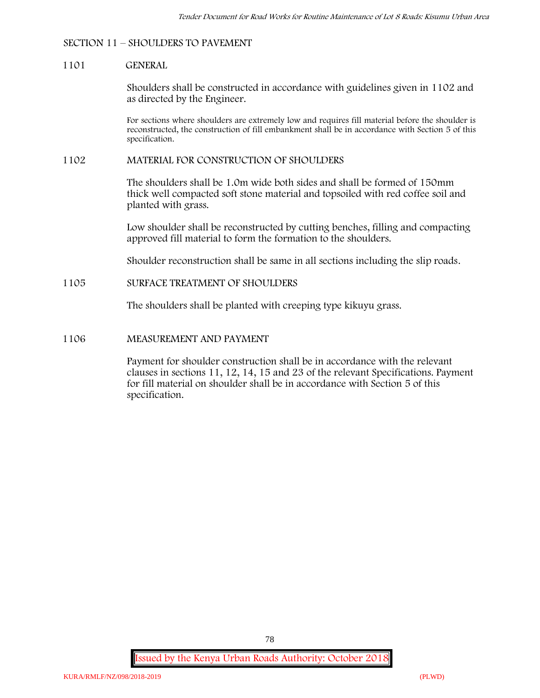## **SECTION 11 – SHOULDERS TO PAVEMENT**

### **1101 GENERAL**

Shoulders shall be constructed in accordance with guidelines given in 1102 and as directed by the Engineer.

For sections where shoulders are extremely low and requires fill material before the shoulder is reconstructed, the construction of fill embankment shall be in accordance with Section 5 of this specification.

### **1102 MATERIAL FOR CONSTRUCTION OF SHOULDERS**

The shoulders shall be 1.0m wide both sides and shall be formed of 150mm thick well compacted soft stone material and topsoiled with red coffee soil and planted with grass.

Low shoulder shall be reconstructed by cutting benches, filling and compacting approved fill material to form the formation to the shoulders.

Shoulder reconstruction shall be same in all sections including the slip roads.

### **1105 SURFACE TREATMENT OF SHOULDERS**

The shoulders shall be planted with creeping type kikuyu grass.

### **1106 MEASUREMENT AND PAYMENT**

Payment for shoulder construction shall be in accordance with the relevant clauses in sections 11, 12, 14, 15 and 23 of the relevant Specifications. Payment for fill material on shoulder shall be in accordance with Section 5 of this specification.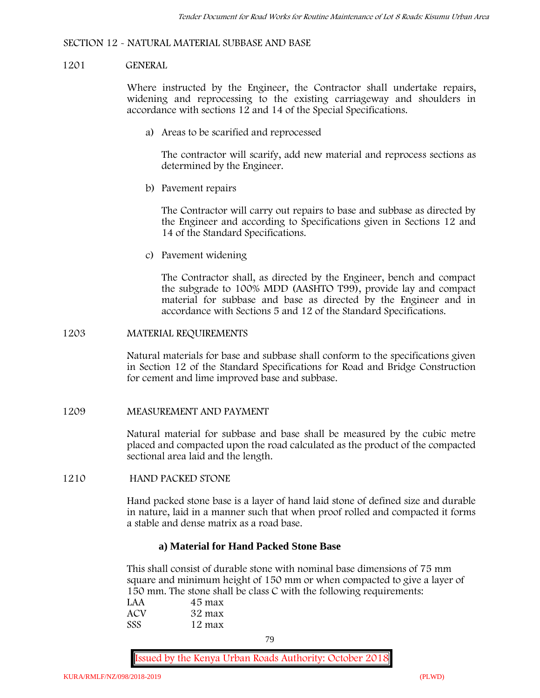### **SECTION 12 - NATURAL MATERIAL SUBBASE AND BASE**

#### **1201 GENERAL**

Where instructed by the Engineer, the Contractor shall undertake repairs, widening and reprocessing to the existing carriageway and shoulders in accordance with sections 12 and 14 of the Special Specifications.

**a) Areas to be scarified and reprocessed**

The contractor will scarify, add new material and reprocess sections as determined by the Engineer.

**b) Pavement repairs**

The Contractor will carry out repairs to base and subbase as directed by the Engineer and according to Specifications given in Sections 12 and 14 of the Standard Specifications.

**c) Pavement widening**

The Contractor shall, as directed by the Engineer, bench and compact the subgrade to 100% MDD (AASHTO T99), provide lay and compact material for subbase and base as directed by the Engineer and in accordance with Sections 5 and 12 of the Standard Specifications.

#### **1203 MATERIAL REQUIREMENTS**

Natural materials for base and subbase shall conform to the specifications given in Section 12 of the Standard Specifications for Road and Bridge Construction for cement and lime improved base and subbase.

#### **1209 MEASUREMENT AND PAYMENT**

Natural material for subbase and base shall be measured by the cubic metre placed and compacted upon the road calculated as the product of the compacted sectional area laid and the length.

#### **1210 HAND PACKED STONE**

Hand packed stone base is a layer of hand laid stone of defined size and durable in nature, laid in a manner such that when proof rolled and compacted it forms a stable and dense matrix as a road base.

### **a) Material for Hand Packed Stone Base**

This shall consist of durable stone with nominal base dimensions of 75 mm square and minimum height of 150 mm or when compacted to give a layer of 150 mm. The stone shall be class C with the following requirements:

| LAA        | 45 max |  |
|------------|--------|--|
| ACV        | 32 max |  |
| <b>SSS</b> | 12 max |  |

79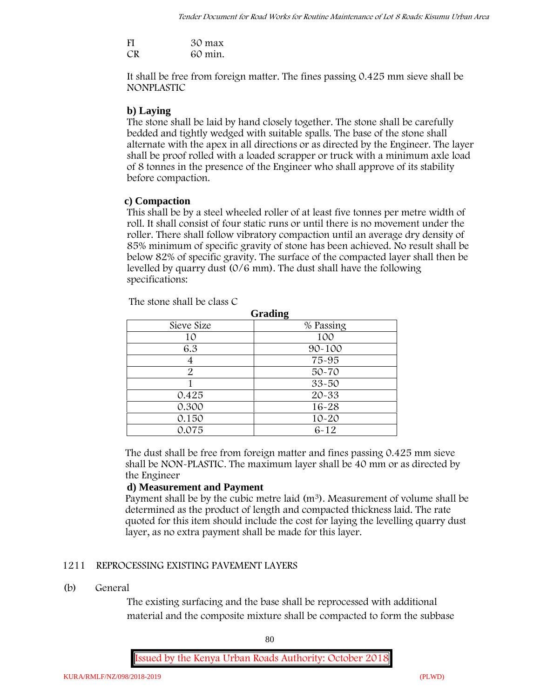| FI | 30 max  |
|----|---------|
| CR | 60 min. |

It shall be free from foreign matter. The fines passing 0.425 mm sieve shall be **NONPLASTIC**

## **b) Laying**

The stone shall be laid by hand closely together. The stone shall be carefully bedded and tightly wedged with suitable spalls. The base of the stone shall alternate with the apex in all directions or as directed by the Engineer. The layer shall be proof rolled with a loaded scrapper or truck with a minimum axle load of 8 tonnes in the presence of the Engineer who shall approve of its stability before compaction.

## **c) Compaction**

This shall be by a steel wheeled roller of at least five tonnes per metre width of roll. It shall consist of four static runs or until there is no movement under the roller. There shall follow vibratory compaction until an average dry density of 85% minimum of specific gravity of stone has been achieved. No result shall be below 82% of specific gravity. The surface of the compacted layer shall then be levelled by quarry dust (0/6 mm). The dust shall have the following specifications:

| Grading       |            |
|---------------|------------|
| Sieve Size    | % Passing  |
| 10            | 100        |
| 6.3           | $90 - 100$ |
|               | 75-95      |
| $\mathcal{P}$ | $50 - 70$  |
|               | $33 - 50$  |
| 0.425         | 20-33      |
| 0.300         | 16-28      |
| 0.150         | $10 - 20$  |
| 0.075         | $6 - 12$   |

The stone shall be class C

The dust shall be free from foreign matter and fines passing 0.425 mm sieve shall be **NON-PLASTIC**. The maximum layer shall be 40 mm or as directed by the Engineer

## **d) Measurement and Payment**

Payment shall be by the cubic metre laid (m<sup>3</sup>). Measurement of volume shall be determined as the product of length and compacted thickness laid. The rate quoted for this item should include the cost for laying the levelling quarry dust layer, as no extra payment shall be made for this layer.

## **1211 REPROCESSING EXISTING PAVEMENT LAYERS**

## **(b) General**

The existing surfacing and the base shall be reprocessed with additional material and the composite mixture shall be compacted to form the subbase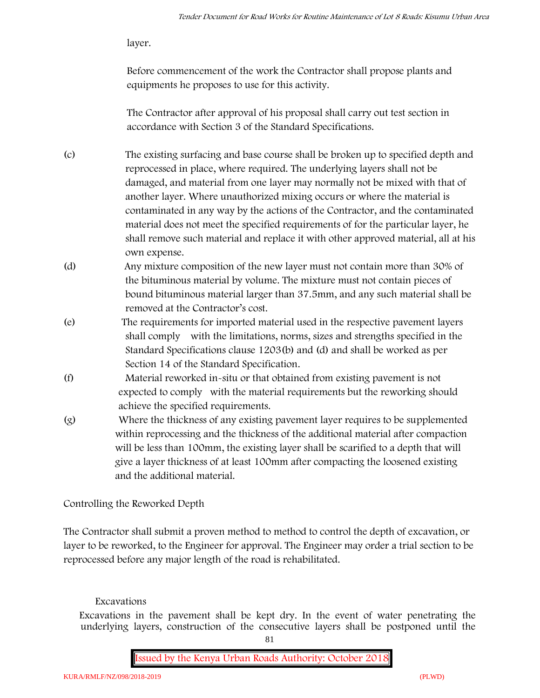layer.

Before commencement of the work the Contractor shall propose plants and equipments he proposes to use for this activity.

The Contractor after approval of his proposal shall carry out test section in accordance with Section 3 of the Standard Specifications.

- (c) The existing surfacing and base course shall be broken up to specified depth and reprocessed in place, where required. The underlying layers shall not be damaged, and material from one layer may normally not be mixed with that of another layer. Where unauthorized mixing occurs or where the material is contaminated in any way by the actions of the Contractor, and the contaminated material does not meet the specified requirements of for the particular layer, he shall remove such material and replace it with other approved material, all at his own expense.
- (d) Any mixture composition of the new layer must not contain more than 30% of the bituminous material by volume. The mixture must not contain pieces of bound bituminous material larger than 37.5mm, and any such material shall be removed at the Contractor's cost.
- (e) The requirements for imported material used in the respective pavement layers shall comply with the limitations, norms, sizes and strengths specified in the Standard Specifications clause 1203(b) and (d) and shall be worked as per Section 14 of the Standard Specification.
- (f) Material reworked in-situ or that obtained from existing pavement is not expected to comply with the material requirements but the reworking should achieve the specified requirements.
- (g) Where the thickness of any existing pavement layer requires to be supplemented within reprocessing and the thickness of the additional material after compaction will be less than 100mm, the existing layer shall be scarified to a depth that will give a layer thickness of at least 100mm after compacting the loosened existing and the additional material.

# **Controlling the Reworked Depth**

The Contractor shall submit a proven method to method to control the depth of excavation, or layer to be reworked, to the Engineer for approval. The Engineer may order a trial section to be reprocessed before any major length of the road is rehabilitated.

# **Excavations**

Excavations in the pavement shall be kept dry. In the event of water penetrating the underlying layers, construction of the consecutive layers shall be postponed until the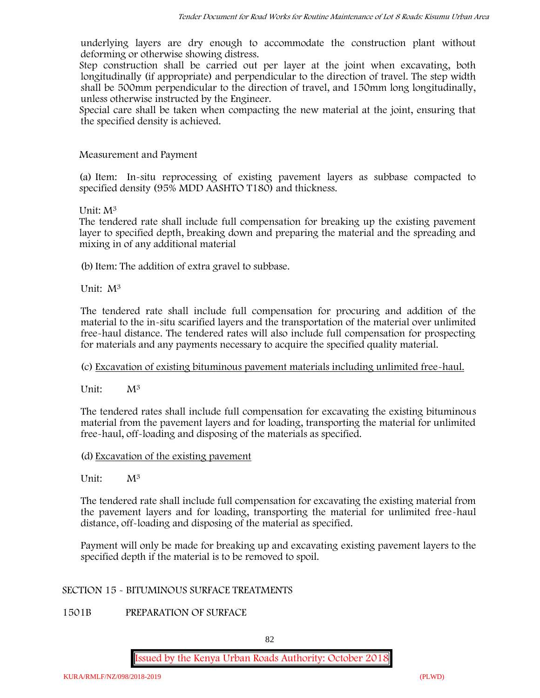underlying layers are dry enough to accommodate the construction plant without deforming or otherwise showing distress.

Step construction shall be carried out per layer at the joint when excavating, both longitudinally (if appropriate) and perpendicular to the direction of travel. The step width shall be 500mm perpendicular to the direction of travel, and 150mm long longitudinally, unless otherwise instructed by the Engineer.

Special care shall be taken when compacting the new material at the joint, ensuring that the specified density is achieved.

## **Measurement and Payment**

(a) Item: In-situ reprocessing of existing pavement layers as subbase compacted to specified density (95% MDD AASHTO T180) and thickness.

## Unit: M<sup>3</sup>

The tendered rate shall include full compensation for breaking up the existing pavement layer to specified depth, breaking down and preparing the material and the spreading and mixing in of any additional material

(b) Item: The addition of extra gravel to subbase.

Unit: M<sup>3</sup>

The tendered rate shall include full compensation for procuring and addition of the material to the in-situ scarified layers and the transportation of the material over unlimited free-haul distance. The tendered rates will also include full compensation for prospecting for materials and any payments necessary to acquire the specified quality material.

## (c) Excavation of existing bituminous pavement materials including unlimited free-haul.

Unit:  $M^3$ 

The tendered rates shall include full compensation for excavating the existing bituminous material from the pavement layers and for loading, transporting the material for unlimited free-haul, off-loading and disposing of the materials as specified.

## (d) Excavation of the existing pavement

Unit:  $M^3$ 

The tendered rate shall include full compensation for excavating the existing material from the pavement layers and for loading, transporting the material for unlimited free-haul distance, off-loading and disposing of the material as specified.

Payment will only be made for breaking up and excavating existing pavement layers to the specified depth if the material is to be removed to spoil.

## **SECTION 15 - BITUMINOUS SURFACE TREATMENTS**

## **1501B PREPARATION OF SURFACE**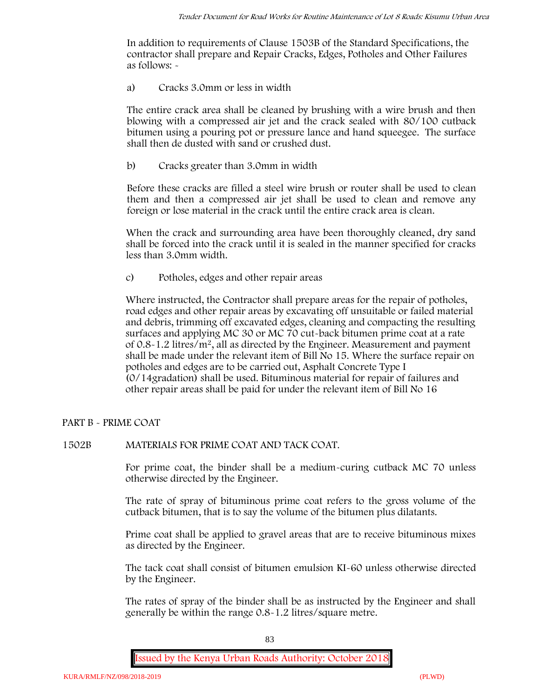In addition to requirements of Clause 1503B of the Standard Specifications, the contractor shall prepare and Repair Cracks, Edges, Potholes and Other Failures as follows: **-**

a) **Cracks 3.0mm or less in width**

The entire crack area shall be cleaned by brushing with a wire brush and then blowing with a compressed air jet and the crack sealed with 80/100 cutback bitumen using a pouring pot or pressure lance and hand squeegee. The surface shall then de dusted with sand or crushed dust.

b) **Cracks greater than 3.0mm in width**

Before these cracks are filled a steel wire brush or router shall be used to clean them and then a compressed air jet shall be used to clean and remove any foreign or lose material in the crack until the entire crack area is clean.

When the crack and surrounding area have been thoroughly cleaned, dry sand shall be forced into the crack until it is sealed in the manner specified for cracks less than 3.0mm width.

c) **Potholes, edges and other repair areas**

Where instructed, the Contractor shall prepare areas for the repair of potholes, road edges and other repair areas by excavating off unsuitable or failed material and debris, trimming off excavated edges, cleaning and compacting the resulting surfaces and applying MC 30 or MC 70 cut-back bitumen prime coat at a rate of 0.8-1.2 litres/m2, all as directed by the Engineer. Measurement and payment shall be made under the relevant item of Bill No 15. Where the surface repair on potholes and edges are to be carried out, Asphalt Concrete Type I (0/14gradation) shall be used. Bituminous material for repair of failures and other repair areas shall be paid for under the relevant item of Bill No 16

## **PART B - PRIME COAT**

## **1502B MATERIALS FOR PRIME COAT AND TACK COAT.**

For prime coat, the binder shall be a medium-curing cutback MC 70 unless otherwise directed by the Engineer.

The rate of spray of bituminous prime coat refers to the gross volume of the cutback bitumen, that is to say the volume of the bitumen plus dilatants.

Prime coat shall be applied to gravel areas that are to receive bituminous mixes as directed by the Engineer.

The tack coat shall consist of bitumen emulsion KI-60 unless otherwise directed by the Engineer.

The rates of spray of the binder shall be as instructed by the Engineer and shall generally be within the range 0.8-1.2 litres/square metre.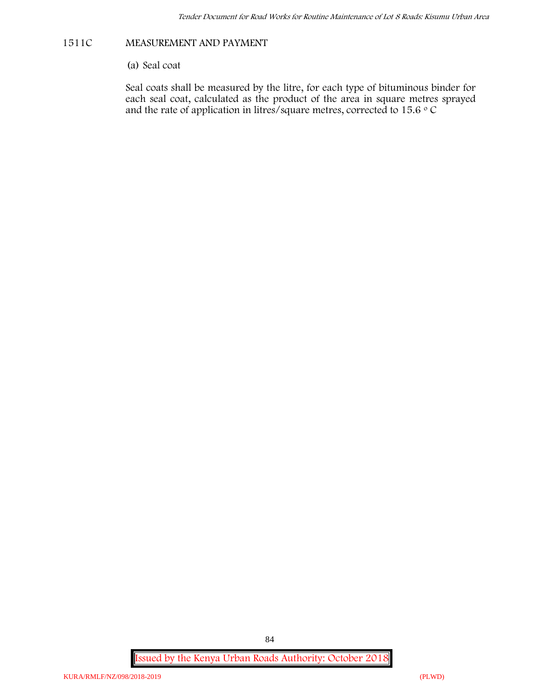## **1511C MEASUREMENT AND PAYMENT**

(a) Seal coat

Seal coats shall be measured by the litre, for each type of bituminous binder for each seal coat, calculated as the product of the area in square metres sprayed and the rate of application in litres/square metres, corrected to 15.6  $\circ$  C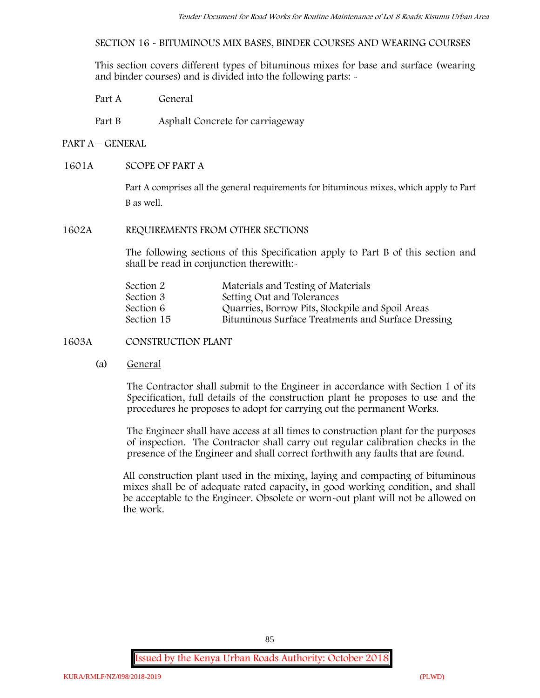**SECTION 16 - BITUMINOUS MIX BASES, BINDER COURSES AND WEARING COURSES**

This section covers different types of bituminous mixes for base and surface (wearing and binder courses) and is divided into the following parts: -

- Part A General
- Part B Asphalt Concrete for carriageway

## **PART A –GENERAL**

### **1601A SCOPE OF PART A**

Part A comprises all the general requirements for bituminous mixes, which apply to Part B as well.

### **1602A REQUIREMENTS FROM OTHER SECTIONS**

The following sections of this Specification apply to Part B of this section and shall be read in conjunction therewith:-

| Materials and Testing of Materials                 |
|----------------------------------------------------|
| Setting Out and Tolerances                         |
| Quarries, Borrow Pits, Stockpile and Spoil Areas   |
| Bituminous Surface Treatments and Surface Dressing |
|                                                    |

## **1603A CONSTRUCTION PLANT**

(a) **General**

The Contractor shall submit to the Engineer in accordance with Section 1 of its Specification, full details of the construction plant he proposes to use and the procedures he proposes to adopt for carrying out the permanent Works.

The Engineer shall have access at all times to construction plant for the purposes of inspection. The Contractor shall carry out regular calibration checks in the presence of the Engineer and shall correct forthwith any faults that are found.

All construction plant used in the mixing, laying and compacting of bituminous mixes shall be of adequate rated capacity, in good working condition, and shall be acceptable to the Engineer. Obsolete or worn-out plant will not be allowed on the work.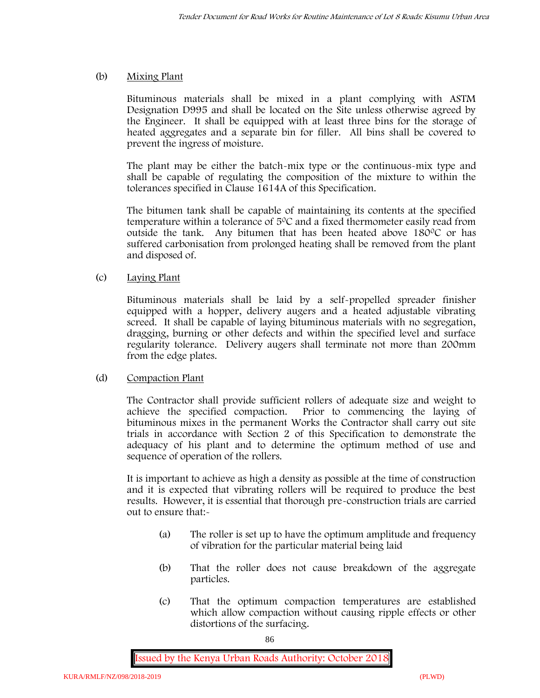## (b) **Mixing Plant**

Bituminous materials shall be mixed in a plant complying with ASTM Designation D995 and shall be located on the Site unless otherwise agreed by the Engineer. It shall be equipped with at least three bins for the storage of heated aggregates and a separate bin for filler. All bins shall be covered to prevent the ingress of moisture.

The plant may be either the batch-mix type or the continuous-mix type and shall be capable of regulating the composition of the mixture to within the tolerances specified in Clause 1614A of this Specification.

The bitumen tank shall be capable of maintaining its contents at the specified temperature within a tolerance of  $5^{\circ}$ C and a fixed thermometer easily read from outside the tank. Any bitumen that has been heated above  $180^{\circ}$ C or has suffered carbonisation from prolonged heating shall be removed from the plant and disposed of.

## (c) **Laying Plant**

Bituminous materials shall be laid by a self-propelled spreader finisher equipped with a hopper, delivery augers and a heated adjustable vibrating screed. It shall be capable of laying bituminous materials with no segregation, dragging, burning or other defects and within the specified level and surface regularity tolerance. Delivery augers shall terminate not more than 200mm from the edge plates.

## (d) **Compaction Plant**

The Contractor shall provide sufficient rollers of adequate size and weight to achieve the specified compaction. Prior to commencing the laying of bituminous mixes in the permanent Works the Contractor shall carry out site trials in accordance with Section 2 of this Specification to demonstrate the adequacy of his plant and to determine the optimum method of use and sequence of operation of the rollers.

It is important to achieve as high a density as possible at the time of construction and it is expected that vibrating rollers will be required to produce the best results. However, it is essential that thorough pre-construction trials are carried out to ensure that:-

- (a) The roller is set up to have the optimum amplitude and frequency of vibration for the particular material being laid
- (b) That the roller does not cause breakdown of the aggregate particles.
- (c) That the optimum compaction temperatures are established which allow compaction without causing ripple effects or other distortions of the surfacing.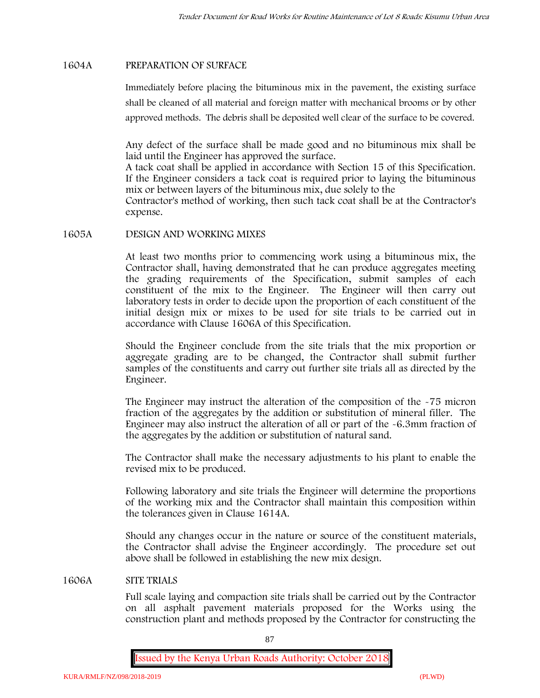## **1604A PREPARATION OF SURFACE**

Immediately before placing the bituminous mix in the pavement, the existing surface shall be cleaned of all material and foreign matter with mechanical brooms or by other approved methods. The debris shall be deposited well clear of the surface to be covered.

Any defect of the surface shall be made good and no bituminous mix shall be laid until the Engineer has approved the surface.

A tack coat shall be applied in accordance with Section 15 of this Specification. If the Engineer considers a tack coat is required prior to laying the bituminous mix or between layers of the bituminous mix, due solely to the

Contractor's method of working, then such tack coat shall be at the Contractor's expense.

#### **1605A DESIGN AND WORKING MIXES**

At least two months prior to commencing work using a bituminous mix, the Contractor shall, having demonstrated that he can produce aggregates meeting the grading requirements of the Specification, submit samples of each constituent of the mix to the Engineer. The Engineer will then carry out laboratory tests in order to decide upon the proportion of each constituent of the initial design mix or mixes to be used for site trials to be carried out in accordance with Clause 1606A of this Specification.

Should the Engineer conclude from the site trials that the mix proportion or aggregate grading are to be changed, the Contractor shall submit further samples of the constituents and carry out further site trials all as directed by the Engineer.

The Engineer may instruct the alteration of the composition of the -75 micron fraction of the aggregates by the addition or substitution of mineral filler. The Engineer may also instruct the alteration of all or part of the -6.3mm fraction of the aggregates by the addition or substitution of natural sand.

The Contractor shall make the necessary adjustments to his plant to enable the revised mix to be produced.

Following laboratory and site trials the Engineer will determine the proportions of the working mix and the Contractor shall maintain this composition within the tolerances given in Clause 1614A.

Should any changes occur in the nature or source of the constituent materials, the Contractor shall advise the Engineer accordingly. The procedure set out above shall be followed in establishing the new mix design.

#### **1606A SITE TRIALS**

Full scale laying and compaction site trials shall be carried out by the Contractor on all asphalt pavement materials proposed for the Works using the construction plant and methods proposed by the Contractor for constructing the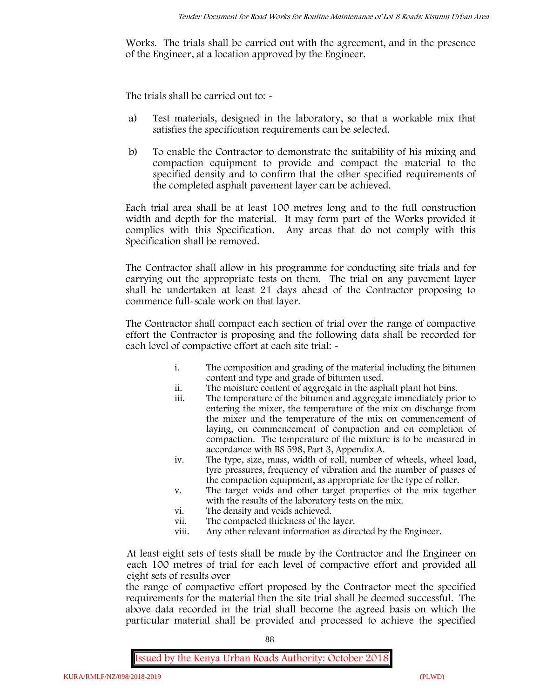Works. The trials shall be carried out with the agreement, and in the presence of the Engineer, at a location approved by the Engineer.

The trials shall be carried out to: -

- a) Test materials, designed in the laboratory, so that a workable mix that satisfies the specification requirements can be selected.
- b) To enable the Contractor to demonstrate the suitability of his mixing and compaction equipment to provide and compact the material to the specified density and to confirm that the other specified requirements of the completed asphalt pavement layer can be achieved.

Each trial area shall be at least 100 metres long and to the full construction width and depth for the material. It may form part of the Works provided it complies with this Specification. Any areas that do not comply with this Specification shall be removed.

The Contractor shall allow in his programme for conducting site trials and for carrying out the appropriate tests on them. The trial on any pavement layer shall be undertaken at least 21 days ahead of the Contractor proposing to commence full-scale work on that layer.

The Contractor shall compact each section of trial over the range of compactive effort the Contractor is proposing and the following data shall be recorded for each level of compactive effort at each site trial:  $\sim$ 

- i. The composition and grading of the material including the bitumen content and type and grade of bitumen used.
- ii. The moisture content of aggregate in the asphalt plant hot bins.
- iii. The temperature of the bitumen and aggregate immediately prior to entering the mixer, the temperature of the mix on discharge from the mixer and the temperature of the mix on commencement of laying, on commencement of compaction and on completion of compaction. The temperature of the mixture is to be measured in accordance with BS 598, Part 3, Appendix A.
- iv. The type, size, mass, width of roll, number of wheels, wheel load, tyre pressures, frequency of vibration and the number of passes of the compaction equipment, as appropriate for the type of roller.
- v. The target voids and other target properties of the mix together with the results of the laboratory tests on the mix.
- vi. The density and voids achieved.
- vii. The compacted thickness of the layer.
- viii. Any other relevant information as directed by the Engineer.

At least eight sets of tests shall be made by the Contractor and the Engineer on each 100 metres of trial for each level of compactive effort and provided all eight sets of results over

the range of compactive effort proposed by the Contractor meet the specified requirements for the material then the site trial shall be deemed successful. The above data recorded in the trial shall become the agreed basis on which the particular material shall be provided and processed to achieve the specified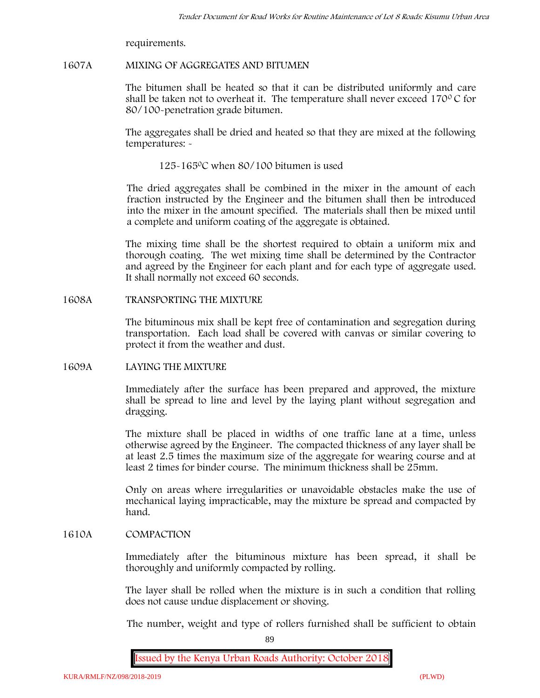requirements.

## **1607A MIXING OF AGGREGATES AND BITUMEN**

The bitumen shall be heated so that it can be distributed uniformly and care shall be taken not to overheat it. The temperature shall never exceed  $170^{\circ}$ C for 80/100-penetration grade bitumen.

The aggregates shall be dried and heated so that they are mixed at the following temperatures: -

125-1650C when 80/100 bitumen is used

The dried aggregates shall be combined in the mixer in the amount of each fraction instructed by the Engineer and the bitumen shall then be introduced into the mixer in the amount specified. The materials shall then be mixed until a complete and uniform coating of the aggregate is obtained.

The mixing time shall be the shortest required to obtain a uniform mix and thorough coating. The wet mixing time shall be determined by the Contractor and agreed by the Engineer for each plant and for each type of aggregate used. It shall normally not exceed 60 seconds.

## **1608A TRANSPORTING THE MIXTURE**

The bituminous mix shall be kept free of contamination and segregation during transportation. Each load shall be covered with canvas or similar covering to protect it from the weather and dust.

## **1609A LAYING THE MIXTURE**

Immediately after the surface has been prepared and approved, the mixture shall be spread to line and level by the laying plant without segregation and dragging.

The mixture shall be placed in widths of one traffic lane at a time, unless otherwise agreed by the Engineer. The compacted thickness of any layer shall be at least 2.5 times the maximum size of the aggregate for wearing course and at least 2 times for binder course. The minimum thickness shall be 25mm.

Only on areas where irregularities or unavoidable obstacles make the use of mechanical laying impracticable, may the mixture be spread and compacted by hand.

## **1610A COMPACTION**

Immediately after the bituminous mixture has been spread, it shall be thoroughly and uniformly compacted by rolling.

The layer shall be rolled when the mixture is in such a condition that rolling does not cause undue displacement or shoving.

The number, weight and type of rollers furnished shall be sufficient to obtain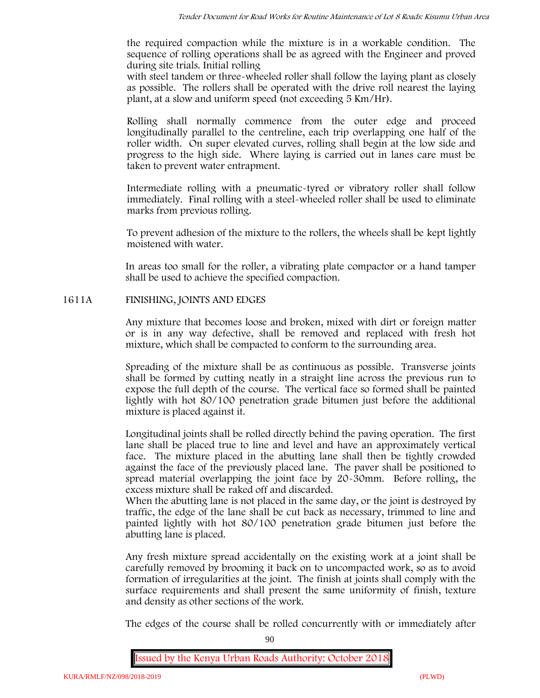the required compaction while the mixture is in a workable condition. The sequence of rolling operations shall be as agreed with the Engineer and proved during site trials. Initial rolling

with steel tandem or three-wheeled roller shall follow the laying plant as closely as possible. The rollers shall be operated with the drive roll nearest the laying plant, at a slow and uniform speed (not exceeding 5 Km/Hr).

Rolling shall normally commence from the outer edge and proceed longitudinally parallel to the centreline, each trip overlapping one half of the roller width. On super elevated curves, rolling shall begin at the low side and progress to the high side. Where laying is carried out in lanes care must be taken to prevent water entrapment.

Intermediate rolling with a pneumatic-tyred or vibratory roller shall follow immediately. Final rolling with a steel-wheeled roller shall be used to eliminate marks from previous rolling.

To prevent adhesion of the mixture to the rollers, the wheels shall be kept lightly moistened with water.

In areas too small for the roller, a vibrating plate compactor or a hand tamper shall be used to achieve the specified compaction.

## **1611A FINISHING, JOINTS AND EDGES**

Any mixture that becomes loose and broken, mixed with dirt or foreign matter or is in any way defective, shall be removed and replaced with fresh hot mixture, which shall be compacted to conform to the surrounding area.

Spreading of the mixture shall be as continuous as possible. Transverse joints shall be formed by cutting neatly in a straight line across the previous run to expose the full depth of the course. The vertical face so formed shall be painted lightly with hot 80/100 penetration grade bitumen just before the additional mixture is placed against it.

Longitudinal joints shall be rolled directly behind the paving operation. The first lane shall be placed true to line and level and have an approximately vertical face. The mixture placed in the abutting lane shall then be tightly crowded against the face of the previously placed lane. The paver shall be positioned to spread material overlapping the joint face by 20-30mm. Before rolling, the excess mixture shall be raked off and discarded.

When the abutting lane is not placed in the same day, or the joint is destroyed by traffic, the edge of the lane shall be cut back as necessary, trimmed to line and painted lightly with hot 80/100 penetration grade bitumen just before the abutting lane is placed.

Any fresh mixture spread accidentally on the existing work at a joint shall be carefully removed by brooming it back on to uncompacted work, so as to avoid formation of irregularities at the joint. The finish at joints shall comply with the surface requirements and shall present the same uniformity of finish, texture and density as other sections of the work.

The edges of the course shall be rolled concurrently with or immediately after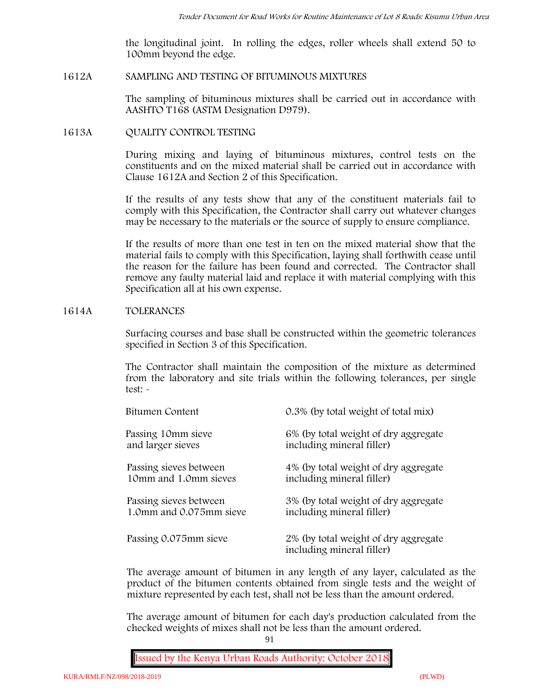the longitudinal joint. In rolling the edges, roller wheels shall extend 50 to 100mm beyond the edge.

### **1612A SAMPLING AND TESTING OF BITUMINOUS MIXTURES**

The sampling of bituminous mixtures shall be carried out in accordance with AASHTO T168 (ASTM Designation D979).

### **1613A QUALITY CONTROL TESTING**

During mixing and laying of bituminous mixtures, control tests on the constituents and on the mixed material shall be carried out in accordance with Clause 1612A and Section 2 of this Specification.

If the results of any tests show that any of the constituent materials fail to comply with this Specification, the Contractor shall carry out whatever changes may be necessary to the materials or the source of supply to ensure compliance.

If the results of more than one test in ten on the mixed material show that the material fails to comply with this Specification, laying shall forthwith cease until the reason for the failure has been found and corrected. The Contractor shall remove any faulty material laid and replace it with material complying with this Specification all at his own expense.

### **1614A TOLERANCES**

Surfacing courses and base shall be constructed within the geometric tolerances specified in Section 3 of this Specification.

The Contractor shall maintain the composition of the mixture as determined from the laboratory and site trials within the following tolerances, per single test: -

| Bitumen Content         | 0.3% (by total weight of total mix)                               |
|-------------------------|-------------------------------------------------------------------|
| Passing 10mm sieve      | 6% (by total weight of dry aggregate                              |
| and larger sieves       | including mineral filler)                                         |
| Passing sieves between  | 4% (by total weight of dry aggregate                              |
| 10mm and 1.0mm sieves   | including mineral filler)                                         |
| Passing sieves between  | 3% (by total weight of dry aggregate                              |
| 1.0mm and 0.075mm sieve | including mineral filler)                                         |
| Passing 0.075mm sieve   | 2% (by total weight of dry aggregate<br>including mineral filler) |

The average amount of bitumen in any length of any layer, calculated as the product of the bitumen contents obtained from single tests and the weight of mixture represented by each test, shall not be less than the amount ordered.

The average amount of bitumen for each day's production calculated from the checked weights of mixes shall not be less than the amount ordered.

91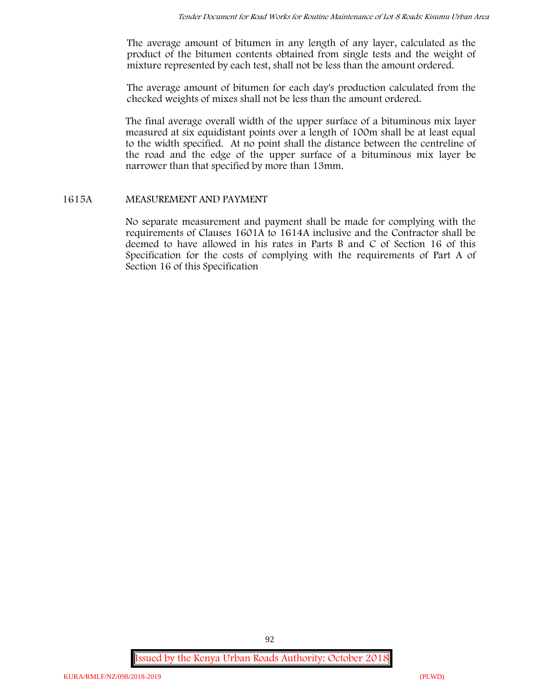The average amount of bitumen in any length of any layer, calculated as the product of the bitumen contents obtained from single tests and the weight of mixture represented by each test, shall not be less than the amount ordered.

The average amount of bitumen for each day's production calculated from the checked weights of mixes shall not be less than the amount ordered.

The final average overall width of the upper surface of a bituminous mix layer measured at six equidistant points over a length of 100m shall be at least equal to the width specified. At no point shall the distance between the centreline of the road and the edge of the upper surface of a bituminous mix layer be narrower than that specified by more than 13mm.

## **1615A MEASUREMENT AND PAYMENT**

No separate measurement and payment shall be made for complying with the requirements of Clauses 1601A to 1614A inclusive and the Contractor shall be deemed to have allowed in his rates in Parts B and C of Section 16 of this Specification for the costs of complying with the requirements of Part A of Section 16 of this Specification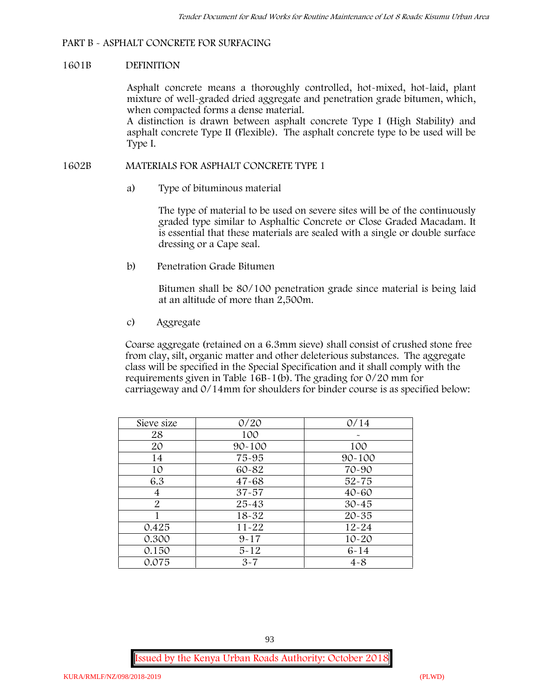## **PART B - ASPHALT CONCRETE FOR SURFACING**

### **1601B DEFINITION**

Asphalt concrete means a thoroughly controlled, hot-mixed, hot-laid, plant mixture of well-graded dried aggregate and penetration grade bitumen, which, when compacted forms a dense material.

A distinction is drawn between asphalt concrete Type I (High Stability) and asphalt concrete Type II (Flexible). The asphalt concrete type to be used will be Type I.

### **1602B MATERIALS FOR ASPHALT CONCRETE TYPE 1**

a) **Type of bituminous material**

The type of material to be used on severe sites will be of the continuously graded type similar to Asphaltic Concrete or Close Graded Macadam. It is essential that these materials are sealed with a single or double surface dressing or a Cape seal.

b) **Penetration Grade Bitumen**

Bitumen shall be 80/100 penetration grade since material is being laid at an altitude of more than 2,500m.

c) **Aggregate**

Coarse aggregate (retained on a 6.3mm sieve) shall consist of crushed stone free from clay, silt, organic matter and other deleterious substances. The aggregate class will be specified in the Special Specification and it shall comply with the requirements given in Table 16B-1(b). The grading for 0/20 mm for carriageway and 0/14mm for shoulders for binder course is as specified below:

| Sieve size | 0/20       | 0/14       |
|------------|------------|------------|
| 28         | 100        |            |
| 20         | $90 - 100$ | 100        |
| 14         | 75-95      | $90 - 100$ |
| 10         | 60-82      | 70-90      |
| 6.3        | $47 - 68$  | $52 - 75$  |
| 4          | $37 - 57$  | $40 - 60$  |
| 2          | 25-43      | $30 - 45$  |
|            | 18-32      | $20 - 35$  |
| 0.425      | $11 - 22$  | $12 - 24$  |
| 0.300      | $9 - 17$   | $10 - 20$  |
| 0.150      | $5 - 12$   | $6 - 14$   |
| 0.075      | $3 - 7$    | $4 - 8$    |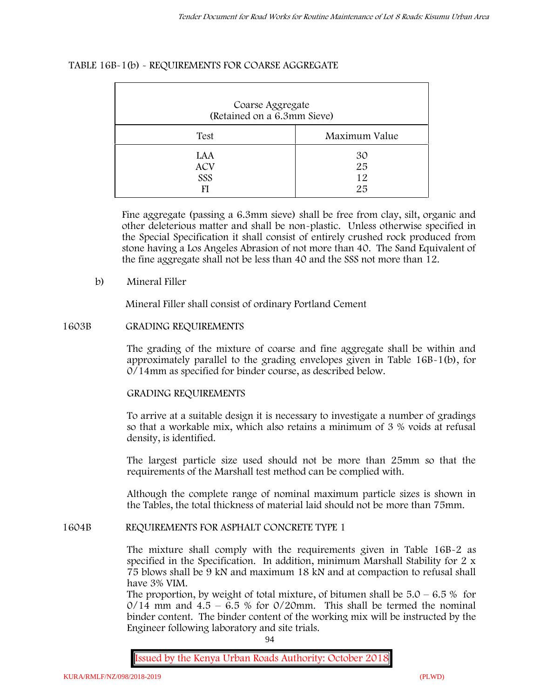## **TABLE 16B-1(b) - REQUIREMENTS FOR COARSE AGGREGATE**

| Coarse Aggregate<br>(Retained on a 6.3mm Sieve) |                      |
|-------------------------------------------------|----------------------|
| Test                                            | Maximum Value        |
| LAA<br><b>ACV</b><br>SSS<br>FI                  | 30<br>25<br>12<br>25 |

Fine aggregate (passing a 6.3mm sieve) shall be free from clay, silt, organic and other deleterious matter and shall be non-plastic. Unless otherwise specified in the Special Specification it shall consist of entirely crushed rock produced from stone having a Los Angeles Abrasion of not more than 40. The Sand Equivalent of the fine aggregate shall not be less than 40 and the SSS not more than 12.

### **b) Mineral Filler**

Mineral Filler shall consist of ordinary Portland Cement

### **1603B GRADING REQUIREMENTS**

The grading of the mixture of coarse and fine aggregate shall be within and approximately parallel to the grading envelopes given in Table 16B-1(b), for 0/14mm as specified for binder course, as described below.

#### **GRADING REQUIREMENTS**

To arrive at a suitable design it is necessary to investigate a number of gradings so that a workable mix, which also retains a minimum of 3 % voids at refusal density, is identified.

The largest particle size used should not be more than 25mm so that the requirements of the Marshall test method can be complied with.

Although the complete range of nominal maximum particle sizes is shown in the Tables, the total thickness of material laid should not be more than 75mm.

#### **1604B REQUIREMENTS FOR ASPHALT CONCRETE TYPE 1**

The mixture shall comply with the requirements given in Table 16B-2 as specified in the Specification. In addition, minimum Marshall Stability for 2 x 75 blows shall be 9 kN and maximum 18 kN and at compaction to refusal shall have 3% VIM.

The proportion, by weight of total mixture, of bitumen shall be  $5.0 - 6.5 %$  for  $0/14$  mm and  $4.5 - 6.5$  % for  $0/20$ mm. This shall be termed the nominal binder content. The binder content of the working mix will be instructed by the Engineer following laboratory and site trials.

94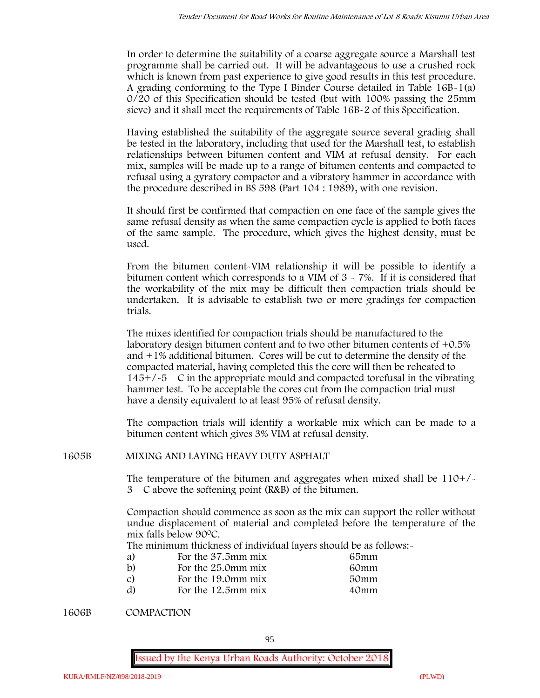In order to determine the suitability of a coarse aggregate source a Marshall test programme shall be carried out. It will be advantageous to use a crushed rock which is known from past experience to give good results in this test procedure. A grading conforming to the Type I Binder Course detailed in Table 16B-1(a) 0/20 of this Specification should be tested (but with 100% passing the 25mm sieve) and it shall meet the requirements of Table 16B-2 of this Specification.

Having established the suitability of the aggregate source several grading shall be tested in the laboratory, including that used for the Marshall test, to establish relationships between bitumen content and VIM at refusal density. For each mix, samples will be made up to a range of bitumen contents and compacted to refusal using a gyratory compactor and a vibratory hammer in accordance with the procedure described in BS 598 (Part 104 : 1989), with one revision.

It should first be confirmed that compaction on one face of the sample gives the same refusal density as when the same compaction cycle is applied to both faces of the same sample. The procedure, which gives the highest density, must be used.

From the bitumen content-VIM relationship it will be possible to identify a bitumen content which corresponds to a VIM of  $3 \times 7\%$ . If it is considered that the workability of the mix may be difficult then compaction trials should be undertaken. It is advisable to establish two or more gradings for compaction trials.

The mixes identified for compaction trials should be manufactured to the laboratory design bitumen content and to two other bitumen contents of +0.5% and +1% additional bitumen. Cores will be cut to determine the density of the compacted material, having completed this the core will then be reheated to  $145+/-5$  C in the appropriate mould and compacted torefusal in the vibrating hammer test. To be acceptable the cores cut from the compaction trial must have a density equivalent to at least 95% of refusal density.

The compaction trials will identify a workable mix which can be made to a bitumen content which gives 3% VIM at refusal density.

**1605B MIXING AND LAYING HEAVY DUTY ASPHALT**

The temperature of the bitumen and aggregates when mixed shall be  $110+/$ 3C above the softening point (R&B) of the bitumen.

Compaction should commence as soon as the mix can support the roller without undue displacement of material and completed before the temperature of the mix falls below 900C.

The minimum thickness of individual layers should be as follows:-

| a) | For the 37.5mm mix | 65mm |  |
|----|--------------------|------|--|
| b) | For the 25.0mm mix | 60mm |  |
| C) | For the 19.0mm mix | 50mm |  |
| d) | For the 12.5mm mix | 40mm |  |

**1606B COMPACTION**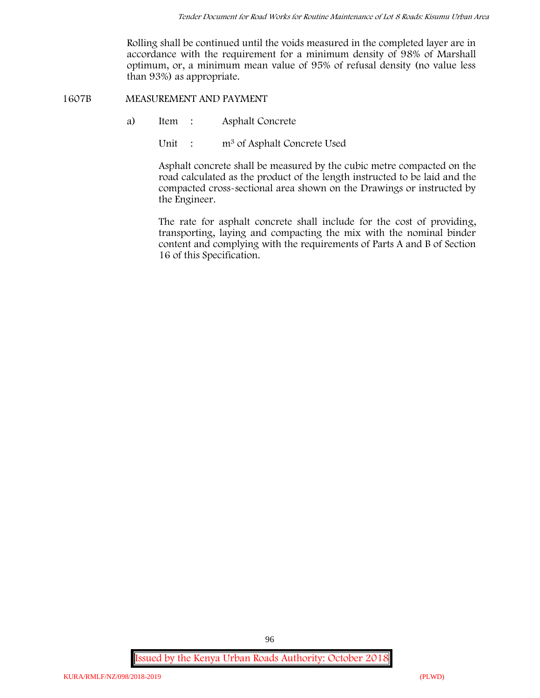Rolling shall be continued until the voids measured in the completed layer are in accordance with the requirement for a minimum density of 98% of Marshall optimum, or, a minimum mean value of 95% of refusal density (no value less than 93%) as appropriate.

**1607B MEASUREMENT AND PAYMENT**

- a) Item : Asphalt Concrete
	- Unit : m<sup>3</sup> of Asphalt Concrete Used

Asphalt concrete shall be measured by the cubic metre compacted on the road calculated as the product of the length instructed to be laid and the compacted cross-sectional area shown on the Drawings or instructed by the Engineer.

The rate for asphalt concrete shall include for the cost of providing, transporting, laying and compacting the mix with the nominal binder content and complying with the requirements of Parts A and B of Section 16 of this Specification.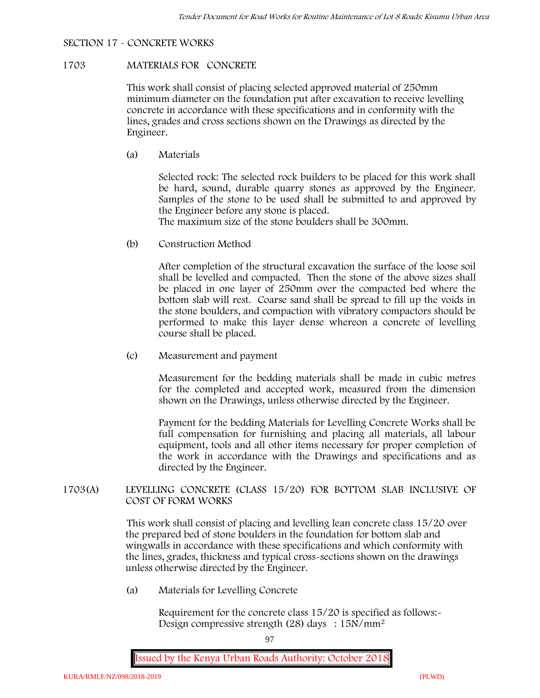## **SECTION 17 - CONCRETE WORKS**

### **1703 MATERIALS FOR CONCRETE**

This work shall consist of placing selected approved material of 250mm minimum diameter on the foundation put after excavation to receive levelling concrete in accordance with these specifications and in conformity with the lines, grades and cross sections shown on the Drawings as directed by the Engineer.

(a) **Materials**

Selected rock: The selected rock builders to be placed for this work shall be hard, sound, durable quarry stones as approved by the Engineer. Samples of the stone to be used shall be submitted to and approved by the Engineer before any stone is placed.

The maximum size of the stone boulders shall be 300mm.

(b) **Construction Method**

After completion of the structural excavation the surface of the loose soil shall be levelled and compacted. Then the stone of the above sizes shall be placed in one layer of 250mm over the compacted bed where the bottom slab will rest. Coarse sand shall be spread to fill up the voids in the stone boulders, and compaction with vibratory compactors should be performed to make this layer dense whereon a concrete of levelling course shall be placed.

(c) **Measurement and payment**

Measurement for the bedding materials shall be made in cubic metres for the completed and accepted work, measured from the dimension shown on the Drawings, unless otherwise directed by the Engineer.

Payment for the bedding Materials for Levelling Concrete Works shall be full compensation for furnishing and placing all materials, all labour equipment, tools and all other items necessary for proper completion of the work in accordance with the Drawings and specifications and as directed by the Engineer.

## **1703(A) LEVELLING CONCRETE (CLASS 15/20) FOR BOTTOM SLAB INCLUSIVE OF COST OF FORM WORKS**

This work shall consist of placing and levelling lean concrete class 15/20 over the prepared bed of stone boulders in the foundation for bottom slab and wingwalls in accordance with these specifications and which conformity with the lines, grades, thickness and typical cross-sections shown on the drawings unless otherwise directed by the Engineer.

(a) **Materials for Levelling Concrete**

Requirement for the concrete class 15/20 is specified as follows:- Design compressive strength (28) days :  $15N/mm^2$ 

97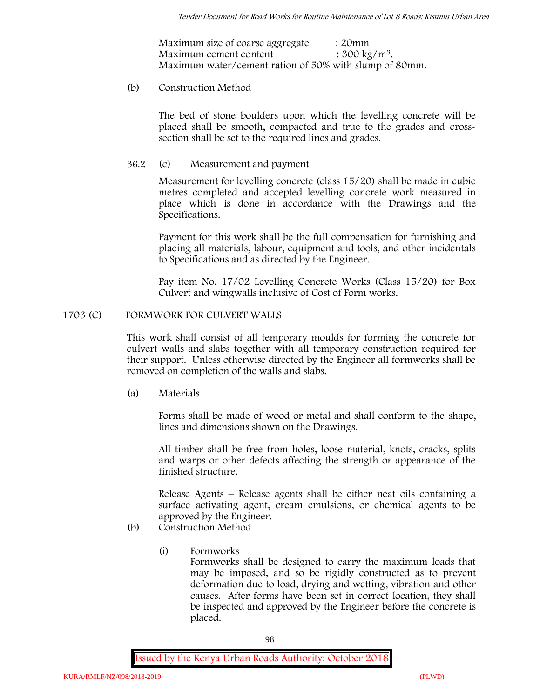| Maximum size of coarse aggregate                       | : 20mm                   |
|--------------------------------------------------------|--------------------------|
| Maximum cement content                                 | : $300 \text{ kg/m}^3$ . |
| Maximum water/cement ration of 50% with slump of 80mm. |                          |

## (b) **Construction Method**

The bed of stone boulders upon which the levelling concrete will be placed shall be smooth, compacted and true to the grades and crosssection shall be set to the required lines and grades.

## **36.2** (c) **Measurement and payment**

Measurement for levelling concrete (class 15/20) shall be made in cubic metres completed and accepted levelling concrete work measured in place which is done in accordance with the Drawings and the Specifications.

Payment for this work shall be the full compensation for furnishing and placing all materials, labour, equipment and tools, and other incidentals to Specifications and as directed by the Engineer.

Pay item No. 17/02 Levelling Concrete Works (Class 15/20) for Box Culvert and wingwalls inclusive of Cost of Form works.

## **1703 (C) FORMWORK FOR CULVERT WALLS**

This work shall consist of all temporary moulds for forming the concrete for culvert walls and slabs together with all temporary construction required for their support. Unless otherwise directed by the Engineer all formworks shall be removed on completion of the walls and slabs.

(a) **Materials**

Forms shall be made of wood or metal and shall conform to the shape, lines and dimensions shown on the Drawings.

All timber shall be free from holes, loose material, knots, cracks, splits and warps or other defects affecting the strength or appearance of the finished structure.

Release Agents – Release agents shall be either neat oils containing a surface activating agent, cream emulsions, or chemical agents to be approved by the Engineer.

- (b) **Construction Method**
	- (i) **Formworks**

Formworks shall be designed to carry the maximum loads that may be imposed, and so be rigidly constructed as to prevent deformation due to load, drying and wetting, vibration and other causes. After forms have been set in correct location, they shall be inspected and approved by the Engineer before the concrete is placed.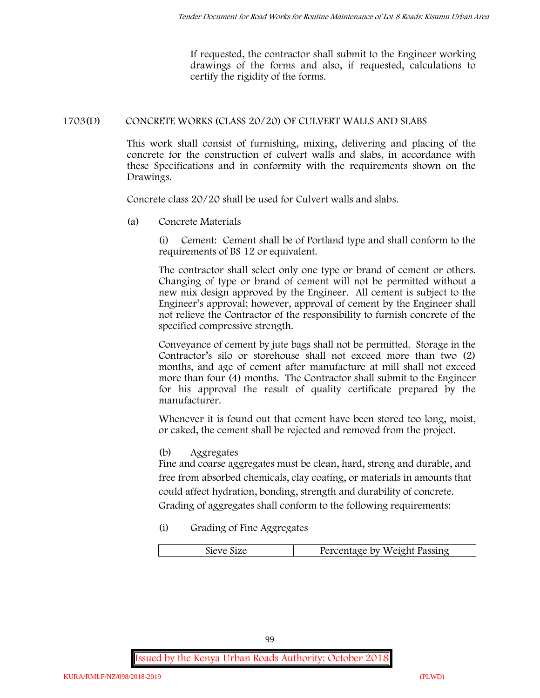If requested, the contractor shall submit to the Engineer working drawings of the forms and also, if requested, calculations to certify the rigidity of the forms.

## **1703(D) CONCRETE WORKS (CLASS 20/20) OF CULVERT WALLS AND SLABS**

This work shall consist of furnishing, mixing, delivering and placing of the concrete for the construction of culvert walls and slabs, in accordance with these Specifications and in conformity with the requirements shown on the Drawings.

Concrete class 20/20 shall be used for Culvert walls and slabs.

**(a) Concrete Materials**

(i) Cement: Cement shall be of Portland type and shall conform to the requirements of BS 12 or equivalent.

The contractor shall select only one type or brand of cement or others. Changing of type or brand of cement will not be permitted without a new mix design approved by the Engineer. All cement is subject to the Engineer's approval; however, approval of cement by the Engineer shall not relieve the Contractor of the responsibility to furnish concrete of the specified compressive strength.

Conveyance of cement by jute bags shall not be permitted. Storage in the Contractor's silo or storehouse shall not exceed more than two (2) months, and age of cement after manufacture at mill shall not exceed more than four (4) months. The Contractor shall submit to the Engineer for his approval the result of quality certificate prepared by the manufacturer.

Whenever it is found out that cement have been stored too long, moist, or caked, the cement shall be rejected and removed from the project.

**(b) Aggregates**

Fine and coarse aggregates must be clean, hard, strong and durable, and free from absorbed chemicals, clay coating, or materials in amounts that could affect hydration, bonding, strength and durability of concrete. Grading of aggregates shall conform to the following requirements:

**(i) Grading of Fine Aggregates**

| Percentage by Weight Passing |
|------------------------------|
|                              |

99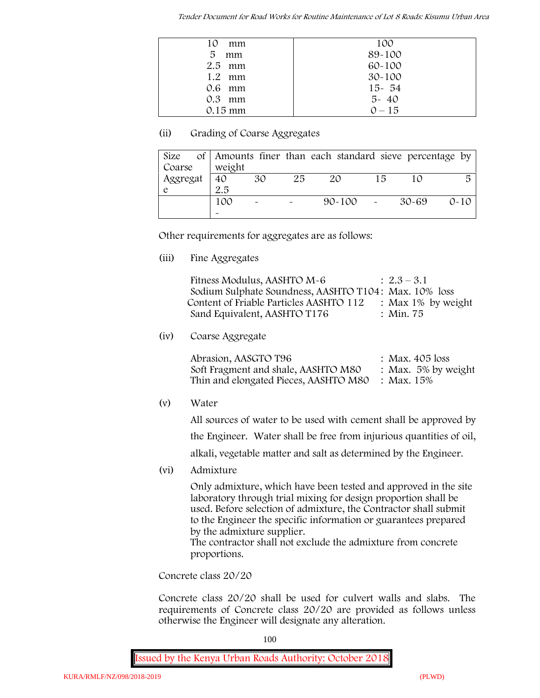*Tender Document for Road Works for Routine Maintenance of Lot 8 Roads: Kisumu Urban Area*

| 10<br>mm          | 100        |
|-------------------|------------|
| 5<br>mm           | 89-100     |
| $2.5$ mm          | 60-100     |
| $1.2$ mm          | $30 - 100$ |
| $0.6$ mm          | $15 - 54$  |
| $0.3$ mm          | $5 - 40$   |
| $0.15 \text{ mm}$ | $0 - 15$   |

## **(ii) Grading of Coarse Aggregates**

| Size     |                       |                           |    | of Amounts finer than each standard sieve percentage by |    |       |          |
|----------|-----------------------|---------------------------|----|---------------------------------------------------------|----|-------|----------|
| Coarse   | weight                |                           |    |                                                         |    |       |          |
| Aggregat | 40                    | 30                        | 25 | 20                                                      | 15 |       | 局        |
|          | 2.5                   |                           |    |                                                         |    |       |          |
|          | 100                   | $\widetilde{\phantom{m}}$ |    | $90 - 100$ -                                            |    | 30-69 | $0 - 10$ |
|          | $\tilde{\phantom{a}}$ |                           |    |                                                         |    |       |          |

Other requirements for aggregates are as follows:

**(iii) Fine Aggregates**

| Fitness Modulus, AASHTO M-6                           | $: 2.3 - 3.1$         |
|-------------------------------------------------------|-----------------------|
| Sodium Sulphate Soundness, AASHTO T104: Max. 10% loss |                       |
| Content of Friable Particles AASHTO 112               | : Max $1\%$ by weight |
| Sand Equivalent, AASHTO T176                          | : Min. 75             |

**(iv) Coarse Aggregate**

Abrasion, AASGTO T96 : Max. 405 loss Soft Fragment and shale, AASHTO M80 : Max. 5% by weight Thin and elongated Pieces, AASHTO M80 : Max. 15%

**(v) Water**

All sources of water to be used with cement shall be approved by

the Engineer. Water shall be free from injurious quantities of oil,

alkali, vegetable matter and salt as determined by the Engineer.

**(vi) Admixture**

Only admixture, which have been tested and approved in the site laboratory through trial mixing for design proportion shall be used. Before selection of admixture, the Contractor shall submit to the Engineer the specific information or guarantees prepared by the admixture supplier.

The contractor shall not exclude the admixture from concrete proportions.

**Concrete class 20/20**

Concrete class 20/20 shall be used for culvert walls and slabs. The requirements of Concrete class 20/20 are provided as follows unless otherwise the Engineer will designate any alteration.

100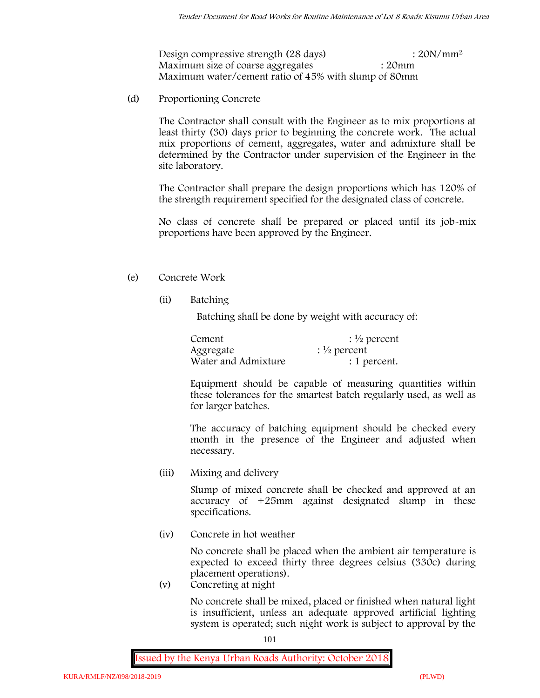Design compressive strength (28 days) : 20N/mm<sup>2</sup> Maximum size of coarse aggregates : 20mm Maximum water/cement ratio of 45% with slump of 80mm

(d) **Proportioning Concrete**

The Contractor shall consult with the Engineer as to mix proportions at least thirty (30) days prior to beginning the concrete work. The actual mix proportions of cement, aggregates, water and admixture shall be determined by the Contractor under supervision of the Engineer in the site laboratory.

The Contractor shall prepare the design proportions which has 120% of the strength requirement specified for the designated class of concrete.

No class of concrete shall be prepared or placed until its job-mix proportions have been approved by the Engineer.

## (e) **Concrete Work**

**(ii) Batching**

Batching shall be done by weight with accuracy of:

| Cement              | $\frac{1}{2}$ percent |
|---------------------|-----------------------|
| Aggregate           | $\frac{1}{2}$ percent |
| Water and Admixture | : 1 percent.          |

Equipment should be capable of measuring quantities within these tolerances for the smartest batch regularly used, as well as for larger batches.

The accuracy of batching equipment should be checked every month in the presence of the Engineer and adjusted when necessary.

**(iii) Mixing and delivery**

Slump of mixed concrete shall be checked and approved at an accuracy of +25mm against designated slump in these specifications.

**(iv) Concrete in hot weather**

No concrete shall be placed when the ambient air temperature is expected to exceed thirty three degrees celsius (330c) during placement operations).

**(v) Concreting at night**

No concrete shall be mixed, placed or finished when natural light is insufficient, unless an adequate approved artificial lighting system is operated; such night work is subject to approval by the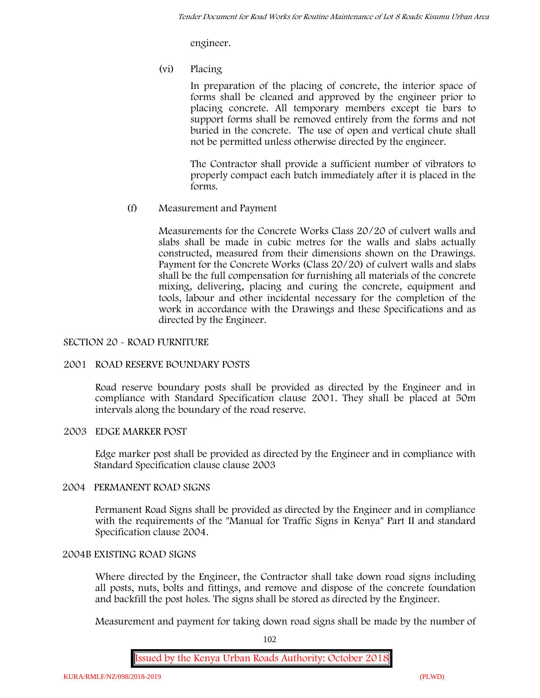engineer.

**(vi) Placing**

In preparation of the placing of concrete, the interior space of forms shall be cleaned and approved by the engineer prior to placing concrete. All temporary members except tie bars to support forms shall be removed entirely from the forms and not buried in the concrete. The use of open and vertical chute shall not be permitted unless otherwise directed by the engineer.

The Contractor shall provide a sufficient number of vibrators to properly compact each batch immediately after it is placed in the forms.

(f) **Measurement and Payment**

Measurements for the Concrete Works Class 20/20 of culvert walls and slabs shall be made in cubic metres for the walls and slabs actually constructed, measured from their dimensions shown on the Drawings. Payment for the Concrete Works (Class 20/20) of culvert walls and slabs shall be the full compensation for furnishing all materials of the concrete mixing, delivering, placing and curing the concrete, equipment and tools, labour and other incidental necessary for the completion of the work in accordance with the Drawings and these Specifications and as directed by the Engineer.

## **SECTION 20 - ROAD FURNITURE**

## **2001 ROAD RESERVE BOUNDARY POSTS**

Road reserve boundary posts shall be provided as directed by the Engineer and in compliance with Standard Specification clause 2001. They shall be placed at 50m intervals along the boundary of the road reserve.

## **2003 EDGE MARKER POST**

Edge marker post shall be provided as directed by the Engineer and in compliance with Standard Specification clause clause 2003

## **2004 PERMANENT ROAD SIGNS**

Permanent Road Signs shall be provided as directed by the Engineer and in compliance with the requirements of the "Manual for Traffic Signs in Kenya" Part II and standard Specification clause 2004.

## **2004B EXISTING ROAD SIGNS**

Where directed by the Engineer, the Contractor shall take down road signs including all posts, nuts, bolts and fittings, and remove and dispose of the concrete foundation and backfill the post holes. The signs shall be stored as directed by the Engineer.

Measurement and payment for taking down road signs shall be made by the number of

102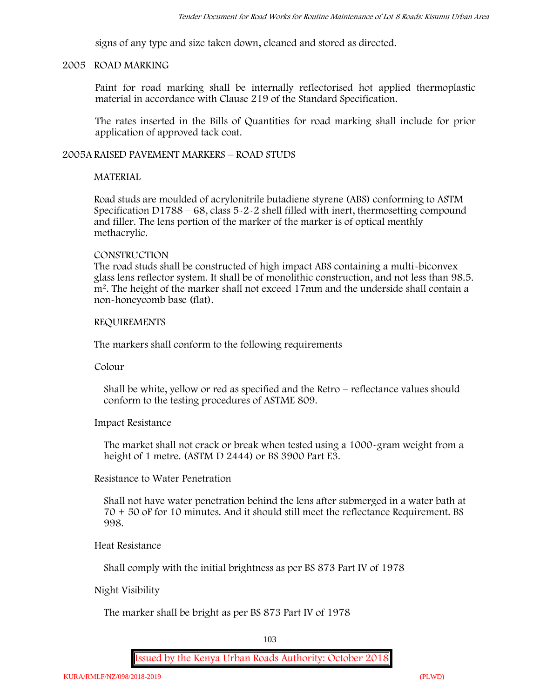signs of any type and size taken down, cleaned and stored as directed.

## **2005 ROAD MARKING**

Paint for road marking shall be internally reflectorised hot applied thermoplastic material in accordance with Clause 219 of the Standard Specification.

The rates inserted in the Bills of Quantities for road marking shall include for prior application of approved tack coat.

## **2005A RAISED PAVEMENT MARKERS – ROAD STUDS**

## **MATERIAL**

Road studs are moulded of acrylonitrile butadiene styrene (ABS) conforming to ASTM Specification D1788 – 68, class 5-2-2 shell filled with inert, thermosetting compound and filler. The lens portion of the marker of the marker is of optical menthly methacrylic.

## **CONSTRUCTION**

The road studs shall be constructed of high impact ABS containing a multi-biconvex glass lens reflector system. It shall be of monolithic construction, and not less than 98.5. m2. The height of the marker shall not exceed 17mm and the underside shall contain a non-honeycomb base (flat).

## **REQUIREMENTS**

The markers shall conform to the following requirements

**Colour**

Shall be white, yellow or red as specified and the Retro – reflectance values should conform to the testing procedures of ASTME 809.

**Impact Resistance**

The market shall not crack or break when tested using a 1000**-**gram weight from a height of 1 metre. (ASTM D 2444) or BS 3900 Part E3.

**Resistance to Water Penetration**

Shall not have water penetration behind the lens after submerged in a water bath at 70 + 50 oF for 10 minutes. And it should still meet the reflectance Requirement. BS 998.

**Heat Resistance**

Shall comply with the initial brightness as per BS 873 Part IV of 1978

## **Night Visibility**

The marker shall be bright as per BS 873 Part IV of 1978

103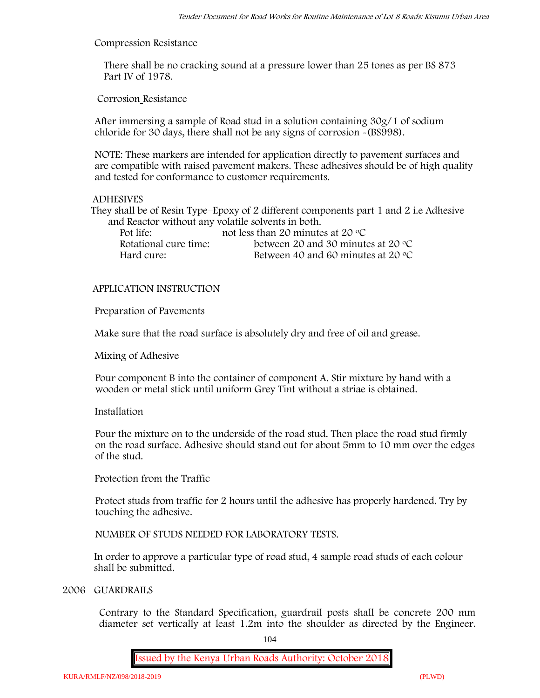#### **Compression Resistance**

There shall be no cracking sound at a pressure lower than 25 tones as per BS 873 Part IV of 1978.

**Corrosion Resistance**

After immersing a sample of Road stud in a solution containing 30g/1 of sodium chloride for 30 days, there shall not be any signs of corrosion **-**(BS998).

**NOTE**: These markers are intended for application directly to pavement surfaces and are compatible with raised pavement makers. These adhesives should be of high quality and tested for conformance to customer requirements.

### **ADHESIVES**

They shall be of Resin Type–Epoxy of 2 different components part 1 and 2 i.e Adhesive and Reactor without any volatile solvents in both.

| Pot life:             | not less than 20 minutes at 20 $\degree$ C  |
|-----------------------|---------------------------------------------|
| Rotational cure time: | between 20 and 30 minutes at 20 $\degree$ C |
| Hard cure:            | Between 40 and 60 minutes at 20 $\degree$ C |

## **APPLICATION INSTRUCTION**

**Preparation of Pavements**

Make sure that the road surface is absolutely dry and free of oil and grease**.**

**Mixing of Adhesive**

Pour component B into the container of component A. Stir mixture by hand with a wooden or metal stick until uniform Grey Tint without a striae is obtained.

#### **Installation**

Pour the mixture on to the underside of the road stud. Then place the road stud firmly on the road surface. Adhesive should stand out for about 5mm to 10 mm over the edges of the stud.

**Protection from the Traffic**

Protect studs from traffic for 2 hours until the adhesive has properly hardened. Try by touching the adhesive.

**NUMBER OF STUDS NEEDED FOR LABORATORY TESTS.**

In order to approve a particular type of road stud, 4 sample road studs of each colour shall be submitted.

### **2006 GUARDRAILS**

Contrary to the Standard Specification, guardrail posts shall be concrete 200 mm diameter set vertically at least 1.2m into the shoulder as directed by the Engineer.

104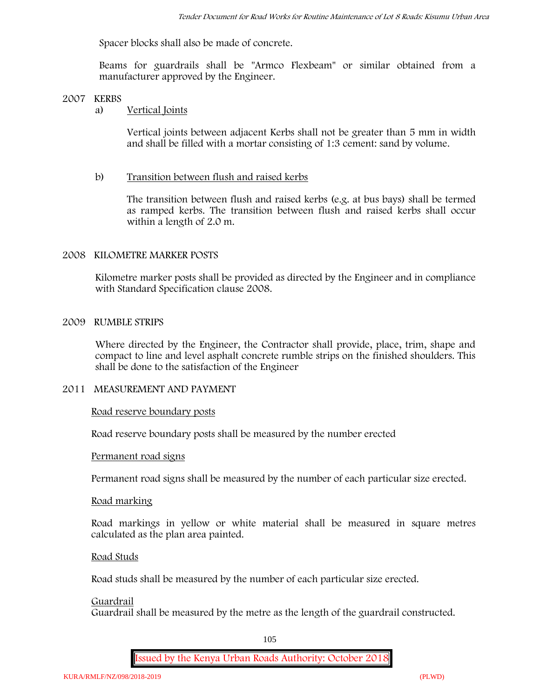Spacer blocks shall also be made of concrete.

Beams for guardrails shall be "Armco Flexbeam" or similar obtained from a manufacturer approved by the Engineer.

## **2007 KERBS**

## a) **Vertical Joints**

Vertical joints between adjacent Kerbs shall not be greater than 5 mm in width and shall be filled with a mortar consisting of 1:3 cement: sand by volume.

## b) **Transition between flush and raised kerbs**

The transition between flush and raised kerbs (e.g. at bus bays) shall be termed as ramped kerbs. The transition between flush and raised kerbs shall occur within a length of 2.0 m.

## **2008 KILOMETRE MARKER POSTS**

Kilometre marker posts shall be provided as directed by the Engineer and in compliance with Standard Specification clause 2008.

## **2009 RUMBLE STRIPS**

Where directed by the Engineer, the Contractor shall provide, place, trim, shape and compact to line and level asphalt concrete rumble strips on the finished shoulders. This shall be done to the satisfaction of the Engineer

## **2011 MEASUREMENT AND PAYMENT**

## **Road reserve boundary posts**

Road reserve boundary posts shall be measured by the number erected

## **Permanent road signs**

Permanent road signs shall be measured by the number of each particular size erected.

## **Road marking**

Road markings in yellow or white material shall be measured in square metres calculated as the plan area painted.

## **Road Studs**

Road studs shall be measured by the number of each particular size erected.

#### **Guardrail**

Guardrail shall be measured by the metre as the length of the guardrail constructed.

105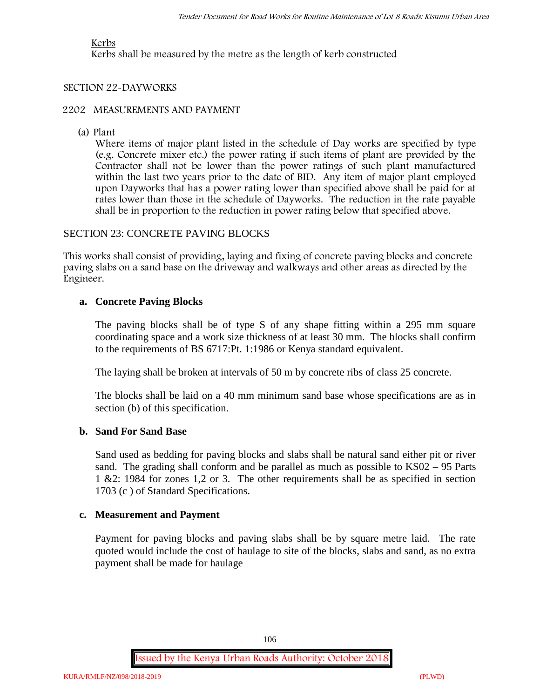## **Kerbs**

Kerbs shall be measured by the metre as the length of kerb constructed

## **SECTION 22-DAYWORKS**

### **2202 MEASUREMENTS AND PAYMENT**

(a) Plant

Where items of major plant listed in the schedule of Day works are specified by type (e.g. Concrete mixer etc.) the power rating if such items of plant are provided by the Contractor shall not be lower than the power ratings of such plant manufactured within the last two years prior to the date of BID. Any item of major plant employed upon Dayworks that has a power rating lower than specified above shall be paid for at rates lower than those in the schedule of Dayworks. The reduction in the rate payable shall be in proportion to the reduction in power rating below that specified above.

## SECTION 23: CONCRETE PAVING BLOCKS

This works shall consist of providing, laying and fixing of concrete paving blocks and concrete paving slabs on a sand base on the driveway and walkways and other areas as directed by the Engineer.

## **a. Concrete Paving Blocks**

The paving blocks shall be of type S of any shape fitting within a 295 mm square coordinating space and a work size thickness of at least 30 mm. The blocks shall confirm to the requirements of BS 6717:Pt. 1:1986 or Kenya standard equivalent.

The laying shall be broken at intervals of 50 m by concrete ribs of class 25 concrete.

The blocks shall be laid on a 40 mm minimum sand base whose specifications are as in section (b) of this specification.

## **b. Sand For Sand Base**

Sand used as bedding for paving blocks and slabs shall be natural sand either pit or river sand. The grading shall conform and be parallel as much as possible to KS02 – 95 Parts 1 &2: 1984 for zones 1,2 or 3. The other requirements shall be as specified in section 1703 (c ) of Standard Specifications.

## **c. Measurement and Payment**

Payment for paving blocks and paving slabs shall be by square metre laid. The rate quoted would include the cost of haulage to site of the blocks, slabs and sand, as no extra payment shall be made for haulage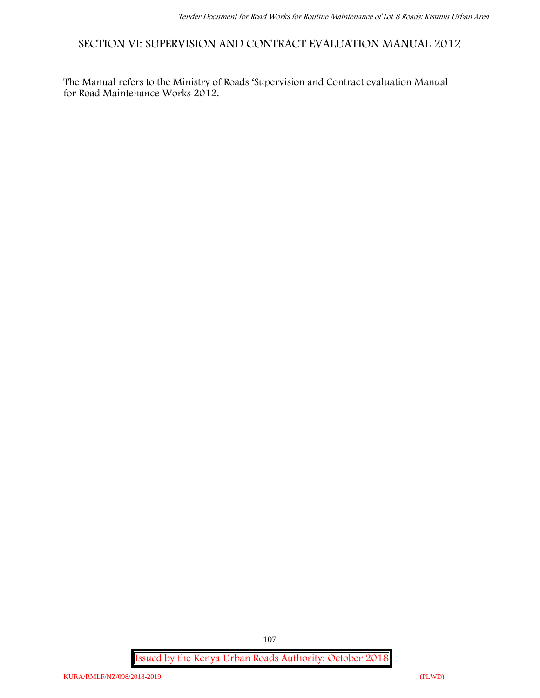**SECTION VI: SUPERVISION AND CONTRACT EVALUATION MANUAL 2012**

The Manual refers to the Ministry of Roads 'Supervision and Contract evaluation Manual for Road Maintenance Works 2012.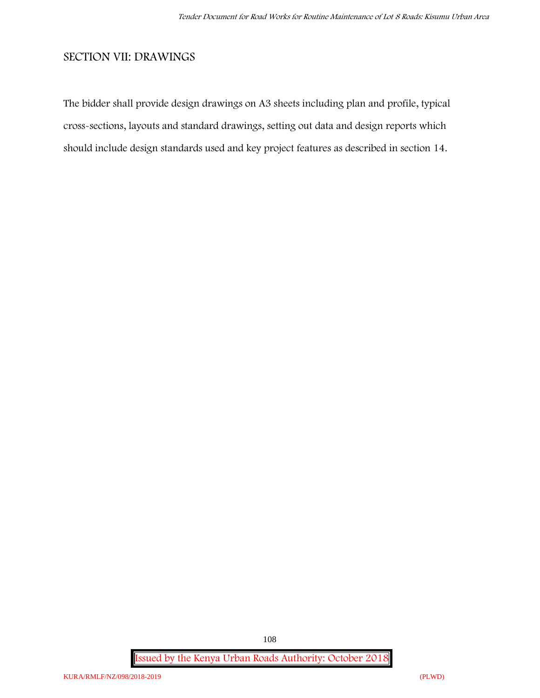# **SECTION VII: DRAWINGS**

The bidder shall provide design drawings on A3 sheets including plan and profile, typical cross-sections, layouts and standard drawings, setting out data and design reports which should include design standards used and key project features as described in section 14.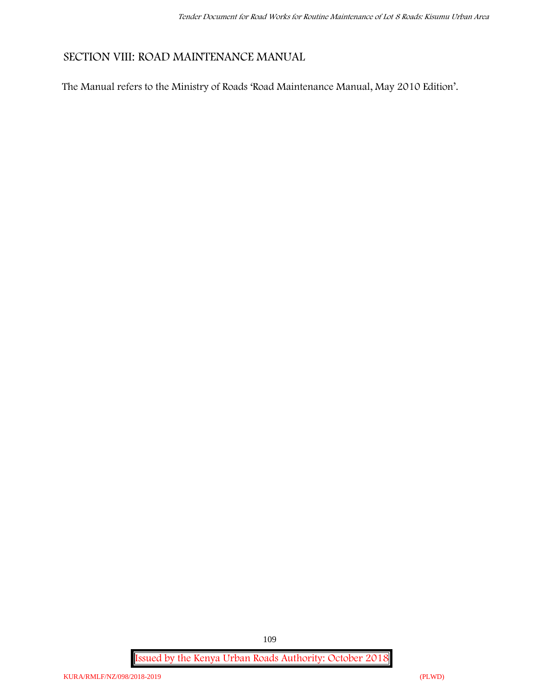# **SECTION VIII: ROAD MAINTENANCE MANUAL**

The Manual refers to the Ministry of Roads 'Road Maintenance Manual, May 2010 Edition'.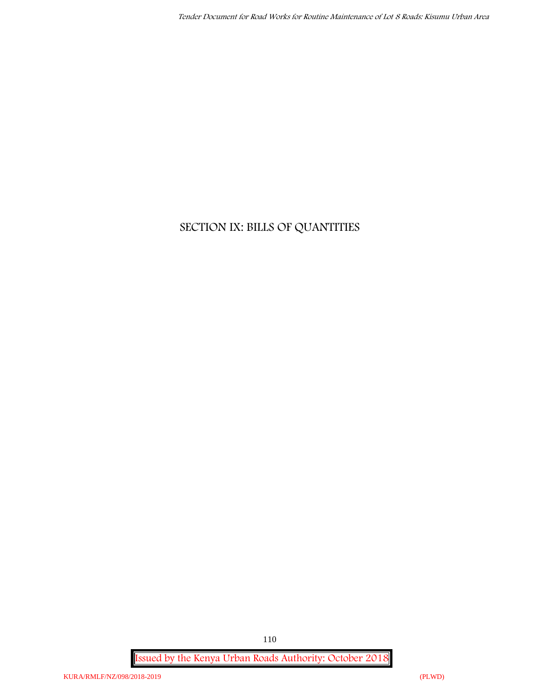# **SECTION IX: BILLS OF QUANTITIES**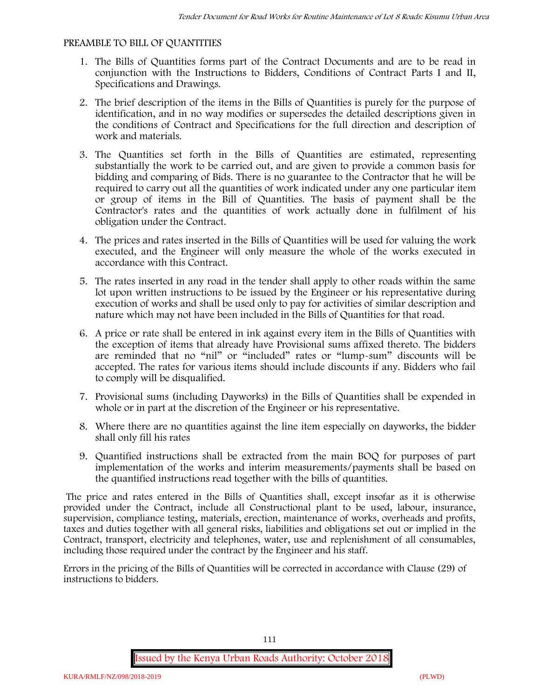#### **PREAMBLE TO BILL OF QUANTITIES**

- 1. The Bills of Quantities forms part of the Contract Documents and are to be read in conjunction with the Instructions to Bidders, Conditions of Contract Parts I and II, Specifications and Drawings.
- 2. The brief description of the items in the Bills of Quantities is purely for the purpose of identification, and in no way modifies or supersedes the detailed descriptions given in the conditions of Contract and Specifications for the full direction and description of work and materials.
- 3. The Quantities set forth in the Bills of Quantities are estimated, representing substantially the work to be carried out, and are given to provide a common basis for bidding and comparing of Bids. There is no guarantee to the Contractor that he will be required to carry out all the quantities of work indicated under any one particular item or group of items in the Bill of Quantities. The basis of payment shall be the Contractor's rates and the quantities of work actually done in fulfilment of his obligation under the Contract.
- 4. The prices and rates inserted in the Bills of Quantities will be used for valuing the work executed, and the Engineer will only measure the whole of the works executed in accordance with this Contract.
- 5. The rates inserted in any road in the tender shall apply to other roads within the same lot upon written instructions to be issued by the Engineer or his representative during execution of works and shall be used only to pay for activities of similar description and nature which may not have been included in the Bills of Quantities for that road.
- 6. A price or rate shall be entered in ink against every item in the Bills of Quantities with the exception of items that already have Provisional sums affixed thereto. The bidders are reminded that no "nil" or "included" rates or "lump-sum" discounts will be accepted. The rates for various items should include discounts if any. Bidders who fail to comply will be disqualified.
- 7. Provisional sums (including Dayworks) in the Bills of Quantities shall be expended in whole or in part at the discretion of the Engineer or his representative.
- 8. Where there are no quantities against the line item especially on dayworks, the bidder shall only fill his rates
- 9. Quantified instructions shall be extracted from the main BOQ for purposes of part implementation of the works and interim measurements/payments shall be based on the quantified instructions read together with the bills of quantities.

The price and rates entered in the Bills of Quantities shall, except insofar as it is otherwise provided under the Contract, include all Constructional plant to be used, labour, insurance, supervision, compliance testing, materials, erection, maintenance of works, overheads and profits, taxes and duties together with all general risks, liabilities and obligations set out or implied in the Contract, transport, electricity and telephones, water, use and replenishment of all consumables, including those required under the contract by the Engineer and his staff.

Errors in the pricing of the Bills of Quantities will be corrected in accordance with Clause (29) of instructions to bidders.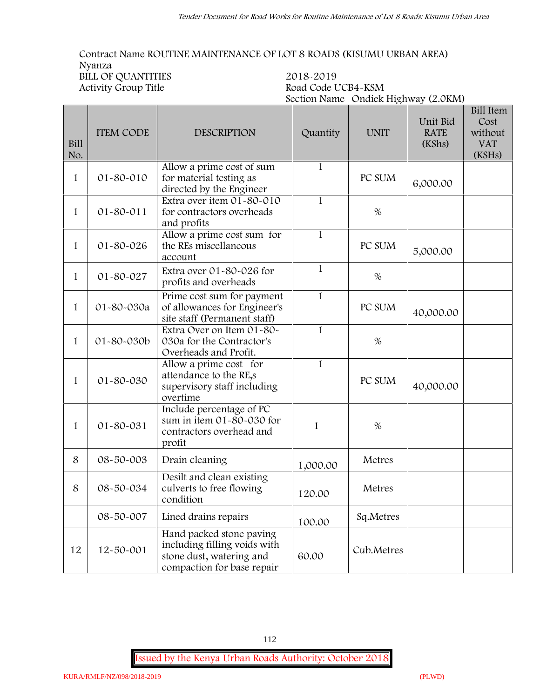**Contract Name ROUTINE MAINTENANCE OF LOT 8 ROADS (KISUMU URBAN AREA) Nyanza BILL OF QUANTITIES** 2018-2019<br>Activity Group Title Road Code L **Activity Group Title Road Code UCB4-KSM**

|              |                  |                                                                                                                    |              | Section Name Ondiek Highway (2.0KM) |                                   |                                                             |
|--------------|------------------|--------------------------------------------------------------------------------------------------------------------|--------------|-------------------------------------|-----------------------------------|-------------------------------------------------------------|
| Bill<br>No.  | <b>ITEM CODE</b> | <b>DESCRIPTION</b>                                                                                                 | Quantity     | <b>UNIT</b>                         | Unit Bid<br><b>RATE</b><br>(KShs) | <b>Bill Item</b><br>Cost<br>without<br><b>VAT</b><br>(KSHs) |
| $\mathbf{1}$ | 01-80-010        | Allow a prime cost of sum<br>for material testing as<br>directed by the Engineer                                   | $\mathbf{1}$ | PC SUM                              | 6,000.00                          |                                                             |
| $\mathbf 1$  | $01 - 80 - 011$  | Extra over item 01-80-010<br>for contractors overheads<br>and profits                                              | $\mathbf{1}$ | $\%$                                |                                   |                                                             |
| $\mathbf{1}$ | 01-80-026        | Allow a prime cost sum for<br>the REs miscellaneous<br>account                                                     | $\mathbf{1}$ | PC SUM                              | 5,000.00                          |                                                             |
| 1            | 01-80-027        | Extra over 01-80-026 for<br>profits and overheads                                                                  | $\mathbf{1}$ | $\%$                                |                                   |                                                             |
| $\mathbf{1}$ | 01-80-030a       | Prime cost sum for payment<br>of allowances for Engineer's<br>site staff (Permanent staff)                         | $\mathbf{1}$ | PC SUM                              | 40,000.00                         |                                                             |
| $\mathbf{1}$ | 01-80-030b       | Extra Over on Item 01-80-<br>030a for the Contractor's<br>Overheads and Profit.                                    | $\mathbf{1}$ | $\%$                                |                                   |                                                             |
| $\mathbf{1}$ | 01-80-030        | Allow a prime cost for<br>attendance to the RE,s<br>supervisory staff including<br>overtime                        | $\mathbf{1}$ | PC SUM                              | 40,000.00                         |                                                             |
| $\mathbf{1}$ | 01-80-031        | Include percentage of PC<br>sum in item 01-80-030 for<br>contractors overhead and<br>profit                        | $\mathbf{1}$ | $\%$                                |                                   |                                                             |
| 8            | 08-50-003        | Drain cleaning                                                                                                     | 1,000.00     | Metres                              |                                   |                                                             |
| 8            | 08-50-034        | Desilt and clean existing<br>culverts to free flowing<br>condition                                                 | 120.00       | Metres                              |                                   |                                                             |
|              | 08-50-007        | Lined drains repairs                                                                                               | 100.00       | Sq.Metres                           |                                   |                                                             |
| 12           | 12-50-001        | Hand packed stone paving<br>including filling voids with<br>stone dust, watering and<br>compaction for base repair | 60.00        | Cub.Metres                          |                                   |                                                             |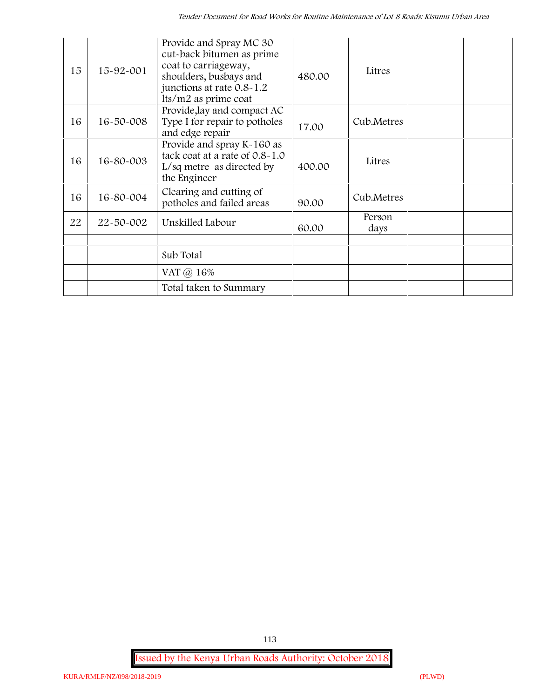| 15 | 15-92-001       | Provide and Spray MC 30<br>cut-back bitumen as prime<br>coat to carriageway,<br>shoulders, busbays and<br>junctions at rate 0.8-1.2<br>Its/m2 as prime coat | 480.00 | Litres         |  |
|----|-----------------|-------------------------------------------------------------------------------------------------------------------------------------------------------------|--------|----------------|--|
| 16 | $16 - 50 - 008$ | Provide, lay and compact AC<br>Type I for repair to potholes<br>and edge repair                                                                             | 17.00  | Cub.Metres     |  |
| 16 | 16-80-003       | Provide and spray K-160 as<br>tack coat at a rate of 0.8-1.0<br>$L/sq$ metre as directed by<br>the Engineer                                                 | 400.00 | Litres         |  |
| 16 | 16-80-004       | Clearing and cutting of<br>potholes and failed areas                                                                                                        | 90.00  | Cub.Metres     |  |
| 22 | 22-50-002       | Unskilled Labour                                                                                                                                            | 60.00  | Person<br>days |  |
|    |                 |                                                                                                                                                             |        |                |  |
|    |                 | Sub Total                                                                                                                                                   |        |                |  |
|    |                 | VAT @ 16%                                                                                                                                                   |        |                |  |
|    |                 | Total taken to Summary                                                                                                                                      |        |                |  |

**Issued by the Kenya Urban Roads Authority: October 2018**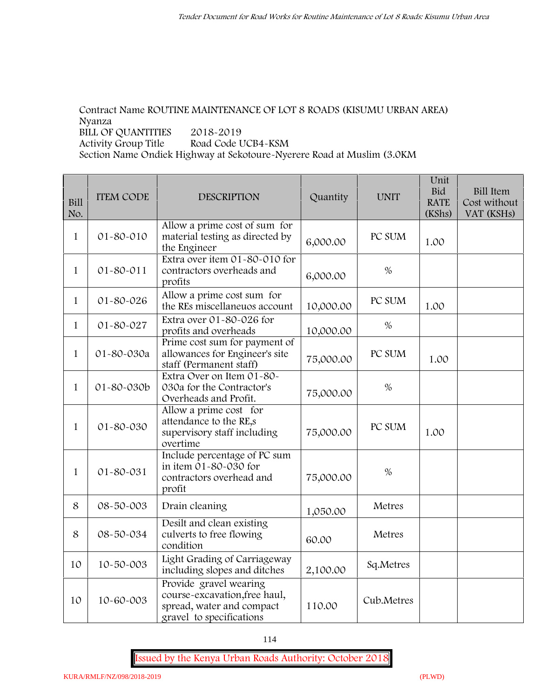# **Contract Name ROUTINE MAINTENANCE OF LOT 8 ROADS (KISUMU URBAN AREA) Nyanza BILL OF QUANTITIES 2018-2019**

**Activity Group Title Road Code UCB4-KSM**

**Section Name Ondiek Highway at Sekotoure-Nyerere Road at Muslim (3.0KM**

| <b>Bill</b><br>No. | <b>ITEM CODE</b> | <b>DESCRIPTION</b>                                                                                               | Quantity  | <b>UNIT</b> | Unit<br><b>Bid</b><br><b>RATE</b><br>(KShs) | <b>Bill Item</b><br>Cost without<br>VAT (KSHs) |
|--------------------|------------------|------------------------------------------------------------------------------------------------------------------|-----------|-------------|---------------------------------------------|------------------------------------------------|
| 1                  | 01-80-010        | Allow a prime cost of sum for<br>material testing as directed by<br>the Engineer                                 | 6,000.00  | PC SUM      | 1.00                                        |                                                |
| $\mathbf{1}$       | $01 - 80 - 011$  | Extra over item 01-80-010 for<br>contractors overheads and<br>profits                                            | 6,000.00  | $\%$        |                                             |                                                |
| $\mathbf{1}$       | 01-80-026        | Allow a prime cost sum for<br>the REs miscellaneuos account                                                      | 10,000.00 | PC SUM      | 1.00                                        |                                                |
| $\mathbf{1}$       | 01-80-027        | Extra over 01-80-026 for<br>profits and overheads                                                                | 10,000.00 | $\%$        |                                             |                                                |
| $\mathbf{1}$       | 01-80-030a       | Prime cost sum for payment of<br>allowances for Engineer's site<br>staff (Permanent staff)                       | 75,000.00 | PC SUM      | 1.00                                        |                                                |
| $\mathbf{1}$       | 01-80-030b       | Extra Over on Item 01-80-<br>030a for the Contractor's<br>Overheads and Profit.                                  | 75,000.00 | $\%$        |                                             |                                                |
| $\mathbf{1}$       | 01-80-030        | Allow a prime cost for<br>attendance to the RE,s<br>supervisory staff including<br>overtime                      | 75,000.00 | PC SUM      | 1.00                                        |                                                |
| 1                  | 01-80-031        | Include percentage of PC sum<br>in item 01-80-030 for<br>contractors overhead and<br>profit                      | 75,000.00 | $\%$        |                                             |                                                |
| 8                  | 08-50-003        | Drain cleaning                                                                                                   | 1,050.00  | Metres      |                                             |                                                |
| 8                  | 08-50-034        | Desilt and clean existing<br>culverts to free flowing<br>condition                                               | 60.00     | Metres      |                                             |                                                |
| 10                 | 10-50-003        | Light Grading of Carriageway<br>including slopes and ditches                                                     | 2,100.00  | Sq.Metres   |                                             |                                                |
| 10                 | 10-60-003        | Provide gravel wearing<br>course-excavation, free haul,<br>spread, water and compact<br>gravel to specifications | 110.00    | Cub.Metres  |                                             |                                                |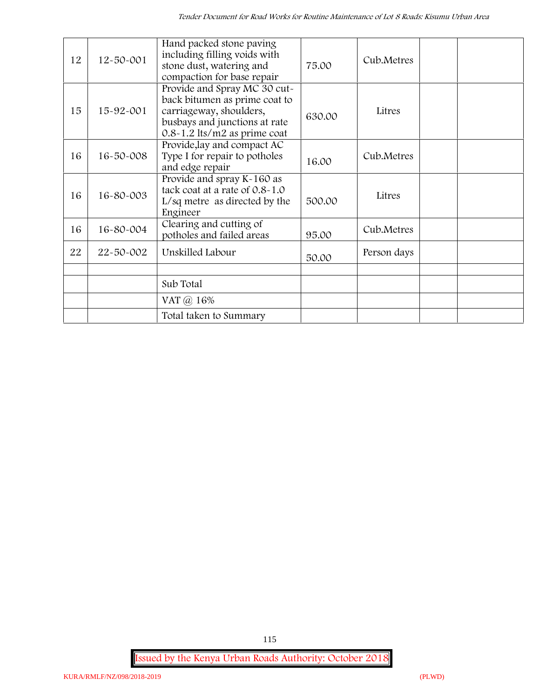| 12 | $12 - 50 - 001$ | Hand packed stone paving<br>including filling voids with<br>stone dust, watering and<br>compaction for base repair                                            | 75.00  | Cub.Metres  |  |
|----|-----------------|---------------------------------------------------------------------------------------------------------------------------------------------------------------|--------|-------------|--|
| 15 | $15 - 92 - 001$ | Provide and Spray MC 30 cut-<br>back bitumen as prime coat to<br>carriageway, shoulders,<br>busbays and junctions at rate<br>$0.8 - 1.2$ lts/m2 as prime coat | 630.00 | Litres      |  |
| 16 | 16-50-008       | Provide, lay and compact AC<br>Type I for repair to potholes<br>and edge repair                                                                               | 16.00  | Cub.Metres  |  |
| 16 | 16-80-003       | Provide and spray K-160 as<br>tack coat at a rate of 0.8-1.0<br>$L/sq$ metre as directed by the<br>Engineer                                                   | 500.00 | Litres      |  |
| 16 | 16-80-004       | Clearing and cutting of<br>potholes and failed areas                                                                                                          | 95.00  | Cub.Metres  |  |
| 22 | 22-50-002       | Unskilled Labour                                                                                                                                              | 50.00  | Person days |  |
|    |                 | Sub Total                                                                                                                                                     |        |             |  |
|    |                 | VAT @ 16%                                                                                                                                                     |        |             |  |
|    |                 | Total taken to Summary                                                                                                                                        |        |             |  |

**Issued by the Kenya Urban Roads Authority: October 2018**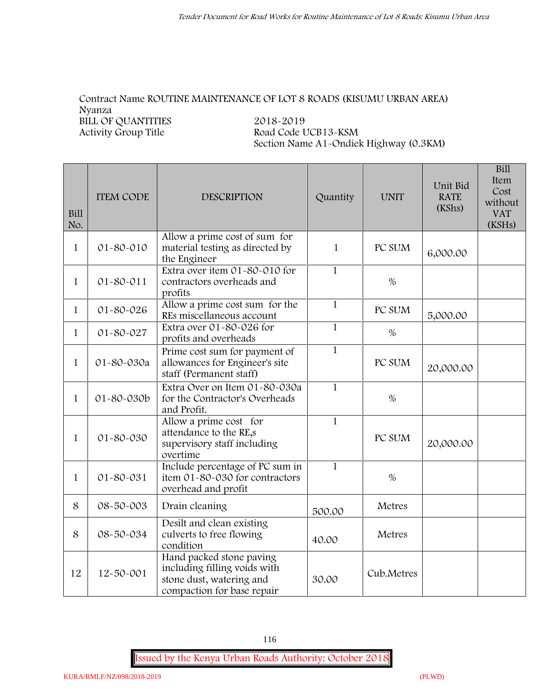#### **Contract Name ROUTINE MAINTENANCE OF LOT 8 ROADS (KISUMU URBAN AREA) Nyanza BILL OF QUANTITIES** 2018-2019<br>Activity Group Title Road Code L **Activity Group Title Road Code UCB13-KSM**

**Section Name A1-Ondiek Highway (0.3KM)**

| Bill<br>No.  | <b>ITEM CODE</b> | <b>DESCRIPTION</b>                                                                                                 | Quantity     | <b>UNIT</b> | Unit Bid<br><b>RATE</b><br>(KShs) | <b>Bill</b><br>Item<br>Cost<br>without<br><b>VAT</b><br>(KSHs) |
|--------------|------------------|--------------------------------------------------------------------------------------------------------------------|--------------|-------------|-----------------------------------|----------------------------------------------------------------|
| $\mathbf{1}$ | $01 - 80 - 010$  | Allow a prime cost of sum for<br>material testing as directed by<br>the Engineer                                   | $\mathbf{1}$ | PC SUM      | 6,000.00                          |                                                                |
| $\mathbf{1}$ | 01-80-011        | Extra over item 01-80-010 for<br>contractors overheads and<br>profits                                              | $\mathbf{1}$ | $\%$        |                                   |                                                                |
| $\mathbf{1}$ | 01-80-026        | Allow a prime cost sum for the<br>REs miscellaneous account                                                        | $\mathbf{1}$ | PC SUM      | 5,000.00                          |                                                                |
| $\mathbf{1}$ | 01-80-027        | Extra over 01-80-026 for<br>profits and overheads                                                                  | $\mathbf{1}$ | %           |                                   |                                                                |
| $\mathbf{1}$ | 01-80-030a       | Prime cost sum for payment of<br>allowances for Engineer's site<br>staff (Permanent staff)                         | $\mathbf{1}$ | PC SUM      | 20,000.00                         |                                                                |
| $\mathbf{1}$ | 01-80-030b       | Extra Over on Item 01-80-030a<br>for the Contractor's Overheads<br>and Profit.                                     | $\mathbf{1}$ | $\%$        |                                   |                                                                |
| $\mathbf{1}$ | 01-80-030        | Allow a prime cost for<br>attendance to the RE,s<br>supervisory staff including<br>overtime                        | $\mathbf{1}$ | PC SUM      | 20,000.00                         |                                                                |
| $\mathbf{1}$ | 01-80-031        | Include percentage of PC sum in<br>item 01-80-030 for contractors<br>overhead and profit                           | $\mathbf{1}$ | $\%$        |                                   |                                                                |
| 8            | 08-50-003        | Drain cleaning                                                                                                     | 500.00       | Metres      |                                   |                                                                |
| 8            | 08-50-034        | Desilt and clean existing<br>culverts to free flowing<br>condition                                                 | 40.00        | Metres      |                                   |                                                                |
| 12           | 12-50-001        | Hand packed stone paving<br>including filling voids with<br>stone dust, watering and<br>compaction for base repair | 30.00        | Cub.Metres  |                                   |                                                                |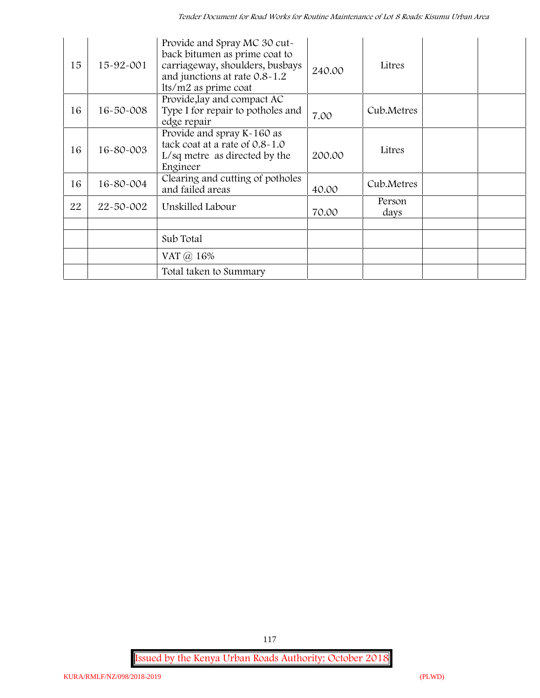| 15 | 15-92-001       | Provide and Spray MC 30 cut-<br>back bitumen as prime coat to<br>carriageway, shoulders, busbays<br>and junctions at rate 0.8-1.2<br>lts/m2 as prime coat | 240.00 | Litres         |  |
|----|-----------------|-----------------------------------------------------------------------------------------------------------------------------------------------------------|--------|----------------|--|
| 16 | $16 - 50 - 008$ | Provide, lay and compact AC<br>Type I for repair to potholes and<br>edge repair                                                                           | 7.00   | Cub.Metres     |  |
| 16 | 16-80-003       | Provide and spray K-160 as<br>tack coat at a rate of 0.8-1.0<br>L/sq metre as directed by the<br>Engineer                                                 | 200.00 | Litres         |  |
| 16 | 16-80-004       | Clearing and cutting of potholes<br>and failed areas                                                                                                      | 40.00  | Cub.Metres     |  |
| 22 | 22-50-002       | Unskilled Labour                                                                                                                                          | 70.00  | Person<br>days |  |
|    |                 |                                                                                                                                                           |        |                |  |
|    |                 | Sub Total                                                                                                                                                 |        |                |  |
|    |                 | VAT @ 16%                                                                                                                                                 |        |                |  |
|    |                 | Total taken to Summary                                                                                                                                    |        |                |  |

**Issued by the Kenya Urban Roads Authority: October 2018**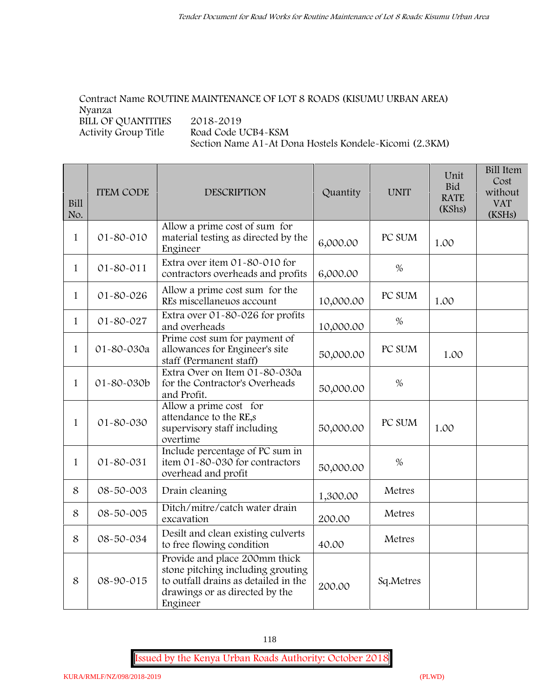# **Contract Name ROUTINE MAINTENANCE OF LOT 8 ROADS (KISUMU URBAN AREA) Nyanza BILL OF QUANTITIES** 2018-2019<br>Activity Group Title Road Code U

**Activity Group Title Road Code UCB4-KSM Section Name A1-At Dona Hostels Kondele-Kicomi (2.3KM)**

| Bill<br>No.  | <b>ITEM CODE</b> | <b>DESCRIPTION</b>                                                                                                                                       | Quantity  | <b>UNIT</b> | Unit<br><b>Bid</b><br><b>RATE</b><br>(KShs) | <b>Bill Item</b><br>Cost<br>without<br><b>VAT</b><br>(KSHs) |
|--------------|------------------|----------------------------------------------------------------------------------------------------------------------------------------------------------|-----------|-------------|---------------------------------------------|-------------------------------------------------------------|
| $\mathbf{1}$ | $01 - 80 - 010$  | Allow a prime cost of sum for<br>material testing as directed by the<br>Engineer                                                                         | 6,000.00  | PC SUM      | 1.00                                        |                                                             |
| $\mathbf{1}$ | $01 - 80 - 011$  | Extra over item 01-80-010 for<br>contractors overheads and profits                                                                                       | 6,000.00  | $\%$        |                                             |                                                             |
| $\mathbf{1}$ | 01-80-026        | Allow a prime cost sum for the<br>REs miscellaneuos account                                                                                              | 10,000.00 | PC SUM      | 1.00                                        |                                                             |
| $\mathbf{1}$ | 01-80-027        | Extra over 01-80-026 for profits<br>and overheads                                                                                                        | 10,000.00 | $\%$        |                                             |                                                             |
| $\mathbf{1}$ | 01-80-030a       | Prime cost sum for payment of<br>allowances for Engineer's site<br>staff (Permanent staff)                                                               | 50,000.00 | PC SUM      | 1.00                                        |                                                             |
| $\mathbf{1}$ | 01-80-030b       | Extra Over on Item 01-80-030a<br>for the Contractor's Overheads<br>and Profit.                                                                           | 50,000.00 | $\%$        |                                             |                                                             |
| $\mathbf{1}$ | 01-80-030        | Allow a prime cost for<br>attendance to the RE,s<br>supervisory staff including<br>overtime                                                              | 50,000.00 | PC SUM      | 1.00                                        |                                                             |
| $\mathbf{1}$ | 01-80-031        | Include percentage of PC sum in<br>item 01-80-030 for contractors<br>overhead and profit                                                                 | 50,000.00 | $\%$        |                                             |                                                             |
| 8            | 08-50-003        | Drain cleaning                                                                                                                                           | 1,300.00  | Metres      |                                             |                                                             |
| 8            | 08-50-005        | Ditch/mitre/catch water drain<br>excavation                                                                                                              | 200.00    | Metres      |                                             |                                                             |
| 8            | 08-50-034        | Desilt and clean existing culverts<br>to free flowing condition                                                                                          | 40.00     | Metres      |                                             |                                                             |
| 8            | 08-90-015        | Provide and place 200mm thick<br>stone pitching including grouting<br>to outfall drains as detailed in the<br>drawings or as directed by the<br>Engineer | 200.00    | Sq.Metres   |                                             |                                                             |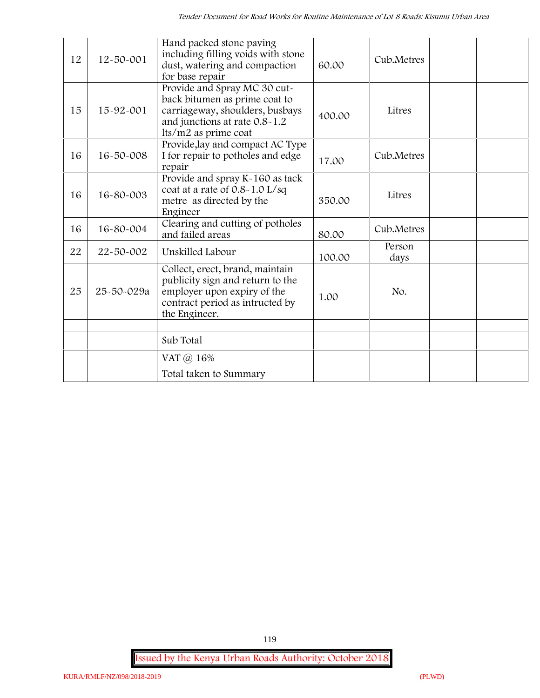| 12 | $12 - 50 - 001$ | Hand packed stone paving<br>including filling voids with stone<br>dust, watering and compaction<br>for base repair                                        | 60.00  | Cub.Metres     |  |
|----|-----------------|-----------------------------------------------------------------------------------------------------------------------------------------------------------|--------|----------------|--|
| 15 | 15-92-001       | Provide and Spray MC 30 cut-<br>back bitumen as prime coat to<br>carriageway, shoulders, busbays<br>and junctions at rate 0.8-1.2<br>lts/m2 as prime coat | 400.00 | Litres         |  |
| 16 | 16-50-008       | Provide, lay and compact AC Type<br>I for repair to potholes and edge<br>repair                                                                           | 17.00  | Cub.Metres     |  |
| 16 | 16-80-003       | Provide and spray K-160 as tack<br>coat at a rate of 0.8-1.0 L/sq<br>metre as directed by the<br>Engineer                                                 | 350.00 | Litres         |  |
| 16 | 16-80-004       | Clearing and cutting of potholes<br>and failed areas                                                                                                      | 80.00  | Cub.Metres     |  |
| 22 | 22-50-002       | Unskilled Labour                                                                                                                                          | 100.00 | Person<br>days |  |
| 25 | 25-50-029a      | Collect, erect, brand, maintain<br>publicity sign and return to the<br>employer upon expiry of the<br>contract period as intructed by<br>the Engineer.    | 1.00   | No.            |  |
|    |                 |                                                                                                                                                           |        |                |  |
|    |                 | Sub Total                                                                                                                                                 |        |                |  |
|    |                 | VAT @ 16%                                                                                                                                                 |        |                |  |
|    |                 | Total taken to Summary                                                                                                                                    |        |                |  |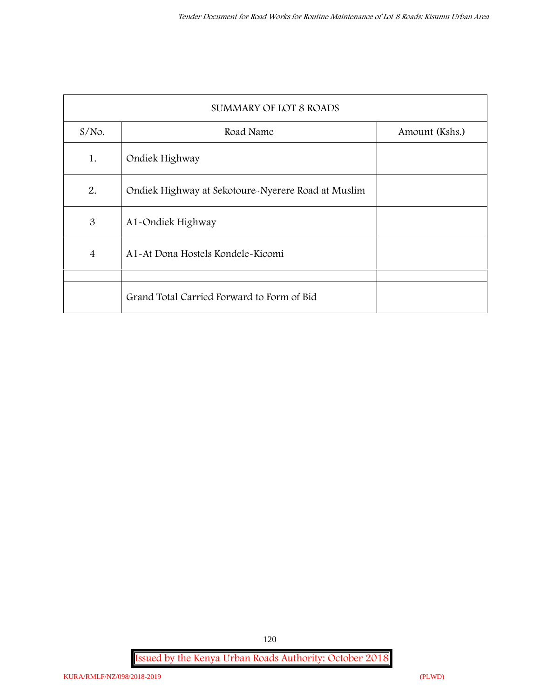| <b>SUMMARY OF LOT 8 ROADS</b> |                                                    |                |  |  |  |  |
|-------------------------------|----------------------------------------------------|----------------|--|--|--|--|
| $S/NO$ .                      | Road Name                                          | Amount (Kshs.) |  |  |  |  |
| 1.                            | Ondiek Highway                                     |                |  |  |  |  |
| 2.                            | Ondiek Highway at Sekotoure-Nyerere Road at Muslim |                |  |  |  |  |
| 3                             | A1-Ondiek Highway                                  |                |  |  |  |  |
| $\overline{4}$                | A1-At Dona Hostels Kondele-Kicomi                  |                |  |  |  |  |
|                               |                                                    |                |  |  |  |  |
|                               | Grand Total Carried Forward to Form of Bid         |                |  |  |  |  |

**Issued by the Kenya Urban Roads Authority: October 2018**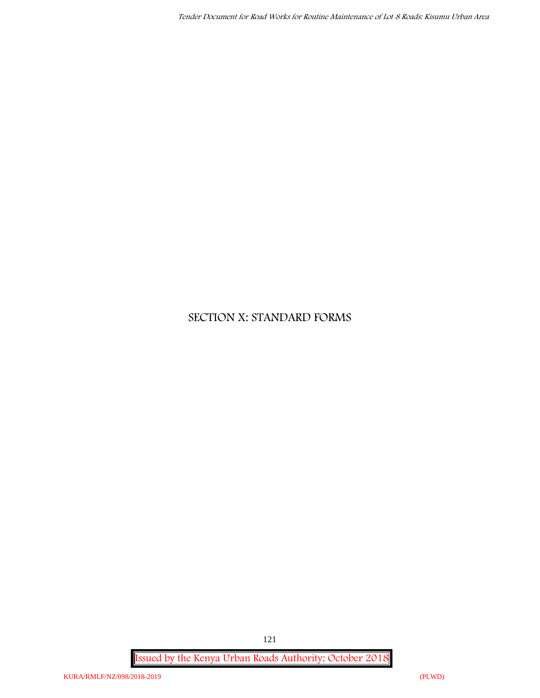# **SECTION X: STANDARD FORMS**

**Issued by the Kenya Urban Roads Authority: October 2018**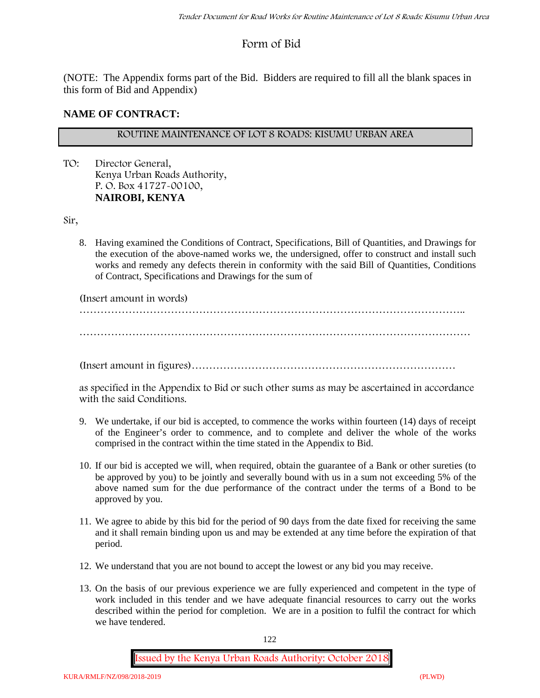# **Form of Bid**

(NOTE: The Appendix forms part of the Bid. Bidders are required to fill all the blank spaces in this form of Bid and Appendix)

# **NAME OF CONTRACT:**

## **ROUTINE MAINTENANCE OF LOT 8 ROADS: KISUMU URBAN AREA**

TO: Director General, Kenya Urban Roads Authority, P. O. Box 41727-00100, **NAIROBI, KENYA**

Sir,

8. Having examined the Conditions of Contract, Specifications, Bill of Quantities, and Drawings for the execution of the above-named works we, the undersigned, offer to construct and install such works and remedy any defects therein in conformity with the said Bill of Quantities, Conditions of Contract, Specifications and Drawings for the sum of

(Insert amount in words)

………………………………………………………………………………………………..

…………………………………………………………………………………………………

(Insert amount in figures)…………………………………………………………………

as specified in the Appendix to Bid or such other sums as may be ascertained in accordance with the said Conditions.

- 9. We undertake, if our bid is accepted, to commence the works within fourteen (14) days of receipt of the Engineer's order to commence, and to complete and deliver the whole of the works comprised in the contract within the time stated in the Appendix to Bid.
- 10. If our bid is accepted we will, when required, obtain the guarantee of a Bank or other sureties (to be approved by you) to be jointly and severally bound with us in a sum not exceeding 5% of the above named sum for the due performance of the contract under the terms of a Bond to be approved by you.
- 11. We agree to abide by this bid for the period of 90 days from the date fixed for receiving the same and it shall remain binding upon us and may be extended at any time before the expiration of that period.
- 12. We understand that you are not bound to accept the lowest or any bid you may receive.
- 13. On the basis of our previous experience we are fully experienced and competent in the type of work included in this tender and we have adequate financial resources to carry out the works described within the period for completion. We are in a position to fulfil the contract for which we have tendered.

122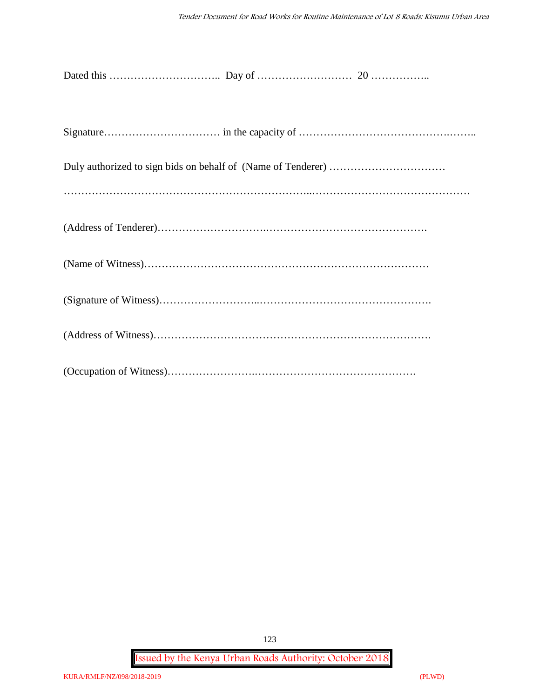**Issued by the Kenya Urban Roads Authority: October 2018**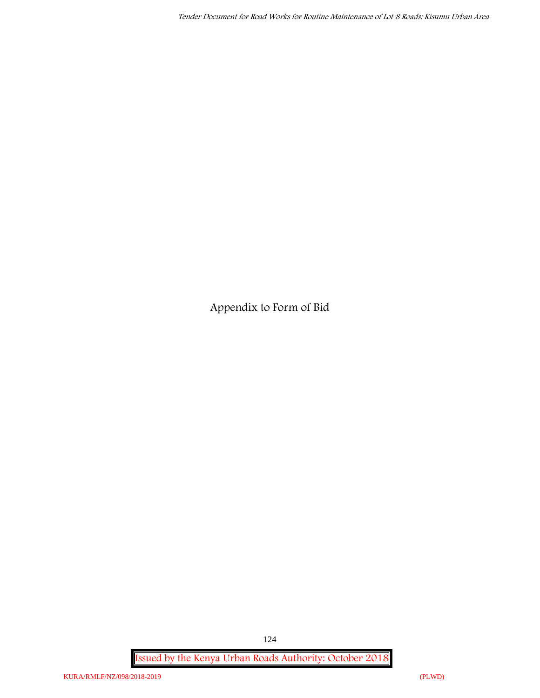**Appendix to Form of Bid**

**Issued by the Kenya Urban Roads Authority: October 2018**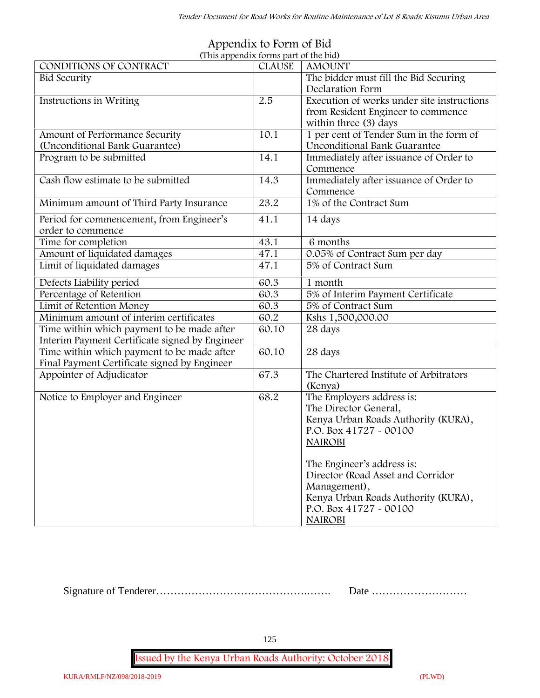| (This appendix forms part of the bid)          |               |                                            |
|------------------------------------------------|---------------|--------------------------------------------|
| CONDITIONS OF CONTRACT                         | <b>CLAUSE</b> | <b>AMOUNT</b>                              |
| <b>Bid Security</b>                            |               | The bidder must fill the Bid Securing      |
|                                                |               | Declaration Form                           |
| Instructions in Writing                        | 2.5           | Execution of works under site instructions |
|                                                |               | from Resident Engineer to commence         |
|                                                |               | within three (3) days                      |
| Amount of Performance Security                 | 10.1          | 1 per cent of Tender Sum in the form of    |
| (Unconditional Bank Guarantee)                 |               | <b>Unconditional Bank Guarantee</b>        |
| Program to be submitted                        | 14.1          | Immediately after issuance of Order to     |
|                                                |               | Commence                                   |
| Cash flow estimate to be submitted             | 14.3          | Immediately after issuance of Order to     |
|                                                |               | Commence                                   |
| Minimum amount of Third Party Insurance        | 23.2          | 1% of the Contract Sum                     |
| Period for commencement, from Engineer's       | 41.1          | 14 days                                    |
| order to commence                              |               |                                            |
| Time for completion                            | 43.1          | 6 months                                   |
| Amount of liquidated damages                   | 47.1          | 0.05% of Contract Sum per day              |
| Limit of liquidated damages                    | 47.1          | 5% of Contract Sum                         |
| Defects Liability period                       | 60.3          | 1 month                                    |
| Percentage of Retention                        | 60.3          | 5% of Interim Payment Certificate          |
| Limit of Retention Money                       | 60.3          | 5% of Contract Sum                         |
| Minimum amount of interim certificates         | 60.2          | Kshs 1,500,000.00                          |
| Time within which payment to be made after     | 60.10         | 28 days                                    |
| Interim Payment Certificate signed by Engineer |               |                                            |
| Time within which payment to be made after     | 60.10         | 28 days                                    |
| Final Payment Certificate signed by Engineer   |               |                                            |
| Appointer of Adjudicator                       | 67.3          | The Chartered Institute of Arbitrators     |
|                                                |               | (Kenya)                                    |
| Notice to Employer and Engineer                | 68.2          | The Employers address is:                  |
|                                                |               | The Director General,                      |
|                                                |               | Kenya Urban Roads Authority (KURA),        |
|                                                |               | P.O. Box 41727 - 00100                     |
|                                                |               | <b>NAIROBI</b>                             |
|                                                |               |                                            |
|                                                |               | The Engineer's address is:                 |
|                                                |               | Director (Road Asset and Corridor          |
|                                                |               | Management),                               |
|                                                |               | Kenya Urban Roads Authority (KURA),        |
|                                                |               | P.O. Box 41727 - 00100                     |
|                                                |               |                                            |
|                                                |               | <b>NAIROBI</b>                             |

#### **Appendix to Form of Bid (This appendix forms part of the bid)**

Signature of Tenderer…………………………………….……. Date ………………………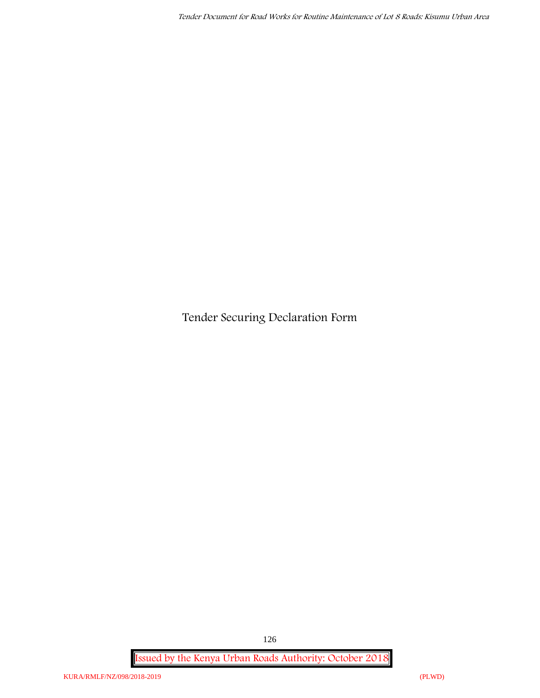**Tender Securing Declaration Form**

**Issued by the Kenya Urban Roads Authority: October 2018**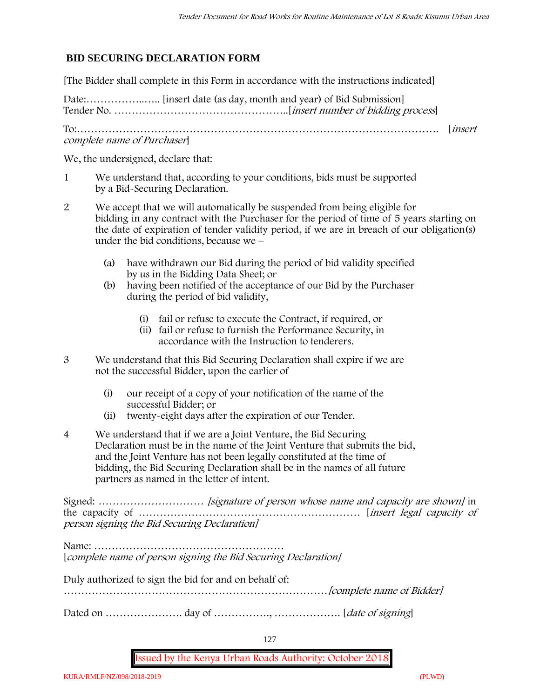# **BID SECURING DECLARATION FORM**

[The Bidder shall complete in this Form in accordance with the instructions indicated]

Date:……………..….. [insert date (as day, month and year) of Bid Submission] Tender No. …………………………………………..[*insert number of bidding process*]

To:…………………………………………………………………………………………. [*insert complete name of Purchaser*]

We, the undersigned, declare that:

- 1 We understand that, according to your conditions, bids must be supported by a Bid-Securing Declaration.
- 2 We accept that we will automatically be suspended from being eligible for bidding in any contract with the Purchaser for the period of time of **5 years** starting on the date of expiration of tender validity period, if we are in breach of our obligation(s) under the bid conditions, because we –
	- (a) have withdrawn our Bid during the period of bid validity specified by us in the Bidding Data Sheet; or
	- (b) having been notified of the acceptance of our Bid by the Purchaser during the period of bid validity,
		- (i) fail or refuse to execute the Contract, if required, or
		- (ii) fail or refuse to furnish the Performance Security, in accordance with the Instruction to tenderers.
- 3 We understand that this Bid Securing Declaration shall expire if we are not the successful Bidder, upon the earlier of
	- (i) our receipt of a copy of your notification of the name of the successful Bidder; or
	- (ii) twenty-eight days after the expiration of our Tender.
- 4 We understand that if we are a Joint Venture, the Bid Securing Declaration must be in the name of the Joint Venture that submits the bid, and the Joint Venture has not been legally constituted at the time of bidding, the Bid Securing Declaration shall be in the names of all future partners as named in the letter of intent.

Signed: *………………………… [signature of person whose name and capacity are shown]* in the capacity of ……………………………………………………… [*insert legal capacity of person signing the Bid Securing Declaration]*

Name: ……………………………………………… [*complete name of person signing the Bid Securing Declaration]*

Duly authorized to sign the bid for and on behalf of:

…………………………………………………………………*[complete name of Bidder]*

Dated on …………………. day of ……………., ………………. [*date of signing*]

127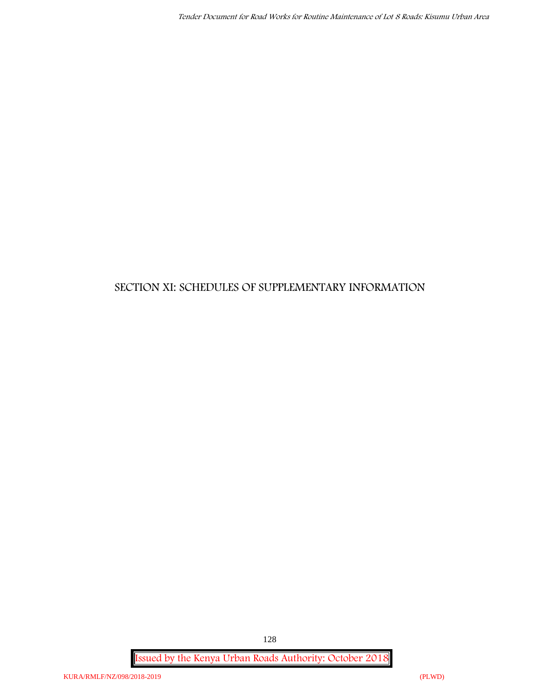# **SECTION XI: SCHEDULES OF SUPPLEMENTARY INFORMATION**

**Issued by the Kenya Urban Roads Authority: October 2018**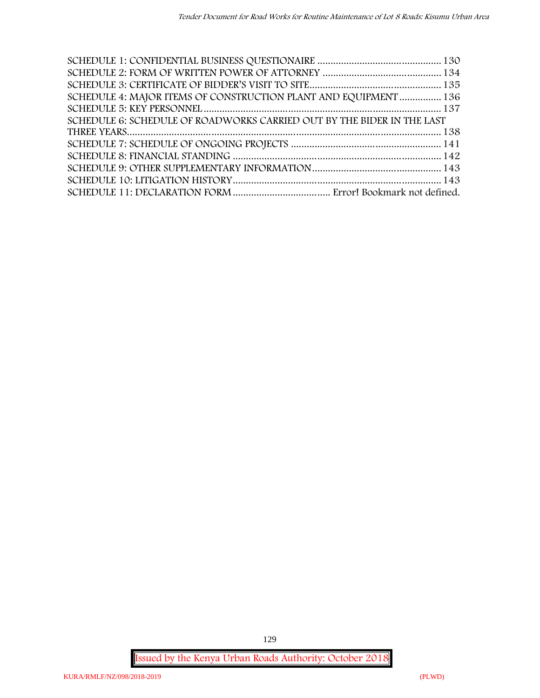| SCHEDULE 4: MAJOR ITEMS OF CONSTRUCTION PLANT AND EQUIPMENT  136       |  |
|------------------------------------------------------------------------|--|
|                                                                        |  |
| SCHEDULE 6: SCHEDULE OF ROADWORKS CARRIED OUT BY THE BIDER IN THE LAST |  |
|                                                                        |  |
|                                                                        |  |
|                                                                        |  |
|                                                                        |  |
|                                                                        |  |
|                                                                        |  |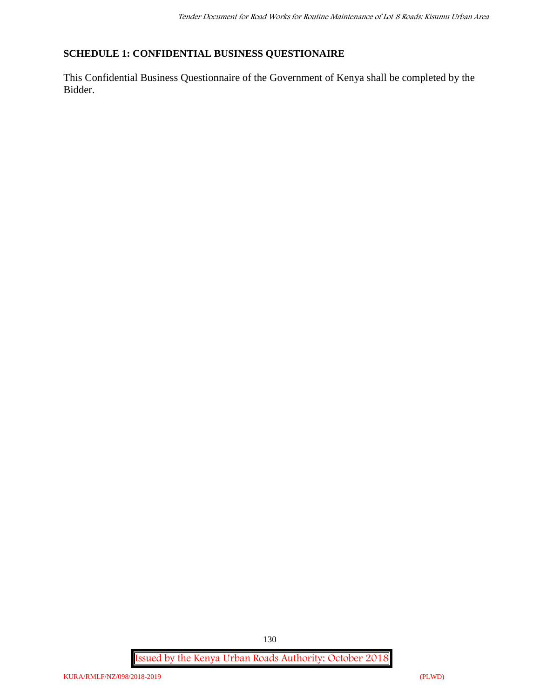# **SCHEDULE 1: CONFIDENTIAL BUSINESS QUESTIONAIRE**

This Confidential Business Questionnaire of the Government of Kenya shall be completed by the Bidder.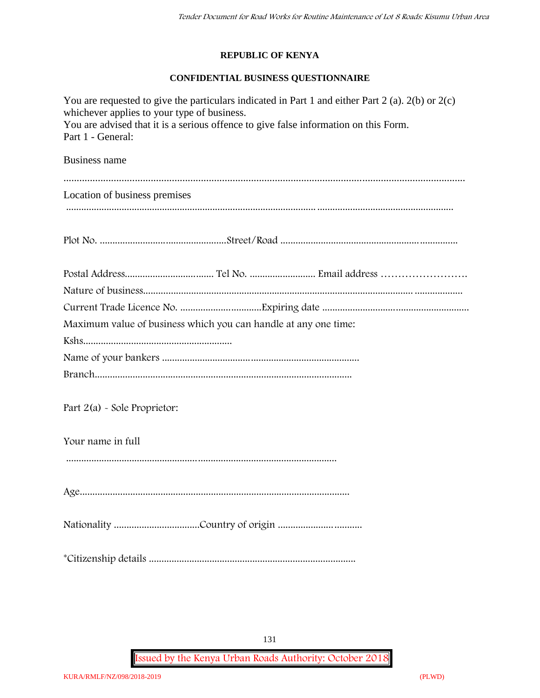# **REPUBLIC OF KENYA**

## **CONFIDENTIAL BUSINESS QUESTIONNAIRE**

| You are requested to give the particulars indicated in Part 1 and either Part 2 (a). $2(b)$ or $2(c)$<br>whichever applies to your type of business.<br>You are advised that it is a serious offence to give false information on this Form.<br>Part 1 - General: |  |  |  |  |  |  |  |
|-------------------------------------------------------------------------------------------------------------------------------------------------------------------------------------------------------------------------------------------------------------------|--|--|--|--|--|--|--|
| <b>Business name</b>                                                                                                                                                                                                                                              |  |  |  |  |  |  |  |
|                                                                                                                                                                                                                                                                   |  |  |  |  |  |  |  |
| Location of business premises                                                                                                                                                                                                                                     |  |  |  |  |  |  |  |
|                                                                                                                                                                                                                                                                   |  |  |  |  |  |  |  |
|                                                                                                                                                                                                                                                                   |  |  |  |  |  |  |  |
|                                                                                                                                                                                                                                                                   |  |  |  |  |  |  |  |
|                                                                                                                                                                                                                                                                   |  |  |  |  |  |  |  |
|                                                                                                                                                                                                                                                                   |  |  |  |  |  |  |  |
| Maximum value of business which you can handle at any one time:                                                                                                                                                                                                   |  |  |  |  |  |  |  |
|                                                                                                                                                                                                                                                                   |  |  |  |  |  |  |  |
|                                                                                                                                                                                                                                                                   |  |  |  |  |  |  |  |
|                                                                                                                                                                                                                                                                   |  |  |  |  |  |  |  |
| Part 2(a) - Sole Proprietor:                                                                                                                                                                                                                                      |  |  |  |  |  |  |  |
| Your name in full                                                                                                                                                                                                                                                 |  |  |  |  |  |  |  |
|                                                                                                                                                                                                                                                                   |  |  |  |  |  |  |  |
|                                                                                                                                                                                                                                                                   |  |  |  |  |  |  |  |
|                                                                                                                                                                                                                                                                   |  |  |  |  |  |  |  |
|                                                                                                                                                                                                                                                                   |  |  |  |  |  |  |  |

131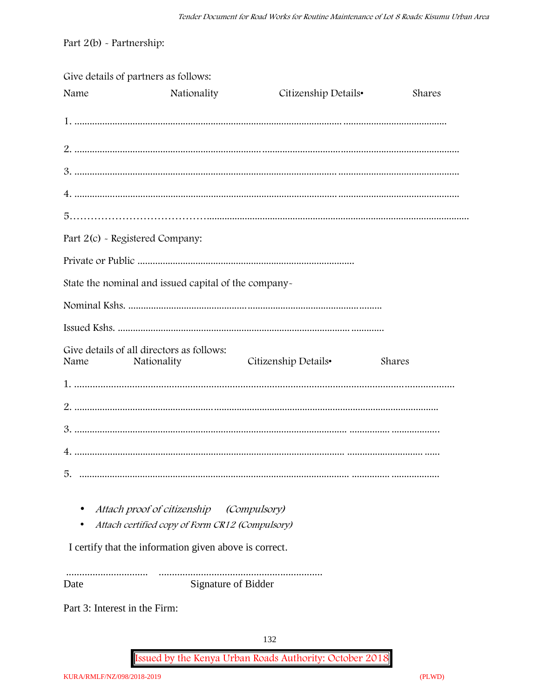Part  $2(b)$  - Partnership:

|                                 | Give details of partners as follows:                     |                      |        |
|---------------------------------|----------------------------------------------------------|----------------------|--------|
| Name                            | Nationality                                              | Citizenship Details• | Shares |
|                                 |                                                          |                      |        |
|                                 |                                                          |                      |        |
|                                 |                                                          |                      |        |
|                                 |                                                          |                      |        |
|                                 |                                                          |                      |        |
| Part 2(c) - Registered Company: |                                                          |                      |        |
|                                 |                                                          |                      |        |
|                                 | State the nominal and issued capital of the company-     |                      |        |
|                                 |                                                          |                      |        |
|                                 |                                                          |                      |        |
| Name                            | Give details of all directors as follows:<br>Nationality | Citizenship Details• | Shares |
|                                 |                                                          |                      |        |
|                                 |                                                          |                      |        |
|                                 |                                                          |                      |        |
|                                 |                                                          |                      |        |
| 5.                              |                                                          |                      |        |
|                                 | Attach proof of citizenship                              | <i>(Compulsory)</i>  |        |
|                                 | Attach certified copy of Form CR12 (Compulsory)          |                      |        |
|                                 | I certify that the information given above is correct.   |                      |        |

Signature of Bidder Date

Part 3: Interest in the Firm: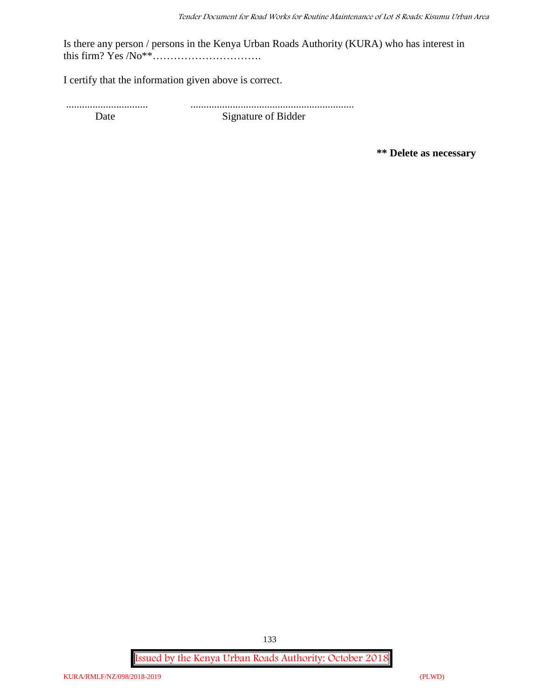Is there any person / persons in the Kenya Urban Roads Authority (KURA) who has interest in this firm? Yes /No\*\*………………………….

I certify that the information given above is correct.

............................... .............................................................. Date Signature of Bidder

**\*\* Delete as necessary**

**Issued by the Kenya Urban Roads Authority: October 2018**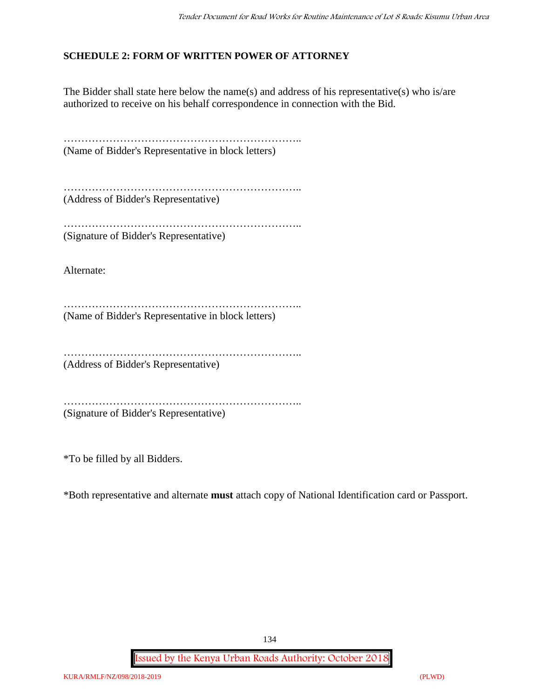# **SCHEDULE 2: FORM OF WRITTEN POWER OF ATTORNEY**

The Bidder shall state here below the name(s) and address of his representative(s) who is/are authorized to receive on his behalf correspondence in connection with the Bid.

………………………………………………………………………… (Name of Bidder's Representative in block letters)

………………………………………………………….. (Address of Bidder's Representative)

………………………………………………………………… (Signature of Bidder's Representative)

Alternate:

………………………………………………………….. (Name of Bidder's Representative in block letters)

…………………………………………………………..

(Address of Bidder's Representative)

………………………………………………………….. (Signature of Bidder's Representative)

\*To be filled by all Bidders.

\*Both representative and alternate **must** attach copy of National Identification card or Passport.

134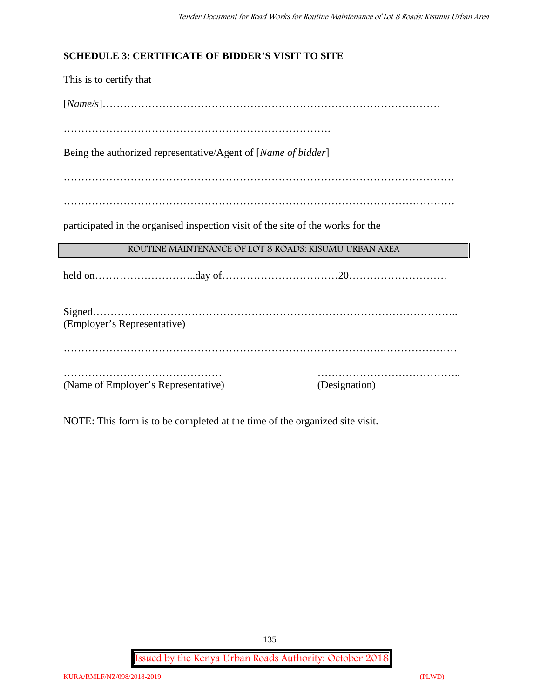# **SCHEDULE 3: CERTIFICATE OF BIDDER'S VISIT TO SITE**

This is to certify that [*Name/s*]…………………………………………………………………………………… …………………………………………………………………. Being the authorized representative/Agent of [*Name of bidder*] ………………………………………………………………………………………………… ………………………………………………………………………………………………… participated in the organised inspection visit of the site of the works for the **ROUTINE MAINTENANCE OF LOT 8 ROADS: KISUMU URBAN AREA** held on………………………..day of……………………………20………………………. Signed………………………………………………………………………………………….. (Employer's Representative) ……………………………………………………………………………….………………… ……………………………………… ………………………………….. (Name of Employer's Representative) (Designation)

NOTE: This form is to be completed at the time of the organized site visit.

**Issued by the Kenya Urban Roads Authority: October 2018**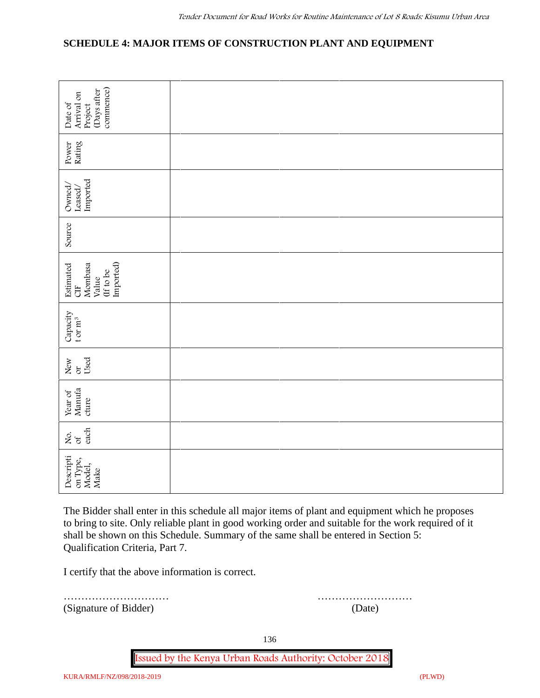# **SCHEDULE 4: MAJOR ITEMS OF CONSTRUCTION PLANT AND EQUIPMENT**

| commence)<br>(Days after<br>Arrival on<br>Date of<br>Project                                                                                                                                                                                                                                                                       |             |  |  |  |  |  |
|------------------------------------------------------------------------------------------------------------------------------------------------------------------------------------------------------------------------------------------------------------------------------------------------------------------------------------|-------------|--|--|--|--|--|
| Rating<br>Power                                                                                                                                                                                                                                                                                                                    |             |  |  |  |  |  |
| Imported<br>Owned/<br>$\mathtt{Leased}/$                                                                                                                                                                                                                                                                                           |             |  |  |  |  |  |
| Source                                                                                                                                                                                                                                                                                                                             |             |  |  |  |  |  |
| Imported)<br>Mombasa<br>Estimated<br>(If to be<br>Value<br>5H                                                                                                                                                                                                                                                                      |             |  |  |  |  |  |
| Capacity<br>t or $m^3$                                                                                                                                                                                                                                                                                                             |             |  |  |  |  |  |
| Used<br>New<br>or                                                                                                                                                                                                                                                                                                                  |             |  |  |  |  |  |
| Manufa<br>Year of<br>cture                                                                                                                                                                                                                                                                                                         |             |  |  |  |  |  |
| each<br>δά                                                                                                                                                                                                                                                                                                                         |             |  |  |  |  |  |
| scripti<br>Descripti<br>on Type,<br>Model,<br>Make                                                                                                                                                                                                                                                                                 |             |  |  |  |  |  |
| The Bidder shall enter in this schedule all major items of plant and equipment which he proposes<br>to bring to site. Only reliable plant in good working order and suitable for the work required of it<br>shall be shown on this Schedule. Summary of the same shall be entered in Section 5:<br>Qualification Criteria, Part 7. |             |  |  |  |  |  |
| I certify that the above information is correct.                                                                                                                                                                                                                                                                                   |             |  |  |  |  |  |
| (Signature of Bidder)                                                                                                                                                                                                                                                                                                              | .<br>(Date) |  |  |  |  |  |

………………………… ………………………

136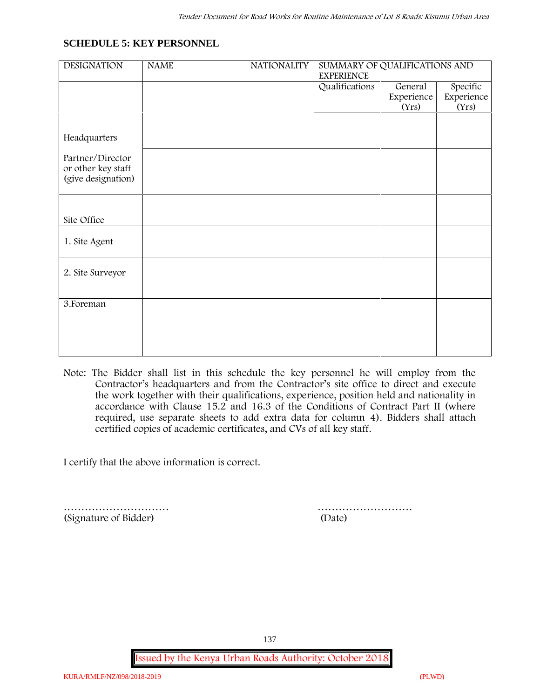### **SCHEDULE 5: KEY PERSONNEL**

| <b>DESIGNATION</b> | <b>NAME</b> | <b>NATIONALITY</b> | SUMMARY OF QUALIFICATIONS AND<br><b>EXPERIENCE</b> |            |            |  |
|--------------------|-------------|--------------------|----------------------------------------------------|------------|------------|--|
|                    |             |                    | Qualifications                                     | General    | Specific   |  |
|                    |             |                    |                                                    | Experience | Experience |  |
|                    |             |                    |                                                    | (Yrs)      | (Yrs)      |  |
|                    |             |                    |                                                    |            |            |  |
|                    |             |                    |                                                    |            |            |  |
| Headquarters       |             |                    |                                                    |            |            |  |
| Partner/Director   |             |                    |                                                    |            |            |  |
| or other key staff |             |                    |                                                    |            |            |  |
| (give designation) |             |                    |                                                    |            |            |  |
|                    |             |                    |                                                    |            |            |  |
|                    |             |                    |                                                    |            |            |  |
|                    |             |                    |                                                    |            |            |  |
| Site Office        |             |                    |                                                    |            |            |  |
|                    |             |                    |                                                    |            |            |  |
|                    |             |                    |                                                    |            |            |  |
| 1. Site Agent      |             |                    |                                                    |            |            |  |
|                    |             |                    |                                                    |            |            |  |
|                    |             |                    |                                                    |            |            |  |
| 2. Site Surveyor   |             |                    |                                                    |            |            |  |
|                    |             |                    |                                                    |            |            |  |
|                    |             |                    |                                                    |            |            |  |
| 3. Foreman         |             |                    |                                                    |            |            |  |
|                    |             |                    |                                                    |            |            |  |
|                    |             |                    |                                                    |            |            |  |
|                    |             |                    |                                                    |            |            |  |
|                    |             |                    |                                                    |            |            |  |
|                    |             |                    |                                                    |            |            |  |

**Note:** The Bidder shall list in this schedule the key personnel he will employ from the Contractor's headquarters and from the Contractor's site office to direct and execute the work together with their qualifications, experience, position held and nationality in accordance with Clause 15.2 and 16.3 of the Conditions of Contract Part II (where required, use separate sheets to add extra data for column 4). Bidders shall attach certified copies of academic certificates, and CVs of all key staff.

I certify that the above information is correct.

………………………… ……………………… (Signature of Bidder) (Date)

137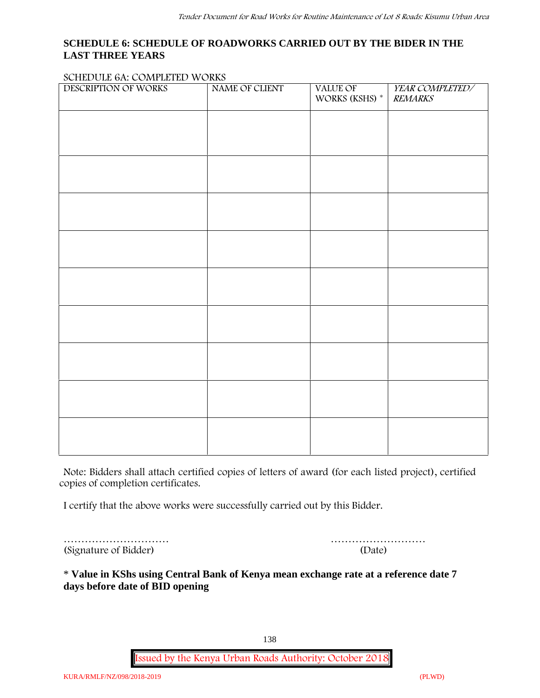## **SCHEDULE 6: SCHEDULE OF ROADWORKS CARRIED OUT BY THE BIDER IN THE LAST THREE YEARS**

#### **SCHEDULE 6A: COMPLETED WORKS**

| DESCRIPTION OF WORKS | NAME OF CLIENT | VALUE OF<br>WORKS (KSHS) * | YEAR COMPLETED/<br><b>REMARKS</b> |
|----------------------|----------------|----------------------------|-----------------------------------|
|                      |                |                            |                                   |
|                      |                |                            |                                   |
|                      |                |                            |                                   |
|                      |                |                            |                                   |
|                      |                |                            |                                   |
|                      |                |                            |                                   |
|                      |                |                            |                                   |
|                      |                |                            |                                   |
|                      |                |                            |                                   |
|                      |                |                            |                                   |
|                      |                |                            |                                   |
|                      |                |                            |                                   |

**Note:** Bidders shall attach certified copies of letters of award (for each listed project), certified copies of completion certificates.

I certify that the above works were successfully carried out by this Bidder.

………………………… (Signature of Bidder)

|  |  |  |  |  | (Date) |  |  |  |  |  |  |
|--|--|--|--|--|--------|--|--|--|--|--|--|

\* **Value in KShs using Central Bank of Kenya mean exchange rate at a reference date 7 days before date of BID opening**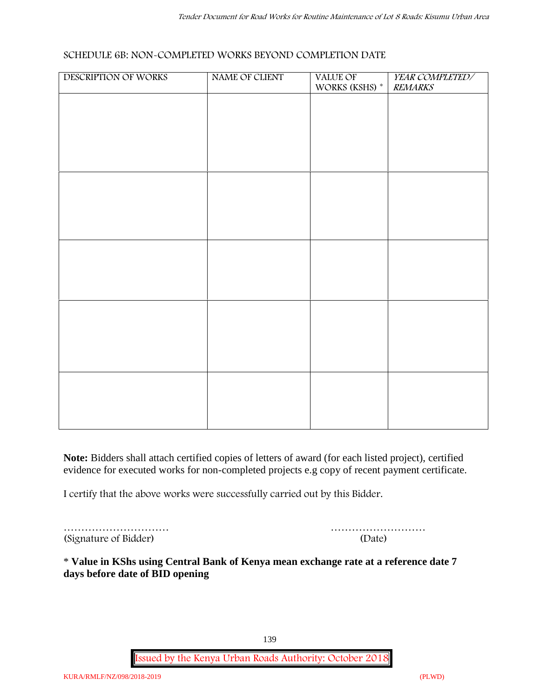#### **SCHEDULE 6B: NON-COMPLETED WORKS BEYOND COMPLETION DATE**

| DESCRIPTION OF WORKS | NAME OF CLIENT | VALUE OF WORKS (KSHS) * | YEAR COMPLETED/<br><b>REMARKS</b> |
|----------------------|----------------|-------------------------|-----------------------------------|
|                      |                |                         |                                   |
|                      |                |                         |                                   |
|                      |                |                         |                                   |
|                      |                |                         |                                   |
|                      |                |                         |                                   |
|                      |                |                         |                                   |
|                      |                |                         |                                   |
|                      |                |                         |                                   |
|                      |                |                         |                                   |
|                      |                |                         |                                   |
|                      |                |                         |                                   |
|                      |                |                         |                                   |
|                      |                |                         |                                   |
|                      |                |                         |                                   |
|                      |                |                         |                                   |
|                      |                |                         |                                   |

**Note:** Bidders shall attach certified copies of letters of award (for each listed project), certified evidence for executed works for non-completed projects e.g copy of recent payment certificate.

I certify that the above works were successfully carried out by this Bidder.

| (Signature of Bidder) | (Date) |
|-----------------------|--------|

| (Signature of Bidder) | (Date) |
|-----------------------|--------|

\* **Value in KShs using Central Bank of Kenya mean exchange rate at a reference date 7 days before date of BID opening**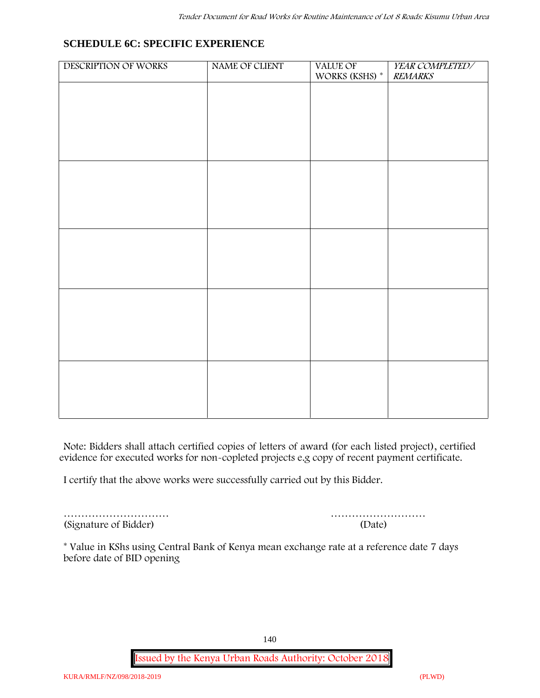# **SCHEDULE 6C: SPECIFIC EXPERIENCE**

| DESCRIPTION OF WORKS | NAME OF CLIENT | VALUE OF<br>WORKS (KSHS) * | YEAR COMPLETED/<br><b>REMARKS</b> |
|----------------------|----------------|----------------------------|-----------------------------------|
|                      |                |                            |                                   |
|                      |                |                            |                                   |
|                      |                |                            |                                   |
|                      |                |                            |                                   |
|                      |                |                            |                                   |
|                      |                |                            |                                   |
|                      |                |                            |                                   |
|                      |                |                            |                                   |
|                      |                |                            |                                   |
|                      |                |                            |                                   |
|                      |                |                            |                                   |
|                      |                |                            |                                   |
|                      |                |                            |                                   |
|                      |                |                            |                                   |
|                      |                |                            |                                   |
|                      |                |                            |                                   |

**Note:** Bidders shall attach certified copies of letters of award (for each listed project), certified evidence for executed works for non-copleted projects e.g copy of recent payment certificate.

I certify that the above works were successfully carried out by this Bidder.

(Signature of Bidder) (Date)

………………………… ………………………

\* **Value in KShs using Central Bank of Kenya mean exchange rate at a reference date 7 days before date of BID opening**

140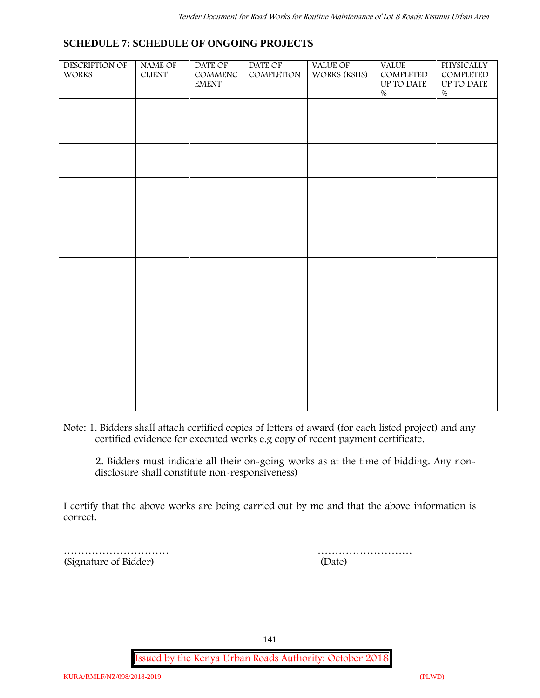#### **SCHEDULE 7: SCHEDULE OF ONGOING PROJECTS**

| DESCRIPTION OF<br>WORKS | NAME OF<br>${\tt CLIENT}$ | DATE OF<br>$\mathsf{COMMENC}$<br><b>EMENT</b> | DATE OF<br>COMPLETION | VALUE OF<br>WORKS (KSHS) | <b>VALUE</b><br>COMPLETED<br>UP TO DATE | PHYSICALLY<br>COMPLETED<br>$\,$ UP TO DATE |  |
|-------------------------|---------------------------|-----------------------------------------------|-----------------------|--------------------------|-----------------------------------------|--------------------------------------------|--|
|                         |                           |                                               |                       |                          | $\%$                                    | $\%$                                       |  |
|                         |                           |                                               |                       |                          |                                         |                                            |  |
|                         |                           |                                               |                       |                          |                                         |                                            |  |
|                         |                           |                                               |                       |                          |                                         |                                            |  |
|                         |                           |                                               |                       |                          |                                         |                                            |  |
|                         |                           |                                               |                       |                          |                                         |                                            |  |
|                         |                           |                                               |                       |                          |                                         |                                            |  |
|                         |                           |                                               |                       |                          |                                         |                                            |  |
|                         |                           |                                               |                       |                          |                                         |                                            |  |
|                         |                           |                                               |                       |                          |                                         |                                            |  |
|                         |                           |                                               |                       |                          |                                         |                                            |  |
|                         |                           |                                               |                       |                          |                                         |                                            |  |

**Note:** 1. Bidders shall attach certified copies of letters of award (for each listed project) and any certified evidence for executed works e.g copy of recent payment certificate.

2. Bidders must indicate all their on-going works as at the time of bidding. Any non disclosure shall constitute non-responsiveness)

I certify that the above works are being carried out by me and that the above information is correct.

(Signature of Bidder) (Date)

………………………… ………………………

141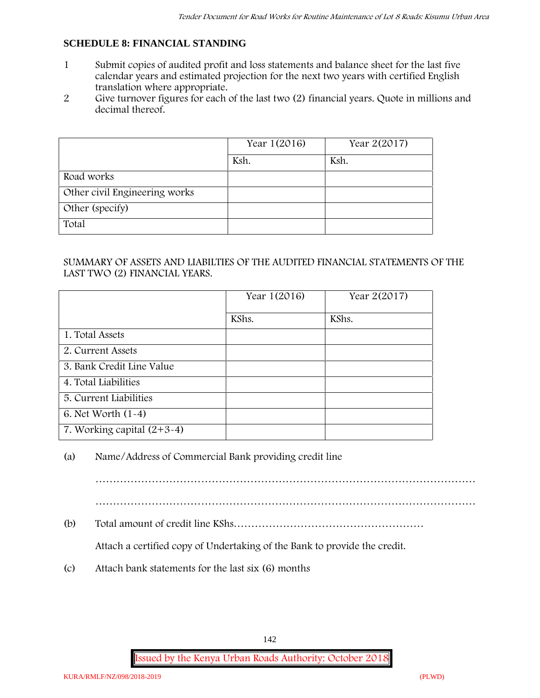## **SCHEDULE 8: FINANCIAL STANDING**

- 1 Submit copies of audited profit and loss statements and balance sheet for the last five calendar years and estimated projection for the next two years with certified English translation where appropriate.
- 2 Give turnover figures for each of the last two (2) financial years. Quote in millions and decimal thereof.

|                               | Year 1(2016) | Year 2(2017) |
|-------------------------------|--------------|--------------|
|                               | Ksh.         | Ksh.         |
| Road works                    |              |              |
| Other civil Engineering works |              |              |
| Other (specify)               |              |              |
| Total                         |              |              |

### SUMMARY OF ASSETS AND LIABILTIES OF THE AUDITED FINANCIAL STATEMENTS OF THE LAST TWO (2) FINANCIAL YEARS.

|                              | Year 1(2016) | Year 2(2017) |
|------------------------------|--------------|--------------|
|                              | KShs.        | KShs.        |
| 1. Total Assets              |              |              |
| 2. Current Assets            |              |              |
| 3. Bank Credit Line Value    |              |              |
| 4. Total Liabilities         |              |              |
| 5. Current Liabilities       |              |              |
| 6. Net Worth $(1-4)$         |              |              |
| 7. Working capital $(2+3-4)$ |              |              |

#### (a) Name/Address of Commercial Bank providing credit line

………………………………………………………………………………………………

(b) Total amount of credit line KShs………………………………………………

Attach a certified copy of Undertaking of the Bank to provide the credit.

(c) Attach bank statements for the last six (6) months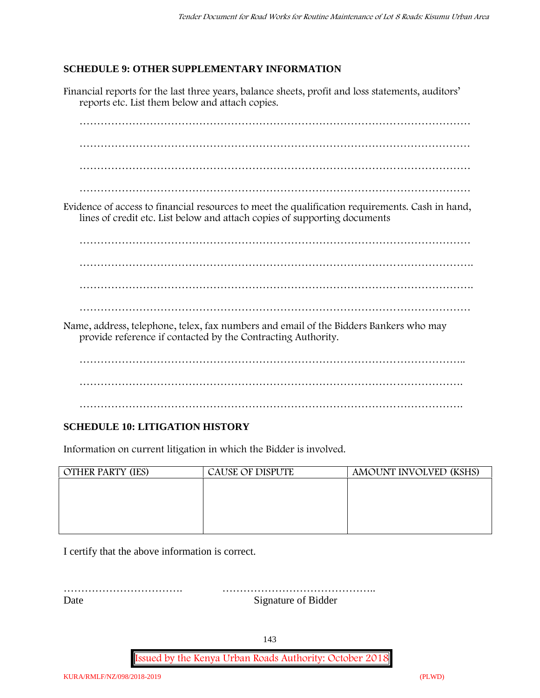## **SCHEDULE 9: OTHER SUPPLEMENTARY INFORMATION**

Financial reports for the last three years, balance sheets, profit and loss statements, auditors' reports etc. List them below and attach copies. ………………………………………………………………………………………………… ………………………………………………………………………………………………… ………………………………………………………………………………………………… ………………………………………………………………………………………………… Evidence of access to financial resources to meet the qualification requirements. Cash in hand, lines of credit etc. List below and attach copies of supporting documents ………………………………………………………………………………………………… …………………………………………………………………………………………………. …………………………………………………………………………………………………. ………………………………………………………………………………………………… Name, address, telephone, telex, fax numbers and email of the Bidders Bankers who may provide reference if contacted by the Contracting Authority. ……………………………………………………………………………………………….. ………………………………………………………………………………………………. ……………………………………………………………………………………………….

# **SCHEDULE 10: LITIGATION HISTORY**

Information on current litigation in which the Bidder is involved.

| <b>OTHER PARTY (IES)</b> | <b>CAUSE OF DISPUTE</b> | AMOUNT INVOLVED (KSHS) |
|--------------------------|-------------------------|------------------------|
|                          |                         |                        |
|                          |                         |                        |
|                          |                         |                        |
|                          |                         |                        |
|                          |                         |                        |

I certify that the above information is correct.

……………………………. …………………………………….. Date Signature of Bidder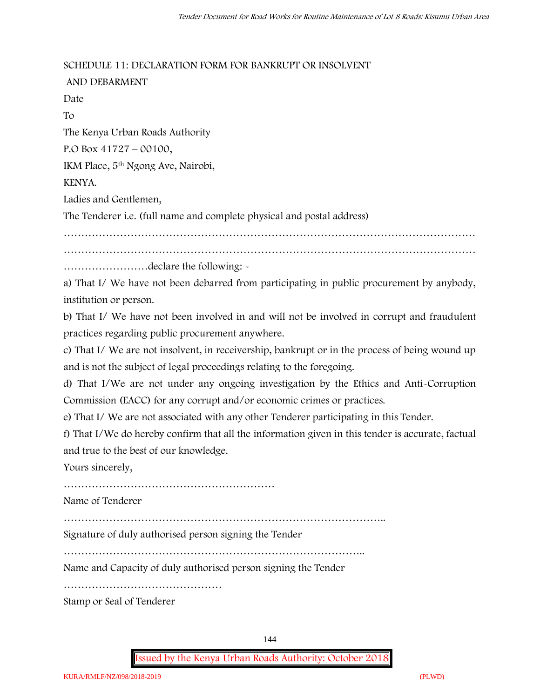#### **SCHEDULE 11: DECLARATION FORM FOR BANKRUPT OR INSOLVENT**

**AND DEBARMENT** Date To The Kenya Urban Roads Authority P.O Box 41727 – 00100, IKM Place, 5th Ngong Ave, Nairobi, KENYA. Ladies and Gentlemen, The Tenderer i.e. (full name and complete physical and postal address) ……………………………………………………………………………………………………… ………………………………………………………………………………………………………

……………………declare the following: -

a) That I/ We have not been debarred from participating in public procurement by anybody, institution or person.

b) That I/ We have not been involved in and will not be involved in corrupt and fraudulent practices regarding public procurement anywhere.

c) That I/ We are not insolvent, in receivership, bankrupt or in the process of being wound up and is not the subject of legal proceedings relating to the foregoing.

d) That I/We are not under any ongoing investigation by the Ethics and Anti-Corruption Commission (EACC) for any corrupt and/or economic crimes or practices.

e) That I/ We are not associated with any other Tenderer participating in this Tender.

f) That I/We do hereby confirm that all the information given in this tender is accurate, factual and true to the best of our knowledge.

Yours sincerely,

……………………………………………………

Name of Tenderer

………………………………………………………………………………..

Signature of duly authorised person signing the Tender

…………………………………………………………………………..

Name and Capacity of duly authorised person signing the Tender

………………………………………

Stamp or Seal of Tenderer

144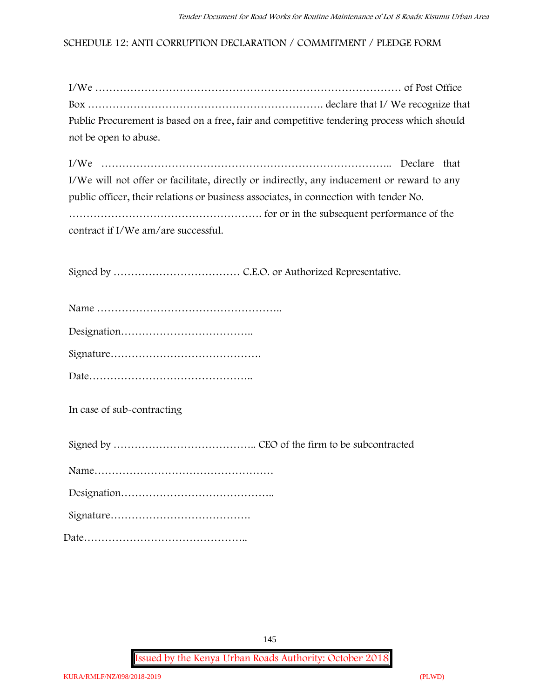### **SCHEDULE 12: ANTI CORRUPTION DECLARATION / COMMITMENT / PLEDGE FORM**

| Public Procurement is based on a free, fair and competitive tendering process which should |  |
|--------------------------------------------------------------------------------------------|--|
| not be open to abuse.                                                                      |  |

I/We ……………………………………………………………………….. Declare that I/We will not offer or facilitate, directly or indirectly, any inducement or reward to any public officer, their relations or business associates, in connection with tender No. ………………………………………………. for or in the subsequent performance of the contract if I/We am/are successful.

Signed by ……………………………… C.E.O. or Authorized Representative.

**In case of sub-contracting**

Signed by ………………………………….. CEO of the firm to be subcontracted

|--|

Signature………………………………….

Date………………………………………..

145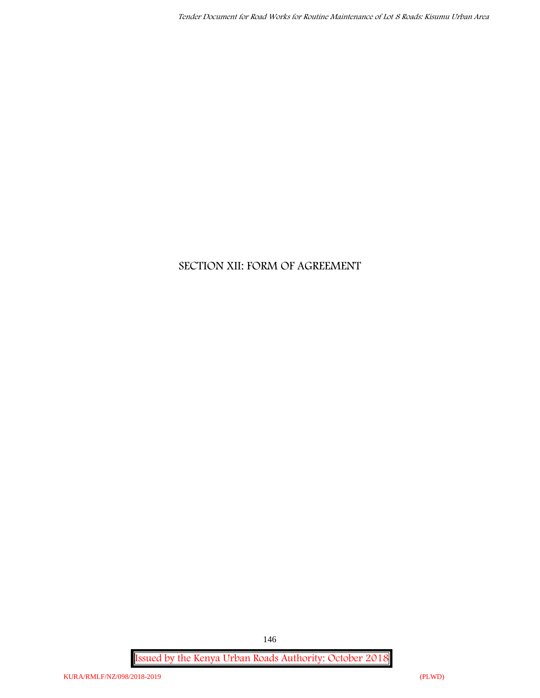# **SECTION XII: FORM OF AGREEMENT**

**Issued by the Kenya Urban Roads Authority: October 2018**

146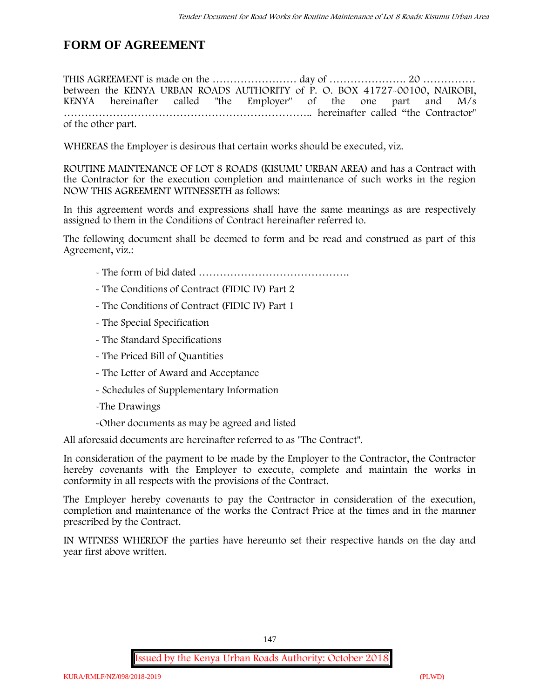## **FORM OF AGREEMENT**

THIS AGREEMENT is made on the …………………… day of …………………. 20 …………… between the **KENYA URBAN ROADS AUTHORITY** of **P. O. BOX 41727-00100, NAIROBI, KENYA** hereinafter called "the Employer" of the one part and **M/s ……………………………………………………………..** hereinafter called "the Contractor" of the other part.

WHEREAS the Employer is desirous that certain works should be executed, viz.

**ROUTINE MAINTENANCE OF LOT 8 ROADS (KISUMU URBAN AREA)** and has a Contract with the Contractor for the execution completion and maintenance of such works in the region NOW THIS AGREEMENT WITNESSETH as follows:

In this agreement words and expressions shall have the same meanings as are respectively assigned to them in the Conditions of Contract hereinafter referred to.

The following document shall be deemed to form and be read and construed as part of this Agreement, viz.:

- The form of bid dated **…………………………………….**
- The Conditions of Contract (FIDIC IV) Part 2
- The Conditions of Contract (FIDIC IV) Part 1
- The Special Specification
- The Standard Specifications
- The Priced Bill of Quantities
- The Letter of Award and Acceptance
- Schedules of Supplementary Information
- -The Drawings
- -Other documents as may be agreed and listed

All aforesaid documents are hereinafter referred to as "The Contract".

In consideration of the payment to be made by the Employer to the Contractor, the Contractor hereby covenants with the Employer to execute, complete and maintain the works in conformity in all respects with the provisions of the Contract.

The Employer hereby covenants to pay the Contractor in consideration of the execution, completion and maintenance of the works the Contract Price at the times and in the manner prescribed by the Contract.

IN WITNESS WHEREOF the parties have hereunto set their respective hands on the day and year first above written.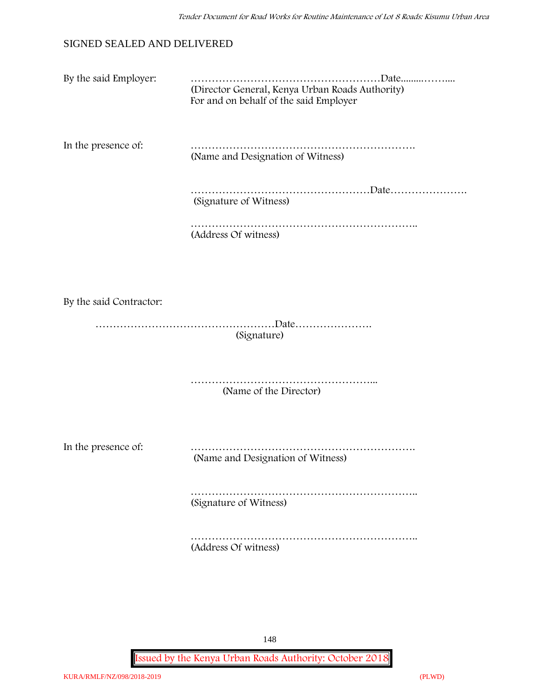### SIGNED SEALED AND DELIVERED

| By the said Employer: |                                                                                           |
|-----------------------|-------------------------------------------------------------------------------------------|
|                       | (Director General, Kenya Urban Roads Authority)<br>For and on behalf of the said Employer |

In the presence of: ………………………………………………………. (Name and Designation of Witness)

> ……………………………………………………Date………………… (Signature of Witness)

……………………………………………………….. (Address Of witness)

By the said Contractor:

……………………………………………Date…………………. (Signature)

> ……………………………………………………… (Name of the Director)

In the presence of: ……………………………………………………….

(Name and Designation of Witness)

………………………………………………………………… (Signature of Witness)

……………………………………………………………………… (Address Of witness)

148